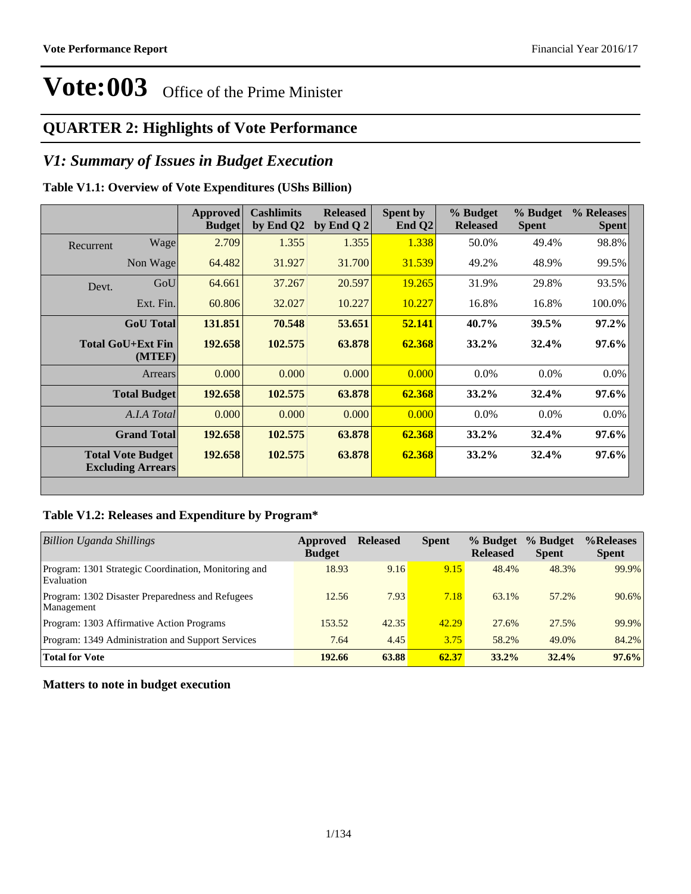### **QUARTER 2: Highlights of Vote Performance**

#### *V1: Summary of Issues in Budget Execution*

#### **Table V1.1: Overview of Vote Expenditures (UShs Billion)**

|           |                                                      | Approved<br><b>Budget</b> | <b>Cashlimits</b><br>by End Q2 | <b>Released</b><br>by End Q $2$ | Spent by<br>End $Q2$ | % Budget<br><b>Released</b> | % Budget<br><b>Spent</b> | % Releases<br><b>Spent</b> |
|-----------|------------------------------------------------------|---------------------------|--------------------------------|---------------------------------|----------------------|-----------------------------|--------------------------|----------------------------|
| Recurrent | Wage                                                 | 2.709                     | 1.355                          | 1.355                           | 1.338                | 50.0%                       | 49.4%                    | 98.8%                      |
|           | Non Wage                                             | 64.482                    | 31.927                         | 31.700                          | 31.539               | 49.2%                       | 48.9%                    | 99.5%                      |
| Devt.     | GoU                                                  | 64.661                    | 37.267                         | 20.597                          | 19.265               | 31.9%                       | 29.8%                    | 93.5%                      |
|           | Ext. Fin.                                            | 60.806                    | 32.027                         | 10.227                          | 10.227               | 16.8%                       | 16.8%                    | 100.0%                     |
|           | <b>GoU</b> Total                                     | 131.851                   | 70.548                         | 53.651                          | 52.141               | 40.7%                       | 39.5%                    | 97.2%                      |
|           | Total GoU+Ext Fin<br>(MTEF)                          | 192.658                   | 102.575                        | 63.878                          | 62.368               | 33.2%                       | 32.4%                    | 97.6%                      |
|           | Arrears                                              | 0.000                     | 0.000                          | 0.000                           | 0.000                | $0.0\%$                     | $0.0\%$                  | $0.0\%$                    |
|           | <b>Total Budget</b>                                  | 192.658                   | 102.575                        | 63.878                          | 62.368               | 33.2%                       | 32.4%                    | 97.6%                      |
|           | A.I.A Total                                          | 0.000                     | 0.000                          | 0.000                           | 0.000                | $0.0\%$                     | $0.0\%$                  | $0.0\%$                    |
|           | <b>Grand Total</b>                                   | 192.658                   | 102.575                        | 63.878                          | 62.368               | 33.2%                       | 32.4%                    | 97.6%                      |
|           | <b>Total Vote Budget</b><br><b>Excluding Arrears</b> | 192.658                   | 102.575                        | 63.878                          | 62.368               | 33.2%                       | 32.4%                    | 97.6%                      |

#### **Table V1.2: Releases and Expenditure by Program\***

| <b>Billion Uganda Shillings</b>                                    | Approved<br><b>Budget</b> | <b>Released</b> | <b>Spent</b> | % Budget<br><b>Released</b> | % Budget<br><b>Spent</b> | %Releases<br><b>Spent</b> |
|--------------------------------------------------------------------|---------------------------|-----------------|--------------|-----------------------------|--------------------------|---------------------------|
| Program: 1301 Strategic Coordination, Monitoring and<br>Evaluation | 18.93                     | 9.16            | 9.15         | 48.4%                       | 48.3%                    | 99.9%                     |
| Program: 1302 Disaster Preparedness and Refugees<br>Management     | 12.56                     | 7.93            | 7.18         | 63.1%                       | 57.2%                    | 90.6%                     |
| Program: 1303 Affirmative Action Programs                          | 153.52                    | 42.35           | 42.29        | 27.6%                       | 27.5%                    | 99.9%                     |
| Program: 1349 Administration and Support Services                  | 7.64                      | 4.45            | 3.75         | 58.2%                       | 49.0%                    | 84.2%                     |
| <b>Total for Vote</b>                                              | 192.66                    | 63.88           | 62.37        | 33.2%                       | 32.4%                    | 97.6%                     |

**Matters to note in budget execution**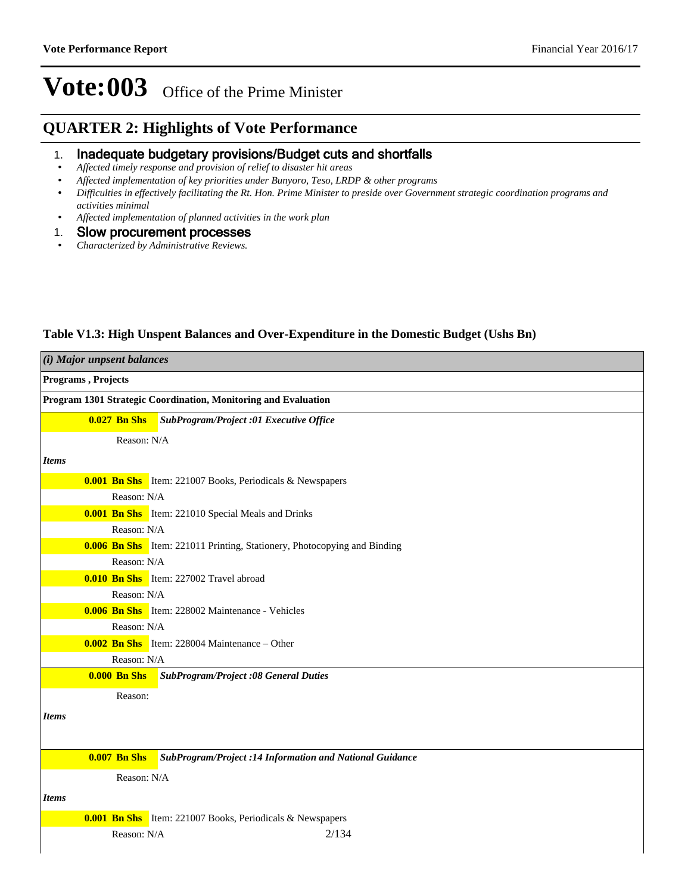#### **QUARTER 2: Highlights of Vote Performance**

#### 1. Inadequate budgetary provisions/Budget cuts and shortfalls

- *Affected timely response and provision of relief to disaster hit areas*
- *Affected implementation of key priorities under Bunyoro, Teso, LRDP & other programs*
- *Difficulties in effectively facilitating the Rt. Hon. Prime Minister to preside over Government strategic coordination programs and activities minimal*
- *Affected implementation of planned activities in the work plan*
- 1. Slow procurement processes
- *Characterized by Administrative Reviews.*

#### **Table V1.3: High Unspent Balances and Over-Expenditure in the Domestic Budget (Ushs Bn)**

|              | (i) Major unpsent balances |                                                                                 |
|--------------|----------------------------|---------------------------------------------------------------------------------|
|              | Programs, Projects         |                                                                                 |
|              |                            | Program 1301 Strategic Coordination, Monitoring and Evaluation                  |
|              | $0.027$ Bn Shs             | <b>SubProgram/Project :01 Executive Office</b>                                  |
|              | Reason: N/A                |                                                                                 |
| <b>Items</b> |                            |                                                                                 |
|              |                            | <b>0.001 Bn Shs</b> Item: 221007 Books, Periodicals & Newspapers                |
|              | Reason: N/A                |                                                                                 |
|              |                            | <b>0.001 Bn Shs</b> Item: 221010 Special Meals and Drinks                       |
|              | Reason: N/A                |                                                                                 |
|              |                            | <b>0.006 Bn Shs</b> Item: 221011 Printing, Stationery, Photocopying and Binding |
|              | Reason: N/A                |                                                                                 |
|              |                            | <b>0.010 Bn Shs</b> Item: 227002 Travel abroad                                  |
|              | Reason: N/A                |                                                                                 |
|              |                            | <b>0.006 Bn Shs</b> Item: 228002 Maintenance - Vehicles                         |
|              | Reason: N/A                |                                                                                 |
|              |                            | 0.002 Bn Shs Item: 228004 Maintenance – Other                                   |
|              | Reason: N/A                |                                                                                 |
|              | <b>0.000 Bn Shs</b>        | <b>SubProgram/Project :08 General Duties</b>                                    |
|              | Reason:                    |                                                                                 |
| <b>Items</b> |                            |                                                                                 |
|              |                            |                                                                                 |
|              |                            |                                                                                 |
|              | <b>0.007 Bn Shs</b>        | SubProgram/Project :14 Information and National Guidance                        |
|              | Reason: N/A                |                                                                                 |
| <b>Items</b> |                            |                                                                                 |
|              |                            | <b>0.001 Bn Shs</b> Item: 221007 Books, Periodicals & Newspapers                |
|              | Reason: N/A                | 2/134                                                                           |
|              |                            |                                                                                 |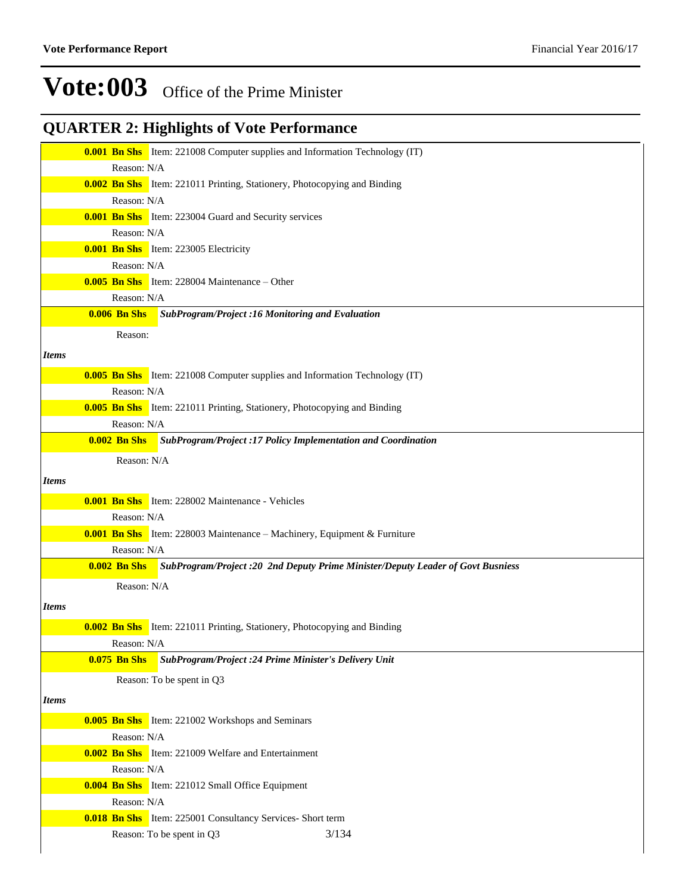|              | <b>0.001 Bn Shs</b> Item: 221008 Computer supplies and Information Technology (IT)                |
|--------------|---------------------------------------------------------------------------------------------------|
|              | Reason: N/A                                                                                       |
|              | <b>0.002 Bn Shs</b> Item: 221011 Printing, Stationery, Photocopying and Binding                   |
|              | Reason: N/A                                                                                       |
|              | <b>0.001 Bn Shs</b> Item: 223004 Guard and Security services                                      |
|              | Reason: N/A                                                                                       |
|              | <b>0.001 Bn Shs</b> Item: 223005 Electricity                                                      |
|              | Reason: N/A                                                                                       |
|              | <b>0.005 Bn Shs</b> Item: 228004 Maintenance – Other                                              |
|              | Reason: N/A                                                                                       |
|              | $0.006$ Bn Shs<br>SubProgram/Project :16 Monitoring and Evaluation                                |
|              | Reason:                                                                                           |
| <i>Items</i> |                                                                                                   |
|              | 0.005 Bn Shs Item: 221008 Computer supplies and Information Technology (IT)                       |
|              | Reason: N/A                                                                                       |
|              | <b>0.005 Bn Shs</b> Item: 221011 Printing, Stationery, Photocopying and Binding                   |
|              | Reason: N/A                                                                                       |
|              | $0.002$ Bn Shs<br><b>SubProgram/Project :17 Policy Implementation and Coordination</b>            |
|              | Reason: N/A                                                                                       |
|              |                                                                                                   |
| <i>Items</i> |                                                                                                   |
|              | <b>0.001 Bn Shs</b> Item: 228002 Maintenance - Vehicles                                           |
|              | Reason: N/A                                                                                       |
|              | <b>0.001 Bn Shs</b> Item: 228003 Maintenance – Machinery, Equipment & Furniture                   |
|              | Reason: N/A                                                                                       |
|              | SubProgram/Project :20 2nd Deputy Prime Minister/Deputy Leader of Govt Busniess<br>$0.002$ Bn Shs |
|              | Reason: N/A                                                                                       |
| <b>Items</b> |                                                                                                   |
|              | <b>0.002 Bn Shs</b> Item: 221011 Printing, Stationery, Photocopying and Binding                   |
|              | Reason: N/A                                                                                       |
|              | $0.075$ Bn Shs<br><b>SubProgram/Project :24 Prime Minister's Delivery Unit</b>                    |
|              | Reason: To be spent in Q3                                                                         |
|              |                                                                                                   |
| <i>Items</i> |                                                                                                   |
|              | <b>0.005 Bn Shs</b> Item: 221002 Workshops and Seminars                                           |
|              | Reason: N/A                                                                                       |
|              | <b>0.002 Bn Shs</b> Item: 221009 Welfare and Entertainment                                        |
|              | Reason: N/A                                                                                       |
|              | <b>0.004 Bn Shs</b> Item: 221012 Small Office Equipment                                           |
|              | Reason: N/A                                                                                       |
|              | <b>0.018 Bn Shs</b> Item: 225001 Consultancy Services- Short term                                 |
|              | 3/134<br>Reason: To be spent in Q3                                                                |
|              |                                                                                                   |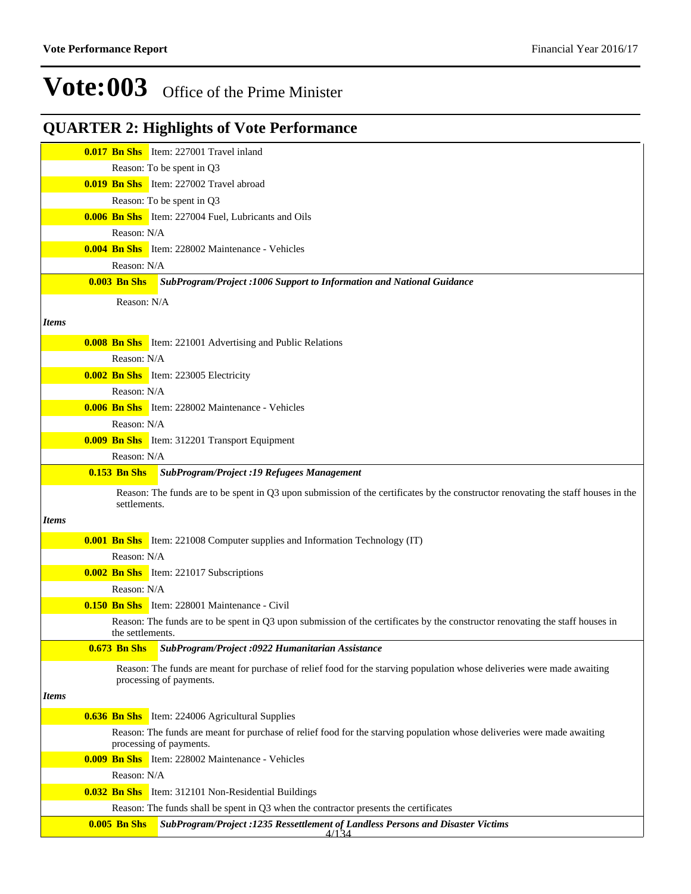|              |                     | <b>0.017 Bn Shs</b> Item: 227001 Travel inland                                                                                                     |
|--------------|---------------------|----------------------------------------------------------------------------------------------------------------------------------------------------|
|              |                     | Reason: To be spent in Q3                                                                                                                          |
|              |                     | <b>0.019 Bn Shs</b> Item: 227002 Travel abroad                                                                                                     |
|              |                     | Reason: To be spent in Q3                                                                                                                          |
|              |                     | <b>0.006 Bn Shs</b> Item: 227004 Fuel, Lubricants and Oils                                                                                         |
|              | Reason: N/A         |                                                                                                                                                    |
|              |                     | <b>0.004 Bn Shs</b> Item: 228002 Maintenance - Vehicles                                                                                            |
|              | Reason: N/A         |                                                                                                                                                    |
|              | <b>0.003 Bn Shs</b> | SubProgram/Project: 1006 Support to Information and National Guidance                                                                              |
|              | Reason: N/A         |                                                                                                                                                    |
| <i>Items</i> |                     |                                                                                                                                                    |
|              |                     |                                                                                                                                                    |
|              | Reason: N/A         | <b>0.008 Bn Shs</b> Item: 221001 Advertising and Public Relations                                                                                  |
|              |                     | <b>0.002 Bn Shs</b> Item: 223005 Electricity                                                                                                       |
|              | Reason: N/A         |                                                                                                                                                    |
|              |                     | 0.006 Bn Shs Item: 228002 Maintenance - Vehicles                                                                                                   |
|              | Reason: N/A         |                                                                                                                                                    |
|              |                     | <b>0.009 Bn Shs</b> Item: 312201 Transport Equipment                                                                                               |
|              | Reason: N/A         |                                                                                                                                                    |
|              | <b>0.153 Bn Shs</b> | <b>SubProgram/Project :19 Refugees Management</b>                                                                                                  |
|              |                     |                                                                                                                                                    |
|              | settlements.        | Reason: The funds are to be spent in Q3 upon submission of the certificates by the constructor renovating the staff houses in the                  |
| <b>Items</b> |                     |                                                                                                                                                    |
|              |                     | <b>0.001 Bn Shs</b> Item: 221008 Computer supplies and Information Technology (IT)                                                                 |
|              | Reason: N/A         |                                                                                                                                                    |
|              |                     | <b>0.002 Bn Shs</b> Item: 221017 Subscriptions                                                                                                     |
|              | Reason: N/A         |                                                                                                                                                    |
|              |                     | <b>0.150 Bn Shs</b> Item: 228001 Maintenance - Civil                                                                                               |
|              |                     | Reason: The funds are to be spent in Q3 upon submission of the certificates by the constructor renovating the staff houses in                      |
|              | the settlements.    |                                                                                                                                                    |
|              | $0.673$ Bn Shs      | SubProgram/Project :0922 Humanitarian Assistance                                                                                                   |
|              |                     | Reason: The funds are meant for purchase of relief food for the starving population whose deliveries were made awaiting                            |
|              |                     | processing of payments.                                                                                                                            |
| <i>Items</i> |                     |                                                                                                                                                    |
|              |                     | <b>0.636 Bn Shs</b> Item: 224006 Agricultural Supplies                                                                                             |
|              |                     | Reason: The funds are meant for purchase of relief food for the starving population whose deliveries were made awaiting<br>processing of payments. |
|              |                     | <b>0.009 Bn Shs</b> Item: 228002 Maintenance - Vehicles                                                                                            |
|              | Reason: N/A         |                                                                                                                                                    |
|              |                     | 0.032 Bn Shs Item: 312101 Non-Residential Buildings                                                                                                |
|              |                     | Reason: The funds shall be spent in Q3 when the contractor presents the certificates                                                               |
|              | <b>0.005 Bn Shs</b> | SubProgram/Project: 1235 Ressettlement of Landless Persons and Disaster Victims                                                                    |
|              |                     | 4/134                                                                                                                                              |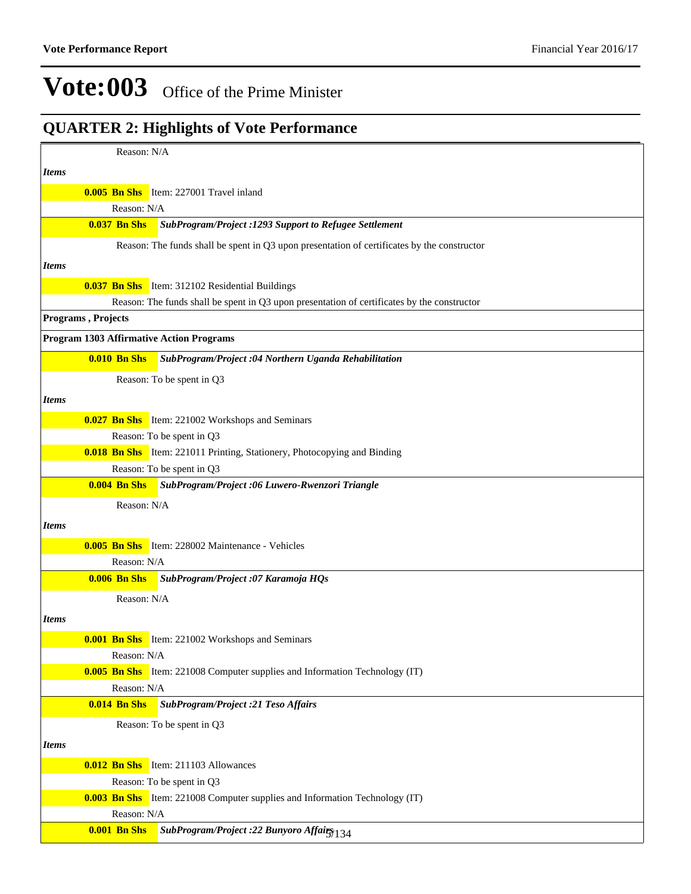| Reason: N/A                                                                                       |
|---------------------------------------------------------------------------------------------------|
| <i>Items</i>                                                                                      |
| <b>0.005 Bn Shs</b> Item: 227001 Travel inland                                                    |
| Reason: N/A                                                                                       |
| <b>0.037 Bn Shs</b><br>SubProgram/Project: 1293 Support to Refugee Settlement                     |
| Reason: The funds shall be spent in Q3 upon presentation of certificates by the constructor       |
| <b>Items</b>                                                                                      |
| <b>0.037 Bn Shs</b> Item: 312102 Residential Buildings                                            |
| Reason: The funds shall be spent in Q3 upon presentation of certificates by the constructor       |
| Programs, Projects                                                                                |
| <b>Program 1303 Affirmative Action Programs</b>                                                   |
| <b>0.010 Bn Shs</b><br>SubProgram/Project :04 Northern Uganda Rehabilitation                      |
| Reason: To be spent in Q3                                                                         |
| <i>Items</i>                                                                                      |
|                                                                                                   |
| <b>0.027 Bn Shs</b> Item: 221002 Workshops and Seminars<br>Reason: To be spent in Q3              |
| <b>0.018 Bn Shs</b> Item: 221011 Printing, Stationery, Photocopying and Binding                   |
| Reason: To be spent in Q3                                                                         |
| $0.004$ Bn Shs<br>SubProgram/Project:06 Luwero-Rwenzori Triangle                                  |
| Reason: N/A                                                                                       |
| <b>Items</b>                                                                                      |
| <b>0.005 Bn Shs</b> Item: 228002 Maintenance - Vehicles                                           |
| Reason: N/A                                                                                       |
| <b>0.006 Bn Shs</b><br>SubProgram/Project :07 Karamoja HQs                                        |
| Reason: N/A                                                                                       |
|                                                                                                   |
| <i>Items</i>                                                                                      |
| <b>0.001 Bn Shs</b> Item: 221002 Workshops and Seminars                                           |
| Reason: N/A                                                                                       |
| <b>0.005 Bn Shs</b> Item: 221008 Computer supplies and Information Technology (IT)<br>Reason: N/A |
| <b>0.014 Bn Shs</b><br><b>SubProgram/Project :21 Teso Affairs</b>                                 |
| Reason: To be spent in Q3                                                                         |
|                                                                                                   |
| <b>Items</b>                                                                                      |
| <b>0.012 Bn Shs</b> Item: 211103 Allowances                                                       |
| Reason: To be spent in Q3                                                                         |
| <b>0.003 Bn Shs</b> Item: 221008 Computer supplies and Information Technology (IT)<br>Reason: N/A |
| <b>0.001 Bn Shs</b><br>SubProgram/Project: 22 Bunyoro Affairs/134                                 |
|                                                                                                   |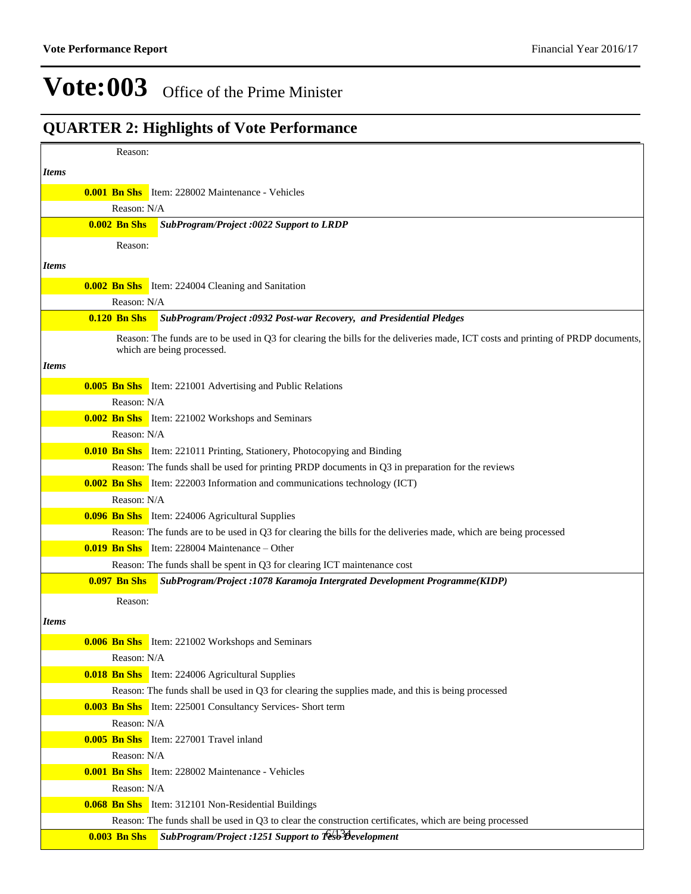|              | Reason:             |                                                                                                                                                                |
|--------------|---------------------|----------------------------------------------------------------------------------------------------------------------------------------------------------------|
| <i>Items</i> |                     |                                                                                                                                                                |
|              |                     | <b>0.001 Bn Shs</b> Item: 228002 Maintenance - Vehicles                                                                                                        |
|              | Reason: N/A         |                                                                                                                                                                |
|              | <b>0.002 Bn Shs</b> | <b>SubProgram/Project :0022 Support to LRDP</b>                                                                                                                |
|              | Reason:             |                                                                                                                                                                |
|              |                     |                                                                                                                                                                |
| <i>Items</i> |                     |                                                                                                                                                                |
|              |                     | <b>0.002 Bn Shs</b> Item: 224004 Cleaning and Sanitation                                                                                                       |
|              | Reason: N/A         |                                                                                                                                                                |
|              | $0.120$ Bn Shs      | SubProgram/Project :0932 Post-war Recovery, and Presidential Pledges                                                                                           |
|              |                     | Reason: The funds are to be used in Q3 for clearing the bills for the deliveries made, ICT costs and printing of PRDP documents,<br>which are being processed. |
| <b>Items</b> |                     |                                                                                                                                                                |
|              |                     |                                                                                                                                                                |
|              | Reason: N/A         | <b>0.005 Bn Shs</b> Item: 221001 Advertising and Public Relations                                                                                              |
|              |                     | <b>0.002 Bn Shs</b> Item: 221002 Workshops and Seminars                                                                                                        |
|              | Reason: N/A         |                                                                                                                                                                |
|              |                     | <b>0.010 Bn Shs</b> Item: 221011 Printing, Stationery, Photocopying and Binding                                                                                |
|              |                     | Reason: The funds shall be used for printing PRDP documents in Q3 in preparation for the reviews                                                               |
|              |                     | <b>0.002 Bn Shs</b> Item: 222003 Information and communications technology (ICT)                                                                               |
|              | Reason: N/A         |                                                                                                                                                                |
|              |                     | <b>0.096 Bn Shs</b> Item: 224006 Agricultural Supplies                                                                                                         |
|              |                     | Reason: The funds are to be used in Q3 for clearing the bills for the deliveries made, which are being processed                                               |
|              |                     | <b>0.019 Bn Shs</b> Item: 228004 Maintenance – Other                                                                                                           |
|              |                     | Reason: The funds shall be spent in Q3 for clearing ICT maintenance cost                                                                                       |
|              | <b>0.097 Bn Shs</b> | SubProgram/Project : 1078 Karamoja Intergrated Development Programme(KIDP)                                                                                     |
|              | Reason:             |                                                                                                                                                                |
| <i>Items</i> |                     |                                                                                                                                                                |
|              |                     | <b>0.006 Bn Shs</b> Item: 221002 Workshops and Seminars                                                                                                        |
|              | Reason: N/A         |                                                                                                                                                                |
|              |                     | <b>0.018 Bn Shs</b> Item: 224006 Agricultural Supplies                                                                                                         |
|              |                     | Reason: The funds shall be used in Q3 for clearing the supplies made, and this is being processed                                                              |
|              |                     | <b>0.003 Bn Shs</b> Item: 225001 Consultancy Services- Short term                                                                                              |
|              | Reason: N/A         |                                                                                                                                                                |
|              |                     | <b>0.005 Bn Shs</b> Item: 227001 Travel inland                                                                                                                 |
|              | Reason: N/A         |                                                                                                                                                                |
|              |                     | <b>0.001 Bn Shs</b> Item: 228002 Maintenance - Vehicles                                                                                                        |
|              | Reason: N/A         | <b>0.068 Bn Shs</b> Item: 312101 Non-Residential Buildings                                                                                                     |
|              |                     | Reason: The funds shall be used in Q3 to clear the construction certificates, which are being processed                                                        |
|              | <b>0.003 Bn Shs</b> | SubProgram/Project :1251 Support to Tesb <sup>3</sup> Development                                                                                              |
|              |                     |                                                                                                                                                                |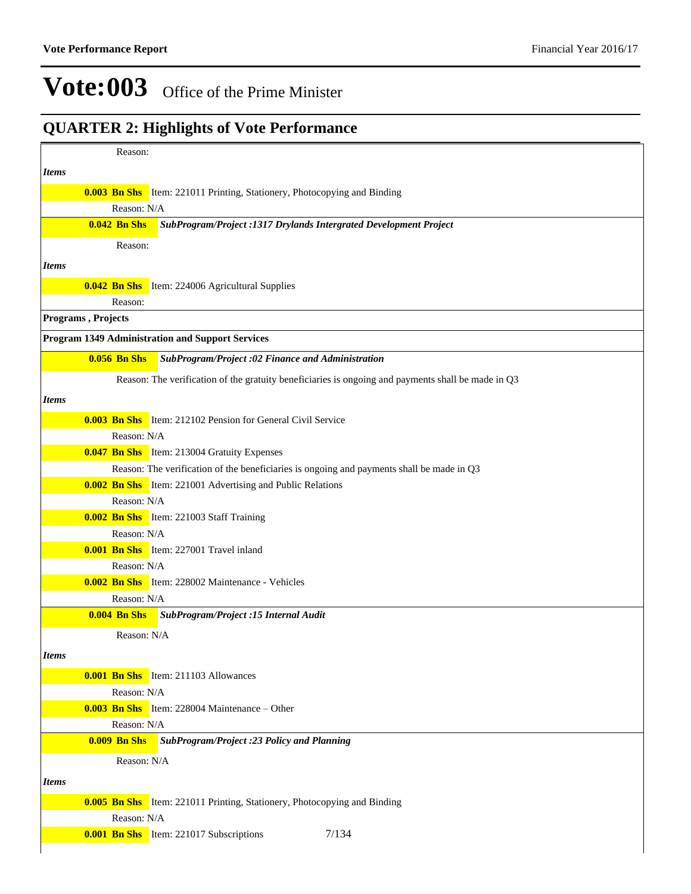|              | Reason:             |                                                                                                    |
|--------------|---------------------|----------------------------------------------------------------------------------------------------|
| <b>Items</b> |                     |                                                                                                    |
|              |                     | <b>0.003 Bn Shs</b> Item: 221011 Printing, Stationery, Photocopying and Binding                    |
|              | Reason: N/A         |                                                                                                    |
|              | $0.042$ Bn Shs      | SubProgram/Project :1317 Drylands Intergrated Development Project                                  |
|              | Reason:             |                                                                                                    |
|              |                     |                                                                                                    |
| <b>Items</b> |                     |                                                                                                    |
|              |                     | <b>0.042 Bn Shs</b> Item: 224006 Agricultural Supplies                                             |
|              | Reason:             |                                                                                                    |
|              | Programs, Projects  |                                                                                                    |
|              |                     | <b>Program 1349 Administration and Support Services</b>                                            |
|              | $0.056$ Bn Shs      | SubProgram/Project:02 Finance and Administration                                                   |
|              |                     | Reason: The verification of the gratuity beneficiaries is ongoing and payments shall be made in Q3 |
| <i>Items</i> |                     |                                                                                                    |
|              |                     | <b>0.003 Bn Shs</b> Item: 212102 Pension for General Civil Service                                 |
|              | Reason: N/A         |                                                                                                    |
|              |                     | <b>0.047 Bn Shs</b> Item: 213004 Gratuity Expenses                                                 |
|              |                     | Reason: The verification of the beneficiaries is ongoing and payments shall be made in Q3          |
|              |                     | <b>0.002 Bn Shs</b> Item: 221001 Advertising and Public Relations                                  |
|              | Reason: N/A         |                                                                                                    |
|              |                     | <b>0.002 Bn Shs</b> Item: 221003 Staff Training                                                    |
|              | Reason: N/A         |                                                                                                    |
|              |                     | <b>0.001 Bn Shs</b> Item: 227001 Travel inland                                                     |
|              | Reason: N/A         |                                                                                                    |
|              |                     | 0.002 Bn Shs Item: 228002 Maintenance - Vehicles                                                   |
|              | Reason: N/A         |                                                                                                    |
|              | <b>0.004 Bn Shs</b> | SubProgram/Project :15 Internal Audit                                                              |
|              | Reason: N/A         |                                                                                                    |
| <b>Items</b> |                     |                                                                                                    |
|              |                     | <b>0.001 Bn Shs</b> Item: 211103 Allowances                                                        |
|              | Reason: N/A         |                                                                                                    |
|              |                     | <b>0.003 Bn Shs</b> Item: 228004 Maintenance $-$ Other                                             |
|              | Reason: N/A         |                                                                                                    |
|              | <b>0.009 Bn Shs</b> | SubProgram/Project :23 Policy and Planning                                                         |
|              | Reason: N/A         |                                                                                                    |
|              |                     |                                                                                                    |
| <i>Items</i> |                     |                                                                                                    |
|              |                     | <b>0.005 Bn Shs</b> Item: 221011 Printing, Stationery, Photocopying and Binding                    |
|              | Reason: N/A         |                                                                                                    |
|              |                     | 7/134<br><b>0.001 Bn Shs</b> Item: 221017 Subscriptions                                            |
|              |                     |                                                                                                    |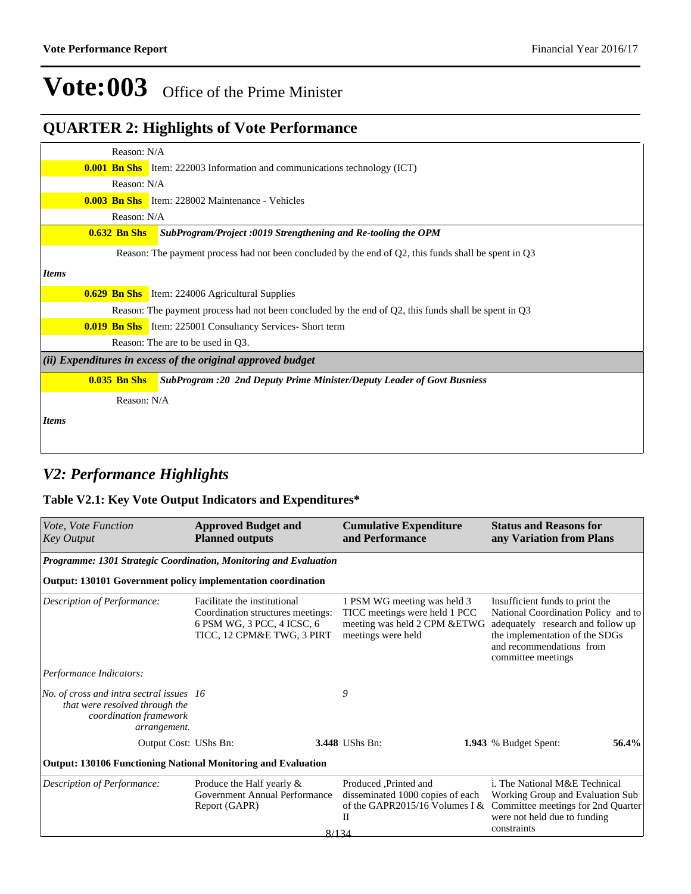### **QUARTER 2: Highlights of Vote Performance**

|              | Reason: N/A    |                                                                                                      |
|--------------|----------------|------------------------------------------------------------------------------------------------------|
|              |                | <b>0.001 Bn Shs</b> Item: 222003 Information and communications technology (ICT)                     |
|              | Reason: N/A    |                                                                                                      |
|              |                | <b>0.003 Bn Shs</b> Item: 228002 Maintenance - Vehicles                                              |
|              | Reason: N/A    |                                                                                                      |
|              | $0.632$ Bn Shs | SubProgram/Project:0019 Strengthening and Re-tooling the OPM                                         |
|              |                | Reason: The payment process had not been concluded by the end of Q2, this funds shall be spent in Q3 |
| <b>Items</b> |                |                                                                                                      |
|              |                | <b>0.629 Bn Shs</b> Item: 224006 Agricultural Supplies                                               |
|              |                | Reason: The payment process had not been concluded by the end of Q2, this funds shall be spent in Q3 |
|              |                | <b>0.019 Bn Shs</b> Item: 225001 Consultancy Services- Short term                                    |
|              |                | Reason: The are to be used in Q3.                                                                    |
|              |                | $(iii)$ Expenditures in excess of the original approved budget                                       |
|              | $0.035$ Bn Shs | SubProgram : 20 2nd Deputy Prime Minister/Deputy Leader of Govt Busniess                             |
|              | Reason: N/A    |                                                                                                      |
| <b>Items</b> |                |                                                                                                      |
|              |                |                                                                                                      |
|              |                |                                                                                                      |

### *V2: Performance Highlights*

#### **Table V2.1: Key Vote Output Indicators and Expenditures\***

| Vote, Vote Function<br><b>Key Output</b>                                                                             | <b>Approved Budget and</b><br><b>Planned outputs</b>                                                                          | <b>Cumulative Expenditure</b><br>and Performance                                                                   | <b>Status and Reasons for</b><br>any Variation from Plans                                                                                                                                       |
|----------------------------------------------------------------------------------------------------------------------|-------------------------------------------------------------------------------------------------------------------------------|--------------------------------------------------------------------------------------------------------------------|-------------------------------------------------------------------------------------------------------------------------------------------------------------------------------------------------|
| Programme: 1301 Strategic Coordination, Monitoring and Evaluation                                                    |                                                                                                                               |                                                                                                                    |                                                                                                                                                                                                 |
| <b>Output: 130101 Government policy implementation coordination</b>                                                  |                                                                                                                               |                                                                                                                    |                                                                                                                                                                                                 |
| Description of Performance:                                                                                          | Facilitate the institutional<br>Coordination structures meetings:<br>6 PSM WG, 3 PCC, 4 ICSC, 6<br>TICC, 12 CPM&E TWG, 3 PIRT | 1 PSM WG meeting was held 3<br>TICC meetings were held 1 PCC<br>meeting was held 2 CPM &ETWG<br>meetings were held | Insufficient funds to print the<br>National Coordination Policy and to<br>adequately research and follow up<br>the implementation of the SDGs<br>and recommendations from<br>committee meetings |
| Performance Indicators:                                                                                              |                                                                                                                               |                                                                                                                    |                                                                                                                                                                                                 |
| No. of cross and intra sectral issues 16<br>that were resolved through the<br>coordination framework<br>arrangement. |                                                                                                                               | 9                                                                                                                  |                                                                                                                                                                                                 |
| Output Cost: UShs Bn:                                                                                                |                                                                                                                               | 3.448 UShs Bn:                                                                                                     | 56.4%<br>1.943 % Budget Spent:                                                                                                                                                                  |
| <b>Output: 130106 Functioning National Monitoring and Evaluation</b>                                                 |                                                                                                                               |                                                                                                                    |                                                                                                                                                                                                 |
| Description of Performance:                                                                                          | Produce the Half yearly &<br>Government Annual Performance<br>Report (GAPR)<br>8/134                                          | Produced ,Printed and<br>disseminated 1000 copies of each<br>of the GAPR2015/16 Volumes I $&$<br>$\mathbf{I}$      | i. The National M&E Technical<br>Working Group and Evaluation Sub<br>Committee meetings for 2nd Quarter<br>were not held due to funding<br>constraints                                          |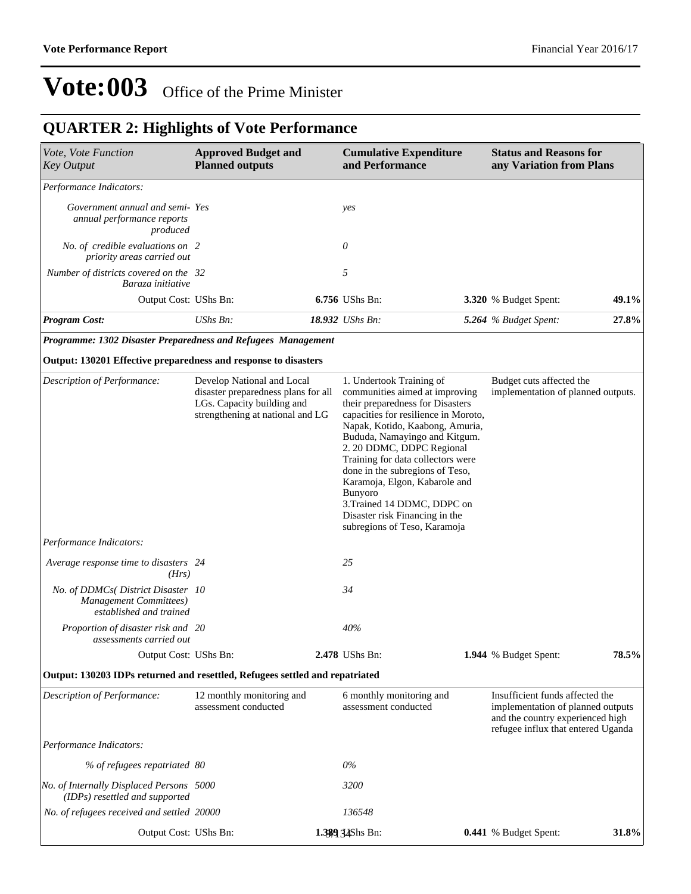| Vote, Vote Function<br><b>Key Output</b>                                 | <b>Approved Budget and</b><br><b>Planned outputs</b> | <b>Cumulative Expenditure</b><br>and Performance | <b>Status and Reasons for</b><br>any Variation from Plans |       |
|--------------------------------------------------------------------------|------------------------------------------------------|--------------------------------------------------|-----------------------------------------------------------|-------|
| Performance Indicators:                                                  |                                                      |                                                  |                                                           |       |
| Government annual and semi-Yes<br>annual performance reports<br>produced |                                                      | yes                                              |                                                           |       |
| No. of credible evaluations on 2<br>priority areas carried out           |                                                      | 0                                                |                                                           |       |
| Number of districts covered on the 32<br>Baraza initiative               |                                                      | 5                                                |                                                           |       |
| Output Cost: UShs Bn:                                                    |                                                      | <b>6.756</b> UShs Bn:                            | <b>3.320</b> % Budget Spent:                              | 49.1% |
| <b>Program Cost:</b>                                                     | $UShs Bn$ :                                          | 18.932 <i>UShs Bn:</i>                           | 5.264 $%$ Budget Spent:                                   | 27.8% |
| <b>Programme: 1302 Disaster Preparedness and Refugees Management</b>     |                                                      |                                                  |                                                           |       |
| Output: 130201 Effective preparedness and response to disasters          |                                                      |                                                  |                                                           |       |

| Description of Performance:                                                             | Develop National and Local<br>disaster preparedness plans for all<br>LGs. Capacity building and<br>strengthening at national and LG |  | 1. Undertook Training of<br>communities aimed at improving<br>their preparedness for Disasters<br>capacities for resilience in Moroto,<br>Napak, Kotido, Kaabong, Amuria,<br>Bududa, Namayingo and Kitgum.<br>2. 20 DDMC, DDPC Regional<br>Training for data collectors were<br>done in the subregions of Teso,<br>Karamoja, Elgon, Kabarole and<br>Bunyoro<br>3.Trained 14 DDMC, DDPC on<br>Disaster risk Financing in the<br>subregions of Teso, Karamoja | Budget cuts affected the<br>implementation of planned outputs. |                                                                                                                                                |       |
|-----------------------------------------------------------------------------------------|-------------------------------------------------------------------------------------------------------------------------------------|--|-------------------------------------------------------------------------------------------------------------------------------------------------------------------------------------------------------------------------------------------------------------------------------------------------------------------------------------------------------------------------------------------------------------------------------------------------------------|----------------------------------------------------------------|------------------------------------------------------------------------------------------------------------------------------------------------|-------|
| Performance Indicators:                                                                 |                                                                                                                                     |  |                                                                                                                                                                                                                                                                                                                                                                                                                                                             |                                                                |                                                                                                                                                |       |
| Average response time to disasters 24<br>(Hrs)                                          |                                                                                                                                     |  | 25                                                                                                                                                                                                                                                                                                                                                                                                                                                          |                                                                |                                                                                                                                                |       |
| No. of DDMCs( District Disaster 10<br>Management Committees)<br>established and trained |                                                                                                                                     |  | 34                                                                                                                                                                                                                                                                                                                                                                                                                                                          |                                                                |                                                                                                                                                |       |
| Proportion of disaster risk and 20<br>assessments carried out                           |                                                                                                                                     |  | 40%                                                                                                                                                                                                                                                                                                                                                                                                                                                         |                                                                |                                                                                                                                                |       |
| Output Cost: UShs Bn:                                                                   |                                                                                                                                     |  | 2.478 UShs Bn:                                                                                                                                                                                                                                                                                                                                                                                                                                              |                                                                | 1.944 % Budget Spent:                                                                                                                          | 78.5% |
| Output: 130203 IDPs returned and resettled, Refugees settled and repatriated            |                                                                                                                                     |  |                                                                                                                                                                                                                                                                                                                                                                                                                                                             |                                                                |                                                                                                                                                |       |
| Description of Performance:                                                             | 12 monthly monitoring and<br>assessment conducted                                                                                   |  | 6 monthly monitoring and<br>assessment conducted                                                                                                                                                                                                                                                                                                                                                                                                            |                                                                | Insufficient funds affected the<br>implementation of planned outputs<br>and the country experienced high<br>refugee influx that entered Uganda |       |
| Performance Indicators:                                                                 |                                                                                                                                     |  |                                                                                                                                                                                                                                                                                                                                                                                                                                                             |                                                                |                                                                                                                                                |       |
| % of refugees repatriated 80                                                            |                                                                                                                                     |  | $0\%$                                                                                                                                                                                                                                                                                                                                                                                                                                                       |                                                                |                                                                                                                                                |       |
| No. of Internally Displaced Persons 5000<br>(IDPs) resettled and supported              |                                                                                                                                     |  | 3200                                                                                                                                                                                                                                                                                                                                                                                                                                                        |                                                                |                                                                                                                                                |       |
| No. of refugees received and settled 20000                                              |                                                                                                                                     |  | 136548                                                                                                                                                                                                                                                                                                                                                                                                                                                      |                                                                |                                                                                                                                                |       |
| Output Cost: UShs Bn:                                                                   |                                                                                                                                     |  | 1.389 34Shs Bn:                                                                                                                                                                                                                                                                                                                                                                                                                                             |                                                                | <b>0.441</b> % Budget Spent:                                                                                                                   | 31.8% |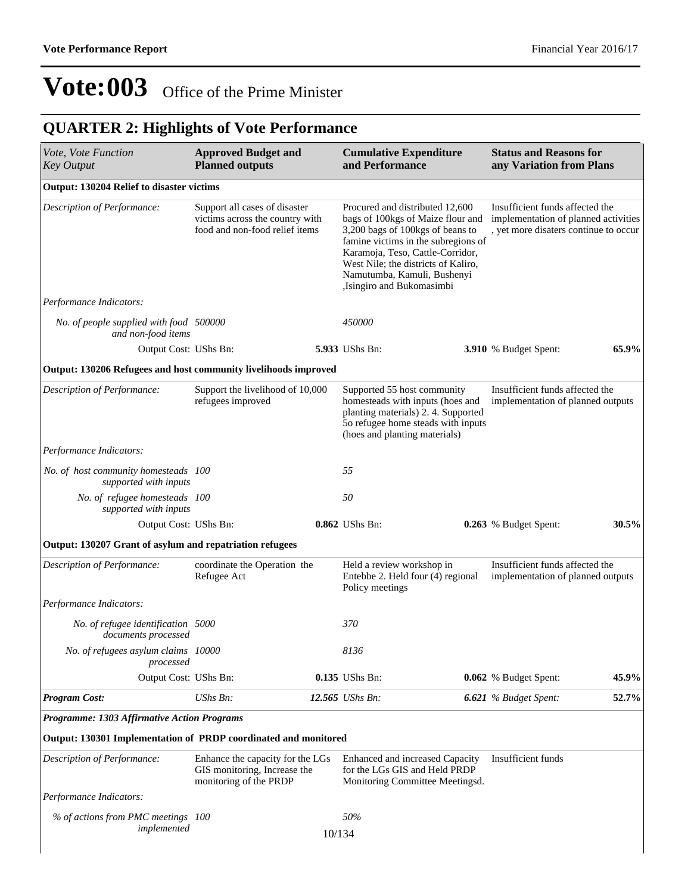| Vote, Vote Function<br><b>Key Output</b>                        | <b>Approved Budget and</b><br><b>Planned outputs</b>                                               |        | <b>Cumulative Expenditure</b><br>and Performance                                                                                                                                                                                                                                       | <b>Status and Reasons for</b><br>any Variation from Plans                                                        |       |
|-----------------------------------------------------------------|----------------------------------------------------------------------------------------------------|--------|----------------------------------------------------------------------------------------------------------------------------------------------------------------------------------------------------------------------------------------------------------------------------------------|------------------------------------------------------------------------------------------------------------------|-------|
| Output: 130204 Relief to disaster victims                       |                                                                                                    |        |                                                                                                                                                                                                                                                                                        |                                                                                                                  |       |
| Description of Performance:                                     | Support all cases of disaster<br>victims across the country with<br>food and non-food relief items |        | Procured and distributed 12,600<br>bags of 100kgs of Maize flour and<br>3,200 bags of 100kgs of beans to<br>famine victims in the subregions of<br>Karamoja, Teso, Cattle-Corridor,<br>West Nile; the districts of Kaliro,<br>Namutumba, Kamuli, Bushenyi<br>,Isingiro and Bukomasimbi | Insufficient funds affected the<br>implementation of planned activities<br>, yet more disaters continue to occur |       |
| Performance Indicators:                                         |                                                                                                    |        |                                                                                                                                                                                                                                                                                        |                                                                                                                  |       |
| No. of people supplied with food 500000<br>and non-food items   |                                                                                                    |        | <i>450000</i>                                                                                                                                                                                                                                                                          |                                                                                                                  |       |
| Output Cost: UShs Bn:                                           |                                                                                                    |        | 5.933 UShs Bn:                                                                                                                                                                                                                                                                         | 3.910 % Budget Spent:                                                                                            | 65.9% |
| Output: 130206 Refugees and host community livelihoods improved |                                                                                                    |        |                                                                                                                                                                                                                                                                                        |                                                                                                                  |       |
| Description of Performance:                                     | Support the livelihood of 10,000<br>refugees improved                                              |        | Supported 55 host community<br>homesteads with inputs (hoes and<br>planting materials) 2.4. Supported<br>5o refugee home steads with inputs<br>(hoes and planting materials)                                                                                                           | Insufficient funds affected the<br>implementation of planned outputs                                             |       |
| Performance Indicators:                                         |                                                                                                    |        |                                                                                                                                                                                                                                                                                        |                                                                                                                  |       |
| No. of host community homesteads 100<br>supported with inputs   |                                                                                                    |        | 55                                                                                                                                                                                                                                                                                     |                                                                                                                  |       |
| No. of refugee homesteads 100<br>supported with inputs          |                                                                                                    |        | 50                                                                                                                                                                                                                                                                                     |                                                                                                                  |       |
| Output Cost: UShs Bn:                                           |                                                                                                    |        | 0.862 UShs Bn:                                                                                                                                                                                                                                                                         | 0.263 % Budget Spent:                                                                                            | 30.5% |
| Output: 130207 Grant of asylum and repatriation refugees        |                                                                                                    |        |                                                                                                                                                                                                                                                                                        |                                                                                                                  |       |
| Description of Performance:                                     | coordinate the Operation the<br>Refugee Act                                                        |        | Held a review workshop in<br>Entebbe 2. Held four (4) regional<br>Policy meetings                                                                                                                                                                                                      | Insufficient funds affected the<br>implementation of planned outputs                                             |       |
| Performance Indicators:                                         |                                                                                                    |        |                                                                                                                                                                                                                                                                                        |                                                                                                                  |       |
| No. of refugee identification 5000<br>documents processed       |                                                                                                    |        | 370                                                                                                                                                                                                                                                                                    |                                                                                                                  |       |
| No. of refugees asylum claims 10000<br>processed                |                                                                                                    |        | 8136                                                                                                                                                                                                                                                                                   |                                                                                                                  |       |
| Output Cost: UShs Bn:                                           |                                                                                                    |        | 0.135 UShs Bn:                                                                                                                                                                                                                                                                         | 0.062 % Budget Spent:                                                                                            | 45.9% |
| <b>Program Cost:</b>                                            | UShs Bn:                                                                                           |        | 12.565 UShs Bn:                                                                                                                                                                                                                                                                        | <b>6.621</b> % Budget Spent:                                                                                     | 52.7% |
| Programme: 1303 Affirmative Action Programs                     |                                                                                                    |        |                                                                                                                                                                                                                                                                                        |                                                                                                                  |       |
| Output: 130301 Implementation of PRDP coordinated and monitored |                                                                                                    |        |                                                                                                                                                                                                                                                                                        |                                                                                                                  |       |
| Description of Performance:                                     | Enhance the capacity for the LGs<br>GIS monitoring, Increase the<br>monitoring of the PRDP         |        | Enhanced and increased Capacity<br>for the LGs GIS and Held PRDP<br>Monitoring Committee Meetingsd.                                                                                                                                                                                    | Insufficient funds                                                                                               |       |
| Performance Indicators:                                         |                                                                                                    |        |                                                                                                                                                                                                                                                                                        |                                                                                                                  |       |
| % of actions from PMC meetings 100<br>implemented               |                                                                                                    | 10/134 | 50%                                                                                                                                                                                                                                                                                    |                                                                                                                  |       |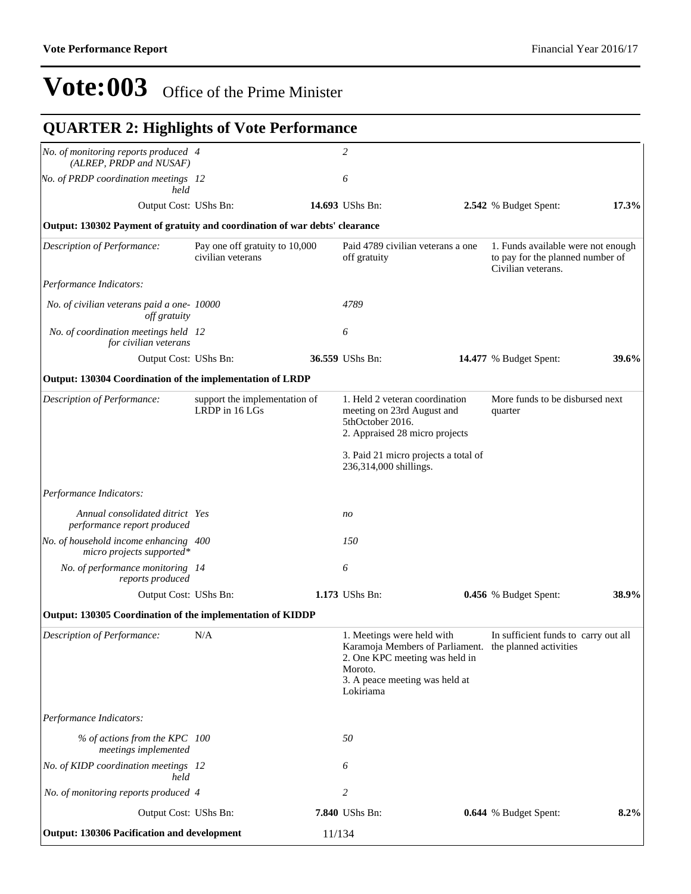| No. of monitoring reports produced 4<br>(ALREP, PRDP and NUSAF)             |                                                     |        | $\overline{c}$                                                                                                                                                                   |                                                                                              |         |
|-----------------------------------------------------------------------------|-----------------------------------------------------|--------|----------------------------------------------------------------------------------------------------------------------------------------------------------------------------------|----------------------------------------------------------------------------------------------|---------|
| Vo. of PRDP coordination meetings 12<br>held                                |                                                     |        | 6                                                                                                                                                                                |                                                                                              |         |
| Output Cost: UShs Bn:                                                       |                                                     |        | 14.693 UShs Bn:                                                                                                                                                                  | 2.542 % Budget Spent:                                                                        | 17.3%   |
| Output: 130302 Payment of gratuity and coordination of war debts' clearance |                                                     |        |                                                                                                                                                                                  |                                                                                              |         |
| Description of Performance:                                                 | Pay one off gratuity to 10,000<br>civilian veterans |        | Paid 4789 civilian veterans a one<br>off gratuity                                                                                                                                | 1. Funds available were not enough<br>to pay for the planned number of<br>Civilian veterans. |         |
| Performance Indicators:                                                     |                                                     |        |                                                                                                                                                                                  |                                                                                              |         |
| No. of civilian veterans paid a one- 10000<br>off gratuity                  |                                                     |        | 4789                                                                                                                                                                             |                                                                                              |         |
| No. of coordination meetings held 12<br>for civilian veterans               |                                                     |        | 6                                                                                                                                                                                |                                                                                              |         |
| Output Cost: UShs Bn:                                                       |                                                     |        | 36.559 UShs Bn:                                                                                                                                                                  | <b>14.477</b> % Budget Spent:                                                                | 39.6%   |
| Output: 130304 Coordination of the implementation of LRDP                   |                                                     |        |                                                                                                                                                                                  |                                                                                              |         |
| Description of Performance:                                                 | support the implementation of<br>LRDP in 16 LGs     |        | 1. Held 2 veteran coordination<br>meeting on 23rd August and<br>5thOctober 2016.<br>2. Appraised 28 micro projects                                                               | More funds to be disbursed next<br>quarter                                                   |         |
|                                                                             |                                                     |        | 3. Paid 21 micro projects a total of<br>236,314,000 shillings.                                                                                                                   |                                                                                              |         |
| Performance Indicators:                                                     |                                                     |        |                                                                                                                                                                                  |                                                                                              |         |
| Annual consolidated ditrict Yes<br>performance report produced              |                                                     |        | n <sub>O</sub>                                                                                                                                                                   |                                                                                              |         |
| No. of household income enhancing 400<br>micro projects supported*          |                                                     |        | 150                                                                                                                                                                              |                                                                                              |         |
| No. of performance monitoring 14<br>reports produced                        |                                                     |        | 6                                                                                                                                                                                |                                                                                              |         |
| Output Cost: UShs Bn:                                                       |                                                     |        | 1.173 UShs Bn:                                                                                                                                                                   | 0.456 % Budget Spent:                                                                        | 38.9%   |
| Output: 130305 Coordination of the implementation of KIDDP                  |                                                     |        |                                                                                                                                                                                  |                                                                                              |         |
| Description of Performance:                                                 | N/A                                                 |        | 1. Meetings were held with<br>Karamoja Members of Parliament. the planned activities<br>2. One KPC meeting was held in<br>Moroto.<br>3. A peace meeting was held at<br>Lokiriama | In sufficient funds to carry out all                                                         |         |
| Performance Indicators:                                                     |                                                     |        |                                                                                                                                                                                  |                                                                                              |         |
| % of actions from the KPC 100<br>meetings implemented                       |                                                     |        | 50                                                                                                                                                                               |                                                                                              |         |
| No. of KIDP coordination meetings 12<br>held                                |                                                     |        | 6                                                                                                                                                                                |                                                                                              |         |
| No. of monitoring reports produced 4                                        |                                                     |        | $\overline{c}$                                                                                                                                                                   |                                                                                              |         |
| Output Cost: UShs Bn:                                                       |                                                     |        | 7.840 UShs Bn:                                                                                                                                                                   | 0.644 % Budget Spent:                                                                        | $8.2\%$ |
| <b>Output: 130306 Pacification and development</b>                          |                                                     | 11/134 |                                                                                                                                                                                  |                                                                                              |         |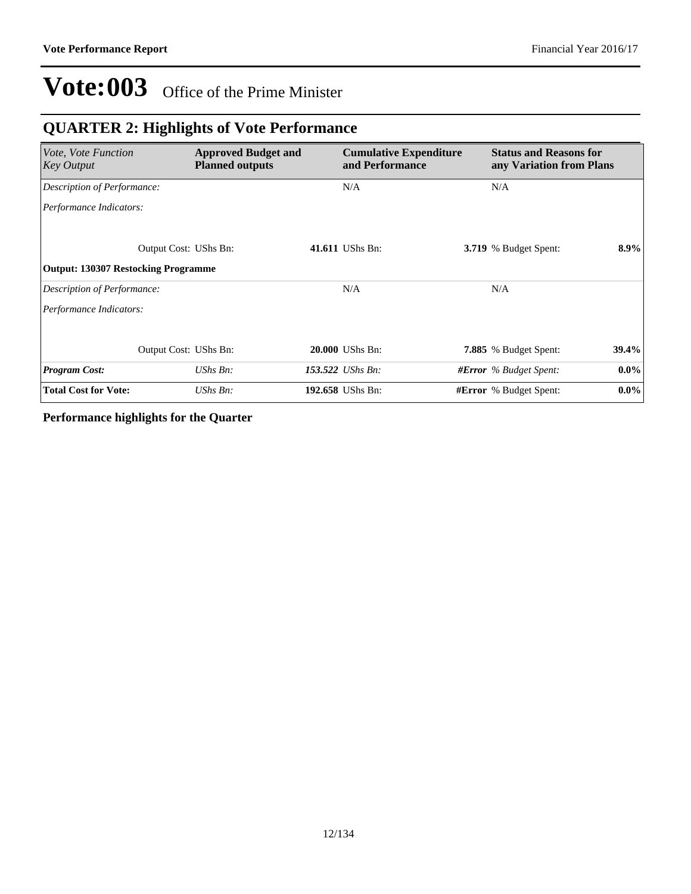### **QUARTER 2: Highlights of Vote Performance**

| Vote, Vote Function<br><b>Key Output</b>   | <b>Approved Budget and</b><br><b>Planned outputs</b> | <b>Cumulative Expenditure</b><br>and Performance |  | <b>Status and Reasons for</b><br>any Variation from Plans |         |
|--------------------------------------------|------------------------------------------------------|--------------------------------------------------|--|-----------------------------------------------------------|---------|
| Description of Performance:                |                                                      | N/A                                              |  | N/A                                                       |         |
| Performance Indicators:                    |                                                      |                                                  |  |                                                           |         |
| Output Cost: UShs Bn:                      |                                                      | 41.611 UShs Bn:                                  |  | 3.719 % Budget Spent:                                     | 8.9%    |
| <b>Output: 130307 Restocking Programme</b> |                                                      |                                                  |  |                                                           |         |
| Description of Performance:                |                                                      | N/A                                              |  | N/A                                                       |         |
| Performance Indicators:                    |                                                      |                                                  |  |                                                           |         |
|                                            |                                                      |                                                  |  |                                                           |         |
| Output Cost: UShs Bn:                      |                                                      | 20.000 UShs Bn:                                  |  | 7.885 % Budget Spent:                                     | 39.4%   |
| <b>Program Cost:</b>                       | $UShs Bn$ :                                          | 153.522 UShs Bn:                                 |  | <b>#Error</b> % Budget Spent:                             | $0.0\%$ |
| <b>Total Cost for Vote:</b>                | UShs Bn:                                             | 192.658 UShs Bn:                                 |  | <b>#Error</b> % Budget Spent:                             | $0.0\%$ |

**Performance highlights for the Quarter**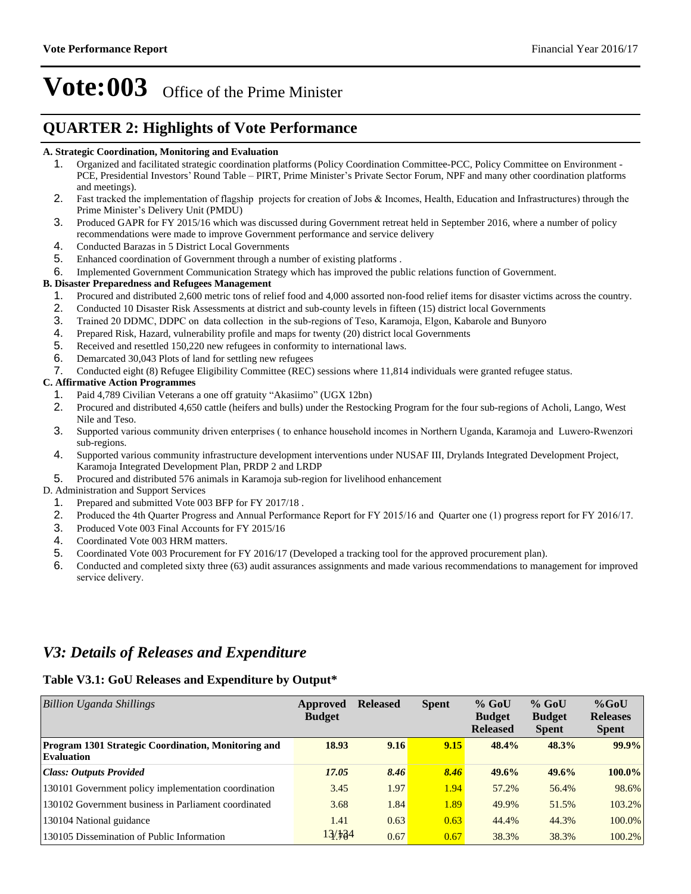#### **QUARTER 2: Highlights of Vote Performance**

#### **A. Strategic Coordination, Monitoring and Evaluation**

- 1. Organized and facilitated strategic coordination platforms (Policy Coordination Committee-PCC, Policy Committee on Environment PCE, Presidential Investors' Round Table – PIRT, Prime Minister's Private Sector Forum, NPF and many other coordination platforms and meetings).
- 2. Fast tracked the implementation of flagship projects for creation of Jobs & Incomes, Health, Education and Infrastructures) through the Prime Minister's Delivery Unit (PMDU)
- 3. Produced GAPR for FY 2015/16 which was discussed during Government retreat held in September 2016, where a number of policy recommendations were made to improve Government performance and service delivery
- 4. Conducted Barazas in 5 District Local Governments
- 5. Enhanced coordination of Government through a number of existing platforms .
- 6. Implemented Government Communication Strategy which has improved the public relations function of Government.

#### **B. Disaster Preparedness and Refugees Management**

- 1. Procured and distributed 2,600 metric tons of relief food and 4,000 assorted non-food relief items for disaster victims across the country.
- 2. Conducted 10 Disaster Risk Assessments at district and sub-county levels in fifteen (15) district local Governments
- 3. Trained 20 DDMC, DDPC on data collection in the sub-regions of Teso, Karamoja, Elgon, Kabarole and Bunyoro
- 4. Prepared Risk, Hazard, vulnerability profile and maps for twenty (20) district local Governments
- 5. Received and resettled 150,220 new refugees in conformity to international laws.
- 6. Demarcated 30,043 Plots of land for settling new refugees
- 7. Conducted eight (8) Refugee Eligibility Committee (REC) sessions where 11,814 individuals were granted refugee status.

#### **C. Affirmative Action Programmes**

- 1. Paid 4,789 Civilian Veterans a one off gratuity "Akasiimo" (UGX 12bn)
- 2. Procured and distributed 4,650 cattle (heifers and bulls) under the Restocking Program for the four sub-regions of Acholi, Lango, West Nile and Teso.
- 3. Supported various community driven enterprises (to enhance household incomes in Northern Uganda, Karamoja and Luwero-Rwenzori sub-regions.
- 4. Supported various community infrastructure development interventions under NUSAF III, Drylands Integrated Development Project, Karamoja Integrated Development Plan, PRDP 2 and LRDP
- 5. Procured and distributed 576 animals in Karamoja sub-region for livelihood enhancement
- D. Administration and Support Services
	- 1. Prepared and submitted Vote 003 BFP for FY 2017/18 .
	- 2. Produced the 4th Quarter Progress and Annual Performance Report for FY 2015/16 and Quarter one (1) progress report for FY 2016/17.
	- 3. Produced Vote 003 Final Accounts for FY 2015/16
	- 4. Coordinated Vote 003 HRM matters.
	- 5. Coordinated Vote 003 Procurement for FY 2016/17 (Developed a tracking tool for the approved procurement plan).
	- 6. Conducted and completed sixty three (63) audit assurances assignments and made various recommendations to management for improved service delivery.

#### *V3: Details of Releases and Expenditure*

#### **Table V3.1: GoU Releases and Expenditure by Output\***

| Billion Uganda Shillings                                                        | Approved<br><b>Budget</b> | <b>Released</b> | <b>Spent</b> | $%$ GoU<br><b>Budget</b><br><b>Released</b> | $%$ GoU<br><b>Budget</b><br><b>Spent</b> | $%$ GoU<br><b>Releases</b><br><b>Spent</b> |
|---------------------------------------------------------------------------------|---------------------------|-----------------|--------------|---------------------------------------------|------------------------------------------|--------------------------------------------|
| <b>Program 1301 Strategic Coordination, Monitoring and</b><br><b>Evaluation</b> | 18.93                     | 9.16            | 9.15         | 48.4%                                       | 48.3%                                    | $99.9\%$                                   |
| <b>Class: Outputs Provided</b>                                                  | 17.05                     | 8.46            | 8.46         | 49.6%                                       | 49.6%                                    | $100.0\%$                                  |
| 130101 Government policy implementation coordination                            | 3.45                      | 1.97            | 1.94         | 57.2%                                       | 56.4%                                    | 98.6%                                      |
| 130102 Government business in Parliament coordinated                            | 3.68                      | 1.84            | 1.89         | 49.9%                                       | 51.5%                                    | 103.2%                                     |
| 130104 National guidance                                                        | 1.41                      | 0.63            | 0.63         | 44.4%                                       | 44.3%                                    | 100.0%                                     |
| 130105 Dissemination of Public Information                                      | 13/164                    | 0.67            | 0.67         | 38.3%                                       | 38.3%                                    | 100.2%                                     |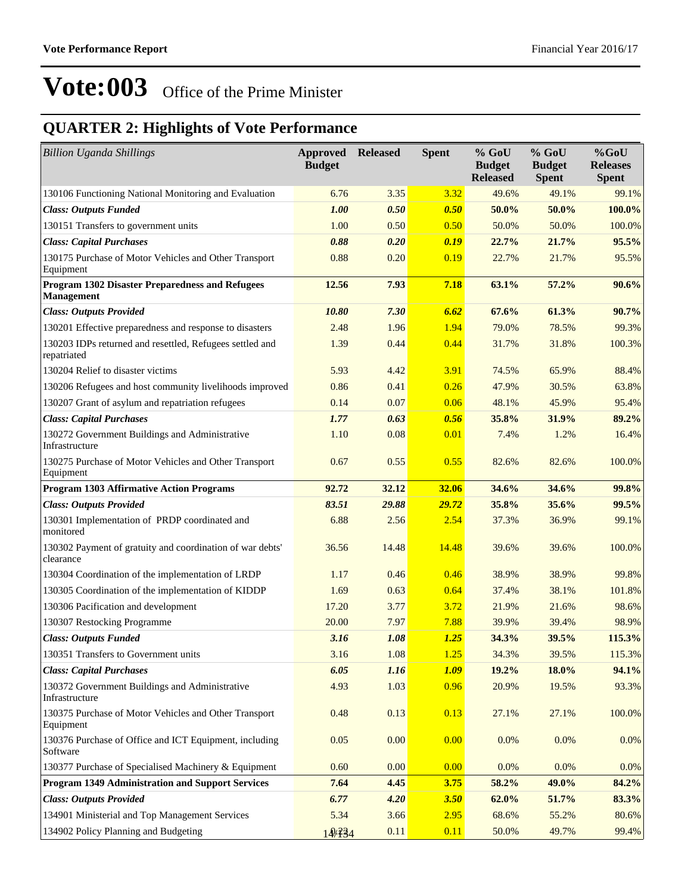| <b>Billion Uganda Shillings</b>                                         | <b>Approved Released</b><br><b>Budget</b> |       | <b>Spent</b> | $%$ GoU<br><b>Budget</b><br><b>Released</b> | $%$ GoU<br><b>Budget</b><br><b>Spent</b> | %GoU<br><b>Releases</b><br><b>Spent</b> |
|-------------------------------------------------------------------------|-------------------------------------------|-------|--------------|---------------------------------------------|------------------------------------------|-----------------------------------------|
| 130106 Functioning National Monitoring and Evaluation                   | 6.76                                      | 3.35  | 3.32         | 49.6%                                       | 49.1%                                    | 99.1%                                   |
| <b>Class: Outputs Funded</b>                                            | 1.00                                      | 0.50  | 0.50         | 50.0%                                       | 50.0%                                    | 100.0%                                  |
| 130151 Transfers to government units                                    | 1.00                                      | 0.50  | 0.50         | 50.0%                                       | 50.0%                                    | 100.0%                                  |
| <b>Class: Capital Purchases</b>                                         | 0.88                                      | 0.20  | 0.19         | 22.7%                                       | 21.7%                                    | 95.5%                                   |
| 130175 Purchase of Motor Vehicles and Other Transport<br>Equipment      | 0.88                                      | 0.20  | 0.19         | 22.7%                                       | 21.7%                                    | 95.5%                                   |
| Program 1302 Disaster Preparedness and Refugees<br><b>Management</b>    | 12.56                                     | 7.93  | 7.18         | 63.1%                                       | 57.2%                                    | 90.6%                                   |
| <b>Class: Outputs Provided</b>                                          | 10.80                                     | 7.30  | 6.62         | 67.6%                                       | 61.3%                                    | 90.7%                                   |
| 130201 Effective preparedness and response to disasters                 | 2.48                                      | 1.96  | 1.94         | 79.0%                                       | 78.5%                                    | 99.3%                                   |
| 130203 IDPs returned and resettled, Refugees settled and<br>repatriated | 1.39                                      | 0.44  | 0.44         | 31.7%                                       | 31.8%                                    | 100.3%                                  |
| 130204 Relief to disaster victims                                       | 5.93                                      | 4.42  | 3.91         | 74.5%                                       | 65.9%                                    | 88.4%                                   |
| 130206 Refugees and host community livelihoods improved                 | 0.86                                      | 0.41  | 0.26         | 47.9%                                       | 30.5%                                    | 63.8%                                   |
| 130207 Grant of asylum and repatriation refugees                        | 0.14                                      | 0.07  | 0.06         | 48.1%                                       | 45.9%                                    | 95.4%                                   |
| <b>Class: Capital Purchases</b>                                         | 1.77                                      | 0.63  | 0.56         | 35.8%                                       | 31.9%                                    | 89.2%                                   |
| 130272 Government Buildings and Administrative<br>Infrastructure        | 1.10                                      | 0.08  | 0.01         | 7.4%                                        | 1.2%                                     | 16.4%                                   |
| 130275 Purchase of Motor Vehicles and Other Transport<br>Equipment      | 0.67                                      | 0.55  | 0.55         | 82.6%                                       | 82.6%                                    | 100.0%                                  |
| <b>Program 1303 Affirmative Action Programs</b>                         | 92.72                                     | 32.12 | 32.06        | 34.6%                                       | 34.6%                                    | 99.8%                                   |
| <b>Class: Outputs Provided</b>                                          | 83.51                                     | 29.88 | 29.72        | 35.8%                                       | 35.6%                                    | 99.5%                                   |
| 130301 Implementation of PRDP coordinated and<br>monitored              | 6.88                                      | 2.56  | 2.54         | 37.3%                                       | 36.9%                                    | 99.1%                                   |
| 130302 Payment of gratuity and coordination of war debts'<br>clearance  | 36.56                                     | 14.48 | 14.48        | 39.6%                                       | 39.6%                                    | 100.0%                                  |
| 130304 Coordination of the implementation of LRDP                       | 1.17                                      | 0.46  | 0.46         | 38.9%                                       | 38.9%                                    | 99.8%                                   |
| 130305 Coordination of the implementation of KIDDP                      | 1.69                                      | 0.63  | 0.64         | 37.4%                                       | 38.1%                                    | 101.8%                                  |
| 130306 Pacification and development                                     | 17.20                                     | 3.77  | 3.72         | 21.9%                                       | 21.6%                                    | 98.6%                                   |
| 130307 Restocking Programme                                             | 20.00                                     | 7.97  | 7.88         | 39.9%                                       | 39.4%                                    | 98.9%                                   |
| <b>Class: Outputs Funded</b>                                            | 3.16                                      | 1.08  | 1.25         | 34.3%                                       | 39.5%                                    | 115.3%                                  |
| 130351 Transfers to Government units                                    | 3.16                                      | 1.08  | 1.25         | 34.3%                                       | 39.5%                                    | 115.3%                                  |
| <b>Class: Capital Purchases</b>                                         | 6.05                                      | 1.16  | <b>1.09</b>  | 19.2%                                       | 18.0%                                    | 94.1%                                   |
| 130372 Government Buildings and Administrative<br>Infrastructure        | 4.93                                      | 1.03  | 0.96         | 20.9%                                       | 19.5%                                    | 93.3%                                   |
| 130375 Purchase of Motor Vehicles and Other Transport<br>Equipment      | 0.48                                      | 0.13  | 0.13         | 27.1%                                       | 27.1%                                    | 100.0%                                  |
| 130376 Purchase of Office and ICT Equipment, including<br>Software      | 0.05                                      | 0.00  | 0.00         | 0.0%                                        | 0.0%                                     | 0.0%                                    |
| 130377 Purchase of Specialised Machinery & Equipment                    | 0.60                                      | 0.00  | 0.00         | 0.0%                                        | 0.0%                                     | 0.0%                                    |
| <b>Program 1349 Administration and Support Services</b>                 | 7.64                                      | 4.45  | 3.75         | 58.2%                                       | 49.0%                                    | 84.2%                                   |
| <b>Class: Outputs Provided</b>                                          | 6.77                                      | 4.20  | 3.50         | 62.0%                                       | 51.7%                                    | 83.3%                                   |
| 134901 Ministerial and Top Management Services                          | 5.34                                      | 3.66  | 2.95         | 68.6%                                       | 55.2%                                    | 80.6%                                   |
| 134902 Policy Planning and Budgeting                                    | 14.734                                    | 0.11  | 0.11         | 50.0%                                       | 49.7%                                    | 99.4%                                   |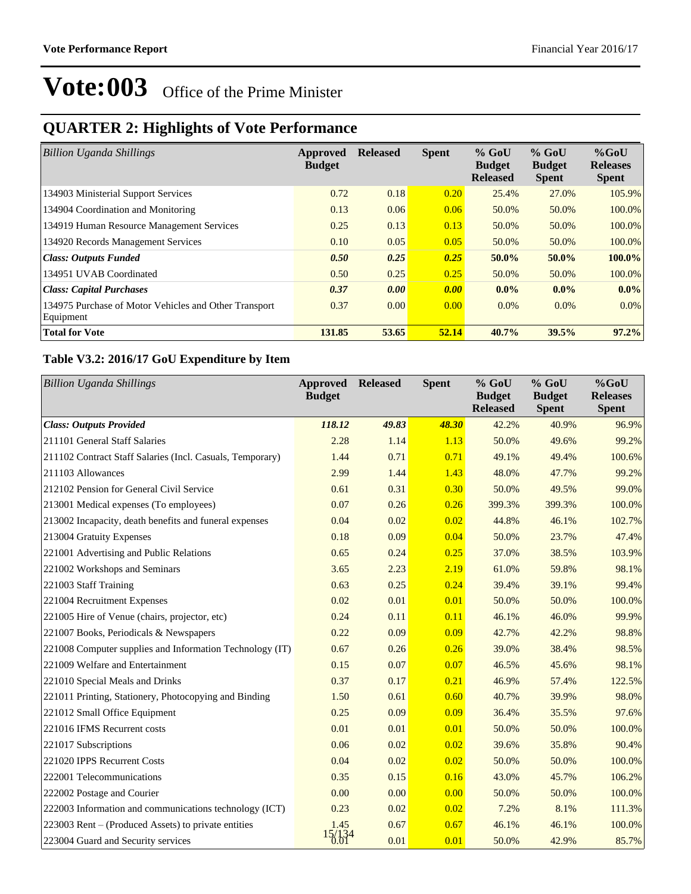### **QUARTER 2: Highlights of Vote Performance**

| <b>Billion Uganda Shillings</b>                                    | Approved<br><b>Budget</b> | <b>Released</b> | <b>Spent</b> | $%$ GoU<br><b>Budget</b><br><b>Released</b> | $%$ GoU<br><b>Budget</b><br><b>Spent</b> | $%$ GoU<br><b>Releases</b><br><b>Spent</b> |
|--------------------------------------------------------------------|---------------------------|-----------------|--------------|---------------------------------------------|------------------------------------------|--------------------------------------------|
| 134903 Ministerial Support Services                                | 0.72                      | 0.18            | 0.20         | 25.4%                                       | 27.0%                                    | 105.9%                                     |
| 134904 Coordination and Monitoring                                 | 0.13                      | 0.06            | 0.06         | 50.0%                                       | 50.0%                                    | 100.0%                                     |
| 134919 Human Resource Management Services                          | 0.25                      | 0.13            | 0.13         | 50.0%                                       | 50.0%                                    | 100.0%                                     |
| 134920 Records Management Services                                 | 0.10                      | 0.05            | 0.05         | 50.0%                                       | 50.0%                                    | 100.0%                                     |
| <b>Class: Outputs Funded</b>                                       | 0.50                      | 0.25            | 0.25         | $50.0\%$                                    | 50.0%                                    | 100.0%                                     |
| 134951 UVAB Coordinated                                            | 0.50                      | 0.25            | 0.25         | 50.0%                                       | 50.0%                                    | 100.0%                                     |
| <b>Class: Capital Purchases</b>                                    | 0.37                      | 0.00            | 0.00         | $0.0\%$                                     | $0.0\%$                                  | $0.0\%$                                    |
| 134975 Purchase of Motor Vehicles and Other Transport<br>Equipment | 0.37                      | 0.00            | 0.00         | $0.0\%$                                     | $0.0\%$                                  | $0.0\%$                                    |
| <b>Total for Vote</b>                                              | 131.85                    | 53.65           | 52.14        | 40.7%                                       | 39.5%                                    | $97.2\%$                                   |

#### **Table V3.2: 2016/17 GoU Expenditure by Item**

| <b>Billion Uganda Shillings</b>                           | <b>Approved</b><br><b>Budget</b> | <b>Released</b> | <b>Spent</b> | % GoU<br><b>Budget</b><br><b>Released</b> | $%$ GoU<br><b>Budget</b><br><b>Spent</b> | %GoU<br><b>Releases</b><br><b>Spent</b> |
|-----------------------------------------------------------|----------------------------------|-----------------|--------------|-------------------------------------------|------------------------------------------|-----------------------------------------|
| <b>Class: Outputs Provided</b>                            | 118.12                           | 49.83           | 48.30        | 42.2%                                     | 40.9%                                    | 96.9%                                   |
| 211101 General Staff Salaries                             | 2.28                             | 1.14            | 1.13         | 50.0%                                     | 49.6%                                    | 99.2%                                   |
| 211102 Contract Staff Salaries (Incl. Casuals, Temporary) | 1.44                             | 0.71            | 0.71         | 49.1%                                     | 49.4%                                    | 100.6%                                  |
| 211103 Allowances                                         | 2.99                             | 1.44            | 1.43         | 48.0%                                     | 47.7%                                    | 99.2%                                   |
| 212102 Pension for General Civil Service                  | 0.61                             | 0.31            | 0.30         | 50.0%                                     | 49.5%                                    | 99.0%                                   |
| 213001 Medical expenses (To employees)                    | 0.07                             | 0.26            | 0.26         | 399.3%                                    | 399.3%                                   | 100.0%                                  |
| 213002 Incapacity, death benefits and funeral expenses    | 0.04                             | 0.02            | 0.02         | 44.8%                                     | 46.1%                                    | 102.7%                                  |
| 213004 Gratuity Expenses                                  | 0.18                             | 0.09            | 0.04         | 50.0%                                     | 23.7%                                    | 47.4%                                   |
| 221001 Advertising and Public Relations                   | 0.65                             | 0.24            | 0.25         | 37.0%                                     | 38.5%                                    | 103.9%                                  |
| 221002 Workshops and Seminars                             | 3.65                             | 2.23            | 2.19         | 61.0%                                     | 59.8%                                    | 98.1%                                   |
| 221003 Staff Training                                     | 0.63                             | 0.25            | 0.24         | 39.4%                                     | 39.1%                                    | 99.4%                                   |
| 221004 Recruitment Expenses                               | 0.02                             | 0.01            | 0.01         | 50.0%                                     | 50.0%                                    | 100.0%                                  |
| 221005 Hire of Venue (chairs, projector, etc)             | 0.24                             | 0.11            | 0.11         | 46.1%                                     | 46.0%                                    | 99.9%                                   |
| 221007 Books, Periodicals & Newspapers                    | 0.22                             | 0.09            | 0.09         | 42.7%                                     | 42.2%                                    | 98.8%                                   |
| 221008 Computer supplies and Information Technology (IT)  | 0.67                             | 0.26            | 0.26         | 39.0%                                     | 38.4%                                    | 98.5%                                   |
| 221009 Welfare and Entertainment                          | 0.15                             | 0.07            | 0.07         | 46.5%                                     | 45.6%                                    | 98.1%                                   |
| 221010 Special Meals and Drinks                           | 0.37                             | 0.17            | 0.21         | 46.9%                                     | 57.4%                                    | 122.5%                                  |
| 221011 Printing, Stationery, Photocopying and Binding     | 1.50                             | 0.61            | 0.60         | 40.7%                                     | 39.9%                                    | 98.0%                                   |
| 221012 Small Office Equipment                             | 0.25                             | 0.09            | 0.09         | 36.4%                                     | 35.5%                                    | 97.6%                                   |
| 221016 IFMS Recurrent costs                               | 0.01                             | 0.01            | 0.01         | 50.0%                                     | 50.0%                                    | 100.0%                                  |
| 221017 Subscriptions                                      | 0.06                             | 0.02            | 0.02         | 39.6%                                     | 35.8%                                    | 90.4%                                   |
| 221020 IPPS Recurrent Costs                               | 0.04                             | 0.02            | 0.02         | 50.0%                                     | 50.0%                                    | 100.0%                                  |
| 222001 Telecommunications                                 | 0.35                             | 0.15            | 0.16         | 43.0%                                     | 45.7%                                    | 106.2%                                  |
| 222002 Postage and Courier                                | 0.00                             | 0.00            | 0.00         | 50.0%                                     | 50.0%                                    | 100.0%                                  |
| 222003 Information and communications technology (ICT)    | 0.23                             | 0.02            | 0.02         | 7.2%                                      | 8.1%                                     | 111.3%                                  |
| 223003 Rent – (Produced Assets) to private entities       | 1.45                             | 0.67            | 0.67         | 46.1%                                     | 46.1%                                    | 100.0%                                  |
| 223004 Guard and Security services                        | $-\frac{5}{134}$                 | 0.01            | 0.01         | 50.0%                                     | 42.9%                                    | 85.7%                                   |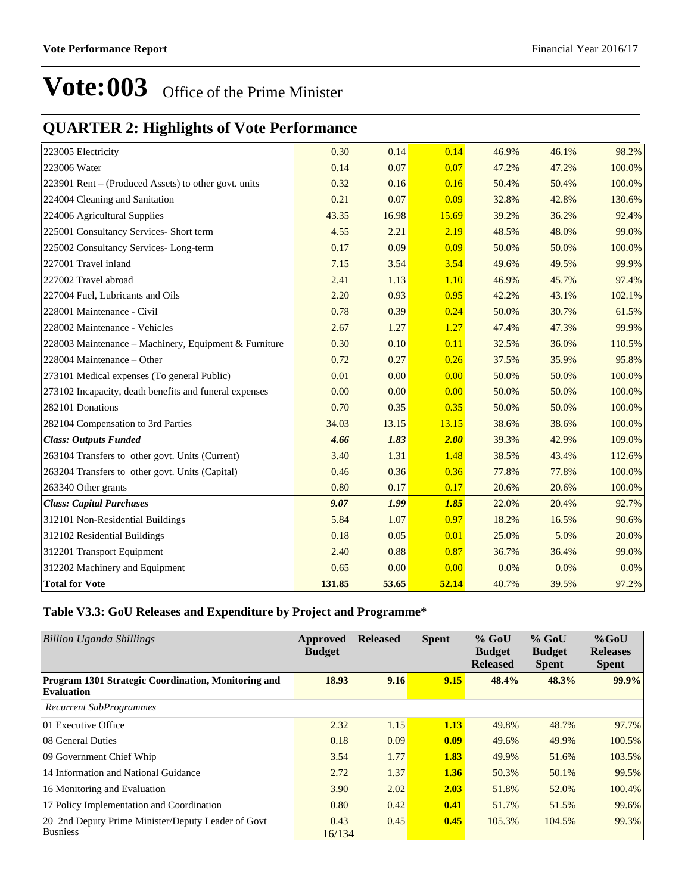### **QUARTER 2: Highlights of Vote Performance**

| 223005 Electricity                                     | 0.30   | 0.14  | 0.14  | 46.9% | 46.1% | 98.2%  |
|--------------------------------------------------------|--------|-------|-------|-------|-------|--------|
| 223006 Water                                           | 0.14   | 0.07  | 0.07  | 47.2% | 47.2% | 100.0% |
| 223901 Rent – (Produced Assets) to other govt. units   | 0.32   | 0.16  | 0.16  | 50.4% | 50.4% | 100.0% |
| 224004 Cleaning and Sanitation                         | 0.21   | 0.07  | 0.09  | 32.8% | 42.8% | 130.6% |
| 224006 Agricultural Supplies                           | 43.35  | 16.98 | 15.69 | 39.2% | 36.2% | 92.4%  |
| 225001 Consultancy Services- Short term                | 4.55   | 2.21  | 2.19  | 48.5% | 48.0% | 99.0%  |
| 225002 Consultancy Services-Long-term                  | 0.17   | 0.09  | 0.09  | 50.0% | 50.0% | 100.0% |
| 227001 Travel inland                                   | 7.15   | 3.54  | 3.54  | 49.6% | 49.5% | 99.9%  |
| 227002 Travel abroad                                   | 2.41   | 1.13  | 1.10  | 46.9% | 45.7% | 97.4%  |
| 227004 Fuel, Lubricants and Oils                       | 2.20   | 0.93  | 0.95  | 42.2% | 43.1% | 102.1% |
| 228001 Maintenance - Civil                             | 0.78   | 0.39  | 0.24  | 50.0% | 30.7% | 61.5%  |
| 228002 Maintenance - Vehicles                          | 2.67   | 1.27  | 1.27  | 47.4% | 47.3% | 99.9%  |
| 228003 Maintenance – Machinery, Equipment & Furniture  | 0.30   | 0.10  | 0.11  | 32.5% | 36.0% | 110.5% |
| 228004 Maintenance – Other                             | 0.72   | 0.27  | 0.26  | 37.5% | 35.9% | 95.8%  |
| 273101 Medical expenses (To general Public)            | 0.01   | 0.00  | 0.00  | 50.0% | 50.0% | 100.0% |
| 273102 Incapacity, death benefits and funeral expenses | 0.00   | 0.00  | 0.00  | 50.0% | 50.0% | 100.0% |
| 282101 Donations                                       | 0.70   | 0.35  | 0.35  | 50.0% | 50.0% | 100.0% |
| 282104 Compensation to 3rd Parties                     | 34.03  | 13.15 | 13.15 | 38.6% | 38.6% | 100.0% |
| <b>Class: Outputs Funded</b>                           | 4.66   | 1.83  | 2.00  | 39.3% | 42.9% | 109.0% |
| 263104 Transfers to other govt. Units (Current)        | 3.40   | 1.31  | 1.48  | 38.5% | 43.4% | 112.6% |
| 263204 Transfers to other govt. Units (Capital)        | 0.46   | 0.36  | 0.36  | 77.8% | 77.8% | 100.0% |
| 263340 Other grants                                    | 0.80   | 0.17  | 0.17  | 20.6% | 20.6% | 100.0% |
| <b>Class: Capital Purchases</b>                        | 9.07   | 1.99  | 1.85  | 22.0% | 20.4% | 92.7%  |
| 312101 Non-Residential Buildings                       | 5.84   | 1.07  | 0.97  | 18.2% | 16.5% | 90.6%  |
| 312102 Residential Buildings                           | 0.18   | 0.05  | 0.01  | 25.0% | 5.0%  | 20.0%  |
| 312201 Transport Equipment                             | 2.40   | 0.88  | 0.87  | 36.7% | 36.4% | 99.0%  |
| 312202 Machinery and Equipment                         | 0.65   | 0.00  | 0.00  | 0.0%  | 0.0%  | 0.0%   |
| <b>Total for Vote</b>                                  | 131.85 | 53.65 | 52.14 | 40.7% | 39.5% | 97.2%  |

#### **Table V3.3: GoU Releases and Expenditure by Project and Programme\***

| <b>Billion Uganda Shillings</b>                                          | Approved<br><b>Budget</b> | <b>Released</b> | <b>Spent</b> | $%$ GoU<br><b>Budget</b><br><b>Released</b> | $%$ GoU<br><b>Budget</b><br><b>Spent</b> | $%$ GoU<br><b>Releases</b><br><b>Spent</b> |
|--------------------------------------------------------------------------|---------------------------|-----------------|--------------|---------------------------------------------|------------------------------------------|--------------------------------------------|
| Program 1301 Strategic Coordination, Monitoring and<br><b>Evaluation</b> | 18.93                     | 9.16            | 9.15         | 48.4%                                       | 48.3%                                    | 99.9%                                      |
| <b>Recurrent SubProgrammes</b>                                           |                           |                 |              |                                             |                                          |                                            |
| 01 Executive Office                                                      | 2.32                      | 1.15            | 1.13         | 49.8%                                       | 48.7%                                    | 97.7%                                      |
| 08 General Duties                                                        | 0.18                      | 0.09            | 0.09         | 49.6%                                       | 49.9%                                    | 100.5%                                     |
| 09 Government Chief Whip                                                 | 3.54                      | 1.77            | 1.83         | 49.9%                                       | 51.6%                                    | 103.5%                                     |
| 14 Information and National Guidance                                     | 2.72                      | 1.37            | 1.36         | 50.3%                                       | 50.1%                                    | 99.5%                                      |
| 16 Monitoring and Evaluation                                             | 3.90                      | 2.02            | 2.03         | 51.8%                                       | 52.0%                                    | 100.4%                                     |
| 17 Policy Implementation and Coordination                                | 0.80                      | 0.42            | 0.41         | 51.7%                                       | 51.5%                                    | 99.6%                                      |
| 20 2nd Deputy Prime Minister/Deputy Leader of Govt<br><b>Busniess</b>    | 0.43<br>16/134            | 0.45            | 0.45         | 105.3%                                      | 104.5%                                   | 99.3%                                      |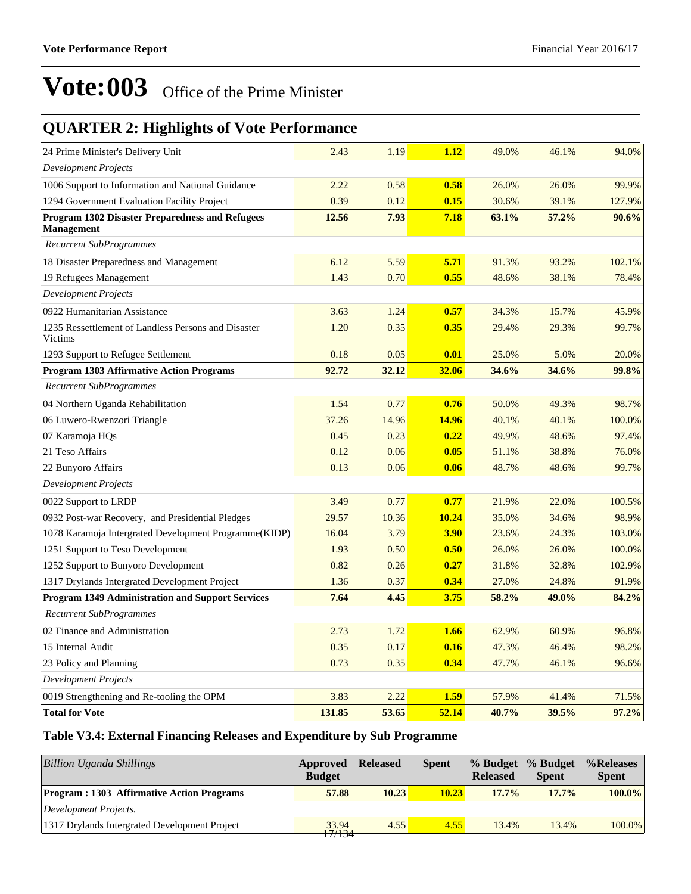### **QUARTER 2: Highlights of Vote Performance**

| 24 Prime Minister's Delivery Unit                              | 2.43   | 1.19  | <b>1.12</b> | 49.0% | 46.1% | 94.0%  |
|----------------------------------------------------------------|--------|-------|-------------|-------|-------|--------|
| <b>Development Projects</b>                                    |        |       |             |       |       |        |
| 1006 Support to Information and National Guidance              | 2.22   | 0.58  | 0.58        | 26.0% | 26.0% | 99.9%  |
| 1294 Government Evaluation Facility Project                    | 0.39   | 0.12  | 0.15        | 30.6% | 39.1% | 127.9% |
| Program 1302 Disaster Preparedness and Refugees<br>Management  | 12.56  | 7.93  | 7.18        | 63.1% | 57.2% | 90.6%  |
| <b>Recurrent SubProgrammes</b>                                 |        |       |             |       |       |        |
| 18 Disaster Preparedness and Management                        | 6.12   | 5.59  | 5.71        | 91.3% | 93.2% | 102.1% |
| 19 Refugees Management                                         | 1.43   | 0.70  | 0.55        | 48.6% | 38.1% | 78.4%  |
| <b>Development Projects</b>                                    |        |       |             |       |       |        |
| 0922 Humanitarian Assistance                                   | 3.63   | 1.24  | 0.57        | 34.3% | 15.7% | 45.9%  |
| 1235 Ressettlement of Landless Persons and Disaster<br>Victims | 1.20   | 0.35  | 0.35        | 29.4% | 29.3% | 99.7%  |
| 1293 Support to Refugee Settlement                             | 0.18   | 0.05  | 0.01        | 25.0% | 5.0%  | 20.0%  |
| <b>Program 1303 Affirmative Action Programs</b>                | 92.72  | 32.12 | 32.06       | 34.6% | 34.6% | 99.8%  |
| <b>Recurrent SubProgrammes</b>                                 |        |       |             |       |       |        |
| 04 Northern Uganda Rehabilitation                              | 1.54   | 0.77  | 0.76        | 50.0% | 49.3% | 98.7%  |
| 06 Luwero-Rwenzori Triangle                                    | 37.26  | 14.96 | 14.96       | 40.1% | 40.1% | 100.0% |
| 07 Karamoja HQs                                                | 0.45   | 0.23  | 0.22        | 49.9% | 48.6% | 97.4%  |
| 21 Teso Affairs                                                | 0.12   | 0.06  | 0.05        | 51.1% | 38.8% | 76.0%  |
| 22 Bunyoro Affairs                                             | 0.13   | 0.06  | 0.06        | 48.7% | 48.6% | 99.7%  |
| <b>Development Projects</b>                                    |        |       |             |       |       |        |
| 0022 Support to LRDP                                           | 3.49   | 0.77  | 0.77        | 21.9% | 22.0% | 100.5% |
| 0932 Post-war Recovery, and Presidential Pledges               | 29.57  | 10.36 | 10.24       | 35.0% | 34.6% | 98.9%  |
| 1078 Karamoja Intergrated Development Programme(KIDP)          | 16.04  | 3.79  | 3.90        | 23.6% | 24.3% | 103.0% |
| 1251 Support to Teso Development                               | 1.93   | 0.50  | 0.50        | 26.0% | 26.0% | 100.0% |
| 1252 Support to Bunyoro Development                            | 0.82   | 0.26  | 0.27        | 31.8% | 32.8% | 102.9% |
| 1317 Drylands Intergrated Development Project                  | 1.36   | 0.37  | 0.34        | 27.0% | 24.8% | 91.9%  |
| <b>Program 1349 Administration and Support Services</b>        | 7.64   | 4.45  | 3.75        | 58.2% | 49.0% | 84.2%  |
| <b>Recurrent SubProgrammes</b>                                 |        |       |             |       |       |        |
| 02 Finance and Administration                                  | 2.73   | 1.72  | 1.66        | 62.9% | 60.9% | 96.8%  |
| 15 Internal Audit                                              | 0.35   | 0.17  | 0.16        | 47.3% | 46.4% | 98.2%  |
| 23 Policy and Planning                                         | 0.73   | 0.35  | 0.34        | 47.7% | 46.1% | 96.6%  |
| <b>Development Projects</b>                                    |        |       |             |       |       |        |
| 0019 Strengthening and Re-tooling the OPM                      | 3.83   | 2.22  | 1.59        | 57.9% | 41.4% | 71.5%  |
| <b>Total for Vote</b>                                          | 131.85 | 53.65 | 52.14       | 40.7% | 39.5% | 97.2%  |

#### **Table V3.4: External Financing Releases and Expenditure by Sub Programme**

| <b>Billion Uganda Shillings</b>                  | Approved<br><b>Budget</b> | <b>Released</b> | <b>Spent</b> | % Budget<br><b>Released</b> | % Budget<br><b>Spent</b> | %Releases<br><b>Spent</b> |
|--------------------------------------------------|---------------------------|-----------------|--------------|-----------------------------|--------------------------|---------------------------|
| <b>Program: 1303 Affirmative Action Programs</b> | 57.88                     | 10.23           | 10.23        | $17.7\%$                    | $17.7\%$                 | $100.0\%$                 |
| Development Projects.                            |                           |                 |              |                             |                          |                           |
| 1317 Drylands Intergrated Development Project    | 33.94                     | 4.55            | 4.55         | 13.4%                       | 13.4%                    | $100.0\%$                 |
|                                                  | 17/134                    |                 |              |                             |                          |                           |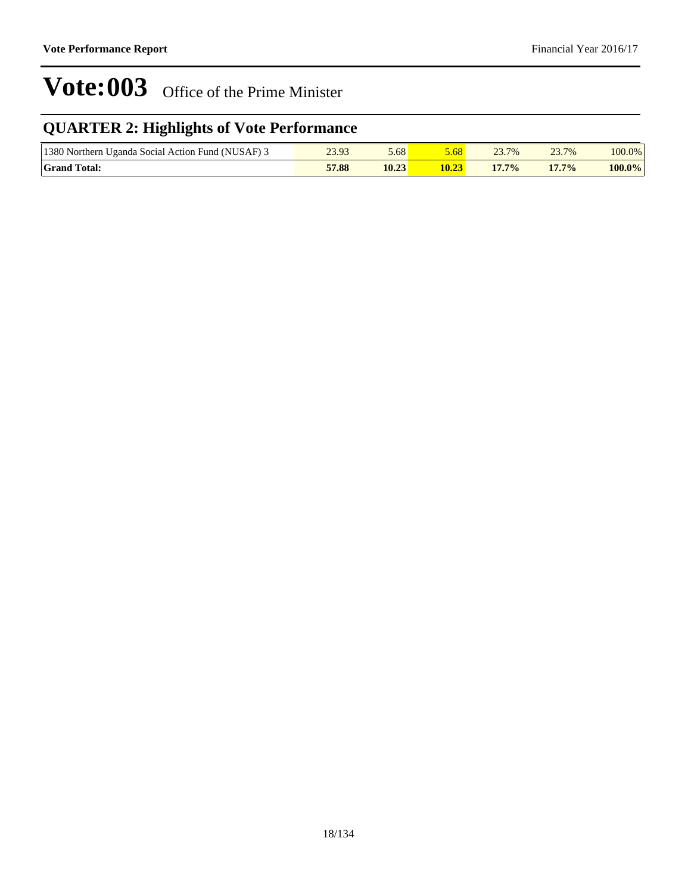| 1380 Northern Uganda Social Action Fund (NUSAF) 3 | 23.O3<br>23.13 | 5.68  | .68   | 23.7% | 23.7%    | 100.0%    |
|---------------------------------------------------|----------------|-------|-------|-------|----------|-----------|
| <b>Grand Total:</b>                               | 57.88          | 10.23 | 10.23 | 17.7% | $17.7\%$ | $100.0\%$ |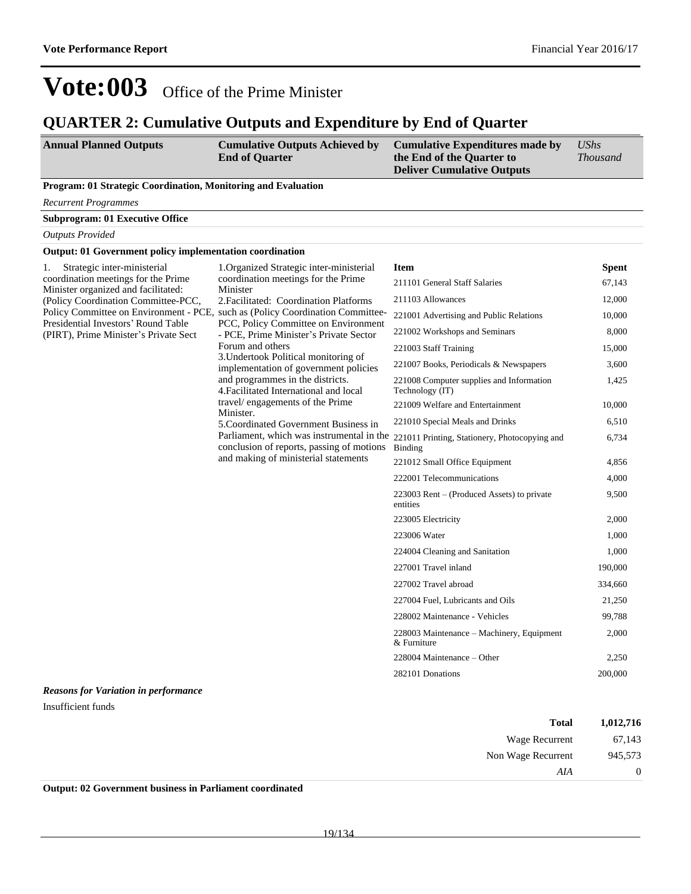*UShs Thousand*

### **Vote:003** Office of the Prime Minister

#### **QUARTER 2: Cumulative Outputs and Expenditure by End of Quarter**

| <b>Annual Planned Outputs</b> | <b>Cumulative Outputs Achieved by</b> | <b>Cumulative Expenditures made by</b> |
|-------------------------------|---------------------------------------|----------------------------------------|
|                               | <b>End of Quarter</b>                 | the End of the Quarter to              |
|                               |                                       | <b>Deliver Cumulative Outputs</b>      |

#### **Program: 01 Strategic Coordination, Monitoring and Evaluation**

*Recurrent Programmes*

**Subprogram: 01 Executive Office**

*Outputs Provided*

#### **Output: 01 Government policy implementation coordination**

| Strategic inter-ministerial<br>1.                                                                                 | 1.Organized Strategic inter-ministerial                                                                                                                                                                                                                                                                                                                                                                                                          | <b>Item</b>                                                 | <b>Spent</b> |
|-------------------------------------------------------------------------------------------------------------------|--------------------------------------------------------------------------------------------------------------------------------------------------------------------------------------------------------------------------------------------------------------------------------------------------------------------------------------------------------------------------------------------------------------------------------------------------|-------------------------------------------------------------|--------------|
| coordination meetings for the Prime<br>Minister organized and facilitated:<br>(Policy Coordination Committee-PCC, | coordination meetings for the Prime<br>Minister<br>2. Facilitated: Coordination Platforms<br>Policy Committee on Environment - PCE, such as (Policy Coordination Committee-<br>PCC, Policy Committee on Environment<br>- PCE, Prime Minister's Private Sector<br>Forum and others<br>3. Undertook Political monitoring of<br>implementation of government policies<br>and programmes in the districts.<br>4. Facilitated International and local | 211101 General Staff Salaries                               | 67,143       |
|                                                                                                                   |                                                                                                                                                                                                                                                                                                                                                                                                                                                  | 211103 Allowances                                           | 12,000       |
| Presidential Investors' Round Table                                                                               |                                                                                                                                                                                                                                                                                                                                                                                                                                                  | 221001 Advertising and Public Relations                     | 10,000       |
| (PIRT), Prime Minister's Private Sect                                                                             |                                                                                                                                                                                                                                                                                                                                                                                                                                                  | 221002 Workshops and Seminars                               | 8,000        |
|                                                                                                                   |                                                                                                                                                                                                                                                                                                                                                                                                                                                  | 221003 Staff Training                                       | 15,000       |
|                                                                                                                   |                                                                                                                                                                                                                                                                                                                                                                                                                                                  | 221007 Books, Periodicals & Newspapers                      | 3,600        |
|                                                                                                                   |                                                                                                                                                                                                                                                                                                                                                                                                                                                  | 221008 Computer supplies and Information<br>Technology (IT) | 1,425        |
|                                                                                                                   | travel/engagements of the Prime<br>Minister.                                                                                                                                                                                                                                                                                                                                                                                                     | 221009 Welfare and Entertainment                            | 10,000       |
|                                                                                                                   | 5. Coordinated Government Business in                                                                                                                                                                                                                                                                                                                                                                                                            | 221010 Special Meals and Drinks                             | 6,510        |
|                                                                                                                   | Parliament, which was instrumental in the 221011 Printing, Stationery, Photocopying and<br>conclusion of reports, passing of motions                                                                                                                                                                                                                                                                                                             | Binding                                                     | 6,734        |
|                                                                                                                   | and making of ministerial statements                                                                                                                                                                                                                                                                                                                                                                                                             | 221012 Small Office Equipment                               | 4,856        |
|                                                                                                                   |                                                                                                                                                                                                                                                                                                                                                                                                                                                  | 222001 Telecommunications                                   | 4,000        |
|                                                                                                                   |                                                                                                                                                                                                                                                                                                                                                                                                                                                  | $223003$ Rent – (Produced Assets) to private<br>entities    | 9,500        |
|                                                                                                                   |                                                                                                                                                                                                                                                                                                                                                                                                                                                  | 223005 Electricity                                          | 2,000        |
|                                                                                                                   |                                                                                                                                                                                                                                                                                                                                                                                                                                                  | 223006 Water                                                | 1,000        |
|                                                                                                                   |                                                                                                                                                                                                                                                                                                                                                                                                                                                  | 224004 Cleaning and Sanitation                              | 1,000        |
|                                                                                                                   |                                                                                                                                                                                                                                                                                                                                                                                                                                                  | 227001 Travel inland                                        | 190,000      |
|                                                                                                                   |                                                                                                                                                                                                                                                                                                                                                                                                                                                  | 227002 Travel abroad                                        | 334,660      |
|                                                                                                                   |                                                                                                                                                                                                                                                                                                                                                                                                                                                  | 227004 Fuel, Lubricants and Oils                            | 21,250       |
|                                                                                                                   |                                                                                                                                                                                                                                                                                                                                                                                                                                                  | 228002 Maintenance - Vehicles                               | 99,788       |
|                                                                                                                   |                                                                                                                                                                                                                                                                                                                                                                                                                                                  | 228003 Maintenance – Machinery, Equipment<br>& Furniture    | 2,000        |
|                                                                                                                   |                                                                                                                                                                                                                                                                                                                                                                                                                                                  | $228004$ Maintenance – Other                                | 2,250        |
|                                                                                                                   |                                                                                                                                                                                                                                                                                                                                                                                                                                                  | 282101 Donations                                            | 200,000      |
| <b>Reasons for Variation in performance</b>                                                                       |                                                                                                                                                                                                                                                                                                                                                                                                                                                  |                                                             |              |
| Insufficient funds                                                                                                |                                                                                                                                                                                                                                                                                                                                                                                                                                                  |                                                             |              |

| <b>Total</b>       | 1,012,716      |
|--------------------|----------------|
| Wage Recurrent     | 67,143         |
| Non Wage Recurrent | 945,573        |
| AIA                | $\overline{0}$ |

**Output: 02 Government business in Parliament coordinated**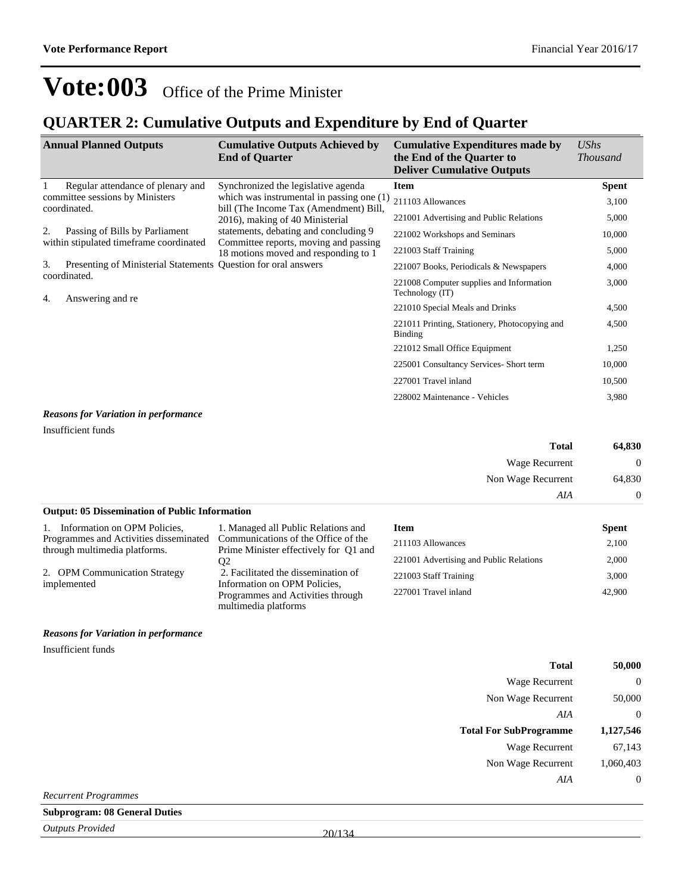#### **QUARTER 2: Cumulative Outputs and Expenditure by End of Quarter**

| <b>Annual Planned Outputs</b>                                        | <b>Cumulative Outputs Achieved by</b><br><b>End of Quarter</b>                        | <b>Cumulative Expenditures made by</b><br>the End of the Quarter to<br><b>Deliver Cumulative Outputs</b> | <b>UShs</b><br><b>Thousand</b> |
|----------------------------------------------------------------------|---------------------------------------------------------------------------------------|----------------------------------------------------------------------------------------------------------|--------------------------------|
| Regular attendance of plenary and                                    | Synchronized the legislative agenda                                                   | <b>Item</b>                                                                                              | <b>Spent</b>                   |
| committee sessions by Ministers<br>coordinated.                      | which was instrumental in passing one $(1)$<br>bill (The Income Tax (Amendment) Bill, | 211103 Allowances                                                                                        | 3,100                          |
|                                                                      | 2016), making of 40 Ministerial                                                       | 221001 Advertising and Public Relations                                                                  | 5,000                          |
| 2.<br>Passing of Bills by Parliament                                 | statements, debating and concluding 9                                                 | 221002 Workshops and Seminars                                                                            | 10,000                         |
| within stipulated timeframe coordinated                              | Committee reports, moving and passing<br>18 motions moved and responding to 1         | 221003 Staff Training                                                                                    | 5,000                          |
| Presenting of Ministerial Statements Question for oral answers<br>3. |                                                                                       | 221007 Books, Periodicals & Newspapers                                                                   | 4,000                          |
| coordinated.<br>Answering and re<br>4.                               |                                                                                       | 221008 Computer supplies and Information<br>Technology (IT)                                              | 3,000                          |
|                                                                      |                                                                                       | 221010 Special Meals and Drinks                                                                          | 4,500                          |
|                                                                      |                                                                                       | 221011 Printing, Stationery, Photocopying and<br><b>Binding</b>                                          | 4,500                          |
|                                                                      |                                                                                       | 221012 Small Office Equipment                                                                            | 1,250                          |
|                                                                      |                                                                                       | 225001 Consultancy Services- Short term                                                                  | 10,000                         |
|                                                                      |                                                                                       | 227001 Travel inland                                                                                     | 10,500                         |
|                                                                      |                                                                                       | 228002 Maintenance - Vehicles                                                                            | 3,980                          |

#### *Reasons for Variation in performance*

Insufficient funds

| 64,830 | Total              |
|--------|--------------------|
|        | Wage Recurrent     |
| 64,830 | Non Wage Recurrent |
|        | A I A              |

#### **Output: 05 Dissemination of Public Information** 1. Information on OPM Policies, Programmes and Activities disseminated through multimedia platforms. 2. OPM Communication Strategy implemented 1. Managed all Public Relations and Communications of the Office of the Prime Minister effectively for Q1 and Q2 2. Facilitated the dissemination of Information on OPM Policies, Programmes and Activities through multimedia platforms **Item Spent** 211103 Allowances 2,100 221001 Advertising and Public Relations 2,000 221003 Staff Training 3,000 227001 Travel inland 42,900

#### *Reasons for Variation in performance*

Insufficient funds

| <b>Total</b>                  | 50,000           |
|-------------------------------|------------------|
| <b>Wage Recurrent</b>         | $\overline{0}$   |
| Non Wage Recurrent            | 50,000           |
| AIA                           | $\overline{0}$   |
| <b>Total For SubProgramme</b> | 1,127,546        |
| Wage Recurrent                | 67,143           |
| Non Wage Recurrent            | 1,060,403        |
| AIA                           | $\boldsymbol{0}$ |
| <b>Recurrent Programmes</b>   |                  |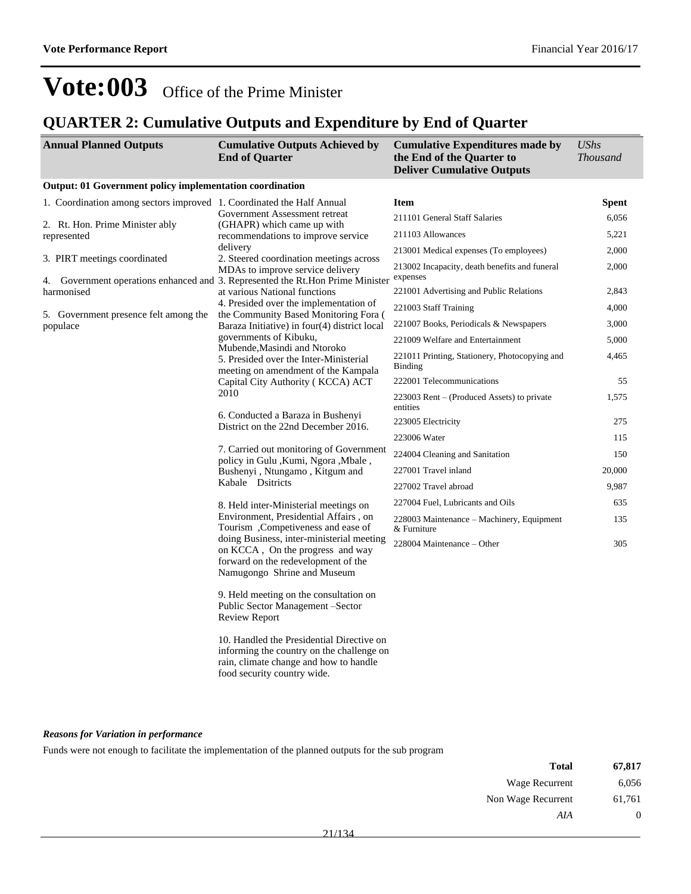#### **QUARTER 2: Cumulative Outputs and Expenditure by End of Quarter**

| <b>Annual Planned Outputs</b>                                         | <b>Cumulative Outputs Achieved by</b><br><b>End of Quarter</b>                                                                                                                                                                     | <b>Cumulative Expenditures made by</b><br>the End of the Quarter to<br><b>Deliver Cumulative Outputs</b> | <b>UShs</b><br><b>Thousand</b> |
|-----------------------------------------------------------------------|------------------------------------------------------------------------------------------------------------------------------------------------------------------------------------------------------------------------------------|----------------------------------------------------------------------------------------------------------|--------------------------------|
| Output: 01 Government policy implementation coordination              |                                                                                                                                                                                                                                    |                                                                                                          |                                |
| 1. Coordination among sectors improved 1. Coordinated the Half Annual |                                                                                                                                                                                                                                    | <b>Item</b>                                                                                              | <b>Spent</b>                   |
| 2. Rt. Hon. Prime Minister ably                                       | Government Assessment retreat<br>(GHAPR) which came up with                                                                                                                                                                        | 211101 General Staff Salaries                                                                            | 6,056                          |
| represented                                                           | recommendations to improve service                                                                                                                                                                                                 | 211103 Allowances                                                                                        | 5,221                          |
|                                                                       | delivery<br>2. Steered coordination meetings across<br>MDAs to improve service delivery                                                                                                                                            | 213001 Medical expenses (To employees)                                                                   | 2,000                          |
| 3. PIRT meetings coordinated                                          |                                                                                                                                                                                                                                    | 213002 Incapacity, death benefits and funeral<br>expenses                                                | 2,000                          |
| harmonised                                                            | 4. Government operations enhanced and 3. Represented the Rt.Hon Prime Minister<br>at various National functions                                                                                                                    | 221001 Advertising and Public Relations                                                                  | 2,843                          |
|                                                                       | 4. Presided over the implementation of                                                                                                                                                                                             | 221003 Staff Training                                                                                    | 4,000                          |
| 5. Government presence felt among the<br>populace                     | the Community Based Monitoring Fora (<br>Baraza Initiative) in four(4) district local                                                                                                                                              | 221007 Books, Periodicals & Newspapers                                                                   | 3,000                          |
|                                                                       | governments of Kibuku,                                                                                                                                                                                                             | 221009 Welfare and Entertainment                                                                         | 5,000                          |
|                                                                       | Mubende, Masindi and Ntoroko<br>5. Presided over the Inter-Ministerial<br>meeting on amendment of the Kampala                                                                                                                      | 221011 Printing, Stationery, Photocopying and<br><b>Binding</b>                                          | 4,465                          |
|                                                                       | Capital City Authority (KCCA) ACT                                                                                                                                                                                                  | 222001 Telecommunications                                                                                | 55                             |
|                                                                       | 2010<br>6. Conducted a Baraza in Bushenyi<br>District on the 22nd December 2016.                                                                                                                                                   | 223003 Rent – (Produced Assets) to private<br>entities                                                   | 1,575                          |
|                                                                       |                                                                                                                                                                                                                                    | 223005 Electricity                                                                                       | 275                            |
|                                                                       |                                                                                                                                                                                                                                    | 223006 Water                                                                                             | 115                            |
|                                                                       | 7. Carried out monitoring of Government<br>policy in Gulu , Kumi, Ngora , Mbale,                                                                                                                                                   | 224004 Cleaning and Sanitation                                                                           | 150                            |
|                                                                       | Bushenyi, Ntungamo, Kitgum and                                                                                                                                                                                                     | 227001 Travel inland                                                                                     | 20,000                         |
|                                                                       | Kabale Dsitricts                                                                                                                                                                                                                   | 227002 Travel abroad                                                                                     | 9,987                          |
|                                                                       | 8. Held inter-Ministerial meetings on                                                                                                                                                                                              | 227004 Fuel, Lubricants and Oils                                                                         | 635                            |
|                                                                       | Environment, Presidential Affairs, on<br>Tourism, Competiveness and ease of<br>doing Business, inter-ministerial meeting<br>on KCCA, On the progress and way<br>forward on the redevelopment of the<br>Namugongo Shrine and Museum | 228003 Maintenance – Machinery, Equipment<br>& Furniture                                                 | 135                            |
|                                                                       |                                                                                                                                                                                                                                    | 228004 Maintenance - Other                                                                               | 305                            |
|                                                                       | 9. Held meeting on the consultation on<br>Public Sector Management -Sector<br><b>Review Report</b>                                                                                                                                 |                                                                                                          |                                |
|                                                                       | 10. Handled the Presidential Directive on<br>informing the country on the challenge on<br>rain, climate change and how to handle<br>food security country wide.                                                                    |                                                                                                          |                                |

#### *Reasons for Variation in performance*

Funds were not enough to facilitate the implementation of the planned outputs for the sub program

| 67,817             |
|--------------------|
| 6,056              |
| 61,761             |
| $\mathbf{0}$       |
| Non Wage Recurrent |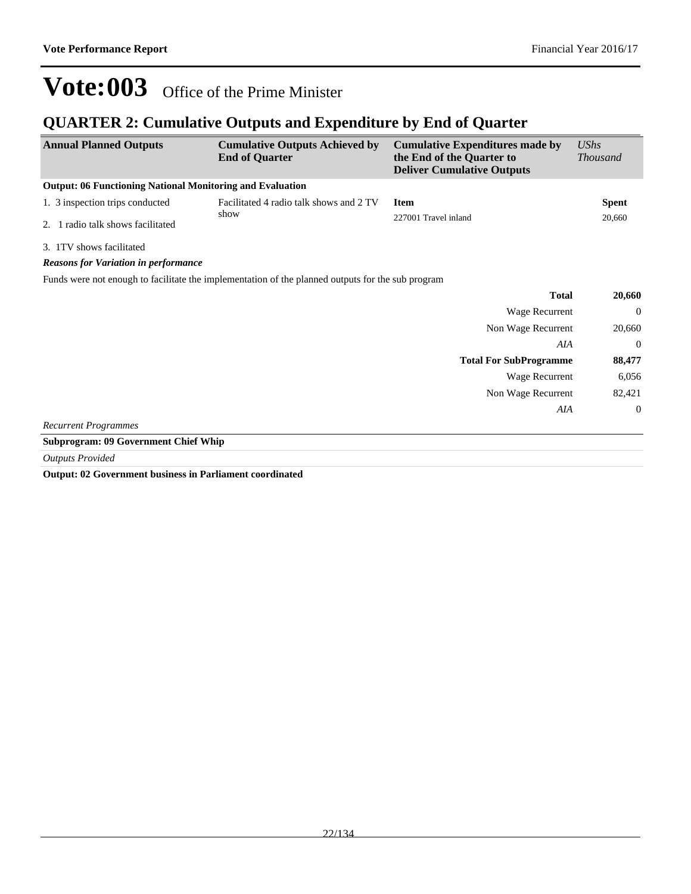### **QUARTER 2: Cumulative Outputs and Expenditure by End of Quarter**

| <b>Annual Planned Outputs</b>                                    | <b>Cumulative Outputs Achieved by</b><br><b>End of Quarter</b>                                    | <b>Cumulative Expenditures made by</b><br>the End of the Quarter to<br><b>Deliver Cumulative Outputs</b> | <b>UShs</b><br><b>Thousand</b> |
|------------------------------------------------------------------|---------------------------------------------------------------------------------------------------|----------------------------------------------------------------------------------------------------------|--------------------------------|
| <b>Output: 06 Functioning National Monitoring and Evaluation</b> |                                                                                                   |                                                                                                          |                                |
| 1. 3 inspection trips conducted                                  | Facilitated 4 radio talk shows and 2 TV                                                           | <b>Item</b>                                                                                              | <b>Spent</b>                   |
| 2. 1 radio talk shows facilitated                                | show                                                                                              | 227001 Travel inland                                                                                     | 20,660                         |
| 3. 1 TV shows facilitated                                        |                                                                                                   |                                                                                                          |                                |
| <b>Reasons for Variation in performance</b>                      |                                                                                                   |                                                                                                          |                                |
|                                                                  | Funds were not enough to facilitate the implementation of the planned outputs for the sub program |                                                                                                          |                                |
|                                                                  |                                                                                                   | <b>Total</b>                                                                                             | 20,660                         |
|                                                                  |                                                                                                   | Wage Recurrent                                                                                           | $\theta$                       |
|                                                                  |                                                                                                   | Non Wage Recurrent                                                                                       | 20,660                         |
|                                                                  |                                                                                                   | AIA                                                                                                      | $\overline{0}$                 |
|                                                                  |                                                                                                   | <b>Total For SubProgramme</b>                                                                            | 88,477                         |
|                                                                  |                                                                                                   | Wage Recurrent                                                                                           | 6,056                          |
|                                                                  |                                                                                                   | Non Wage Recurrent                                                                                       | 82,421                         |
|                                                                  |                                                                                                   | AIA                                                                                                      | $\theta$                       |
| <b>Recurrent Programmes</b>                                      |                                                                                                   |                                                                                                          |                                |
| <b>Subprogram: 09 Government Chief Whip</b>                      |                                                                                                   |                                                                                                          |                                |
| <b>Outputs Provided</b>                                          |                                                                                                   |                                                                                                          |                                |

**Output: 02 Government business in Parliament coordinated**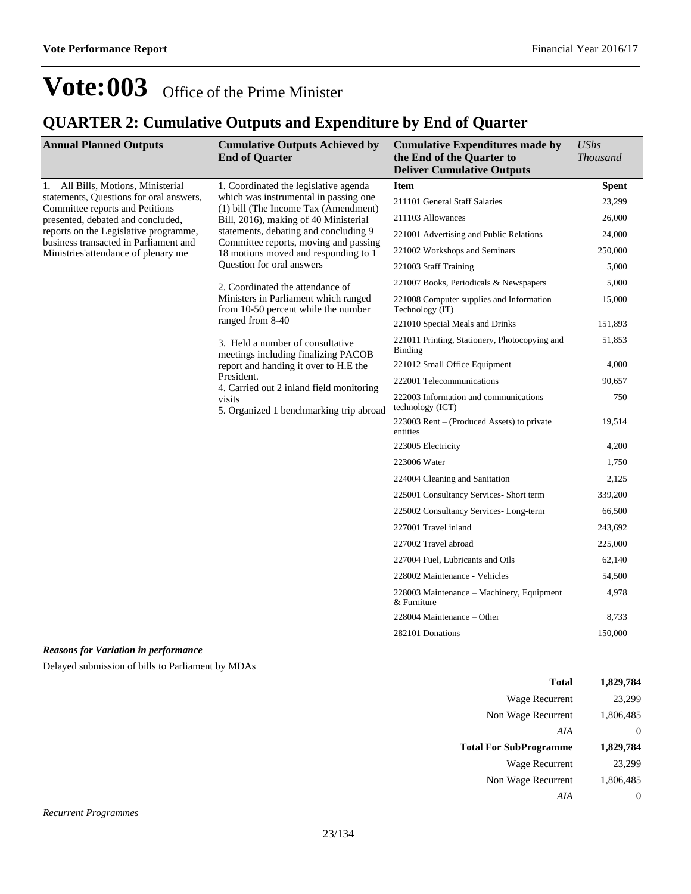#### **QUARTER 2: Cumulative Outputs and Expenditure by End of Quarter**

| <b>Annual Planned Outputs</b>                                                                                                                                                                     | <b>Cumulative Outputs Achieved by</b><br><b>End of Quarter</b>                                                                                                                                                                                   | <b>Cumulative Expenditures made by</b><br>the End of the Quarter to<br><b>Deliver Cumulative Outputs</b> | <b>UShs</b><br><b>Thousand</b> |
|---------------------------------------------------------------------------------------------------------------------------------------------------------------------------------------------------|--------------------------------------------------------------------------------------------------------------------------------------------------------------------------------------------------------------------------------------------------|----------------------------------------------------------------------------------------------------------|--------------------------------|
| 1. All Bills, Motions, Ministerial                                                                                                                                                                | 1. Coordinated the legislative agenda                                                                                                                                                                                                            | <b>Item</b>                                                                                              | <b>Spent</b>                   |
| statements, Questions for oral answers,<br>Committee reports and Petitions<br>presented, debated and concluded,<br>reports on the Legislative programme,<br>business transacted in Parliament and | which was instrumental in passing one<br>(1) bill (The Income Tax (Amendment)<br>Bill, 2016), making of 40 Ministerial<br>statements, debating and concluding 9<br>Committee reports, moving and passing<br>18 motions moved and responding to 1 | 211101 General Staff Salaries                                                                            | 23,299                         |
|                                                                                                                                                                                                   |                                                                                                                                                                                                                                                  | 211103 Allowances                                                                                        | 26,000                         |
|                                                                                                                                                                                                   |                                                                                                                                                                                                                                                  | 221001 Advertising and Public Relations                                                                  | 24,000                         |
| Ministries'attendance of plenary me                                                                                                                                                               |                                                                                                                                                                                                                                                  | 221002 Workshops and Seminars                                                                            | 250,000                        |
|                                                                                                                                                                                                   | Question for oral answers                                                                                                                                                                                                                        | 221003 Staff Training                                                                                    | 5,000                          |
|                                                                                                                                                                                                   | 2. Coordinated the attendance of                                                                                                                                                                                                                 | 221007 Books, Periodicals & Newspapers                                                                   | 5,000                          |
|                                                                                                                                                                                                   | Ministers in Parliament which ranged<br>from 10-50 percent while the number                                                                                                                                                                      | 221008 Computer supplies and Information<br>Technology (IT)                                              | 15,000                         |
|                                                                                                                                                                                                   | ranged from 8-40                                                                                                                                                                                                                                 | 221010 Special Meals and Drinks                                                                          | 151,893                        |
|                                                                                                                                                                                                   | 3. Held a number of consultative<br>meetings including finalizing PACOB                                                                                                                                                                          | 221011 Printing, Stationery, Photocopying and<br><b>Binding</b>                                          | 51,853                         |
|                                                                                                                                                                                                   | report and handing it over to H.E the                                                                                                                                                                                                            | 221012 Small Office Equipment                                                                            | 4,000                          |
|                                                                                                                                                                                                   | President.                                                                                                                                                                                                                                       | 222001 Telecommunications                                                                                | 90,657                         |
|                                                                                                                                                                                                   | 4. Carried out 2 inland field monitoring<br>visits<br>5. Organized 1 benchmarking trip abroad                                                                                                                                                    | 222003 Information and communications<br>technology (ICT)                                                | 750                            |
|                                                                                                                                                                                                   |                                                                                                                                                                                                                                                  | 223003 Rent – (Produced Assets) to private<br>entities                                                   | 19,514                         |
|                                                                                                                                                                                                   |                                                                                                                                                                                                                                                  | 223005 Electricity                                                                                       | 4,200                          |
|                                                                                                                                                                                                   |                                                                                                                                                                                                                                                  | 223006 Water                                                                                             | 1,750                          |
|                                                                                                                                                                                                   |                                                                                                                                                                                                                                                  | 224004 Cleaning and Sanitation                                                                           | 2,125                          |
|                                                                                                                                                                                                   |                                                                                                                                                                                                                                                  | 225001 Consultancy Services- Short term                                                                  | 339,200                        |
|                                                                                                                                                                                                   |                                                                                                                                                                                                                                                  | 225002 Consultancy Services-Long-term                                                                    | 66,500                         |
|                                                                                                                                                                                                   |                                                                                                                                                                                                                                                  | 227001 Travel inland                                                                                     | 243,692                        |
|                                                                                                                                                                                                   |                                                                                                                                                                                                                                                  | 227002 Travel abroad                                                                                     | 225,000                        |
|                                                                                                                                                                                                   |                                                                                                                                                                                                                                                  | 227004 Fuel, Lubricants and Oils                                                                         | 62,140                         |
|                                                                                                                                                                                                   |                                                                                                                                                                                                                                                  | 228002 Maintenance - Vehicles                                                                            | 54,500                         |
|                                                                                                                                                                                                   |                                                                                                                                                                                                                                                  | 228003 Maintenance – Machinery, Equipment<br>& Furniture                                                 | 4,978                          |
|                                                                                                                                                                                                   |                                                                                                                                                                                                                                                  | 228004 Maintenance - Other                                                                               | 8,733                          |
|                                                                                                                                                                                                   |                                                                                                                                                                                                                                                  | 282101 Donations                                                                                         | 150,000                        |
| <b>Reasons for Variation in performance</b>                                                                                                                                                       |                                                                                                                                                                                                                                                  |                                                                                                          |                                |

Delayed submission of bills to Parliament by MDAs

| <b>Total</b>                  | 1,829,784 |
|-------------------------------|-----------|
| Wage Recurrent                | 23,299    |
| Non Wage Recurrent            | 1,806,485 |
| AIA                           | 0         |
|                               |           |
| <b>Total For SubProgramme</b> | 1,829,784 |
| Wage Recurrent                | 23.299    |
| Non Wage Recurrent            | 1,806,485 |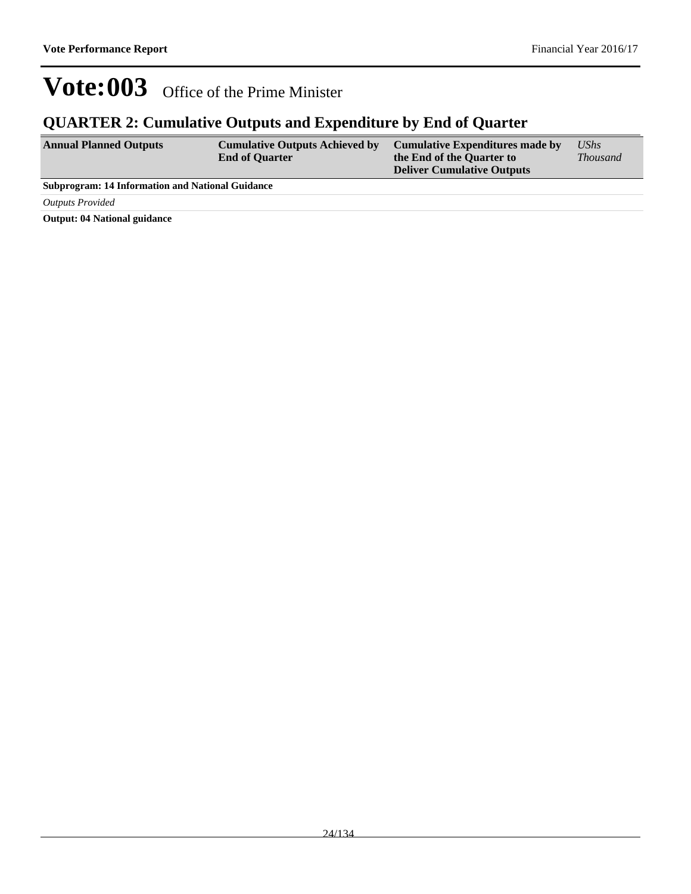### **QUARTER 2: Cumulative Outputs and Expenditure by End of Quarter**

| <b>Annual Planned Outputs</b>                           | <b>Cumulative Outputs Achieved by</b><br><b>End of Quarter</b> | <b>Cumulative Expenditures made by</b><br>the End of the Quarter to<br><b>Deliver Cumulative Outputs</b> | UShs<br><i>Thousand</i> |
|---------------------------------------------------------|----------------------------------------------------------------|----------------------------------------------------------------------------------------------------------|-------------------------|
| <b>Subprogram: 14 Information and National Guidance</b> |                                                                |                                                                                                          |                         |
| <b>Outputs Provided</b>                                 |                                                                |                                                                                                          |                         |

**Output: 04 National guidance**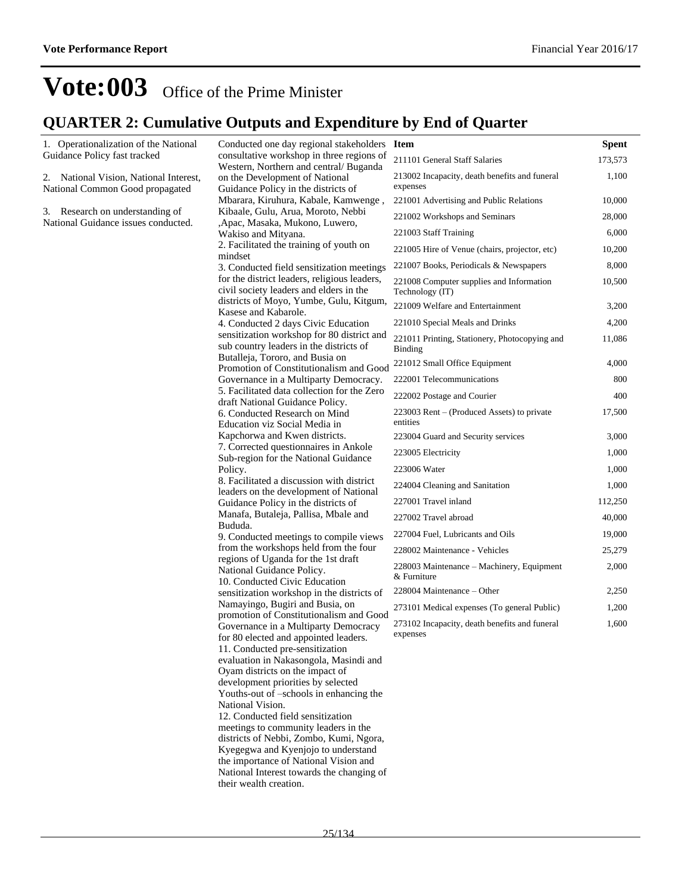### **QUARTER 2: Cumulative Outputs and Expenditure by End of Quarter**

| 1. Operationalization of the National                                     | Conducted one day regional stakeholders Item                                              |                                                           | <b>Spent</b> |
|---------------------------------------------------------------------------|-------------------------------------------------------------------------------------------|-----------------------------------------------------------|--------------|
| Guidance Policy fast tracked                                              | consultative workshop in three regions of<br>Western, Northern and central/Buganda        | 211101 General Staff Salaries                             | 173,573      |
| 2. National Vision, National Interest,<br>National Common Good propagated | on the Development of National<br>Guidance Policy in the districts of                     | 213002 Incapacity, death benefits and funeral<br>expenses | 1,100        |
|                                                                           | Mbarara, Kiruhura, Kabale, Kamwenge,                                                      | 221001 Advertising and Public Relations                   | 10,000       |
| 3. Research on understanding of                                           | Kibaale, Gulu, Arua, Moroto, Nebbi                                                        | 221002 Workshops and Seminars                             | 28,000       |
| National Guidance issues conducted.                                       | , Apac, Masaka, Mukono, Luwero,<br>Wakiso and Mityana.                                    | 221003 Staff Training                                     | 6,000        |
|                                                                           | 2. Facilitated the training of youth on                                                   | 221005 Hire of Venue (chairs, projector, etc)             | 10,200       |
|                                                                           | mindset                                                                                   | 221007 Books, Periodicals & Newspapers                    | 8,000        |
|                                                                           | 3. Conducted field sensitization meetings<br>for the district leaders, religious leaders, | 221008 Computer supplies and Information                  | 10,500       |
|                                                                           | civil society leaders and elders in the                                                   | Technology (IT)                                           |              |
|                                                                           | districts of Moyo, Yumbe, Gulu, Kitgum,<br>Kasese and Kabarole.                           | 221009 Welfare and Entertainment                          | 3,200        |
|                                                                           | 4. Conducted 2 days Civic Education                                                       | 221010 Special Meals and Drinks                           | 4,200        |
|                                                                           | sensitization workshop for 80 district and                                                | 221011 Printing, Stationery, Photocopying and             | 11,086       |
|                                                                           | sub country leaders in the districts of<br>Butalleja, Tororo, and Busia on                | Binding                                                   |              |
|                                                                           | Promotion of Constitutionalism and Good                                                   | 221012 Small Office Equipment                             | 4,000        |
|                                                                           | Governance in a Multiparty Democracy.                                                     | 222001 Telecommunications                                 | 800          |
|                                                                           | 5. Facilitated data collection for the Zero<br>draft National Guidance Policy.            | 222002 Postage and Courier                                | 400          |
|                                                                           | 6. Conducted Research on Mind                                                             | 223003 Rent – (Produced Assets) to private                | 17,500       |
|                                                                           | Education viz Social Media in                                                             | entities                                                  |              |
|                                                                           | Kapchorwa and Kwen districts.<br>7. Corrected questionnaires in Ankole                    | 223004 Guard and Security services                        | 3,000        |
|                                                                           | Sub-region for the National Guidance                                                      | 223005 Electricity                                        | 1,000        |
|                                                                           | Policy.                                                                                   | 223006 Water                                              | 1,000        |
|                                                                           | 8. Facilitated a discussion with district<br>leaders on the development of National       | 224004 Cleaning and Sanitation                            | 1,000        |
|                                                                           | Guidance Policy in the districts of                                                       | 227001 Travel inland                                      | 112,250      |
|                                                                           | Manafa, Butaleja, Pallisa, Mbale and                                                      | 227002 Travel abroad                                      | 40,000       |
|                                                                           | Bududa.<br>9. Conducted meetings to compile views                                         | 227004 Fuel, Lubricants and Oils                          | 19,000       |
|                                                                           | from the workshops held from the four                                                     | 228002 Maintenance - Vehicles                             | 25,279       |
|                                                                           | regions of Uganda for the 1st draft<br>National Guidance Policy.                          | 228003 Maintenance – Machinery, Equipment                 | 2,000        |
|                                                                           | 10. Conducted Civic Education                                                             | & Furniture                                               |              |
|                                                                           | sensitization workshop in the districts of                                                | 228004 Maintenance - Other                                | 2,250        |
|                                                                           | Namayingo, Bugiri and Busia, on<br>promotion of Constitutionalism and Good                | 273101 Medical expenses (To general Public)               | 1,200        |
|                                                                           | Governance in a Multiparty Democracy                                                      | 273102 Incapacity, death benefits and funeral             | 1,600        |
|                                                                           | for 80 elected and appointed leaders.                                                     | expenses                                                  |              |
|                                                                           | 11. Conducted pre-sensitization<br>evaluation in Nakasongola, Masindi and                 |                                                           |              |
|                                                                           | Oyam districts on the impact of                                                           |                                                           |              |
|                                                                           | development priorities by selected                                                        |                                                           |              |
|                                                                           | Youths-out of -schools in enhancing the<br>National Vision.                               |                                                           |              |
|                                                                           | 12. Conducted field sensitization                                                         |                                                           |              |
|                                                                           | meetings to community leaders in the                                                      |                                                           |              |
|                                                                           | districts of Nebbi, Zombo, Kumi, Ngora,                                                   |                                                           |              |
|                                                                           | Kyegegwa and Kyenjojo to understand                                                       |                                                           |              |
|                                                                           | the importance of National Vision and<br>National Interest towards the changing of        |                                                           |              |
|                                                                           | their wealth creation.                                                                    |                                                           |              |
|                                                                           |                                                                                           |                                                           |              |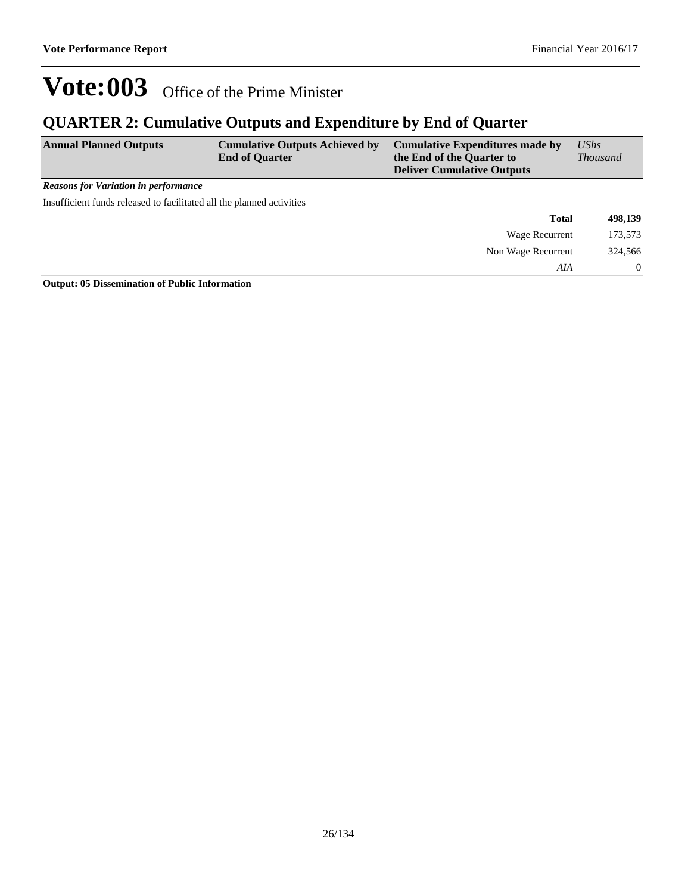*AIA* 0

## **Vote:003** Office of the Prime Minister

### **QUARTER 2: Cumulative Outputs and Expenditure by End of Quarter**

| <b>Annual Planned Outputs</b>                                         | <b>Cumulative Outputs Achieved by</b><br><b>End of Quarter</b> | <b>Cumulative Expenditures made by</b><br>the End of the Quarter to<br><b>Deliver Cumulative Outputs</b> | $\mathit{UShs}$<br><b>Thousand</b> |
|-----------------------------------------------------------------------|----------------------------------------------------------------|----------------------------------------------------------------------------------------------------------|------------------------------------|
| <b>Reasons for Variation in performance</b>                           |                                                                |                                                                                                          |                                    |
| Insufficient funds released to facilitated all the planned activities |                                                                |                                                                                                          |                                    |
|                                                                       |                                                                | <b>Total</b>                                                                                             | 498,139                            |
|                                                                       |                                                                | Wage Recurrent                                                                                           | 173,573                            |
|                                                                       |                                                                | Non Wage Recurrent                                                                                       | 324.566                            |

**Output: 05 Dissemination of Public Information**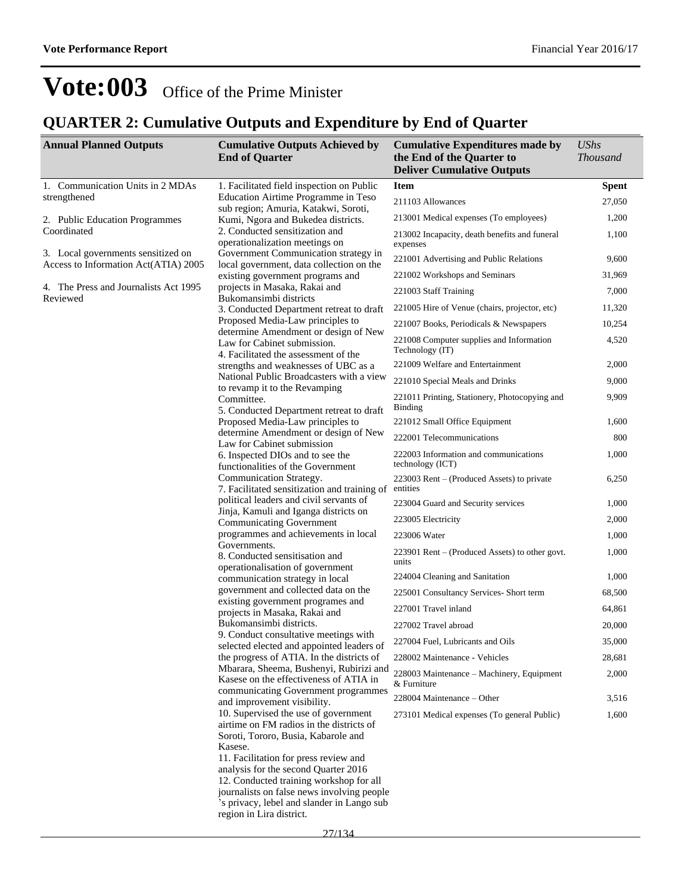### **QUARTER 2: Cumulative Outputs and Expenditure by End of Quarter**

| <b>Annual Planned Outputs</b>                                              | <b>Cumulative Outputs Achieved by</b><br><b>End of Quarter</b>                                                                                                                                                                                                                                                                                             | <b>Cumulative Expenditures made by</b><br>the End of the Quarter to<br><b>Deliver Cumulative Outputs</b> | <b>UShs</b><br><b>Thousand</b> |
|----------------------------------------------------------------------------|------------------------------------------------------------------------------------------------------------------------------------------------------------------------------------------------------------------------------------------------------------------------------------------------------------------------------------------------------------|----------------------------------------------------------------------------------------------------------|--------------------------------|
| 1. Communication Units in 2 MDAs                                           | 1. Facilitated field inspection on Public                                                                                                                                                                                                                                                                                                                  | <b>Item</b>                                                                                              | <b>Spent</b>                   |
| strengthened                                                               | Education Airtime Programme in Teso                                                                                                                                                                                                                                                                                                                        | 211103 Allowances                                                                                        | 27,050                         |
| 2. Public Education Programmes                                             | sub region; Amuria, Katakwi, Soroti,<br>Kumi, Ngora and Bukedea districts.                                                                                                                                                                                                                                                                                 | 213001 Medical expenses (To employees)                                                                   | 1,200                          |
| Coordinated                                                                | 2. Conducted sensitization and<br>operationalization meetings on                                                                                                                                                                                                                                                                                           | 213002 Incapacity, death benefits and funeral<br>expenses                                                | 1,100                          |
| 3. Local governments sensitized on<br>Access to Information Act(ATIA) 2005 | Government Communication strategy in                                                                                                                                                                                                                                                                                                                       | 221001 Advertising and Public Relations                                                                  | 9,600                          |
|                                                                            | local government, data collection on the<br>existing government programs and                                                                                                                                                                                                                                                                               | 221002 Workshops and Seminars                                                                            | 31,969                         |
| 4. The Press and Journalists Act 1995                                      | projects in Masaka, Rakai and                                                                                                                                                                                                                                                                                                                              | 221003 Staff Training                                                                                    | 7,000                          |
| Reviewed                                                                   | Bukomansimbi districts<br>3. Conducted Department retreat to draft                                                                                                                                                                                                                                                                                         | 221005 Hire of Venue (chairs, projector, etc)                                                            | 11,320                         |
|                                                                            | Proposed Media-Law principles to                                                                                                                                                                                                                                                                                                                           | 221007 Books, Periodicals & Newspapers                                                                   | 10,254                         |
|                                                                            | determine Amendment or design of New<br>Law for Cabinet submission.<br>4. Facilitated the assessment of the                                                                                                                                                                                                                                                | 221008 Computer supplies and Information<br>Technology (IT)                                              | 4,520                          |
|                                                                            | strengths and weaknesses of UBC as a                                                                                                                                                                                                                                                                                                                       | 221009 Welfare and Entertainment                                                                         | 2,000                          |
|                                                                            | National Public Broadcasters with a view                                                                                                                                                                                                                                                                                                                   | 221010 Special Meals and Drinks                                                                          | 9,000                          |
|                                                                            | to revamp it to the Revamping<br>Committee.<br>5. Conducted Department retreat to draft                                                                                                                                                                                                                                                                    | 221011 Printing, Stationery, Photocopying and<br>Binding                                                 | 9,909                          |
|                                                                            | Proposed Media-Law principles to                                                                                                                                                                                                                                                                                                                           | 221012 Small Office Equipment                                                                            | 1,600                          |
|                                                                            | determine Amendment or design of New                                                                                                                                                                                                                                                                                                                       | 222001 Telecommunications                                                                                | 800                            |
|                                                                            | Law for Cabinet submission<br>6. Inspected DIOs and to see the<br>functionalities of the Government                                                                                                                                                                                                                                                        | 222003 Information and communications<br>technology (ICT)                                                | 1,000                          |
|                                                                            | Communication Strategy.<br>7. Facilitated sensitization and training of                                                                                                                                                                                                                                                                                    | 223003 Rent – (Produced Assets) to private<br>entities                                                   | 6,250                          |
|                                                                            | political leaders and civil servants of                                                                                                                                                                                                                                                                                                                    | 223004 Guard and Security services                                                                       | 1,000                          |
|                                                                            | Jinja, Kamuli and Iganga districts on<br><b>Communicating Government</b>                                                                                                                                                                                                                                                                                   | 223005 Electricity                                                                                       | 2,000                          |
|                                                                            | programmes and achievements in local                                                                                                                                                                                                                                                                                                                       | 223006 Water                                                                                             | 1,000                          |
|                                                                            | Governments.<br>8. Conducted sensitisation and                                                                                                                                                                                                                                                                                                             | 223901 Rent – (Produced Assets) to other govt.<br>units                                                  | 1,000                          |
|                                                                            | operationalisation of government<br>communication strategy in local                                                                                                                                                                                                                                                                                        | 224004 Cleaning and Sanitation                                                                           | 1,000                          |
|                                                                            | government and collected data on the                                                                                                                                                                                                                                                                                                                       | 225001 Consultancy Services- Short term                                                                  | 68,500                         |
|                                                                            | existing government programes and<br>projects in Masaka, Rakai and                                                                                                                                                                                                                                                                                         | 227001 Travel inland                                                                                     | 64,861                         |
|                                                                            | Bukomansimbi districts.                                                                                                                                                                                                                                                                                                                                    | 227002 Travel abroad                                                                                     | 20,000                         |
|                                                                            | 9. Conduct consultative meetings with<br>selected elected and appointed leaders of                                                                                                                                                                                                                                                                         | 227004 Fuel, Lubricants and Oils                                                                         | 35,000                         |
|                                                                            | the progress of ATIA. In the districts of                                                                                                                                                                                                                                                                                                                  | 228002 Maintenance - Vehicles                                                                            | 28,681                         |
|                                                                            | Mbarara, Sheema, Bushenyi, Rubirizi and<br>Kasese on the effectiveness of ATIA in                                                                                                                                                                                                                                                                          | 228003 Maintenance - Machinery, Equipment<br>& Furniture                                                 | 2,000                          |
|                                                                            | communicating Government programmes<br>and improvement visibility.                                                                                                                                                                                                                                                                                         | 228004 Maintenance – Other                                                                               | 3,516                          |
|                                                                            | 10. Supervised the use of government<br>airtime on FM radios in the districts of<br>Soroti, Tororo, Busia, Kabarole and<br>Kasese.<br>11. Facilitation for press review and<br>analysis for the second Quarter 2016<br>12. Conducted training workshop for all<br>journalists on false news involving people<br>'s privacy, lebel and slander in Lango sub | 273101 Medical expenses (To general Public)                                                              | 1,600                          |
|                                                                            | region in Lira district.                                                                                                                                                                                                                                                                                                                                   |                                                                                                          |                                |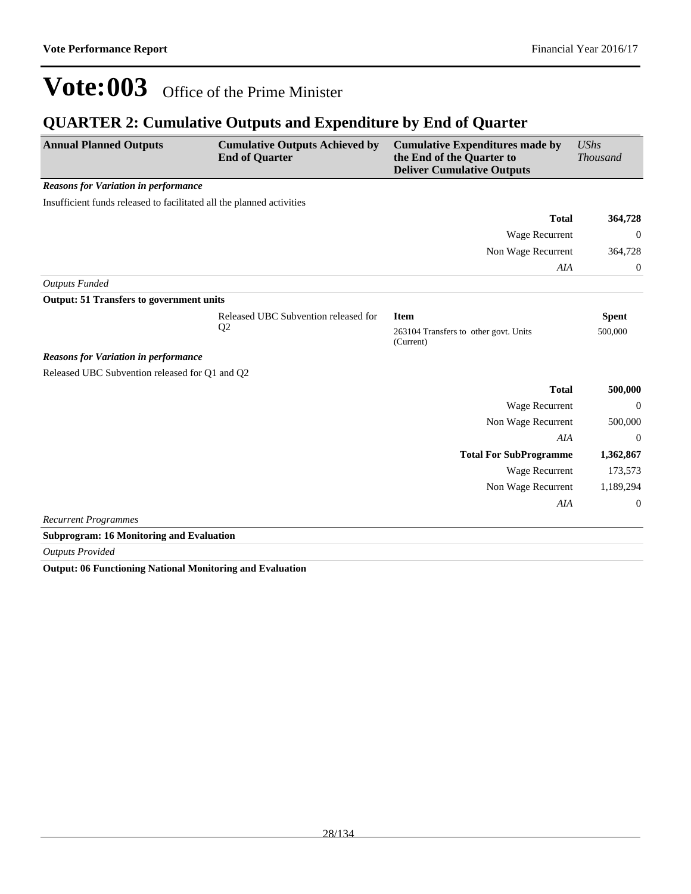### **QUARTER 2: Cumulative Outputs and Expenditure by End of Quarter**

| <b>Annual Planned Outputs</b>                                         | <b>Cumulative Outputs Achieved by</b><br><b>End of Quarter</b> | <b>Cumulative Expenditures made by</b><br>the End of the Quarter to<br><b>Deliver Cumulative Outputs</b> | <b>UShs</b><br><b>Thousand</b> |
|-----------------------------------------------------------------------|----------------------------------------------------------------|----------------------------------------------------------------------------------------------------------|--------------------------------|
| <b>Reasons for Variation in performance</b>                           |                                                                |                                                                                                          |                                |
| Insufficient funds released to facilitated all the planned activities |                                                                |                                                                                                          |                                |
|                                                                       |                                                                | <b>Total</b>                                                                                             | 364,728                        |
|                                                                       |                                                                | Wage Recurrent                                                                                           | $\overline{0}$                 |
|                                                                       |                                                                | Non Wage Recurrent                                                                                       | 364,728                        |
|                                                                       |                                                                | <b>AIA</b>                                                                                               | $\theta$                       |
| <b>Outputs Funded</b>                                                 |                                                                |                                                                                                          |                                |
| <b>Output: 51 Transfers to government units</b>                       |                                                                |                                                                                                          |                                |
|                                                                       | Released UBC Subvention released for                           | <b>Item</b>                                                                                              | <b>Spent</b>                   |
|                                                                       | Q <sub>2</sub>                                                 | 263104 Transfers to other govt. Units<br>(Current)                                                       | 500,000                        |
| <b>Reasons for Variation in performance</b>                           |                                                                |                                                                                                          |                                |
| Released UBC Subvention released for Q1 and Q2                        |                                                                |                                                                                                          |                                |
|                                                                       |                                                                | <b>Total</b>                                                                                             | 500,000                        |
|                                                                       |                                                                | Wage Recurrent                                                                                           | $\Omega$                       |
|                                                                       |                                                                | Non Wage Recurrent                                                                                       | 500,000                        |
|                                                                       |                                                                | AIA                                                                                                      | $\theta$                       |
|                                                                       |                                                                | <b>Total For SubProgramme</b>                                                                            | 1,362,867                      |
|                                                                       |                                                                | <b>Wage Recurrent</b>                                                                                    | 173,573                        |
|                                                                       |                                                                | Non Wage Recurrent                                                                                       | 1,189,294                      |
|                                                                       |                                                                | <b>AIA</b>                                                                                               | $\overline{0}$                 |
| <b>Recurrent Programmes</b>                                           |                                                                |                                                                                                          |                                |
| <b>Subprogram: 16 Monitoring and Evaluation</b>                       |                                                                |                                                                                                          |                                |

*Outputs Provided*

**Output: 06 Functioning National Monitoring and Evaluation**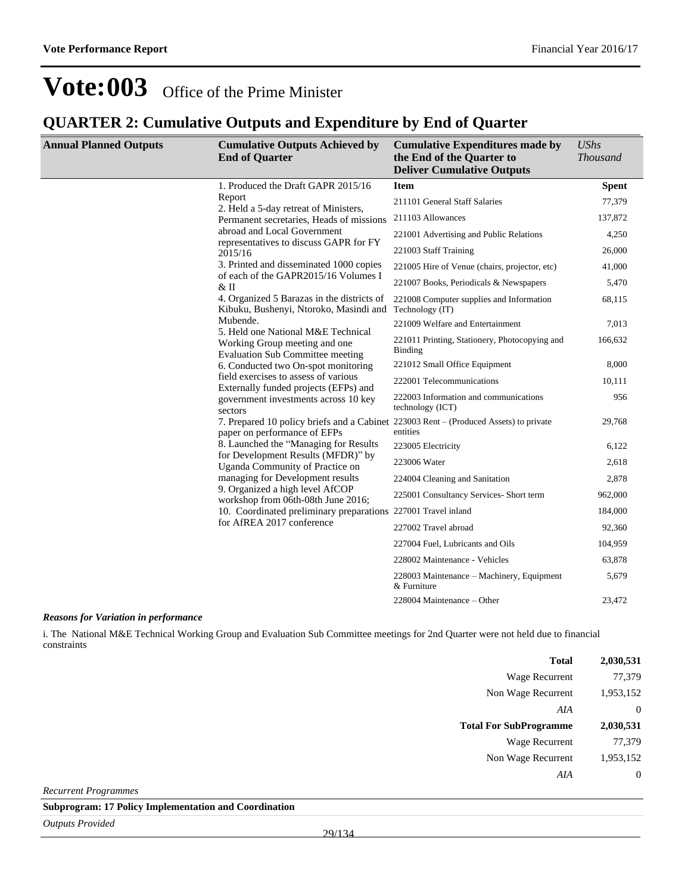### **QUARTER 2: Cumulative Outputs and Expenditure by End of Quarter**

| <b>Annual Planned Outputs</b> | <b>Cumulative Outputs Achieved by</b><br><b>End of Quarter</b>                                                                                                                                                                                                                                                                                                                                                                                                                                                                                                         | <b>Cumulative Expenditures made by</b><br>the End of the Quarter to<br><b>Deliver Cumulative Outputs</b> | <b>UShs</b><br><b>Thousand</b> |
|-------------------------------|------------------------------------------------------------------------------------------------------------------------------------------------------------------------------------------------------------------------------------------------------------------------------------------------------------------------------------------------------------------------------------------------------------------------------------------------------------------------------------------------------------------------------------------------------------------------|----------------------------------------------------------------------------------------------------------|--------------------------------|
|                               | 1. Produced the Draft GAPR 2015/16                                                                                                                                                                                                                                                                                                                                                                                                                                                                                                                                     | <b>Item</b>                                                                                              | <b>Spent</b>                   |
|                               | Report<br>2. Held a 5-day retreat of Ministers,<br>Permanent secretaries, Heads of missions                                                                                                                                                                                                                                                                                                                                                                                                                                                                            | 211101 General Staff Salaries                                                                            | 77,379                         |
|                               |                                                                                                                                                                                                                                                                                                                                                                                                                                                                                                                                                                        | 211103 Allowances                                                                                        | 137,872                        |
|                               | abroad and Local Government                                                                                                                                                                                                                                                                                                                                                                                                                                                                                                                                            | 221001 Advertising and Public Relations                                                                  | 4,250                          |
|                               | representatives to discuss GAPR for FY<br>2015/16                                                                                                                                                                                                                                                                                                                                                                                                                                                                                                                      | 221003 Staff Training                                                                                    | 26,000                         |
|                               | 3. Printed and disseminated 1000 copies                                                                                                                                                                                                                                                                                                                                                                                                                                                                                                                                | 221005 Hire of Venue (chairs, projector, etc)                                                            | 41,000                         |
|                               | of each of the GAPR2015/16 Volumes I<br>& II<br>4. Organized 5 Barazas in the districts of<br>Kibuku, Bushenyi, Ntoroko, Masindi and<br>Mubende.<br>5. Held one National M&E Technical<br>Working Group meeting and one<br><b>Evaluation Sub Committee meeting</b><br>6. Conducted two On-spot monitoring<br>field exercises to assess of various<br>Externally funded projects (EFPs) and<br>government investments across 10 key<br>sectors<br>7. Prepared 10 policy briefs and a Cabinet 223003 Rent - (Produced Assets) to private<br>paper on performance of EFPs | 221007 Books, Periodicals & Newspapers                                                                   | 5,470                          |
|                               |                                                                                                                                                                                                                                                                                                                                                                                                                                                                                                                                                                        | 221008 Computer supplies and Information<br>Technology (IT)                                              | 68,115                         |
|                               |                                                                                                                                                                                                                                                                                                                                                                                                                                                                                                                                                                        | 221009 Welfare and Entertainment                                                                         | 7,013                          |
|                               |                                                                                                                                                                                                                                                                                                                                                                                                                                                                                                                                                                        | 221011 Printing, Stationery, Photocopying and<br><b>Binding</b>                                          | 166,632                        |
|                               |                                                                                                                                                                                                                                                                                                                                                                                                                                                                                                                                                                        | 221012 Small Office Equipment                                                                            | 8,000                          |
|                               |                                                                                                                                                                                                                                                                                                                                                                                                                                                                                                                                                                        | 222001 Telecommunications                                                                                | 10.111                         |
|                               |                                                                                                                                                                                                                                                                                                                                                                                                                                                                                                                                                                        | 222003 Information and communications<br>technology (ICT)                                                | 956                            |
|                               |                                                                                                                                                                                                                                                                                                                                                                                                                                                                                                                                                                        | entities                                                                                                 | 29,768                         |
|                               | 8. Launched the "Managing for Results                                                                                                                                                                                                                                                                                                                                                                                                                                                                                                                                  | 223005 Electricity                                                                                       | 6,122                          |
|                               | for Development Results (MFDR)" by<br>Uganda Community of Practice on                                                                                                                                                                                                                                                                                                                                                                                                                                                                                                  | 223006 Water                                                                                             | 2,618                          |
|                               | managing for Development results                                                                                                                                                                                                                                                                                                                                                                                                                                                                                                                                       | 224004 Cleaning and Sanitation                                                                           | 2,878                          |
|                               | 9. Organized a high level AfCOP<br>workshop from 06th-08th June 2016;                                                                                                                                                                                                                                                                                                                                                                                                                                                                                                  | 225001 Consultancy Services- Short term                                                                  | 962,000                        |
|                               | 10. Coordinated preliminary preparations 227001 Travel inland                                                                                                                                                                                                                                                                                                                                                                                                                                                                                                          |                                                                                                          | 184,000                        |
|                               | for AfREA 2017 conference                                                                                                                                                                                                                                                                                                                                                                                                                                                                                                                                              | 227002 Travel abroad                                                                                     | 92,360                         |
|                               |                                                                                                                                                                                                                                                                                                                                                                                                                                                                                                                                                                        | 227004 Fuel, Lubricants and Oils                                                                         | 104,959                        |
|                               | 228002 Maintenance - Vehicles                                                                                                                                                                                                                                                                                                                                                                                                                                                                                                                                          | 63,878                                                                                                   |                                |
|                               |                                                                                                                                                                                                                                                                                                                                                                                                                                                                                                                                                                        | 228003 Maintenance - Machinery, Equipment<br>& Furniture                                                 | 5,679                          |
|                               |                                                                                                                                                                                                                                                                                                                                                                                                                                                                                                                                                                        | 228004 Maintenance – Other                                                                               | 23,472                         |

#### *Reasons for Variation in performance*

i. The National M&E Technical Working Group and Evaluation Sub Committee meetings for 2nd Quarter were not held due to financial constraints

| 2,030,531    | <b>Total</b>                  |  |
|--------------|-------------------------------|--|
| 77,379       | Wage Recurrent                |  |
| 1,953,152    | Non Wage Recurrent            |  |
| $\mathbf{0}$ | AIA                           |  |
| 2,030,531    | <b>Total For SubProgramme</b> |  |
| 77,379       | Wage Recurrent                |  |
| 1,953,152    | Non Wage Recurrent            |  |
| $\mathbf{0}$ | AIA                           |  |
|              |                               |  |

*Recurrent Programmes*

**Subprogram: 17 Policy Implementation and Coordination**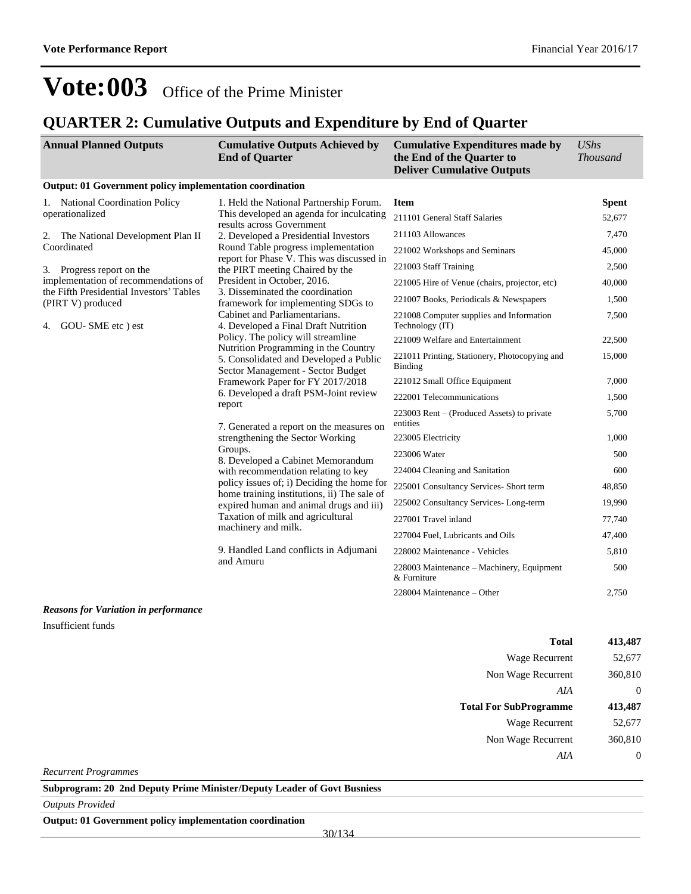#### **QUARTER 2: Cumulative Outputs and Expenditure by End of Quarter**

| <b>Deliver Cumulative Outputs</b>                                                                                                                                                      |              |
|----------------------------------------------------------------------------------------------------------------------------------------------------------------------------------------|--------------|
| <b>Output: 01 Government policy implementation coordination</b>                                                                                                                        |              |
| <b>National Coordination Policy</b><br>1. Held the National Partnership Forum.<br><b>Item</b><br>1.                                                                                    | <b>Spent</b> |
| operationalized<br>This developed an agenda for inculcating<br>211101 General Staff Salaries<br>results across Government                                                              | 52,677       |
| 211103 Allowances<br>2. Developed a Presidential Investors<br>The National Development Plan II<br>2.                                                                                   | 7.470        |
| Round Table progress implementation<br>Coordinated<br>221002 Workshops and Seminars<br>report for Phase V. This was discussed in                                                       | 45,000       |
| 221003 Staff Training<br>the PIRT meeting Chaired by the<br>3. Progress report on the                                                                                                  | 2,500        |
| implementation of recommendations of<br>President in October, 2016.<br>221005 Hire of Venue (chairs, projector, etc)                                                                   | 40,000       |
| the Fifth Presidential Investors' Tables<br>3. Disseminated the coordination<br>221007 Books, Periodicals & Newspapers<br>(PIRT V) produced<br>framework for implementing SDGs to      | 1,500        |
| Cabinet and Parliamentarians.<br>221008 Computer supplies and Information<br>4. Developed a Final Draft Nutrition<br>GOU-SME etc) est<br>Technology (IT)<br>4.                         | 7,500        |
| Policy. The policy will streamline<br>221009 Welfare and Entertainment                                                                                                                 | 22,500       |
| Nutrition Programming in the Country<br>221011 Printing, Stationery, Photocopying and<br>5. Consolidated and Developed a Public<br><b>Binding</b><br>Sector Management - Sector Budget | 15,000       |
| 221012 Small Office Equipment<br>Framework Paper for FY 2017/2018                                                                                                                      | 7,000        |
| 6. Developed a draft PSM-Joint review<br>222001 Telecommunications<br>report                                                                                                           | 1,500        |
| $223003$ Rent – (Produced Assets) to private<br>entities<br>7. Generated a report on the measures on                                                                                   | 5,700        |
| strengthening the Sector Working<br>223005 Electricity                                                                                                                                 | 1,000        |
| Groups.<br>223006 Water<br>8. Developed a Cabinet Memorandum                                                                                                                           | 500          |
| 224004 Cleaning and Sanitation<br>with recommendation relating to key                                                                                                                  | 600          |
| policy issues of; i) Deciding the home for<br>225001 Consultancy Services- Short term<br>home training institutions, ii) The sale of                                                   | 48,850       |
| 225002 Consultancy Services-Long-term<br>expired human and animal drugs and iii)                                                                                                       | 19,990       |
| Taxation of milk and agricultural<br>227001 Travel inland                                                                                                                              | 77,740       |
| machinery and milk.<br>227004 Fuel, Lubricants and Oils                                                                                                                                | 47,400       |
| 9. Handled Land conflicts in Adjumani<br>228002 Maintenance - Vehicles                                                                                                                 | 5,810        |
| and Amuru<br>228003 Maintenance - Machinery, Equipment<br>& Furniture                                                                                                                  | 500          |
| $228004$ Maintenance – Other                                                                                                                                                           | 2,750        |

*Reasons for Variation in performance*

Insufficient funds

| Total                         | 413,487  |
|-------------------------------|----------|
| Wage Recurrent                | 52,677   |
| Non Wage Recurrent            | 360,810  |
| AIA                           | $\theta$ |
|                               |          |
| <b>Total For SubProgramme</b> | 413,487  |
| <b>Wage Recurrent</b>         | 52,677   |
| Non Wage Recurrent            | 360,810  |
| A I A                         |          |

*Recurrent Programmes*

**Subprogram: 20 2nd Deputy Prime Minister/Deputy Leader of Govt Busniess**

*Outputs Provided*

**Output: 01 Government policy implementation coordination**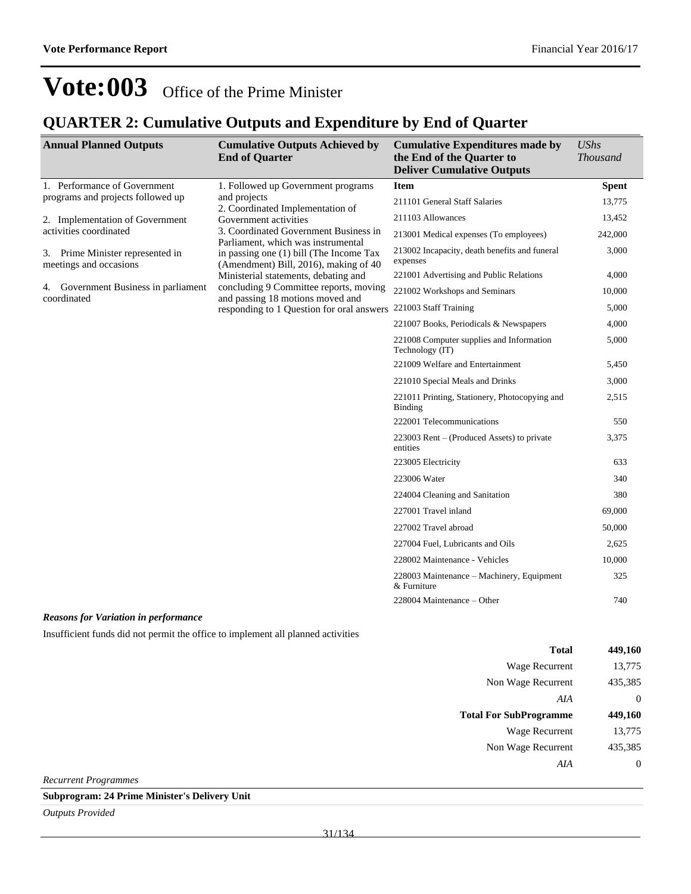### **QUARTER 2: Cumulative Outputs and Expenditure by End of Quarter**

| <b>Annual Planned Outputs</b>                              | <b>Cumulative Outputs Achieved by</b><br><b>End of Quarter</b>                   | <b>Cumulative Expenditures made by</b><br>the End of the Quarter to<br><b>Deliver Cumulative Outputs</b> | <b>UShs</b><br><b>Thousand</b> |
|------------------------------------------------------------|----------------------------------------------------------------------------------|----------------------------------------------------------------------------------------------------------|--------------------------------|
| 1. Performance of Government                               | 1. Followed up Government programs                                               | <b>Item</b>                                                                                              | <b>Spent</b>                   |
| programs and projects followed up                          | and projects<br>2. Coordinated Implementation of                                 | 211101 General Staff Salaries                                                                            | 13,775                         |
| 2. Implementation of Government                            | Government activities                                                            | 211103 Allowances                                                                                        | 13,452                         |
| activities coordinated                                     | 3. Coordinated Government Business in<br>Parliament, which was instrumental      | 213001 Medical expenses (To employees)                                                                   | 242,000                        |
| 3. Prime Minister represented in<br>meetings and occasions | in passing one (1) bill (The Income Tax<br>(Amendment) Bill, 2016), making of 40 | 213002 Incapacity, death benefits and funeral<br>expenses                                                | 3,000                          |
|                                                            | Ministerial statements, debating and                                             | 221001 Advertising and Public Relations                                                                  | 4,000                          |
| 4. Government Business in parliament<br>coordinated        | concluding 9 Committee reports, moving<br>and passing 18 motions moved and       | 221002 Workshops and Seminars                                                                            | 10,000                         |
|                                                            | responding to 1 Question for oral answers                                        | 221003 Staff Training                                                                                    | 5,000                          |
|                                                            |                                                                                  | 221007 Books, Periodicals & Newspapers                                                                   | 4,000                          |
|                                                            |                                                                                  | 221008 Computer supplies and Information<br>Technology (IT)                                              | 5,000                          |
|                                                            |                                                                                  | 221009 Welfare and Entertainment                                                                         | 5,450                          |
|                                                            |                                                                                  | 221010 Special Meals and Drinks                                                                          | 3,000                          |
|                                                            |                                                                                  | 221011 Printing, Stationery, Photocopying and<br>Binding                                                 | 2,515                          |
|                                                            |                                                                                  | 222001 Telecommunications                                                                                | 550                            |
|                                                            |                                                                                  | $223003$ Rent – (Produced Assets) to private<br>entities                                                 | 3,375                          |
|                                                            |                                                                                  | 223005 Electricity                                                                                       | 633                            |
|                                                            |                                                                                  | 223006 Water                                                                                             | 340                            |
|                                                            |                                                                                  | 224004 Cleaning and Sanitation                                                                           | 380                            |
|                                                            |                                                                                  | 227001 Travel inland                                                                                     | 69,000                         |
|                                                            |                                                                                  | 227002 Travel abroad                                                                                     | 50,000                         |
|                                                            |                                                                                  | 227004 Fuel, Lubricants and Oils                                                                         | 2,625                          |
|                                                            |                                                                                  | 228002 Maintenance - Vehicles                                                                            | 10,000                         |
|                                                            |                                                                                  | 228003 Maintenance – Machinery, Equipment<br>& Furniture                                                 | 325                            |
|                                                            |                                                                                  | 228004 Maintenance – Other                                                                               | 740                            |

#### *Reasons for Variation in performance*

Insufficient funds did not permit the office to implement all planned activities

| <b>Total</b>                  | 449,160        |
|-------------------------------|----------------|
| Wage Recurrent                | 13,775         |
| Non Wage Recurrent            | 435,385        |
| AIA                           | $\overline{0}$ |
| <b>Total For SubProgramme</b> | 449,160        |
| Wage Recurrent                | 13,775         |
| Non Wage Recurrent            | 435,385        |
| AIA                           | $\overline{0}$ |
| Rocurront Programmos          |                |

*Recurrent Programmes*

**Subprogram: 24 Prime Minister's Delivery Unit**

*Outputs Provided*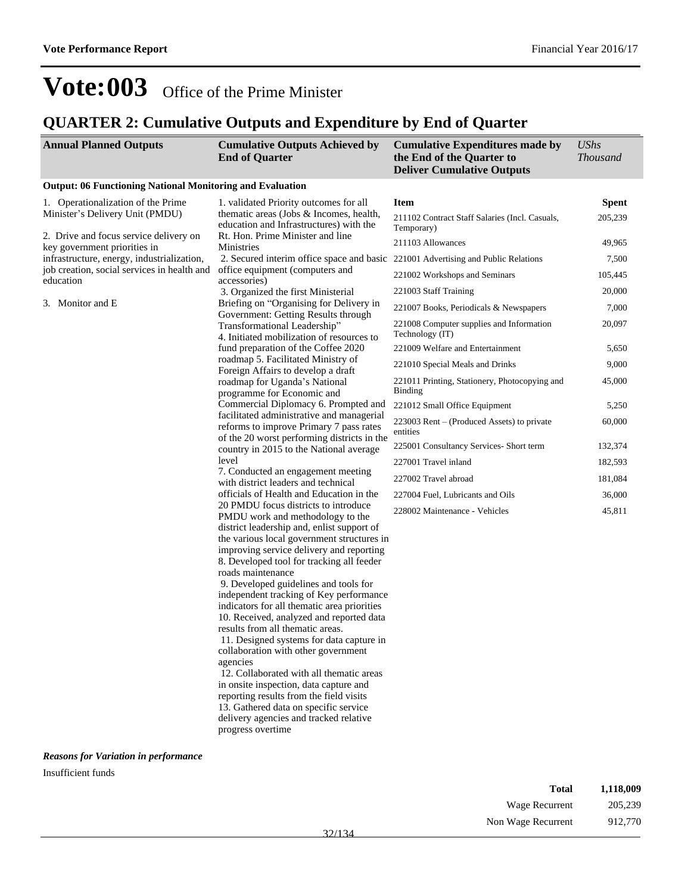#### **QUARTER 2: Cumulative Outputs and Expenditure by End of Quarter**

| <b>Annual Planned Outputs</b>                                             | <b>Cumulative Outputs Achieved by</b><br><b>End of Quarter</b>                                                                                                                                                                                                                                                                                                                                                                                                                                                                                                                                                                                                                                                                                                                                                                                    | <b>Cumulative Expenditures made by</b><br>the End of the Quarter to<br><b>Deliver Cumulative Outputs</b> | <b>UShs</b><br><b>Thousand</b> |
|---------------------------------------------------------------------------|---------------------------------------------------------------------------------------------------------------------------------------------------------------------------------------------------------------------------------------------------------------------------------------------------------------------------------------------------------------------------------------------------------------------------------------------------------------------------------------------------------------------------------------------------------------------------------------------------------------------------------------------------------------------------------------------------------------------------------------------------------------------------------------------------------------------------------------------------|----------------------------------------------------------------------------------------------------------|--------------------------------|
| <b>Output: 06 Functioning National Monitoring and Evaluation</b>          |                                                                                                                                                                                                                                                                                                                                                                                                                                                                                                                                                                                                                                                                                                                                                                                                                                                   |                                                                                                          |                                |
| 1. Operationalization of the Prime                                        | 1. validated Priority outcomes for all                                                                                                                                                                                                                                                                                                                                                                                                                                                                                                                                                                                                                                                                                                                                                                                                            | <b>Item</b>                                                                                              | <b>Spent</b>                   |
| Minister's Delivery Unit (PMDU)                                           | thematic areas (Jobs & Incomes, health,<br>education and Infrastructures) with the                                                                                                                                                                                                                                                                                                                                                                                                                                                                                                                                                                                                                                                                                                                                                                | 211102 Contract Staff Salaries (Incl. Casuals,<br>Temporary)                                             | 205,239                        |
| 2. Drive and focus service delivery on<br>key government priorities in    | Rt. Hon. Prime Minister and line<br>Ministries                                                                                                                                                                                                                                                                                                                                                                                                                                                                                                                                                                                                                                                                                                                                                                                                    | 211103 Allowances                                                                                        | 49,965                         |
| infrastructure, energy, industrialization,                                | 2. Secured interim office space and basic 221001 Advertising and Public Relations                                                                                                                                                                                                                                                                                                                                                                                                                                                                                                                                                                                                                                                                                                                                                                 |                                                                                                          | 7,500                          |
| job creation, social services in health and                               | office equipment (computers and                                                                                                                                                                                                                                                                                                                                                                                                                                                                                                                                                                                                                                                                                                                                                                                                                   | 221002 Workshops and Seminars                                                                            | 105,445                        |
| education                                                                 | accessories)<br>3. Organized the first Ministerial                                                                                                                                                                                                                                                                                                                                                                                                                                                                                                                                                                                                                                                                                                                                                                                                | 221003 Staff Training                                                                                    | 20,000                         |
| 3. Monitor and E                                                          | Briefing on "Organising for Delivery in                                                                                                                                                                                                                                                                                                                                                                                                                                                                                                                                                                                                                                                                                                                                                                                                           | 221007 Books, Periodicals & Newspapers                                                                   | 7,000                          |
|                                                                           | Government: Getting Results through<br>Transformational Leadership"<br>4. Initiated mobilization of resources to                                                                                                                                                                                                                                                                                                                                                                                                                                                                                                                                                                                                                                                                                                                                  | 221008 Computer supplies and Information<br>Technology (IT)                                              | 20,097                         |
|                                                                           | fund preparation of the Coffee 2020                                                                                                                                                                                                                                                                                                                                                                                                                                                                                                                                                                                                                                                                                                                                                                                                               | 221009 Welfare and Entertainment                                                                         | 5,650                          |
|                                                                           | roadmap 5. Facilitated Ministry of                                                                                                                                                                                                                                                                                                                                                                                                                                                                                                                                                                                                                                                                                                                                                                                                                | 221010 Special Meals and Drinks                                                                          | 9,000                          |
|                                                                           | Foreign Affairs to develop a draft<br>roadmap for Uganda's National<br>programme for Economic and                                                                                                                                                                                                                                                                                                                                                                                                                                                                                                                                                                                                                                                                                                                                                 | 221011 Printing, Stationery, Photocopying and<br><b>Binding</b>                                          | 45,000                         |
|                                                                           | Commercial Diplomacy 6. Prompted and                                                                                                                                                                                                                                                                                                                                                                                                                                                                                                                                                                                                                                                                                                                                                                                                              | 221012 Small Office Equipment                                                                            | 5,250                          |
|                                                                           | facilitated administrative and managerial<br>reforms to improve Primary 7 pass rates                                                                                                                                                                                                                                                                                                                                                                                                                                                                                                                                                                                                                                                                                                                                                              | 223003 Rent $-$ (Produced Assets) to private<br>entities                                                 | 60,000                         |
|                                                                           | of the 20 worst performing districts in the<br>country in 2015 to the National average                                                                                                                                                                                                                                                                                                                                                                                                                                                                                                                                                                                                                                                                                                                                                            | 225001 Consultancy Services- Short term                                                                  | 132,374                        |
|                                                                           | level                                                                                                                                                                                                                                                                                                                                                                                                                                                                                                                                                                                                                                                                                                                                                                                                                                             | 227001 Travel inland                                                                                     | 182,593                        |
| 7. Conducted an engagement meeting<br>with district leaders and technical | 227002 Travel abroad                                                                                                                                                                                                                                                                                                                                                                                                                                                                                                                                                                                                                                                                                                                                                                                                                              | 181,084                                                                                                  |                                |
|                                                                           |                                                                                                                                                                                                                                                                                                                                                                                                                                                                                                                                                                                                                                                                                                                                                                                                                                                   | 227004 Fuel, Lubricants and Oils                                                                         | 36,000                         |
|                                                                           | 20 PMDU focus districts to introduce                                                                                                                                                                                                                                                                                                                                                                                                                                                                                                                                                                                                                                                                                                                                                                                                              |                                                                                                          |                                |
|                                                                           | officials of Health and Education in the<br>PMDU work and methodology to the<br>district leadership and, enlist support of<br>the various local government structures in<br>improving service delivery and reporting<br>8. Developed tool for tracking all feeder<br>roads maintenance<br>9. Developed guidelines and tools for<br>independent tracking of Key performance<br>indicators for all thematic area priorities<br>10. Received, analyzed and reported data<br>results from all thematic areas.<br>11. Designed systems for data capture in<br>collaboration with other government<br>agencies<br>12. Collaborated with all thematic areas<br>in onsite inspection, data capture and<br>reporting results from the field visits<br>13. Gathered data on specific service<br>delivery agencies and tracked relative<br>progress overtime | 228002 Maintenance - Vehicles                                                                            | 45,811                         |

*Reasons for Variation in performance*

Insufficient funds

| Total              | 1,118,009 |
|--------------------|-----------|
| Wage Recurrent     | 205,239   |
| Non Wage Recurrent | 912,770   |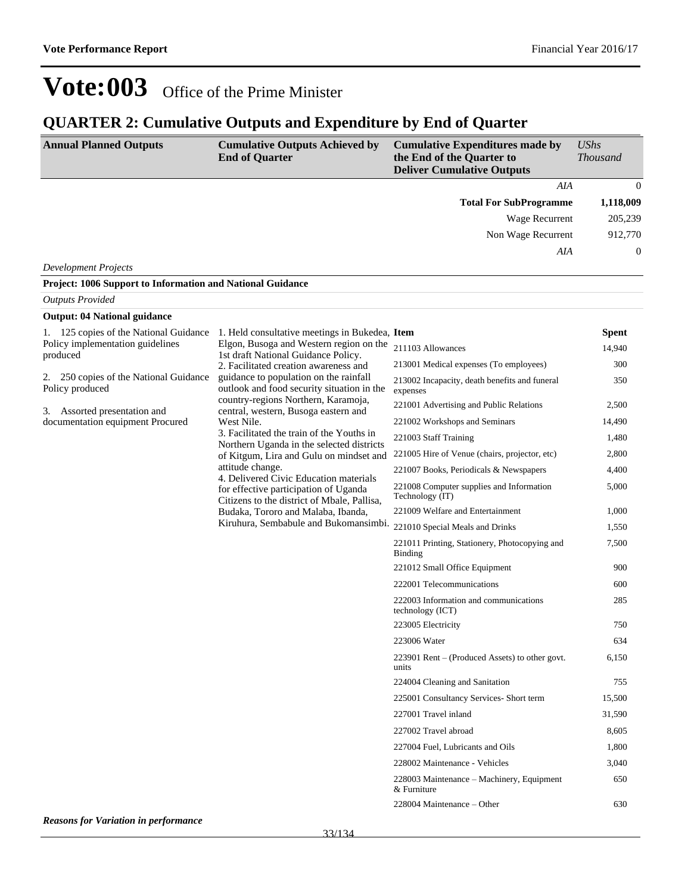#### **QUARTER 2: Cumulative Outputs and Expenditure by End of Quarter**

| <b>Annual Planned Outputs</b>                                                             | <b>Cumulative Outputs Achieved by</b><br><b>End of Quarter</b>                                                                                                                                                                    | <b>Cumulative Expenditures made by</b><br>the End of the Quarter to | <b>UShs</b><br><b>Thousand</b> |
|-------------------------------------------------------------------------------------------|-----------------------------------------------------------------------------------------------------------------------------------------------------------------------------------------------------------------------------------|---------------------------------------------------------------------|--------------------------------|
|                                                                                           |                                                                                                                                                                                                                                   | <b>Deliver Cumulative Outputs</b>                                   |                                |
|                                                                                           |                                                                                                                                                                                                                                   | AIA                                                                 | 0                              |
|                                                                                           |                                                                                                                                                                                                                                   | <b>Total For SubProgramme</b>                                       | 1,118,009                      |
|                                                                                           |                                                                                                                                                                                                                                   | Wage Recurrent                                                      | 205,239                        |
|                                                                                           |                                                                                                                                                                                                                                   | Non Wage Recurrent                                                  | 912,770                        |
|                                                                                           |                                                                                                                                                                                                                                   | AIA                                                                 | $\boldsymbol{0}$               |
| <b>Development Projects</b><br>Project: 1006 Support to Information and National Guidance |                                                                                                                                                                                                                                   |                                                                     |                                |
| <b>Outputs Provided</b>                                                                   |                                                                                                                                                                                                                                   |                                                                     |                                |
| <b>Output: 04 National guidance</b>                                                       |                                                                                                                                                                                                                                   |                                                                     |                                |
|                                                                                           | 1. 125 copies of the National Guidance 1. Held consultative meetings in Bukedea, Item                                                                                                                                             |                                                                     | <b>Spent</b>                   |
| Policy implementation guidelines                                                          | Elgon, Busoga and Western region on the<br>1st draft National Guidance Policy.                                                                                                                                                    | 211103 Allowances                                                   | 14,940                         |
| produced                                                                                  |                                                                                                                                                                                                                                   | 213001 Medical expenses (To employees)                              | 300                            |
| 250 copies of the National Guidance<br>2.                                                 | 2. Facilitated creation awareness and<br>guidance to population on the rainfall                                                                                                                                                   |                                                                     |                                |
| Policy produced                                                                           | outlook and food security situation in the                                                                                                                                                                                        | 213002 Incapacity, death benefits and funeral<br>expenses           | 350                            |
| 3. Assorted presentation and                                                              | country-regions Northern, Karamoja,<br>central, western, Busoga eastern and                                                                                                                                                       | 221001 Advertising and Public Relations                             | 2,500                          |
| documentation equipment Procured                                                          | West Nile.                                                                                                                                                                                                                        | 221002 Workshops and Seminars                                       | 14,490                         |
|                                                                                           | 3. Facilitated the train of the Youths in                                                                                                                                                                                         | 221003 Staff Training                                               | 1,480                          |
|                                                                                           | Northern Uganda in the selected districts<br>of Kitgum, Lira and Gulu on mindset and                                                                                                                                              | 221005 Hire of Venue (chairs, projector, etc)                       | 2,800                          |
|                                                                                           | attitude change.<br>4. Delivered Civic Education materials<br>for effective participation of Uganda<br>Citizens to the district of Mbale, Pallisa,<br>Budaka, Tororo and Malaba, Ibanda,<br>Kiruhura, Sembabule and Bukomansimbi. | 221007 Books, Periodicals & Newspapers                              | 4,400                          |
|                                                                                           |                                                                                                                                                                                                                                   | 221008 Computer supplies and Information<br>Technology (IT)         | 5,000                          |
|                                                                                           |                                                                                                                                                                                                                                   | 221009 Welfare and Entertainment                                    | 1,000                          |
|                                                                                           |                                                                                                                                                                                                                                   | 221010 Special Meals and Drinks                                     | 1,550                          |
|                                                                                           |                                                                                                                                                                                                                                   | 221011 Printing, Stationery, Photocopying and<br><b>Binding</b>     | 7,500                          |
|                                                                                           |                                                                                                                                                                                                                                   | 221012 Small Office Equipment                                       | 900                            |
|                                                                                           |                                                                                                                                                                                                                                   | 222001 Telecommunications                                           | 600                            |
|                                                                                           |                                                                                                                                                                                                                                   | 222003 Information and communications<br>technology (ICT)           | 285                            |
|                                                                                           |                                                                                                                                                                                                                                   | 223005 Electricity                                                  | 750                            |
|                                                                                           |                                                                                                                                                                                                                                   | 223006 Water                                                        | 634                            |
|                                                                                           |                                                                                                                                                                                                                                   | 223901 Rent – (Produced Assets) to other govt.<br>units             | 6,150                          |
|                                                                                           |                                                                                                                                                                                                                                   | 224004 Cleaning and Sanitation                                      | 755                            |
|                                                                                           |                                                                                                                                                                                                                                   | 225001 Consultancy Services- Short term                             | 15,500                         |
|                                                                                           |                                                                                                                                                                                                                                   | 227001 Travel inland                                                | 31,590                         |
|                                                                                           |                                                                                                                                                                                                                                   | 227002 Travel abroad                                                | 8,605                          |
|                                                                                           |                                                                                                                                                                                                                                   | 227004 Fuel, Lubricants and Oils                                    | 1,800                          |
|                                                                                           |                                                                                                                                                                                                                                   | 228002 Maintenance - Vehicles                                       | 3,040                          |
|                                                                                           |                                                                                                                                                                                                                                   | 228003 Maintenance – Machinery, Equipment<br>& Furniture            | 650                            |
|                                                                                           |                                                                                                                                                                                                                                   | 228004 Maintenance - Other                                          | 630                            |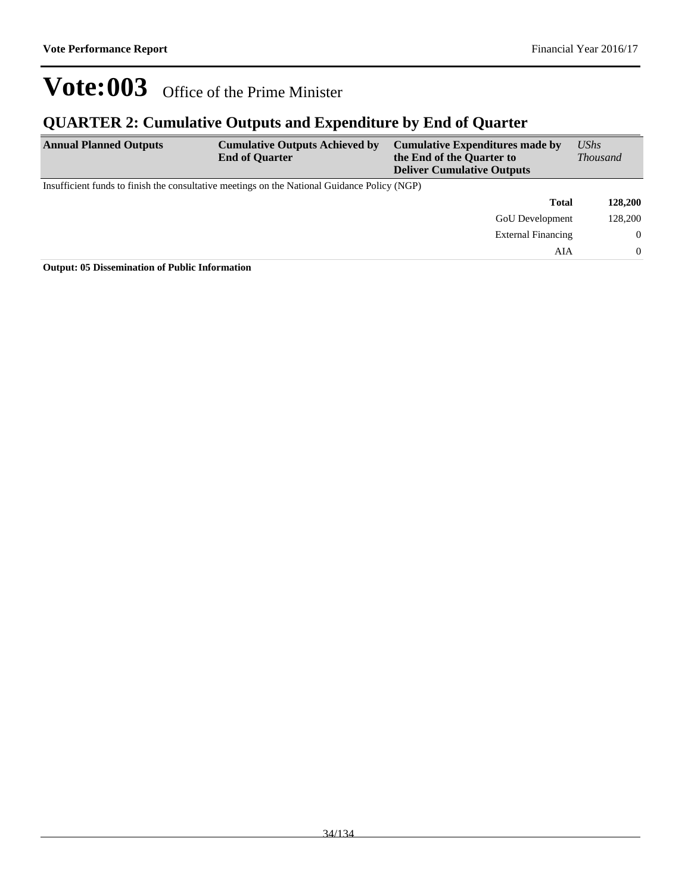### **QUARTER 2: Cumulative Outputs and Expenditure by End of Quarter**

| <b>Annual Planned Outputs</b> | <b>Cumulative Outputs Achieved by</b><br><b>End of Quarter</b>                               | <b>Cumulative Expenditures made by</b><br>the End of the Quarter to<br><b>Deliver Cumulative Outputs</b> | $\mathit{UShs}$<br><b>Thousand</b> |
|-------------------------------|----------------------------------------------------------------------------------------------|----------------------------------------------------------------------------------------------------------|------------------------------------|
|                               | Insufficient funds to finish the consultative meetings on the National Guidance Policy (NGP) |                                                                                                          |                                    |
|                               |                                                                                              | <b>Total</b>                                                                                             | 128,200                            |
|                               |                                                                                              | <b>GoU</b> Development                                                                                   | 128,200                            |
|                               |                                                                                              | <b>External Financing</b>                                                                                | $\theta$                           |
|                               |                                                                                              | AIA                                                                                                      | $\Omega$                           |

**Output: 05 Dissemination of Public Information**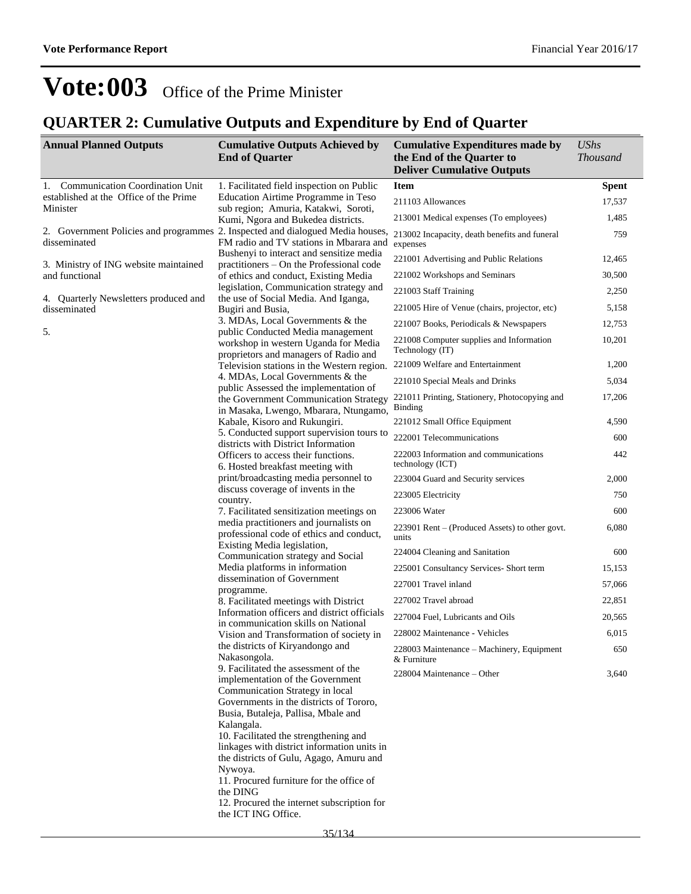#### **QUARTER 2: Cumulative Outputs and Expenditure by End of Quarter**

| <b>Annual Planned Outputs</b>                           | <b>Cumulative Outputs Achieved by</b><br><b>End of Quarter</b>                                                                                                                                  | <b>Cumulative Expenditures made by</b><br>the End of the Quarter to<br><b>Deliver Cumulative Outputs</b> | <b>UShs</b><br><b>Thousand</b> |
|---------------------------------------------------------|-------------------------------------------------------------------------------------------------------------------------------------------------------------------------------------------------|----------------------------------------------------------------------------------------------------------|--------------------------------|
| 1. Communication Coordination Unit                      | 1. Facilitated field inspection on Public                                                                                                                                                       | <b>Item</b>                                                                                              | <b>Spent</b>                   |
| established at the Office of the Prime                  | Education Airtime Programme in Teso                                                                                                                                                             | 211103 Allowances                                                                                        | 17,537                         |
| Minister                                                | sub region; Amuria, Katakwi, Soroti,<br>Kumi, Ngora and Bukedea districts.                                                                                                                      | 213001 Medical expenses (To employees)                                                                   | 1,485                          |
| disseminated                                            | 2. Government Policies and programmes 2. Inspected and dialogued Media houses,<br>FM radio and TV stations in Mbarara and                                                                       | 213002 Incapacity, death benefits and funeral<br>expenses                                                | 759                            |
|                                                         | Bushenyi to interact and sensitize media                                                                                                                                                        | 221001 Advertising and Public Relations                                                                  | 12,465                         |
| 3. Ministry of ING website maintained<br>and functional | practitioners – On the Professional code<br>of ethics and conduct, Existing Media                                                                                                               | 221002 Workshops and Seminars                                                                            | 30,500                         |
|                                                         | legislation, Communication strategy and                                                                                                                                                         | 221003 Staff Training                                                                                    | 2,250                          |
| 4. Quarterly Newsletters produced and<br>disseminated   | the use of Social Media. And Iganga,<br>Bugiri and Busia,                                                                                                                                       | 221005 Hire of Venue (chairs, projector, etc)                                                            | 5,158                          |
|                                                         | 3. MDAs, Local Governments & the                                                                                                                                                                | 221007 Books, Periodicals & Newspapers                                                                   | 12,753                         |
| 5.                                                      | public Conducted Media management<br>workshop in western Uganda for Media                                                                                                                       | 221008 Computer supplies and Information<br>Technology (IT)                                              | 10,201                         |
|                                                         | proprietors and managers of Radio and<br>Television stations in the Western region.                                                                                                             | 221009 Welfare and Entertainment                                                                         | 1,200                          |
|                                                         | 4. MDAs, Local Governments & the                                                                                                                                                                | 221010 Special Meals and Drinks                                                                          | 5,034                          |
|                                                         | public Assessed the implementation of<br>the Government Communication Strategy                                                                                                                  | 221011 Printing, Stationery, Photocopying and<br><b>Binding</b>                                          | 17,206                         |
|                                                         | in Masaka, Lwengo, Mbarara, Ntungamo,<br>Kabale, Kisoro and Rukungiri.                                                                                                                          | 221012 Small Office Equipment                                                                            | 4,590                          |
|                                                         | 5. Conducted support supervision tours to<br>districts with District Information                                                                                                                | 222001 Telecommunications                                                                                | 600                            |
|                                                         | Officers to access their functions.<br>6. Hosted breakfast meeting with                                                                                                                         | 222003 Information and communications<br>technology (ICT)                                                | 442                            |
|                                                         | print/broadcasting media personnel to                                                                                                                                                           | 223004 Guard and Security services                                                                       | 2,000                          |
|                                                         | discuss coverage of invents in the                                                                                                                                                              | 223005 Electricity                                                                                       | 750                            |
|                                                         | country.<br>7. Facilitated sensitization meetings on                                                                                                                                            | 223006 Water                                                                                             | 600                            |
|                                                         | media practitioners and journalists on<br>professional code of ethics and conduct,                                                                                                              | $223901$ Rent – (Produced Assets) to other govt.<br>units                                                | 6,080                          |
|                                                         | Existing Media legislation,                                                                                                                                                                     | 224004 Cleaning and Sanitation                                                                           | 600                            |
|                                                         | Communication strategy and Social<br>Media platforms in information                                                                                                                             | 225001 Consultancy Services- Short term                                                                  | 15,153                         |
|                                                         | dissemination of Government                                                                                                                                                                     |                                                                                                          |                                |
|                                                         | programme.                                                                                                                                                                                      | 227001 Travel inland                                                                                     | 57,066                         |
|                                                         | 8. Facilitated meetings with District                                                                                                                                                           | 227002 Travel abroad                                                                                     | 22,851                         |
|                                                         | Information officers and district officials<br>in communication skills on National<br>Vision and Transformation of society in<br>the districts of Kiryandongo and<br>Nakasongola.               | 227004 Fuel, Lubricants and Oils                                                                         | 20,565                         |
|                                                         |                                                                                                                                                                                                 | 228002 Maintenance - Vehicles                                                                            | 6,015                          |
|                                                         |                                                                                                                                                                                                 | 228003 Maintenance - Machinery, Equipment<br>& Furniture                                                 | 650                            |
|                                                         | 9. Facilitated the assessment of the<br>implementation of the Government<br>Communication Strategy in local<br>Governments in the districts of Tororo,                                          | 228004 Maintenance – Other                                                                               | 3,640                          |
|                                                         | Busia, Butaleja, Pallisa, Mbale and<br>Kalangala.<br>10. Facilitated the strengthening and<br>linkages with district information units in<br>the districts of Gulu, Agago, Amuru and<br>Nywoya. |                                                                                                          |                                |
|                                                         | 11. Procured furniture for the office of<br>the DING<br>12. Procured the internet subscription for<br>the ICT ING Office.                                                                       |                                                                                                          |                                |
|                                                         | 35/134                                                                                                                                                                                          |                                                                                                          |                                |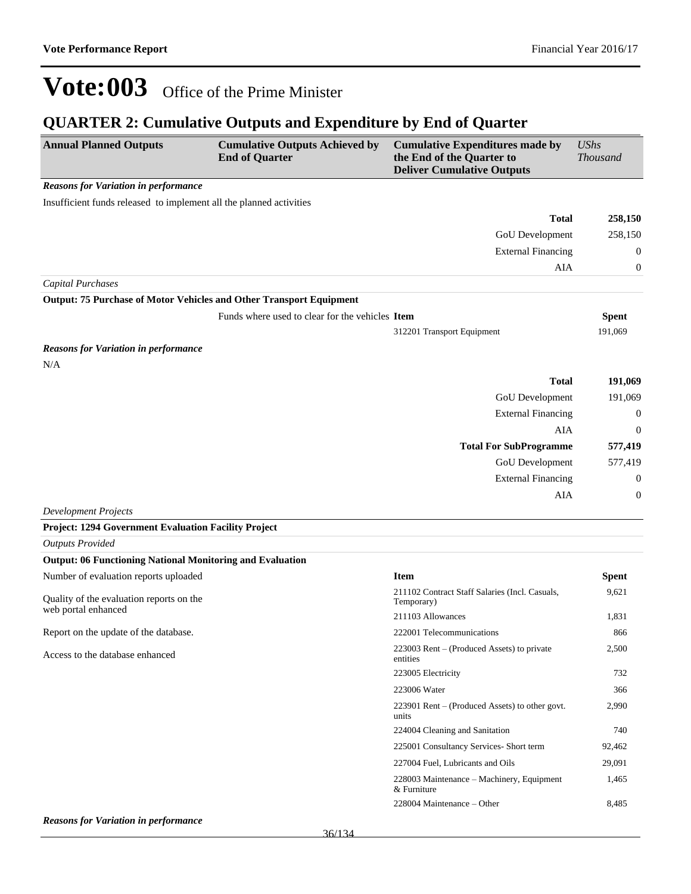### **QUARTER 2: Cumulative Outputs and Expenditure by End of Quarter**

| <b>Annual Planned Outputs</b>                                       | <b>Cumulative Outputs Achieved by</b><br><b>End of Quarter</b>      | <b>Cumulative Expenditures made by</b><br>the End of the Quarter to<br><b>Deliver Cumulative Outputs</b> | <b>UShs</b><br><b>Thousand</b> |
|---------------------------------------------------------------------|---------------------------------------------------------------------|----------------------------------------------------------------------------------------------------------|--------------------------------|
| <b>Reasons for Variation in performance</b>                         |                                                                     |                                                                                                          |                                |
| Insufficient funds released to implement all the planned activities |                                                                     |                                                                                                          |                                |
|                                                                     |                                                                     | <b>Total</b>                                                                                             | 258,150                        |
|                                                                     |                                                                     | GoU Development                                                                                          | 258,150                        |
|                                                                     |                                                                     | <b>External Financing</b>                                                                                | 0                              |
|                                                                     |                                                                     | AIA                                                                                                      | $\boldsymbol{0}$               |
| <b>Capital Purchases</b>                                            |                                                                     |                                                                                                          |                                |
|                                                                     | Output: 75 Purchase of Motor Vehicles and Other Transport Equipment |                                                                                                          |                                |
|                                                                     | Funds where used to clear for the vehicles Item                     |                                                                                                          | <b>Spent</b>                   |
|                                                                     |                                                                     | 312201 Transport Equipment                                                                               | 191,069                        |
| <b>Reasons for Variation in performance</b>                         |                                                                     |                                                                                                          |                                |
| N/A                                                                 |                                                                     |                                                                                                          |                                |
|                                                                     |                                                                     | <b>Total</b>                                                                                             | 191,069                        |
|                                                                     |                                                                     | GoU Development                                                                                          | 191,069                        |
|                                                                     |                                                                     | <b>External Financing</b>                                                                                | 0                              |
|                                                                     |                                                                     | AIA                                                                                                      | $\boldsymbol{0}$               |
|                                                                     |                                                                     | <b>Total For SubProgramme</b>                                                                            | 577,419                        |
|                                                                     |                                                                     | GoU Development                                                                                          | 577,419                        |
|                                                                     |                                                                     | <b>External Financing</b>                                                                                | $\boldsymbol{0}$               |
|                                                                     |                                                                     | AIA                                                                                                      | $\boldsymbol{0}$               |
| <b>Development Projects</b>                                         |                                                                     |                                                                                                          |                                |
| Project: 1294 Government Evaluation Facility Project                |                                                                     |                                                                                                          |                                |
| <b>Outputs Provided</b>                                             |                                                                     |                                                                                                          |                                |
| <b>Output: 06 Functioning National Monitoring and Evaluation</b>    |                                                                     |                                                                                                          |                                |
| Number of evaluation reports uploaded                               |                                                                     | <b>Item</b>                                                                                              | <b>Spent</b>                   |
| Quality of the evaluation reports on the<br>web portal enhanced     |                                                                     | 211102 Contract Staff Salaries (Incl. Casuals,<br>Temporary)                                             | 9,621                          |
|                                                                     |                                                                     | 211103 Allowances                                                                                        | 1,831                          |
| Report on the update of the database.                               |                                                                     | 222001 Telecommunications                                                                                | 866                            |
| Access to the database enhanced                                     |                                                                     | $223003$ Rent – (Produced Assets) to private<br>entities                                                 | 2,500                          |
|                                                                     |                                                                     | 223005 Electricity                                                                                       | 732                            |
|                                                                     |                                                                     | 223006 Water                                                                                             | 366                            |
|                                                                     |                                                                     | $223901$ Rent – (Produced Assets) to other govt.<br>units                                                | 2,990                          |
|                                                                     |                                                                     | 224004 Cleaning and Sanitation                                                                           | 740                            |
|                                                                     |                                                                     | 225001 Consultancy Services- Short term                                                                  | 92,462                         |
|                                                                     |                                                                     | 227004 Fuel, Lubricants and Oils                                                                         | 29,091                         |
|                                                                     |                                                                     | 228003 Maintenance – Machinery, Equipment<br>& Furniture                                                 | 1,465                          |
|                                                                     |                                                                     | 228004 Maintenance - Other                                                                               | 8,485                          |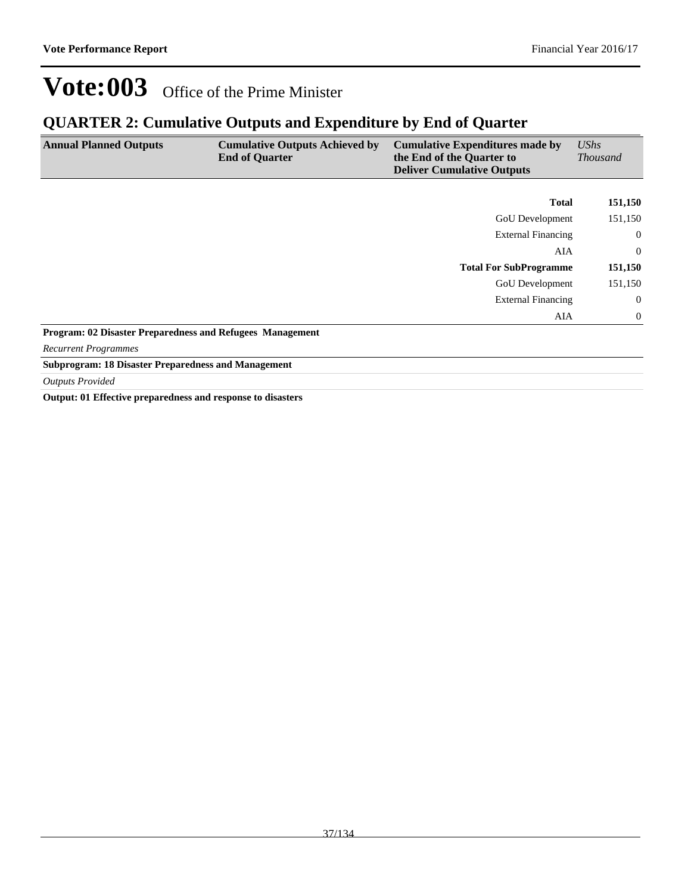### **QUARTER 2: Cumulative Outputs and Expenditure by End of Quarter**

| <b>Annual Planned Outputs</b>                              | <b>Cumulative Outputs Achieved by</b><br><b>End of Quarter</b> | <b>Cumulative Expenditures made by</b><br>the End of the Quarter to<br><b>Deliver Cumulative Outputs</b> | UShs<br><b>Thousand</b> |
|------------------------------------------------------------|----------------------------------------------------------------|----------------------------------------------------------------------------------------------------------|-------------------------|
|                                                            |                                                                | <b>Total</b>                                                                                             | 151,150                 |
|                                                            |                                                                | GoU Development                                                                                          | 151,150                 |
|                                                            |                                                                | <b>External Financing</b>                                                                                | $\overline{0}$          |
|                                                            |                                                                | AIA                                                                                                      | $\overline{0}$          |
|                                                            |                                                                |                                                                                                          |                         |
|                                                            |                                                                | <b>Total For SubProgramme</b>                                                                            | 151,150                 |
|                                                            |                                                                | GoU Development                                                                                          | 151,150                 |
|                                                            |                                                                | <b>External Financing</b>                                                                                | $\overline{0}$          |
|                                                            |                                                                | AIA                                                                                                      | $\overline{0}$          |
| Program: 02 Disaster Preparedness and Refugees Management  |                                                                |                                                                                                          |                         |
| <b>Recurrent Programmes</b>                                |                                                                |                                                                                                          |                         |
| <b>Subprogram: 18 Disaster Preparedness and Management</b> |                                                                |                                                                                                          |                         |

*Outputs Provided*

**Output: 01 Effective preparedness and response to disasters**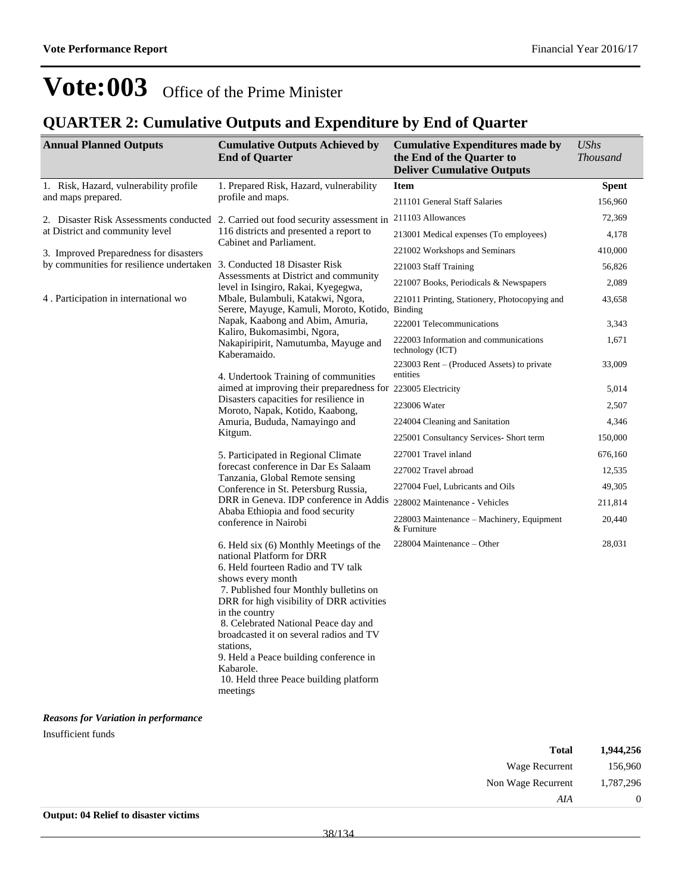### **QUARTER 2: Cumulative Outputs and Expenditure by End of Quarter**

| <b>Annual Planned Outputs</b>                                          | <b>Cumulative Outputs Achieved by</b><br><b>End of Quarter</b>                                                                                                                                                                                                                                                                                                                                                                                        | <b>Cumulative Expenditures made by</b><br>the End of the Quarter to<br><b>Deliver Cumulative Outputs</b> | <b>UShs</b><br><b>Thousand</b> |
|------------------------------------------------------------------------|-------------------------------------------------------------------------------------------------------------------------------------------------------------------------------------------------------------------------------------------------------------------------------------------------------------------------------------------------------------------------------------------------------------------------------------------------------|----------------------------------------------------------------------------------------------------------|--------------------------------|
| 1. Risk, Hazard, vulnerability profile                                 | 1. Prepared Risk, Hazard, vulnerability                                                                                                                                                                                                                                                                                                                                                                                                               | <b>Item</b>                                                                                              | <b>Spent</b>                   |
| and maps prepared.                                                     | profile and maps.                                                                                                                                                                                                                                                                                                                                                                                                                                     | 211101 General Staff Salaries                                                                            | 156,960                        |
|                                                                        | 2. Disaster Risk Assessments conducted 2. Carried out food security assessment in                                                                                                                                                                                                                                                                                                                                                                     | 211103 Allowances                                                                                        | 72,369                         |
| at District and community level                                        | 116 districts and presented a report to                                                                                                                                                                                                                                                                                                                                                                                                               | 213001 Medical expenses (To employees)                                                                   | 4,178                          |
| 3. Improved Preparedness for disasters                                 | Cabinet and Parliament.                                                                                                                                                                                                                                                                                                                                                                                                                               | 221002 Workshops and Seminars                                                                            | 410,000                        |
| by communities for resilience undertaken 3. Conducted 18 Disaster Risk |                                                                                                                                                                                                                                                                                                                                                                                                                                                       | 221003 Staff Training                                                                                    | 56,826                         |
|                                                                        | Assessments at District and community<br>level in Isingiro, Rakai, Kyegegwa,                                                                                                                                                                                                                                                                                                                                                                          | 221007 Books, Periodicals & Newspapers                                                                   | 2,089                          |
| 4. Participation in international wo                                   | Mbale, Bulambuli, Katakwi, Ngora,<br>Serere, Mayuge, Kamuli, Moroto, Kotido, Binding                                                                                                                                                                                                                                                                                                                                                                  | 221011 Printing, Stationery, Photocopying and                                                            | 43,658                         |
|                                                                        | Napak, Kaabong and Abim, Amuria,                                                                                                                                                                                                                                                                                                                                                                                                                      | 222001 Telecommunications                                                                                | 3,343                          |
|                                                                        | Kaliro, Bukomasimbi, Ngora,<br>Nakapiripirit, Namutumba, Mayuge and<br>Kaberamaido.                                                                                                                                                                                                                                                                                                                                                                   | 222003 Information and communications<br>technology (ICT)                                                | 1,671                          |
|                                                                        | 4. Undertook Training of communities                                                                                                                                                                                                                                                                                                                                                                                                                  | 223003 Rent – (Produced Assets) to private<br>entities                                                   | 33,009                         |
|                                                                        | aimed at improving their preparedness for 223005 Electricity                                                                                                                                                                                                                                                                                                                                                                                          |                                                                                                          | 5,014                          |
|                                                                        | Disasters capacities for resilience in<br>Moroto, Napak, Kotido, Kaabong,                                                                                                                                                                                                                                                                                                                                                                             | 223006 Water                                                                                             | 2,507                          |
|                                                                        | Amuria, Bududa, Namayingo and                                                                                                                                                                                                                                                                                                                                                                                                                         | 224004 Cleaning and Sanitation                                                                           | 4,346                          |
|                                                                        | Kitgum.                                                                                                                                                                                                                                                                                                                                                                                                                                               | 225001 Consultancy Services- Short term                                                                  | 150,000                        |
|                                                                        | 5. Participated in Regional Climate                                                                                                                                                                                                                                                                                                                                                                                                                   | 227001 Travel inland                                                                                     | 676,160                        |
|                                                                        | forecast conference in Dar Es Salaam                                                                                                                                                                                                                                                                                                                                                                                                                  | 227002 Travel abroad                                                                                     | 12,535                         |
|                                                                        | Tanzania, Global Remote sensing<br>Conference in St. Petersburg Russia,                                                                                                                                                                                                                                                                                                                                                                               | 227004 Fuel, Lubricants and Oils                                                                         | 49,305                         |
|                                                                        | DRR in Geneva. IDP conference in Addis                                                                                                                                                                                                                                                                                                                                                                                                                | 228002 Maintenance - Vehicles                                                                            | 211,814                        |
|                                                                        | Ababa Ethiopia and food security<br>conference in Nairobi                                                                                                                                                                                                                                                                                                                                                                                             | 228003 Maintenance – Machinery, Equipment<br>& Furniture                                                 | 20,440                         |
|                                                                        | 6. Held six (6) Monthly Meetings of the<br>national Platform for DRR<br>6. Held fourteen Radio and TV talk<br>shows every month<br>7. Published four Monthly bulletins on<br>DRR for high visibility of DRR activities<br>in the country<br>8. Celebrated National Peace day and<br>broadcasted it on several radios and TV<br>stations.<br>9. Held a Peace building conference in<br>Kabarole.<br>10. Held three Peace building platform<br>meetings | 228004 Maintenance – Other                                                                               | 28,031                         |
| <b>Reasons for Variation in performance</b>                            |                                                                                                                                                                                                                                                                                                                                                                                                                                                       |                                                                                                          |                                |

Insufficient funds

| <b>Total</b>       | 1,944,256      |
|--------------------|----------------|
| Wage Recurrent     | 156,960        |
| Non Wage Recurrent | 1,787,296      |
| AIA                | $\overline{0}$ |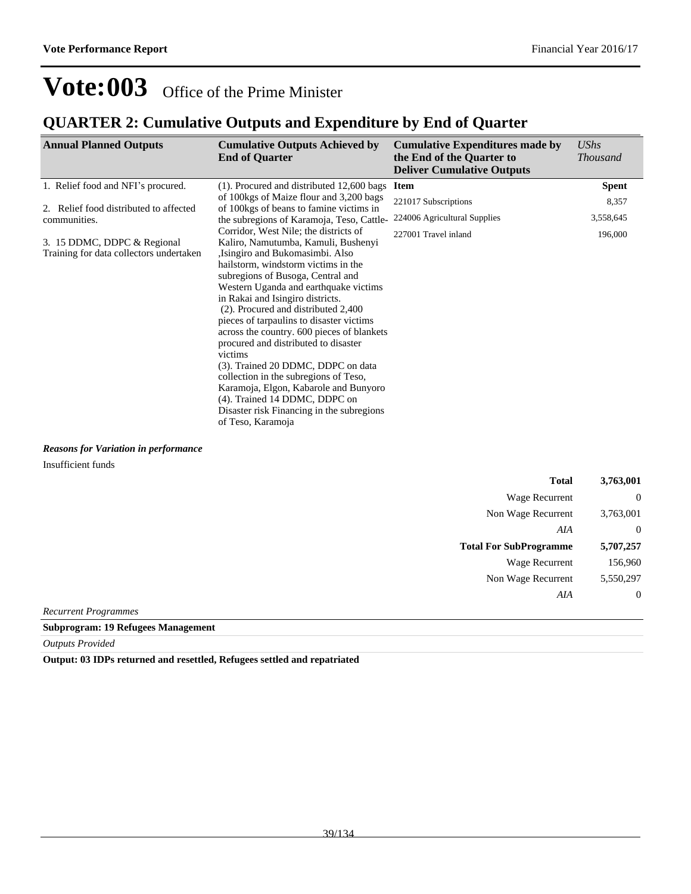Non Wage Recurrent 5,550,297

*AIA* 0

## **Vote:003** Office of the Prime Minister

### **QUARTER 2: Cumulative Outputs and Expenditure by End of Quarter**

| <b>Annual Planned Outputs</b>                                          | <b>Cumulative Outputs Achieved by</b><br><b>End of Quarter</b>                                                                                                                                                                                                                                                                                                                                                                                                                                                                                                                                                                                                                         | <b>Cumulative Expenditures made by</b><br>the End of the Quarter to<br><b>Deliver Cumulative Outputs</b> | <b>UShs</b><br><b>Thousand</b> |
|------------------------------------------------------------------------|----------------------------------------------------------------------------------------------------------------------------------------------------------------------------------------------------------------------------------------------------------------------------------------------------------------------------------------------------------------------------------------------------------------------------------------------------------------------------------------------------------------------------------------------------------------------------------------------------------------------------------------------------------------------------------------|----------------------------------------------------------------------------------------------------------|--------------------------------|
| 1. Relief food and NFI's procured.                                     | $(1)$ . Procured and distributed 12,600 bags Item                                                                                                                                                                                                                                                                                                                                                                                                                                                                                                                                                                                                                                      |                                                                                                          | <b>Spent</b>                   |
| 2. Relief food distributed to affected                                 | of 100kgs of Maize flour and 3,200 bags<br>of 100kgs of beans to famine victims in                                                                                                                                                                                                                                                                                                                                                                                                                                                                                                                                                                                                     | 221017 Subscriptions                                                                                     | 8,357                          |
| communities.                                                           | the subregions of Karamoja, Teso, Cattle-                                                                                                                                                                                                                                                                                                                                                                                                                                                                                                                                                                                                                                              | 224006 Agricultural Supplies                                                                             | 3,558,645                      |
| 3. 15 DDMC, DDPC & Regional<br>Training for data collectors undertaken | Corridor, West Nile; the districts of<br>Kaliro, Namutumba, Kamuli, Bushenyi<br>Isingiro and Bukomasimbi. Also<br>hailstorm, windstorm victims in the<br>subregions of Busoga, Central and<br>Western Uganda and earthquake victims<br>in Rakai and Isingiro districts.<br>(2). Procured and distributed 2,400<br>pieces of tarpaulins to disaster victims<br>across the country. 600 pieces of blankets<br>procured and distributed to disaster<br>victims<br>(3). Trained 20 DDMC, DDPC on data<br>collection in the subregions of Teso,<br>Karamoja, Elgon, Kabarole and Bunyoro<br>(4). Trained 14 DDMC, DDPC on<br>Disaster risk Financing in the subregions<br>of Teso, Karamoja | 227001 Travel inland                                                                                     | 196,000                        |
| <b>Reasons for Variation in performance</b>                            |                                                                                                                                                                                                                                                                                                                                                                                                                                                                                                                                                                                                                                                                                        |                                                                                                          |                                |
| Insufficient funds                                                     |                                                                                                                                                                                                                                                                                                                                                                                                                                                                                                                                                                                                                                                                                        |                                                                                                          |                                |
|                                                                        |                                                                                                                                                                                                                                                                                                                                                                                                                                                                                                                                                                                                                                                                                        | <b>Total</b>                                                                                             | 3,763,001                      |
|                                                                        |                                                                                                                                                                                                                                                                                                                                                                                                                                                                                                                                                                                                                                                                                        | Wage Recurrent                                                                                           | $\Omega$                       |
|                                                                        |                                                                                                                                                                                                                                                                                                                                                                                                                                                                                                                                                                                                                                                                                        | Non Wage Recurrent                                                                                       | 3,763,001                      |
|                                                                        |                                                                                                                                                                                                                                                                                                                                                                                                                                                                                                                                                                                                                                                                                        | AIA                                                                                                      | $\theta$                       |
|                                                                        |                                                                                                                                                                                                                                                                                                                                                                                                                                                                                                                                                                                                                                                                                        | <b>Total For SubProgramme</b>                                                                            | 5,707,257                      |
|                                                                        |                                                                                                                                                                                                                                                                                                                                                                                                                                                                                                                                                                                                                                                                                        | Wage Recurrent                                                                                           | 156,960                        |

*Recurrent Programmes*

**Subprogram: 19 Refugees Management**

*Outputs Provided*

**Output: 03 IDPs returned and resettled, Refugees settled and repatriated**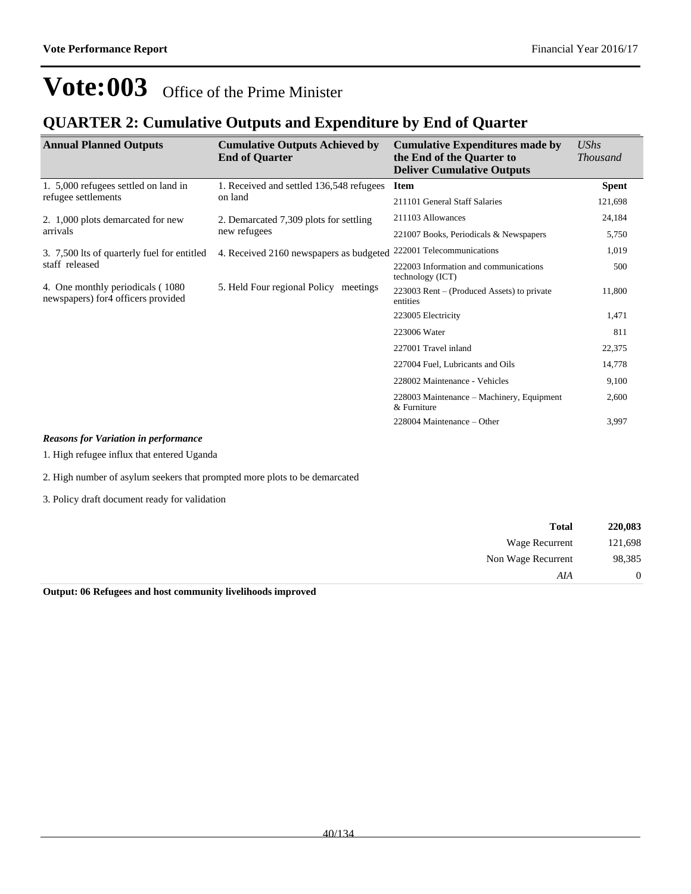### **QUARTER 2: Cumulative Outputs and Expenditure by End of Quarter**

| <b>Annual Planned Outputs</b>                                            | <b>Cumulative Outputs Achieved by</b><br><b>End of Quarter</b> | <b>Cumulative Expenditures made by</b><br>the End of the Quarter to<br><b>Deliver Cumulative Outputs</b> | UShs<br><b>Thousand</b> |
|--------------------------------------------------------------------------|----------------------------------------------------------------|----------------------------------------------------------------------------------------------------------|-------------------------|
| 1. 5,000 refugees settled on land in                                     | 1. Received and settled 136,548 refugees                       | <b>Item</b>                                                                                              | <b>Spent</b>            |
| refugee settlements                                                      | on land                                                        | 211101 General Staff Salaries                                                                            | 121,698                 |
| 2. 1,000 plots demarcated for new                                        | 2. Demarcated 7,309 plots for settling                         | 211103 Allowances                                                                                        | 24,184                  |
| arrivals                                                                 | new refugees                                                   | 221007 Books, Periodicals & Newspapers                                                                   | 5,750                   |
| 3. 7,500 lts of quarterly fuel for entitled                              | 4. Received 2160 newspapers as budgeted                        | 222001 Telecommunications                                                                                | 1,019                   |
| staff released                                                           |                                                                | 222003 Information and communications<br>technology (ICT)                                                | 500                     |
| 4. One monthly periodicals (1080)<br>newspapers) for 4 officers provided | 5. Held Four regional Policy meetings                          | 223003 Rent – (Produced Assets) to private<br>entities                                                   | 11,800                  |
|                                                                          |                                                                | 223005 Electricity                                                                                       | 1,471                   |
|                                                                          |                                                                | 223006 Water                                                                                             | 811                     |
|                                                                          |                                                                | 227001 Travel inland                                                                                     | 22,375                  |
|                                                                          |                                                                | 227004 Fuel, Lubricants and Oils                                                                         | 14,778                  |
|                                                                          |                                                                | 228002 Maintenance - Vehicles                                                                            | 9,100                   |
|                                                                          |                                                                | 228003 Maintenance – Machinery, Equipment<br>& Furniture                                                 | 2,600                   |
|                                                                          |                                                                | $228004$ Maintenance – Other                                                                             | 3,997                   |

#### *Reasons for Variation in performance*

1. High refugee influx that entered Uganda

2. High number of asylum seekers that prompted more plots to be demarcated

3. Policy draft document ready for validation

| 220,083        | <b>Total</b>          |
|----------------|-----------------------|
| 121,698        | <b>Wage Recurrent</b> |
| 98,385         | Non Wage Recurrent    |
| $\overline{0}$ | AIA                   |

**Output: 06 Refugees and host community livelihoods improved**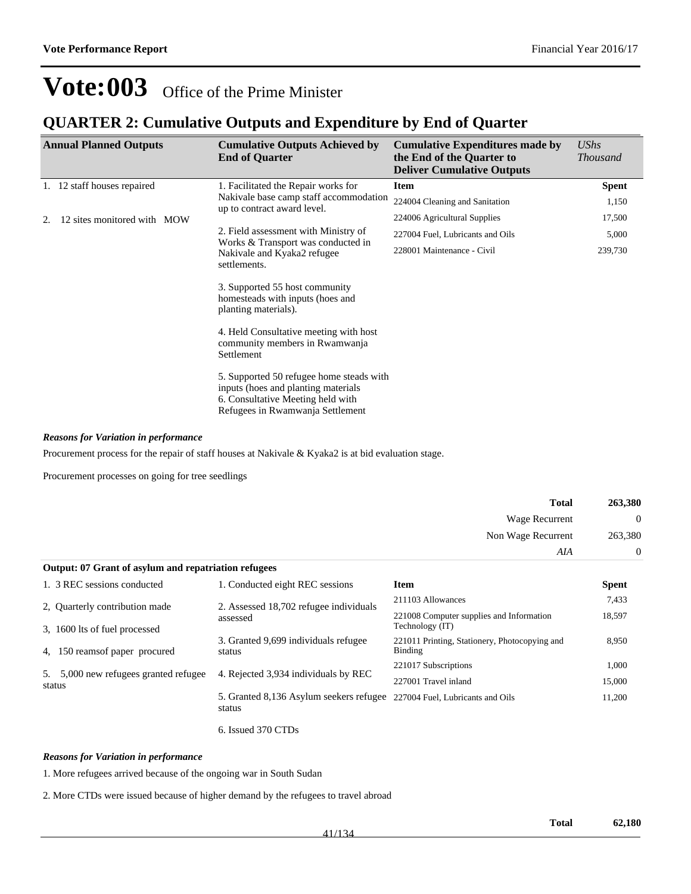#### **QUARTER 2: Cumulative Outputs and Expenditure by End of Quarter**

| <b>Annual Planned Outputs</b> | <b>Cumulative Outputs Achieved by</b><br><b>End of Quarter</b>                                                                                           | <b>Cumulative Expenditures made by</b><br>the End of the Quarter to<br><b>Deliver Cumulative Outputs</b> | UShs<br><b>Thousand</b> |
|-------------------------------|----------------------------------------------------------------------------------------------------------------------------------------------------------|----------------------------------------------------------------------------------------------------------|-------------------------|
| 1. 12 staff houses repaired   | 1. Facilitated the Repair works for                                                                                                                      | <b>Item</b>                                                                                              | <b>Spent</b>            |
|                               | Nakivale base camp staff accommodation<br>up to contract award level.                                                                                    | 224004 Cleaning and Sanitation                                                                           | 1,150                   |
| 12 sites monitored with MOW   |                                                                                                                                                          | 224006 Agricultural Supplies                                                                             | 17,500                  |
|                               | 2. Field assessment with Ministry of                                                                                                                     | 227004 Fuel, Lubricants and Oils                                                                         | 5,000                   |
|                               | Works & Transport was conducted in<br>Nakivale and Kyaka2 refugee<br>settlements.                                                                        | 228001 Maintenance - Civil                                                                               | 239,730                 |
|                               | 3. Supported 55 host community<br>homesteads with inputs (hoes and<br>planting materials).                                                               |                                                                                                          |                         |
|                               | 4. Held Consultative meeting with host<br>community members in Rwamwanja<br>Settlement                                                                   |                                                                                                          |                         |
|                               | 5. Supported 50 refugee home steads with<br>inputs (hoes and planting materials<br>6. Consultative Meeting held with<br>Refugees in Rwamwanja Settlement |                                                                                                          |                         |

*Reasons for Variation in performance*

Procurement process for the repair of staff houses at Nakivale & Kyaka2 is at bid evaluation stage.

Procurement processes on going for tree seedlings

| 263,380        | <b>Total</b>                                         |  |
|----------------|------------------------------------------------------|--|
| $\overline{0}$ | Wage Recurrent                                       |  |
| 263,380        | Non Wage Recurrent                                   |  |
| $\overline{0}$ | AIA                                                  |  |
|                | Output: 07 Grant of asylum and renatriation refugees |  |

| $\sim$ wep were $\sim$ . $\sim$ and $\sim$ where the state a power awarded a called the state |                                                   |                                                             |              |
|-----------------------------------------------------------------------------------------------|---------------------------------------------------|-------------------------------------------------------------|--------------|
| 1. 3 REC sessions conducted                                                                   | 1. Conducted eight REC sessions                   | Item                                                        | <b>Spent</b> |
| 2. Ouarterly contribution made                                                                | 2. Assessed 18,702 refugee individuals            | 211103 Allowances                                           | 7,433        |
| 3, 1600 lts of fuel processed                                                                 | assessed                                          | 221008 Computer supplies and Information<br>Technology (IT) | 18,597       |
| 4, 150 reams of paper procured                                                                | 3. Granted 9,699 individuals refugee<br>status    | 221011 Printing, Stationery, Photocopying and<br>Binding    | 8,950        |
|                                                                                               |                                                   | 221017 Subscriptions                                        | 1,000        |
| 5,000 new refugees granted refugee<br>5.<br>status                                            | 4. Rejected 3,934 individuals by REC              | 227001 Travel inland                                        | 15,000       |
|                                                                                               | 5. Granted 8,136 Asylum seekers refugee<br>status | 227004 Fuel. Lubricants and Oils                            | 11.200       |
|                                                                                               |                                                   |                                                             |              |

6. Issued 370 CTDs

#### *Reasons for Variation in performance*

1. More refugees arrived because of the ongoing war in South Sudan

2. More CTDs were issued because of higher demand by the refugees to travel abroad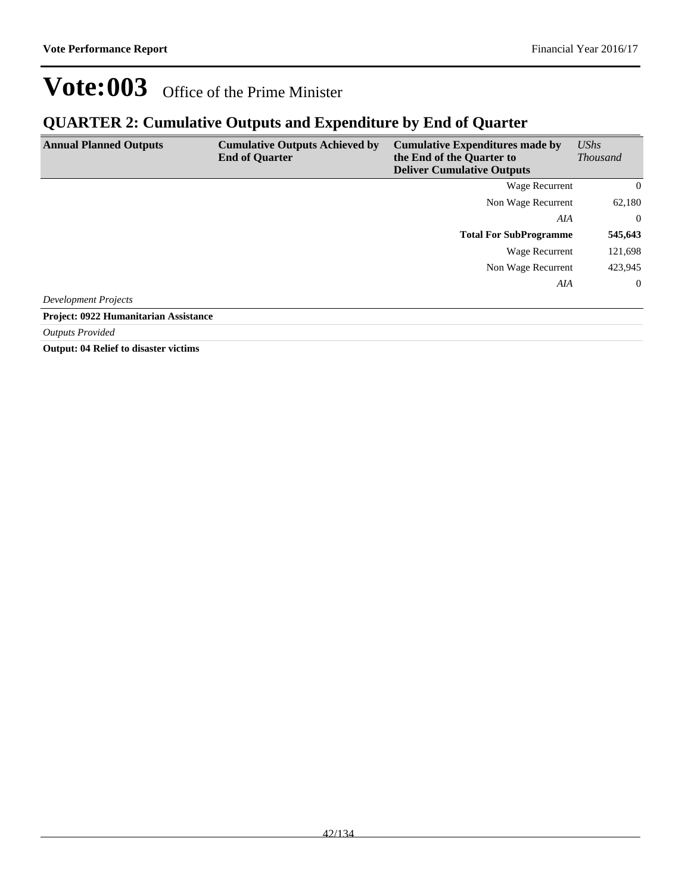### **QUARTER 2: Cumulative Outputs and Expenditure by End of Quarter**

| <b>Annual Planned Outputs</b>         | <b>Cumulative Outputs Achieved by</b><br><b>End of Quarter</b> | <b>Cumulative Expenditures made by</b><br>the End of the Quarter to<br><b>Deliver Cumulative Outputs</b> | <b>UShs</b><br><i>Thousand</i> |
|---------------------------------------|----------------------------------------------------------------|----------------------------------------------------------------------------------------------------------|--------------------------------|
|                                       |                                                                | Wage Recurrent                                                                                           | $\overline{0}$                 |
|                                       |                                                                | Non Wage Recurrent                                                                                       | 62,180                         |
|                                       |                                                                | AIA                                                                                                      | $\overline{0}$                 |
|                                       |                                                                | <b>Total For SubProgramme</b>                                                                            | 545,643                        |
|                                       |                                                                | Wage Recurrent                                                                                           | 121,698                        |
|                                       |                                                                | Non Wage Recurrent                                                                                       | 423,945                        |
|                                       |                                                                | AIA                                                                                                      | $\Omega$                       |
| <b>Development Projects</b>           |                                                                |                                                                                                          |                                |
| Project: 0922 Humanitarian Assistance |                                                                |                                                                                                          |                                |
| <b>Outputs Provided</b>               |                                                                |                                                                                                          |                                |
|                                       |                                                                |                                                                                                          |                                |

**Output: 04 Relief to disaster victims**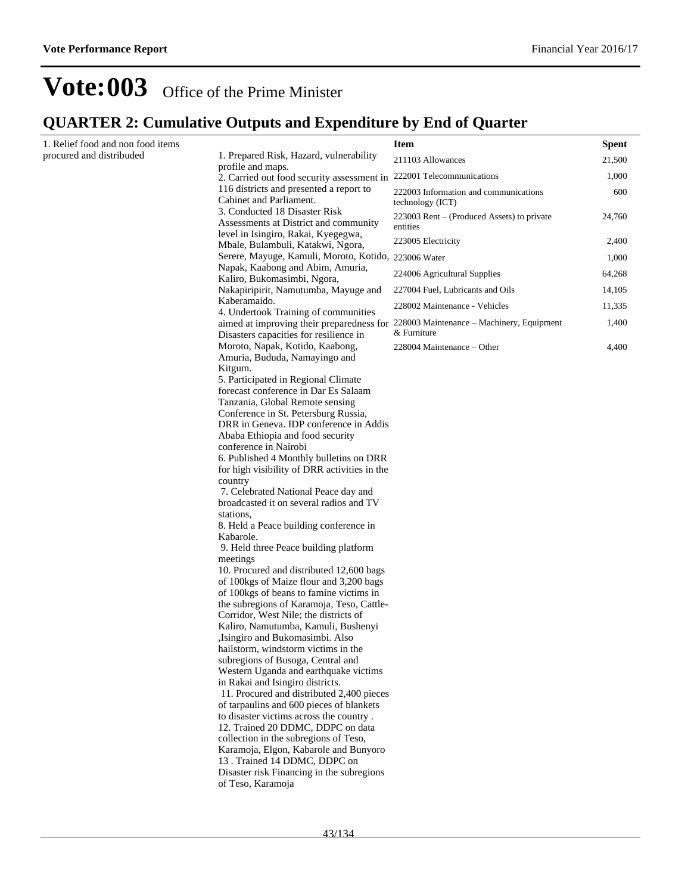### **QUARTER 2: Cumulative Outputs and Expenditure by End of Quarter**

| 1. Relief food and non food items |                                                                                | <b>Item</b>                                               | <b>Spent</b> |
|-----------------------------------|--------------------------------------------------------------------------------|-----------------------------------------------------------|--------------|
| procured and distribuded          | 1. Prepared Risk, Hazard, vulnerability<br>profile and maps.                   | 211103 Allowances                                         | 21,500       |
|                                   | 2. Carried out food security assessment in                                     | 222001 Telecommunications                                 | 1,000        |
|                                   | 116 districts and presented a report to<br>Cabinet and Parliament.             | 222003 Information and communications<br>technology (ICT) | 600          |
|                                   | 3. Conducted 18 Disaster Risk<br>Assessments at District and community         | $223003$ Rent – (Produced Assets) to private<br>entities  | 24,760       |
|                                   | level in Isingiro, Rakai, Kyegegwa,<br>Mbale, Bulambuli, Katakwi, Ngora,       | 223005 Electricity                                        | 2,400        |
|                                   | Serere, Mayuge, Kamuli, Moroto, Kotido, 223006 Water                           |                                                           | 1,000        |
|                                   | Napak, Kaabong and Abim, Amuria,                                               | 224006 Agricultural Supplies                              | 64,268       |
|                                   | Kaliro, Bukomasimbi, Ngora,<br>Nakapiripirit, Namutumba, Mayuge and            | 227004 Fuel, Lubricants and Oils                          | 14,105       |
|                                   | Kaberamaido.                                                                   | 228002 Maintenance - Vehicles                             | 11,335       |
|                                   | 4. Undertook Training of communities                                           |                                                           |              |
|                                   | aimed at improving their preparedness for                                      | 228003 Maintenance – Machinery, Equipment<br>& Furniture  | 1,400        |
|                                   | Disasters capacities for resilience in<br>Moroto, Napak, Kotido, Kaabong,      | $228004$ Maintenance – Other                              | 4,400        |
|                                   | Amuria, Bududa, Namayingo and<br>Kitgum.                                       |                                                           |              |
|                                   | 5. Participated in Regional Climate                                            |                                                           |              |
|                                   | forecast conference in Dar Es Salaam                                           |                                                           |              |
|                                   | Tanzania, Global Remote sensing                                                |                                                           |              |
|                                   | Conference in St. Petersburg Russia,<br>DRR in Geneva. IDP conference in Addis |                                                           |              |
|                                   | Ababa Ethiopia and food security                                               |                                                           |              |
|                                   | conference in Nairobi                                                          |                                                           |              |
|                                   | 6. Published 4 Monthly bulletins on DRR                                        |                                                           |              |
|                                   | for high visibility of DRR activities in the                                   |                                                           |              |
|                                   | country<br>7. Celebrated National Peace day and                                |                                                           |              |
|                                   | broadcasted it on several radios and TV                                        |                                                           |              |
|                                   | stations,                                                                      |                                                           |              |
|                                   | 8. Held a Peace building conference in                                         |                                                           |              |
|                                   | Kabarole.<br>9. Held three Peace building platform                             |                                                           |              |
|                                   | meetings<br>10. Procured and distributed 12,600 bags                           |                                                           |              |
|                                   | of 100kgs of Maize flour and 3,200 bags                                        |                                                           |              |
|                                   | of 100kgs of beans to famine victims in                                        |                                                           |              |
|                                   | the subregions of Karamoja, Teso, Cattle-                                      |                                                           |              |
|                                   | Corridor, West Nile; the districts of                                          |                                                           |              |
|                                   | Kaliro, Namutumba, Kamuli, Bushenyi<br>Isingiro and Bukomasimbi. Also          |                                                           |              |
|                                   | hailstorm, windstorm victims in the                                            |                                                           |              |
|                                   | subregions of Busoga, Central and                                              |                                                           |              |
|                                   | Western Uganda and earthquake victims                                          |                                                           |              |
|                                   | in Rakai and Isingiro districts.<br>11. Procured and distributed 2,400 pieces  |                                                           |              |
|                                   | of tarpaulins and 600 pieces of blankets                                       |                                                           |              |
|                                   | to disaster victims across the country.<br>12. Trained 20 DDMC, DDPC on data   |                                                           |              |
|                                   | collection in the subregions of Teso,                                          |                                                           |              |
|                                   | Karamoja, Elgon, Kabarole and Bunyoro                                          |                                                           |              |
|                                   | 13 . Trained 14 DDMC, DDPC on                                                  |                                                           |              |
|                                   | Disaster risk Financing in the subregions                                      |                                                           |              |
|                                   | of Teso, Karamoja                                                              |                                                           |              |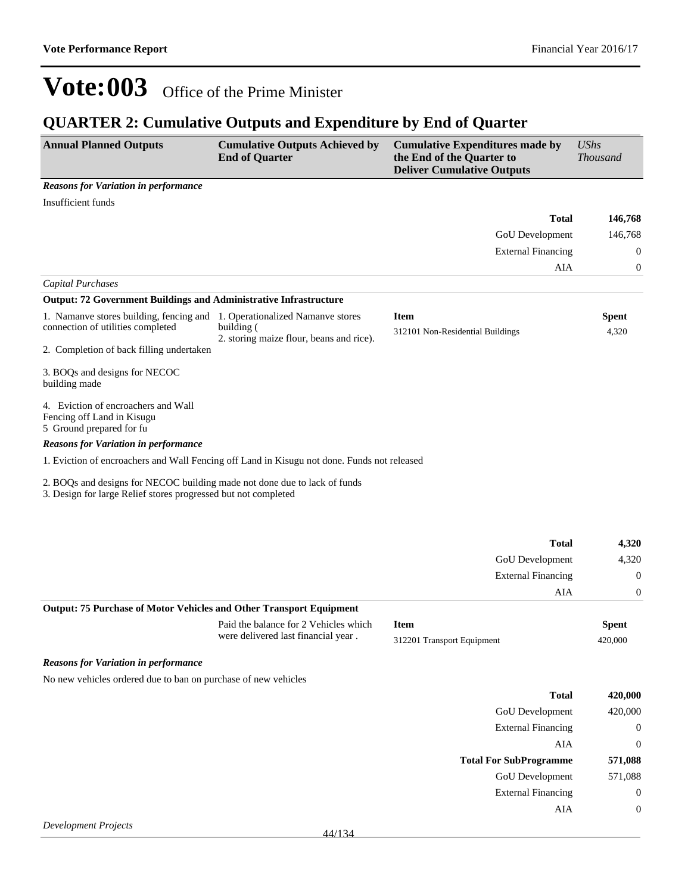### **QUARTER 2: Cumulative Outputs and Expenditure by End of Quarter**

| <b>Annual Planned Outputs</b>                                                                                                               | <b>Cumulative Outputs Achieved by</b><br><b>End of Quarter</b> | <b>Cumulative Expenditures made by</b><br>the End of the Quarter to<br><b>Deliver Cumulative Outputs</b> | <b>UShs</b><br><b>Thousand</b> |
|---------------------------------------------------------------------------------------------------------------------------------------------|----------------------------------------------------------------|----------------------------------------------------------------------------------------------------------|--------------------------------|
| <b>Reasons for Variation in performance</b>                                                                                                 |                                                                |                                                                                                          |                                |
| Insufficient funds                                                                                                                          |                                                                |                                                                                                          |                                |
|                                                                                                                                             |                                                                | <b>Total</b>                                                                                             | 146,768                        |
|                                                                                                                                             |                                                                | GoU Development                                                                                          | 146,768                        |
|                                                                                                                                             |                                                                | <b>External Financing</b>                                                                                | 0                              |
|                                                                                                                                             |                                                                | AIA                                                                                                      | 0                              |
| <b>Capital Purchases</b>                                                                                                                    |                                                                |                                                                                                          |                                |
| <b>Output: 72 Government Buildings and Administrative Infrastructure</b>                                                                    |                                                                |                                                                                                          |                                |
| 1. Namanve stores building, fencing and 1. Operationalized Namanve stores<br>connection of utilities completed                              | building (<br>2. storing maize flour, beans and rice).         | <b>Item</b><br>312101 Non-Residential Buildings                                                          | <b>Spent</b><br>4,320          |
| 2. Completion of back filling undertaken                                                                                                    |                                                                |                                                                                                          |                                |
| 3. BOQs and designs for NECOC<br>building made                                                                                              |                                                                |                                                                                                          |                                |
| 4. Eviction of encroachers and Wall<br>Fencing off Land in Kisugu<br>5 Ground prepared for fu                                               |                                                                |                                                                                                          |                                |
| <b>Reasons for Variation in performance</b>                                                                                                 |                                                                |                                                                                                          |                                |
| 1. Eviction of encroachers and Wall Fencing off Land in Kisugu not done. Funds not released                                                 |                                                                |                                                                                                          |                                |
| 2. BOQs and designs for NECOC building made not done due to lack of funds<br>3. Design for large Relief stores progressed but not completed |                                                                |                                                                                                          |                                |
|                                                                                                                                             |                                                                | <b>Total</b>                                                                                             | 4,320                          |
|                                                                                                                                             |                                                                | GoU Development                                                                                          | 4,320                          |
|                                                                                                                                             |                                                                | <b>External Financing</b>                                                                                | $\boldsymbol{0}$               |
|                                                                                                                                             |                                                                | AIA                                                                                                      | $\boldsymbol{0}$               |
| <b>Output: 75 Purchase of Motor Vehicles and Other Transport Equipment</b>                                                                  |                                                                |                                                                                                          |                                |
|                                                                                                                                             | Paid the balance for 2 Vehicles which                          | <b>Item</b>                                                                                              | <b>Spent</b>                   |
|                                                                                                                                             | were delivered last financial year.                            | 312201 Transport Equipment                                                                               | 420,000                        |
| <b>Reasons for Variation in performance</b>                                                                                                 |                                                                |                                                                                                          |                                |
| No new vehicles ordered due to ban on purchase of new vehicles                                                                              |                                                                |                                                                                                          |                                |
|                                                                                                                                             |                                                                | <b>Total</b>                                                                                             | 420,000                        |
|                                                                                                                                             |                                                                | GoU Development                                                                                          | 420,000                        |
|                                                                                                                                             |                                                                | <b>External Financing</b>                                                                                | $\boldsymbol{0}$               |
|                                                                                                                                             |                                                                | AIA                                                                                                      | $\boldsymbol{0}$               |
|                                                                                                                                             |                                                                | <b>Total For SubProgramme</b>                                                                            | 571,088                        |
|                                                                                                                                             |                                                                | GoU Development                                                                                          | 571,088                        |
|                                                                                                                                             |                                                                | <b>External Financing</b>                                                                                | $\boldsymbol{0}$               |
|                                                                                                                                             |                                                                | AIA                                                                                                      | $\boldsymbol{0}$               |
| <b>Development Projects</b>                                                                                                                 | 44/134                                                         |                                                                                                          |                                |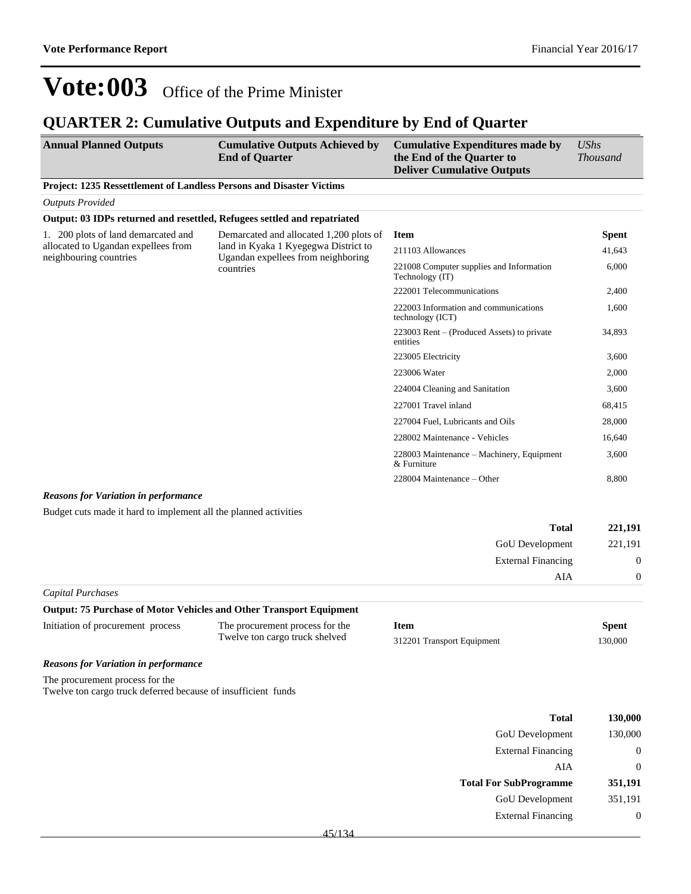#### **QUARTER 2: Cumulative Outputs and Expenditure by End of Quarter**

| <b>Annual Planned Outputs</b>                                            | <b>Cumulative Outputs Achieved by</b><br><b>End of Quarter</b>             | <b>Cumulative Expenditures made by</b><br>the End of the Quarter to<br><b>Deliver Cumulative Outputs</b> | <b>UShs</b><br><b>Thousand</b> |
|--------------------------------------------------------------------------|----------------------------------------------------------------------------|----------------------------------------------------------------------------------------------------------|--------------------------------|
| Project: 1235 Ressettlement of Landless Persons and Disaster Victims     |                                                                            |                                                                                                          |                                |
| <b>Outputs Provided</b>                                                  |                                                                            |                                                                                                          |                                |
| Output: 03 IDPs returned and resettled, Refugees settled and repatriated |                                                                            |                                                                                                          |                                |
| 1. 200 plots of land demarcated and                                      | Demarcated and allocated 1,200 plots of                                    | <b>Item</b>                                                                                              | <b>Spent</b>                   |
| allocated to Ugandan expellees from<br>neighbouring countries            | land in Kyaka 1 Kyegegwa District to<br>Ugandan expellees from neighboring | 211103 Allowances                                                                                        | 41,643                         |
|                                                                          | countries                                                                  | 221008 Computer supplies and Information<br>Technology (IT)                                              | 6,000                          |
|                                                                          |                                                                            | 222001 Telecommunications                                                                                | 2,400                          |
|                                                                          |                                                                            | 222003 Information and communications<br>technology (ICT)                                                | 1,600                          |
|                                                                          |                                                                            | $223003$ Rent – (Produced Assets) to private<br>entities                                                 | 34,893                         |
|                                                                          |                                                                            | 223005 Electricity                                                                                       | 3,600                          |
|                                                                          |                                                                            | 223006 Water                                                                                             | 2,000                          |
|                                                                          |                                                                            | 224004 Cleaning and Sanitation                                                                           | 3,600                          |
|                                                                          |                                                                            | 227001 Travel inland                                                                                     | 68,415                         |
|                                                                          |                                                                            | 227004 Fuel, Lubricants and Oils                                                                         | 28,000                         |
|                                                                          |                                                                            | 228002 Maintenance - Vehicles                                                                            | 16,640                         |
|                                                                          |                                                                            | 228003 Maintenance - Machinery, Equipment<br>& Furniture                                                 | 3,600                          |
|                                                                          |                                                                            | $228004$ Maintenance – Other                                                                             | 8,800                          |

#### *Reasons for Variation in performance*

Budget cuts made it hard to implement all the planned activities

| 221,191      | Total                     |
|--------------|---------------------------|
| 221,191      | GoU Development           |
| $\mathbf{0}$ | <b>External Financing</b> |
| $\theta$     | AIA                       |
|              |                           |

*Capital Purchases*

#### **Output: 75 Purchase of Motor Vehicles and Other Transport Equipment**

| Initiation of procurement process | The procurement process for the | ltem                       | Spent   |
|-----------------------------------|---------------------------------|----------------------------|---------|
|                                   | Twelve ton cargo truck shelved  | 312201 Transport Equipment | 130,000 |

#### *Reasons for Variation in performance*

The procurement process for the Twelve ton cargo truck deferred because of insufficient funds

| 130,000 |
|---------|
| 130,000 |
|         |
| 0       |
| 351,191 |
| 351,191 |
|         |
|         |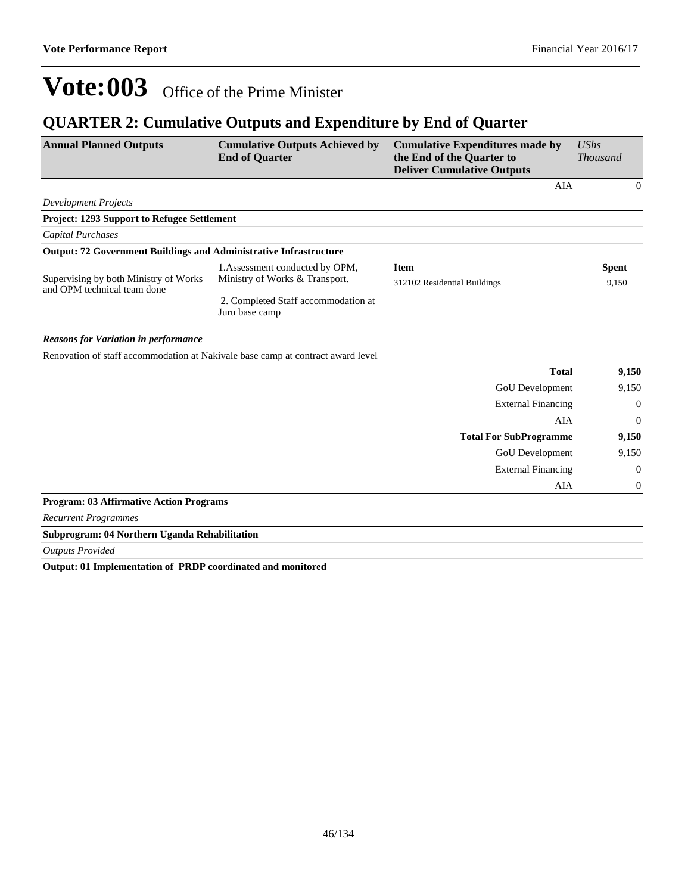### **QUARTER 2: Cumulative Outputs and Expenditure by End of Quarter**

| <b>Annual Planned Outputs</b>                                                   | <b>Cumulative Outputs Achieved by</b><br><b>End of Quarter</b>                                                             | <b>Cumulative Expenditures made by</b><br>the End of the Quarter to<br><b>Deliver Cumulative Outputs</b> | <b>UShs</b><br><b>Thousand</b> |
|---------------------------------------------------------------------------------|----------------------------------------------------------------------------------------------------------------------------|----------------------------------------------------------------------------------------------------------|--------------------------------|
|                                                                                 |                                                                                                                            | <b>AIA</b>                                                                                               | 0                              |
| <b>Development Projects</b>                                                     |                                                                                                                            |                                                                                                          |                                |
| <b>Project: 1293 Support to Refugee Settlement</b>                              |                                                                                                                            |                                                                                                          |                                |
| <b>Capital Purchases</b>                                                        |                                                                                                                            |                                                                                                          |                                |
| <b>Output: 72 Government Buildings and Administrative Infrastructure</b>        |                                                                                                                            |                                                                                                          |                                |
| Supervising by both Ministry of Works<br>and OPM technical team done            | 1. Assessment conducted by OPM,<br>Ministry of Works & Transport.<br>2. Completed Staff accommodation at<br>Juru base camp | <b>Item</b><br>312102 Residential Buildings                                                              | <b>Spent</b><br>9,150          |
| <b>Reasons for Variation in performance</b>                                     |                                                                                                                            |                                                                                                          |                                |
| Renovation of staff accommodation at Nakivale base camp at contract award level |                                                                                                                            |                                                                                                          |                                |
|                                                                                 |                                                                                                                            | <b>Total</b>                                                                                             | 9,150                          |
|                                                                                 |                                                                                                                            | GoU Development                                                                                          | 9,150                          |
|                                                                                 |                                                                                                                            | <b>External Financing</b>                                                                                | $\Omega$                       |
|                                                                                 |                                                                                                                            | AIA                                                                                                      | $\Omega$                       |
|                                                                                 |                                                                                                                            | <b>Total For SubProgramme</b>                                                                            | 9,150                          |
|                                                                                 |                                                                                                                            | <b>GoU</b> Development                                                                                   | 9,150                          |
|                                                                                 |                                                                                                                            | <b>External Financing</b>                                                                                | $\bf{0}$                       |
|                                                                                 |                                                                                                                            | AIA                                                                                                      | $\boldsymbol{0}$               |
| <b>Program: 03 Affirmative Action Programs</b>                                  |                                                                                                                            |                                                                                                          |                                |
| <b>Recurrent Programmes</b>                                                     |                                                                                                                            |                                                                                                          |                                |

**Subprogram: 04 Northern Uganda Rehabilitation**

*Outputs Provided*

**Output: 01 Implementation of PRDP coordinated and monitored**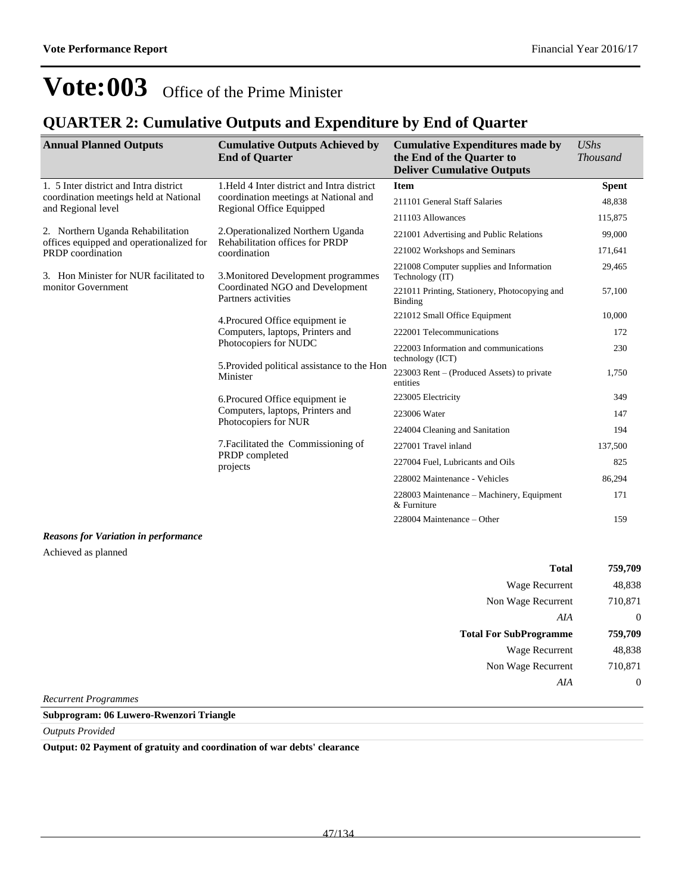### **QUARTER 2: Cumulative Outputs and Expenditure by End of Quarter**

| <b>Annual Planned Outputs</b>                                                 | <b>Cumulative Outputs Achieved by</b><br><b>End of Quarter</b>                                                                                          | <b>Cumulative Expenditures made by</b><br>the End of the Quarter to<br><b>Deliver Cumulative Outputs</b> | <b>UShs</b><br><b>Thousand</b> |
|-------------------------------------------------------------------------------|---------------------------------------------------------------------------------------------------------------------------------------------------------|----------------------------------------------------------------------------------------------------------|--------------------------------|
| 1. 5 Inter district and Intra district                                        | 1. Held 4 Inter district and Intra district                                                                                                             | <b>Item</b>                                                                                              | <b>Spent</b>                   |
| coordination meetings held at National<br>and Regional level                  | coordination meetings at National and<br>Regional Office Equipped                                                                                       | 211101 General Staff Salaries                                                                            | 48,838                         |
|                                                                               |                                                                                                                                                         | 211103 Allowances                                                                                        | 115,875                        |
| 2. Northern Uganda Rehabilitation<br>offices equipped and operationalized for | 2. Operationalized Northern Uganda<br>Rehabilitation offices for PRDP                                                                                   | 221001 Advertising and Public Relations                                                                  | 99,000                         |
| PRDP coordination                                                             | coordination                                                                                                                                            | 221002 Workshops and Seminars                                                                            | 171,641                        |
| 3. Hon Minister for NUR facilitated to                                        | 3. Monitored Development programmes                                                                                                                     | 221008 Computer supplies and Information<br>Technology (IT)                                              | 29,465                         |
| monitor Government                                                            | Coordinated NGO and Development<br>Partners activities                                                                                                  | 221011 Printing, Stationery, Photocopying and<br><b>Binding</b>                                          | 57,100                         |
|                                                                               | 4. Procured Office equipment ie<br>Computers, laptops, Printers and<br>Photocopiers for NUDC<br>5. Provided political assistance to the Hon<br>Minister | 221012 Small Office Equipment                                                                            | 10,000                         |
|                                                                               |                                                                                                                                                         | 222001 Telecommunications                                                                                | 172                            |
|                                                                               |                                                                                                                                                         | 222003 Information and communications<br>technology (ICT)                                                | 230                            |
|                                                                               |                                                                                                                                                         | $223003$ Rent – (Produced Assets) to private<br>entities                                                 | 1,750                          |
|                                                                               | 6. Procured Office equipment ie.<br>Computers, laptops, Printers and<br>Photocopiers for NUR                                                            | 223005 Electricity                                                                                       | 349                            |
|                                                                               |                                                                                                                                                         | 223006 Water                                                                                             | 147                            |
|                                                                               |                                                                                                                                                         | 224004 Cleaning and Sanitation                                                                           | 194                            |
|                                                                               | 7. Facilitated the Commissioning of                                                                                                                     | 227001 Travel inland                                                                                     | 137,500                        |
|                                                                               | PRDP completed<br>projects                                                                                                                              | 227004 Fuel, Lubricants and Oils                                                                         | 825                            |
|                                                                               |                                                                                                                                                         | 228002 Maintenance - Vehicles                                                                            | 86,294                         |
|                                                                               |                                                                                                                                                         | 228003 Maintenance – Machinery, Equipment<br>& Furniture                                                 | 171                            |
|                                                                               |                                                                                                                                                         | 228004 Maintenance – Other                                                                               | 159                            |
| <b>Degears for Variation in porformance</b>                                   |                                                                                                                                                         |                                                                                                          |                                |

*Reasons for Variation in performance*

Achieved as planned

| <b>Total</b>                  | 759,709        |
|-------------------------------|----------------|
| <b>Wage Recurrent</b>         | 48,838         |
| Non Wage Recurrent            | 710,871        |
| AIA                           | $\overline{0}$ |
| <b>Total For SubProgramme</b> | 759,709        |
| <b>Wage Recurrent</b>         | 48,838         |
| Non Wage Recurrent            | 710,871        |
| AIA                           | $\overline{0}$ |

*Recurrent Programmes*

#### **Subprogram: 06 Luwero-Rwenzori Triangle**

*Outputs Provided*

**Output: 02 Payment of gratuity and coordination of war debts' clearance**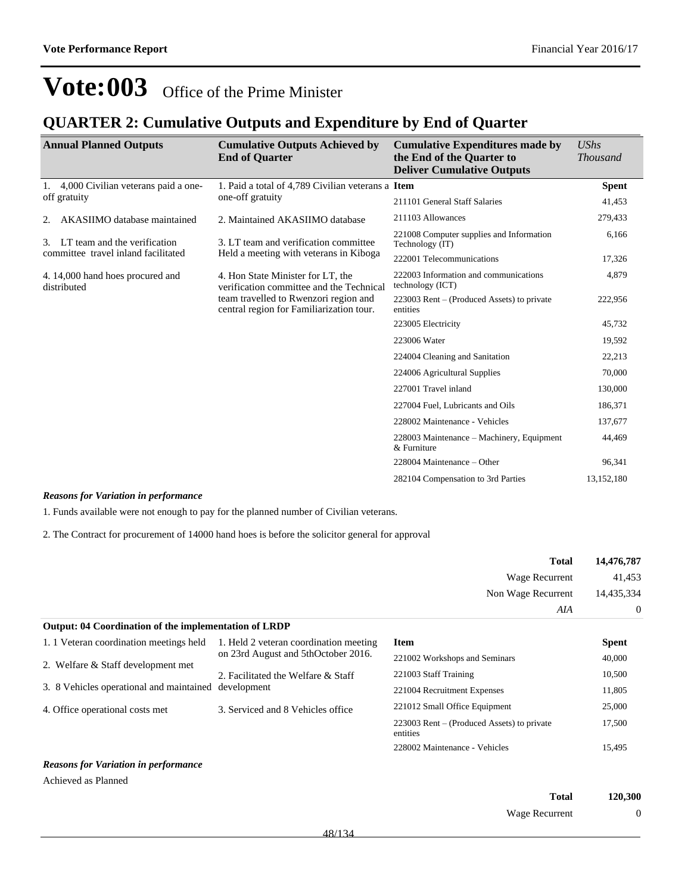### **QUARTER 2: Cumulative Outputs and Expenditure by End of Quarter**

| <b>Annual Planned Outputs</b>                  | <b>Cumulative Outputs Achieved by</b><br><b>End of Quarter</b>                                                                                                     | <b>Cumulative Expenditures made by</b><br>the End of the Quarter to<br><b>Deliver Cumulative Outputs</b> | <b>UShs</b><br><b>Thousand</b> |
|------------------------------------------------|--------------------------------------------------------------------------------------------------------------------------------------------------------------------|----------------------------------------------------------------------------------------------------------|--------------------------------|
| 4,000 Civilian veterans paid a one-<br>1.      | 1. Paid a total of 4,789 Civilian veterans a Item<br>one-off gratuity                                                                                              |                                                                                                          | <b>Spent</b>                   |
| off gratuity                                   |                                                                                                                                                                    | 211101 General Staff Salaries                                                                            | 41,453                         |
| AKASIIMO database maintained                   | 2. Maintained AKASIIMO database                                                                                                                                    | 211103 Allowances                                                                                        | 279,433                        |
| LT team and the verification<br>3.             | 3. LT team and verification committee                                                                                                                              | 221008 Computer supplies and Information<br>Technology (IT)                                              | 6,166                          |
| committee travel inland facilitated            | Held a meeting with veterans in Kiboga                                                                                                                             | 222001 Telecommunications                                                                                | 17,326                         |
| 4.14,000 hand hoes procured and<br>distributed | 4. Hon State Minister for LT, the<br>verification committee and the Technical<br>team travelled to Rwenzori region and<br>central region for Familiarization tour. | 222003 Information and communications<br>technology (ICT)                                                | 4,879                          |
|                                                |                                                                                                                                                                    | 223003 Rent – (Produced Assets) to private<br>entities                                                   | 222,956                        |
|                                                |                                                                                                                                                                    | 223005 Electricity                                                                                       | 45,732                         |
|                                                |                                                                                                                                                                    | 223006 Water                                                                                             | 19,592                         |
|                                                |                                                                                                                                                                    | 224004 Cleaning and Sanitation                                                                           | 22,213                         |
|                                                |                                                                                                                                                                    | 224006 Agricultural Supplies                                                                             | 70,000                         |
|                                                |                                                                                                                                                                    | 227001 Travel inland                                                                                     | 130,000                        |
|                                                |                                                                                                                                                                    | 227004 Fuel, Lubricants and Oils                                                                         | 186,371                        |
|                                                |                                                                                                                                                                    | 228002 Maintenance - Vehicles                                                                            | 137,677                        |
|                                                |                                                                                                                                                                    | 228003 Maintenance – Machinery, Equipment<br>& Furniture                                                 | 44,469                         |
|                                                |                                                                                                                                                                    | $228004$ Maintenance – Other                                                                             | 96,341                         |
|                                                |                                                                                                                                                                    | 282104 Compensation to 3rd Parties                                                                       | 13,152,180                     |

#### *Reasons for Variation in performance*

1. Funds available were not enough to pay for the planned number of Civilian veterans.

2. The Contract for procurement of 14000 hand hoes is before the solicitor general for approval

|                                                              |                                        | <b>Total</b>                  | 14,476,787             |
|--------------------------------------------------------------|----------------------------------------|-------------------------------|------------------------|
|                                                              |                                        | Wage Recurrent                | 41,453                 |
|                                                              |                                        | Non Wage Recurrent<br>AIA     | 14,435,334<br>$\Omega$ |
|                                                              |                                        |                               |                        |
| <b>Output: 04 Coordination of the implementation of LRDP</b> |                                        |                               |                        |
| 1. 1 Veteran coordination meetings held                      | 1. Held 2 veteran coordination meeting | <b>Item</b>                   | <b>Spent</b>           |
|                                                              | on 23rd August and 5thOctober 2016.    | 221002 Workshope and Saminars | 40.000                 |

| 2. Welfare & Staff development met                   | on 2510 August and Suroctober 2010. | 221002 Workshops and Seminars                            | 40,000 |
|------------------------------------------------------|-------------------------------------|----------------------------------------------------------|--------|
|                                                      | 2. Facilitated the Welfare & Staff  | 221003 Staff Training                                    | 10,500 |
| 3. 8 Vehicles operational and maintained development |                                     | 221004 Recruitment Expenses                              | 11,805 |
| 4. Office operational costs met                      | 3. Serviced and 8 Vehicles office   | 221012 Small Office Equipment                            | 25,000 |
|                                                      |                                     | $223003$ Rent – (Produced Assets) to private<br>entities | 17,500 |
|                                                      |                                     | 228002 Maintenance - Vehicles                            | 15.495 |
| <b>Reasons for Variation in performance</b>          |                                     |                                                          |        |

Achieved as Planned

| Total          | 120,300 |
|----------------|---------|
| Wage Recurrent |         |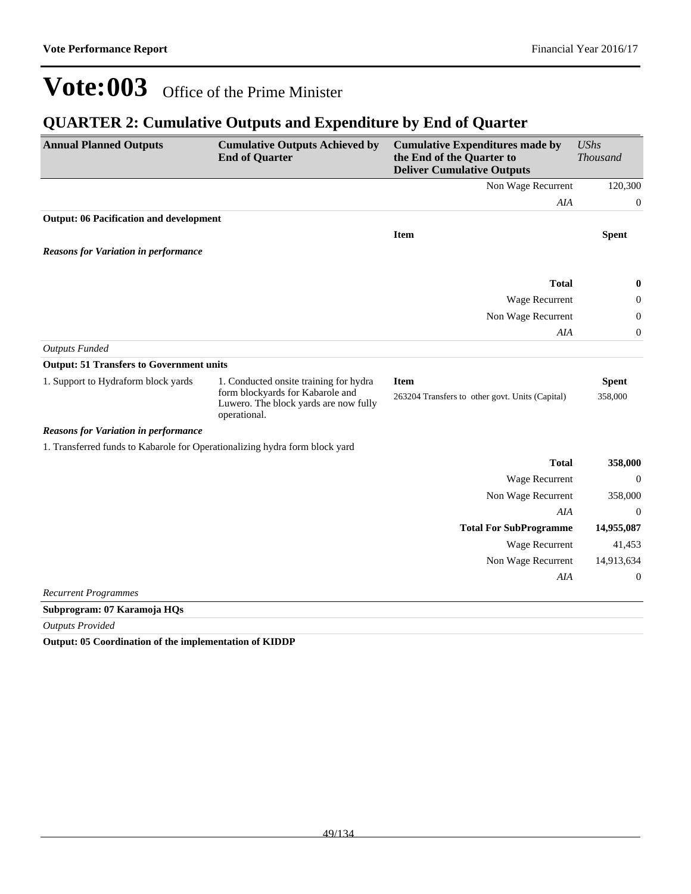### **QUARTER 2: Cumulative Outputs and Expenditure by End of Quarter**

| <b>Annual Planned Outputs</b>                                               | <b>Cumulative Outputs Achieved by</b><br><b>End of Quarter</b>                            | <b>Cumulative Expenditures made by</b><br>the End of the Quarter to<br><b>Deliver Cumulative Outputs</b> | <b>UShs</b><br><b>Thousand</b> |
|-----------------------------------------------------------------------------|-------------------------------------------------------------------------------------------|----------------------------------------------------------------------------------------------------------|--------------------------------|
|                                                                             |                                                                                           | Non Wage Recurrent                                                                                       | 120,300                        |
|                                                                             |                                                                                           | AIA                                                                                                      | 0                              |
| <b>Output: 06 Pacification and development</b>                              |                                                                                           |                                                                                                          |                                |
|                                                                             |                                                                                           | <b>Item</b>                                                                                              | <b>Spent</b>                   |
| <b>Reasons for Variation in performance</b>                                 |                                                                                           |                                                                                                          |                                |
|                                                                             |                                                                                           | <b>Total</b>                                                                                             | 0                              |
|                                                                             |                                                                                           | Wage Recurrent                                                                                           | 0                              |
|                                                                             |                                                                                           | Non Wage Recurrent                                                                                       | 0                              |
|                                                                             |                                                                                           | AIA                                                                                                      | $\boldsymbol{0}$               |
| <b>Outputs Funded</b>                                                       |                                                                                           |                                                                                                          |                                |
| <b>Output: 51 Transfers to Government units</b>                             |                                                                                           |                                                                                                          |                                |
| 1. Support to Hydraform block yards                                         | 1. Conducted onsite training for hydra                                                    | <b>Item</b>                                                                                              | <b>Spent</b>                   |
|                                                                             | form blockyards for Kabarole and<br>Luwero. The block yards are now fully<br>operational. | 263204 Transfers to other govt. Units (Capital)                                                          | 358,000                        |
| <b>Reasons for Variation in performance</b>                                 |                                                                                           |                                                                                                          |                                |
| 1. Transferred funds to Kabarole for Operationalizing hydra form block yard |                                                                                           |                                                                                                          |                                |
|                                                                             |                                                                                           | <b>Total</b>                                                                                             | 358,000                        |
|                                                                             |                                                                                           | Wage Recurrent                                                                                           | $\mathbf{0}$                   |
|                                                                             |                                                                                           | Non Wage Recurrent                                                                                       | 358,000                        |
|                                                                             |                                                                                           | AIA                                                                                                      | $\mathbf{0}$                   |
|                                                                             |                                                                                           | <b>Total For SubProgramme</b>                                                                            | 14,955,087                     |
|                                                                             |                                                                                           | Wage Recurrent                                                                                           | 41,453                         |
|                                                                             |                                                                                           | Non Wage Recurrent                                                                                       | 14,913,634                     |
|                                                                             |                                                                                           | AIA                                                                                                      | $\boldsymbol{0}$               |
| <b>Recurrent Programmes</b>                                                 |                                                                                           |                                                                                                          |                                |
| Subprogram: 07 Karamoja HQs                                                 |                                                                                           |                                                                                                          |                                |
| <b>Outputs Provided</b>                                                     |                                                                                           |                                                                                                          |                                |

**Output: 05 Coordination of the implementation of KIDDP**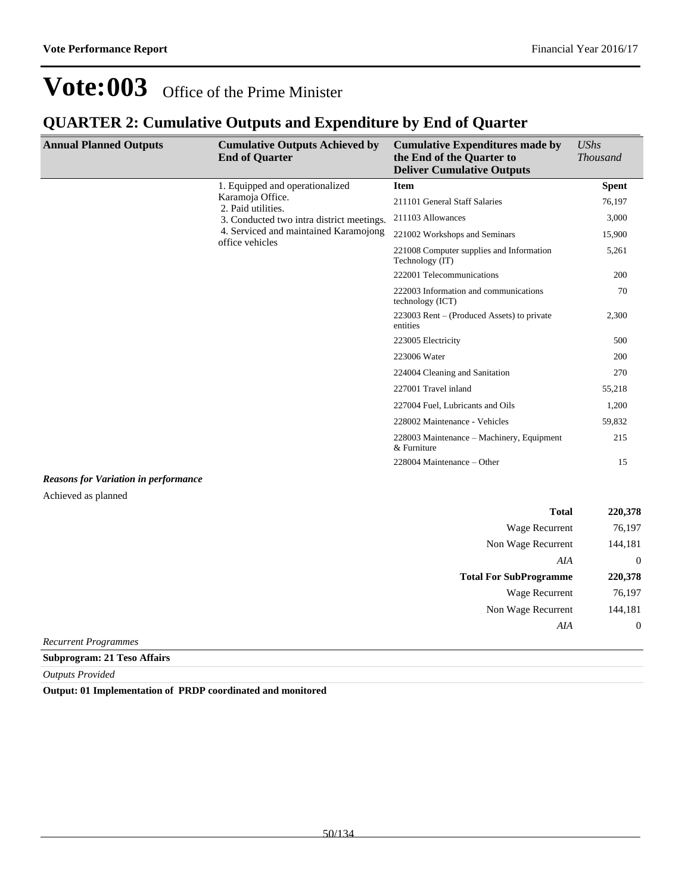### **QUARTER 2: Cumulative Outputs and Expenditure by End of Quarter**

| <b>Annual Planned Outputs</b>               | <b>Cumulative Outputs Achieved by</b><br><b>End of Quarter</b> | <b>Cumulative Expenditures made by</b><br>the End of the Quarter to<br><b>Deliver Cumulative Outputs</b> | <b>UShs</b><br><b>Thousand</b> |
|---------------------------------------------|----------------------------------------------------------------|----------------------------------------------------------------------------------------------------------|--------------------------------|
|                                             | 1. Equipped and operationalized                                | <b>Item</b>                                                                                              | <b>Spent</b>                   |
|                                             | Karamoja Office.<br>2. Paid utilities.                         | 211101 General Staff Salaries                                                                            | 76,197                         |
|                                             | 3. Conducted two intra district meetings.                      | 211103 Allowances                                                                                        | 3,000                          |
|                                             | 4. Serviced and maintained Karamojong                          | 221002 Workshops and Seminars                                                                            | 15,900                         |
|                                             | office vehicles                                                | 221008 Computer supplies and Information<br>Technology (IT)                                              | 5,261                          |
|                                             |                                                                | 222001 Telecommunications                                                                                | 200                            |
|                                             |                                                                | 222003 Information and communications<br>technology (ICT)                                                | 70                             |
|                                             |                                                                | $223003$ Rent – (Produced Assets) to private<br>entities                                                 | 2,300                          |
|                                             |                                                                | 223005 Electricity                                                                                       | 500                            |
|                                             |                                                                | 223006 Water                                                                                             | 200                            |
|                                             |                                                                | 224004 Cleaning and Sanitation                                                                           | 270                            |
|                                             |                                                                | 227001 Travel inland                                                                                     | 55,218                         |
|                                             |                                                                | 227004 Fuel, Lubricants and Oils                                                                         | 1,200                          |
|                                             |                                                                | 228002 Maintenance - Vehicles                                                                            | 59,832                         |
|                                             |                                                                | 228003 Maintenance - Machinery, Equipment<br>& Furniture                                                 | 215                            |
|                                             |                                                                | 228004 Maintenance – Other                                                                               | 15                             |
| <b>Reasons for Variation in performance</b> |                                                                |                                                                                                          |                                |
| Achieved as planned                         |                                                                |                                                                                                          |                                |
|                                             |                                                                | <b>Total</b>                                                                                             | 220,378                        |
|                                             |                                                                |                                                                                                          |                                |

| 76,197         | Wage Recurrent                |  |
|----------------|-------------------------------|--|
| 144,181        | Non Wage Recurrent            |  |
| $\overline{0}$ | AIA                           |  |
| 220,378        | <b>Total For SubProgramme</b> |  |
| 76,197         | Wage Recurrent                |  |
| 144,181        | Non Wage Recurrent            |  |
| $\overline{0}$ | AIA                           |  |
|                |                               |  |

*Recurrent Programmes*

**Subprogram: 21 Teso Affairs**

*Outputs Provided*

**Output: 01 Implementation of PRDP coordinated and monitored**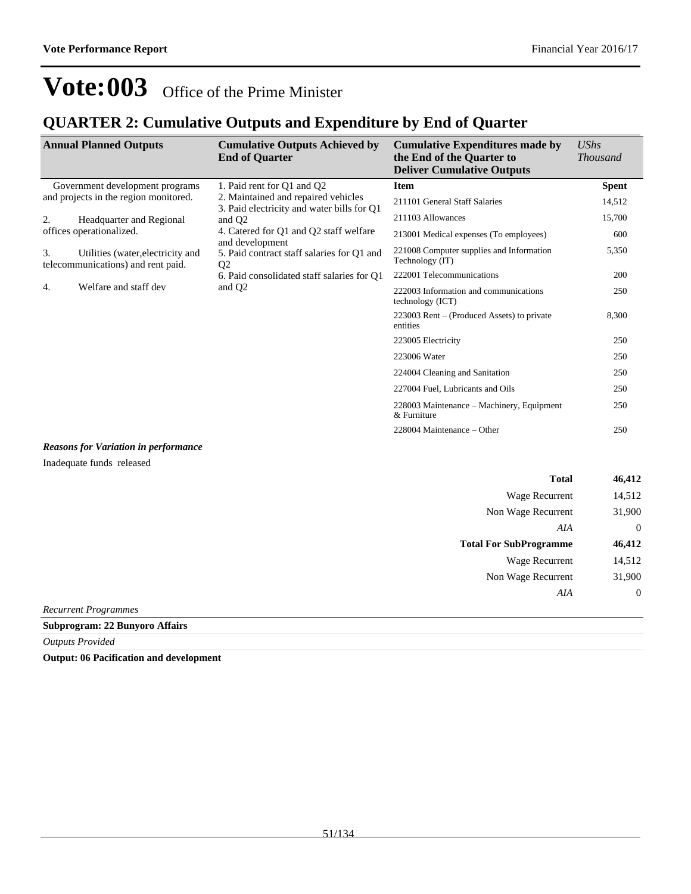### **QUARTER 2: Cumulative Outputs and Expenditure by End of Quarter**

|                             | <b>Annual Planned Outputs</b>                                           | <b>Cumulative Outputs Achieved by</b><br><b>End of Quarter</b>                    | <b>Cumulative Expenditures made by</b><br>the End of the Quarter to<br><b>Deliver Cumulative Outputs</b> | <b>UShs</b><br><b>Thousand</b> |
|-----------------------------|-------------------------------------------------------------------------|-----------------------------------------------------------------------------------|----------------------------------------------------------------------------------------------------------|--------------------------------|
|                             | Government development programs                                         | 1. Paid rent for Q1 and Q2                                                        | <b>Item</b>                                                                                              | <b>Spent</b>                   |
|                             | and projects in the region monitored.                                   | 2. Maintained and repaired vehicles<br>3. Paid electricity and water bills for Q1 | 211101 General Staff Salaries                                                                            | 14,512                         |
| 2.                          | Headquarter and Regional                                                | and O <sub>2</sub>                                                                | 211103 Allowances                                                                                        | 15,700                         |
|                             | offices operationalized.                                                | 4. Catered for Q1 and Q2 staff welfare<br>and development                         | 213001 Medical expenses (To employees)                                                                   | 600                            |
| 3.                          | Utilities (water, electricity and<br>telecommunications) and rent paid. | 5. Paid contract staff salaries for Q1 and<br>Q <sub>2</sub>                      | 221008 Computer supplies and Information<br>Technology (IT)                                              | 5,350                          |
| Welfare and staff dev<br>4. | 6. Paid consolidated staff salaries for Q1                              | 222001 Telecommunications                                                         | 200                                                                                                      |                                |
|                             | and Q <sub>2</sub>                                                      |                                                                                   | 222003 Information and communications<br>technology (ICT)                                                | 250                            |
|                             |                                                                         |                                                                                   | $223003$ Rent – (Produced Assets) to private<br>entities                                                 | 8,300                          |
|                             |                                                                         |                                                                                   | 223005 Electricity                                                                                       | 250                            |
|                             |                                                                         |                                                                                   | 223006 Water                                                                                             | 250                            |
|                             |                                                                         |                                                                                   | 224004 Cleaning and Sanitation                                                                           | 250                            |
|                             |                                                                         |                                                                                   | 227004 Fuel, Lubricants and Oils                                                                         | 250                            |
|                             |                                                                         |                                                                                   | 228003 Maintenance – Machinery, Equipment<br>& Furniture                                                 | 250                            |
|                             |                                                                         |                                                                                   | 228004 Maintenance – Other                                                                               | 250                            |
|                             | <b>Reasons for Variation in performance</b>                             |                                                                                   |                                                                                                          |                                |

#### *Reasons for Variation in performance* Inadequate funds released

| <b>Total</b>                  | 46,412           |
|-------------------------------|------------------|
| Wage Recurrent                | 14,512           |
| Non Wage Recurrent            | 31,900           |
| AIA                           | $\overline{0}$   |
| <b>Total For SubProgramme</b> | 46,412           |
| Wage Recurrent                | 14,512           |
| Non Wage Recurrent            | 31,900           |
| AIA                           | $\boldsymbol{0}$ |
| <b>Recurrent Programmes</b>   |                  |

**Subprogram: 22 Bunyoro Affairs**

*Outputs Provided*

**Output: 06 Pacification and development**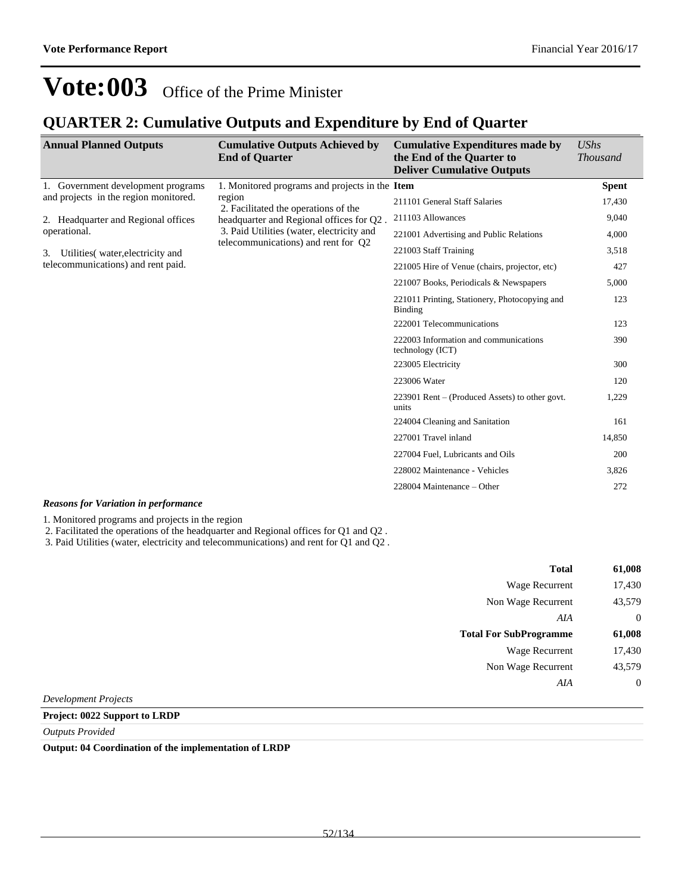### **QUARTER 2: Cumulative Outputs and Expenditure by End of Quarter**

| <b>Annual Planned Outputs</b>          | <b>Cumulative Outputs Achieved by</b><br><b>End of Quarter</b>                             | <b>Cumulative Expenditures made by</b><br>the End of the Quarter to<br><b>Deliver Cumulative Outputs</b> | <b>UShs</b><br><b>Thousand</b> |
|----------------------------------------|--------------------------------------------------------------------------------------------|----------------------------------------------------------------------------------------------------------|--------------------------------|
| 1. Government development programs     | 1. Monitored programs and projects in the Item                                             |                                                                                                          | <b>Spent</b>                   |
| and projects in the region monitored.  | region<br>2. Facilitated the operations of the<br>headquarter and Regional offices for Q2. | 211101 General Staff Salaries                                                                            | 17,430                         |
| 2. Headquarter and Regional offices    |                                                                                            | 211103 Allowances                                                                                        | 9,040                          |
| operational.                           | 3. Paid Utilities (water, electricity and<br>telecommunications) and rent for Q2           | 221001 Advertising and Public Relations                                                                  | 4,000                          |
| Utilities water, electricity and<br>3. |                                                                                            | 221003 Staff Training                                                                                    | 3,518                          |
| telecommunications) and rent paid.     |                                                                                            | 221005 Hire of Venue (chairs, projector, etc)                                                            | 427                            |
|                                        |                                                                                            | 221007 Books, Periodicals & Newspapers                                                                   | 5,000                          |
|                                        |                                                                                            | 221011 Printing, Stationery, Photocopying and<br>Binding                                                 | 123                            |
|                                        |                                                                                            | 222001 Telecommunications                                                                                | 123                            |
|                                        |                                                                                            | 222003 Information and communications<br>technology (ICT)                                                | 390                            |
|                                        |                                                                                            | 223005 Electricity                                                                                       | 300                            |
|                                        |                                                                                            | 223006 Water                                                                                             | 120                            |
|                                        |                                                                                            | 223901 Rent – (Produced Assets) to other govt.<br>units                                                  | 1,229                          |
|                                        |                                                                                            | 224004 Cleaning and Sanitation                                                                           | 161                            |
|                                        |                                                                                            | 227001 Travel inland                                                                                     | 14,850                         |
|                                        |                                                                                            | 227004 Fuel, Lubricants and Oils                                                                         | 200                            |
|                                        |                                                                                            | 228002 Maintenance - Vehicles                                                                            | 3,826                          |
|                                        |                                                                                            | $228004$ Maintenance – Other                                                                             | 272                            |

#### *Reasons for Variation in performance*

1. Monitored programs and projects in the region

2. Facilitated the operations of the headquarter and Regional offices for Q1 and Q2 .

3. Paid Utilities (water, electricity and telecommunications) and rent for Q1 and Q2 .

| <b>Total</b>                  | 61,008   |
|-------------------------------|----------|
| Wage Recurrent                | 17,430   |
| Non Wage Recurrent            | 43,579   |
| AIA                           | $\theta$ |
| <b>Total For SubProgramme</b> | 61,008   |
| Wage Recurrent                | 17,430   |
| Non Wage Recurrent            | 43,579   |
| AIA                           | $\theta$ |
|                               |          |

*Development Projects*

#### **Project: 0022 Support to LRDP**

*Outputs Provided*

**Output: 04 Coordination of the implementation of LRDP**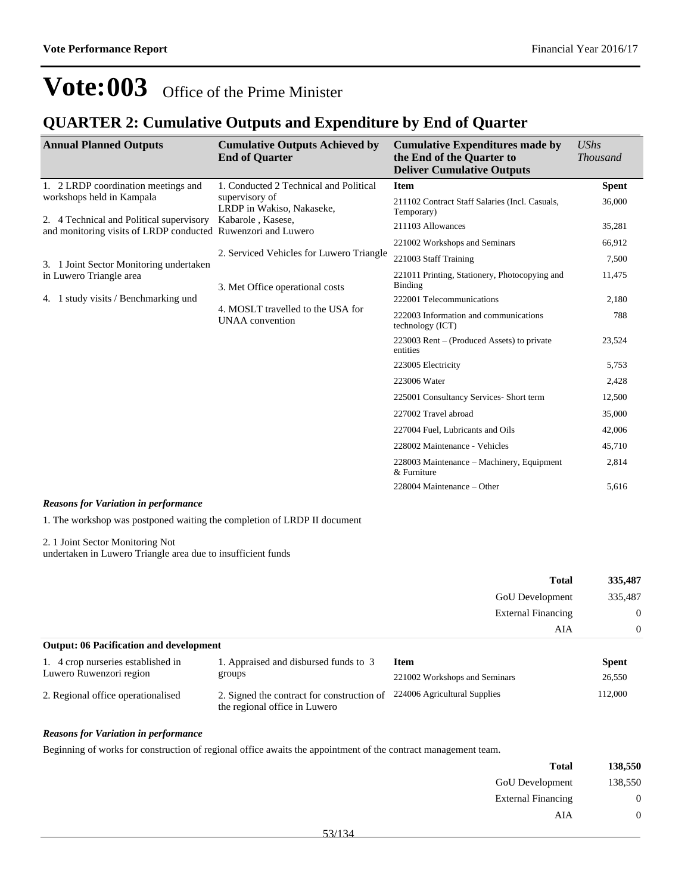### **QUARTER 2: Cumulative Outputs and Expenditure by End of Quarter**

| <b>Annual Planned Outputs</b>                                                                            | <b>Cumulative Outputs Achieved by</b><br><b>End of Quarter</b> | <b>Cumulative Expenditures made by</b><br>the End of the Quarter to<br><b>Deliver Cumulative Outputs</b> | <b>UShs</b><br><b>Thousand</b> |
|----------------------------------------------------------------------------------------------------------|----------------------------------------------------------------|----------------------------------------------------------------------------------------------------------|--------------------------------|
| 1. 2 LRDP coordination meetings and                                                                      | 1. Conducted 2 Technical and Political                         | <b>Item</b>                                                                                              | <b>Spent</b>                   |
| workshops held in Kampala                                                                                | supervisory of<br>LRDP in Wakiso, Nakaseke,                    | 211102 Contract Staff Salaries (Incl. Casuals,<br>Temporary)                                             | 36,000                         |
| 2. 4 Technical and Political supervisory<br>and monitoring visits of LRDP conducted Ruwenzori and Luwero | Kabarole, Kasese,                                              | 211103 Allowances                                                                                        | 35,281                         |
|                                                                                                          |                                                                | 221002 Workshops and Seminars                                                                            | 66,912                         |
| 3. 1 Joint Sector Monitoring undertaken                                                                  | 2. Serviced Vehicles for Luwero Triangle                       | 221003 Staff Training                                                                                    | 7,500                          |
| in Luwero Triangle area                                                                                  | 3. Met Office operational costs                                | 221011 Printing, Stationery, Photocopying and<br><b>Binding</b>                                          | 11,475                         |
| 4. 1 study visits / Benchmarking und                                                                     | 4. MOSLT travelled to the USA for<br><b>UNAA</b> convention    | 222001 Telecommunications                                                                                | 2,180                          |
|                                                                                                          |                                                                | 222003 Information and communications<br>technology (ICT)                                                | 788                            |
|                                                                                                          |                                                                | 223003 Rent – (Produced Assets) to private<br>entities                                                   | 23,524                         |
|                                                                                                          |                                                                | 223005 Electricity                                                                                       | 5,753                          |
|                                                                                                          |                                                                | 223006 Water                                                                                             | 2,428                          |
|                                                                                                          |                                                                | 225001 Consultancy Services- Short term                                                                  | 12,500                         |
|                                                                                                          |                                                                | 227002 Travel abroad                                                                                     | 35,000                         |
|                                                                                                          |                                                                | 227004 Fuel, Lubricants and Oils                                                                         | 42,006                         |
|                                                                                                          |                                                                | 228002 Maintenance - Vehicles                                                                            | 45,710                         |
|                                                                                                          |                                                                | 228003 Maintenance – Machinery, Equipment<br>& Furniture                                                 | 2,814                          |
|                                                                                                          |                                                                | 228004 Maintenance - Other                                                                               | 5.616                          |

#### *Reasons for Variation in performance*

1. The workshop was postponed waiting the completion of LRDP II document

2. 1 Joint Sector Monitoring Not

undertaken in Luwero Triangle area due to insufficient funds

| <b>Total</b>                            | 335,487        |
|-----------------------------------------|----------------|
| <b>GoU</b> Development                  | 335,487        |
| <b>External Financing</b>               | $\mathbf{0}$   |
| AIA                                     | $\overline{0}$ |
| Orthout, OC Davissotian and development |                |

|  | <b>Output:</b> vo Pacification and development |  |
|--|------------------------------------------------|--|
|  |                                                |  |

| 1. 4 crop nurseries established in | 1. Appraised and disbursed funds to 3                                                                    | <b>Item</b>                   | Spent   |
|------------------------------------|----------------------------------------------------------------------------------------------------------|-------------------------------|---------|
| Luwero Ruwenzori region            | groups                                                                                                   | 221002 Workshops and Seminars | 26.550  |
| 2. Regional office operationalised | 2. Signed the contract for construction of 224006 Agricultural Supplies<br>the regional office in Luwero |                               | 112.000 |

#### *Reasons for Variation in performance*

Beginning of works for construction of regional office awaits the appointment of the contract management team.

| 138,550          | <b>Total</b>              |  |
|------------------|---------------------------|--|
| 138,550          | GoU Development           |  |
| $\boldsymbol{0}$ | <b>External Financing</b> |  |
| $\overline{0}$   | AIA                       |  |
|                  |                           |  |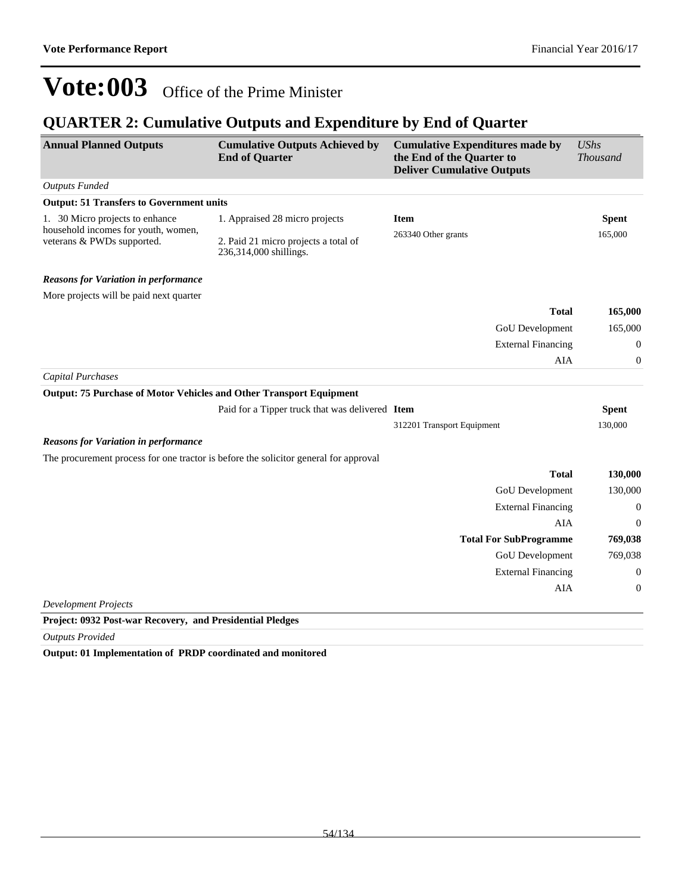### **QUARTER 2: Cumulative Outputs and Expenditure by End of Quarter**

| <b>Annual Planned Outputs</b>                                              | <b>Cumulative Outputs Achieved by</b><br><b>End of Quarter</b>                       | <b>Cumulative Expenditures made by</b><br>the End of the Quarter to<br><b>Deliver Cumulative Outputs</b> | <b>UShs</b><br><b>Thousand</b> |
|----------------------------------------------------------------------------|--------------------------------------------------------------------------------------|----------------------------------------------------------------------------------------------------------|--------------------------------|
| <b>Outputs Funded</b>                                                      |                                                                                      |                                                                                                          |                                |
| <b>Output: 51 Transfers to Government units</b>                            |                                                                                      |                                                                                                          |                                |
| 1. 30 Micro projects to enhance                                            | 1. Appraised 28 micro projects                                                       | <b>Item</b>                                                                                              | <b>Spent</b>                   |
| household incomes for youth, women,<br>veterans & PWDs supported.          | 2. Paid 21 micro projects a total of<br>236,314,000 shillings.                       | 263340 Other grants                                                                                      | 165,000                        |
| <b>Reasons for Variation in performance</b>                                |                                                                                      |                                                                                                          |                                |
| More projects will be paid next quarter                                    |                                                                                      |                                                                                                          |                                |
|                                                                            |                                                                                      | <b>Total</b>                                                                                             | 165,000                        |
|                                                                            |                                                                                      | GoU Development                                                                                          | 165,000                        |
|                                                                            |                                                                                      | <b>External Financing</b>                                                                                | $\theta$                       |
|                                                                            |                                                                                      | AIA                                                                                                      | $\boldsymbol{0}$               |
| <b>Capital Purchases</b>                                                   |                                                                                      |                                                                                                          |                                |
| <b>Output: 75 Purchase of Motor Vehicles and Other Transport Equipment</b> |                                                                                      |                                                                                                          |                                |
|                                                                            | Paid for a Tipper truck that was delivered Item                                      |                                                                                                          | <b>Spent</b>                   |
|                                                                            |                                                                                      | 312201 Transport Equipment                                                                               | 130,000                        |
| <b>Reasons for Variation in performance</b>                                |                                                                                      |                                                                                                          |                                |
|                                                                            | The procurement process for one tractor is before the solicitor general for approval |                                                                                                          |                                |
|                                                                            |                                                                                      | <b>Total</b>                                                                                             | 130,000                        |
|                                                                            |                                                                                      | GoU Development                                                                                          | 130,000                        |
|                                                                            |                                                                                      | <b>External Financing</b>                                                                                | $\boldsymbol{0}$               |
|                                                                            |                                                                                      | AIA                                                                                                      | $\Omega$                       |
|                                                                            |                                                                                      | <b>Total For SubProgramme</b>                                                                            | 769,038                        |
|                                                                            |                                                                                      | GoU Development                                                                                          | 769,038                        |
|                                                                            |                                                                                      | <b>External Financing</b>                                                                                | $\mathbf{0}$                   |
|                                                                            |                                                                                      | <b>AIA</b>                                                                                               | $\mathbf{0}$                   |
| <b>Development Projects</b>                                                |                                                                                      |                                                                                                          |                                |
| Project: 0932 Post-war Recovery, and Presidential Pledges                  |                                                                                      |                                                                                                          |                                |
| <b>Outputs Provided</b>                                                    |                                                                                      |                                                                                                          |                                |

**Output: 01 Implementation of PRDP coordinated and monitored**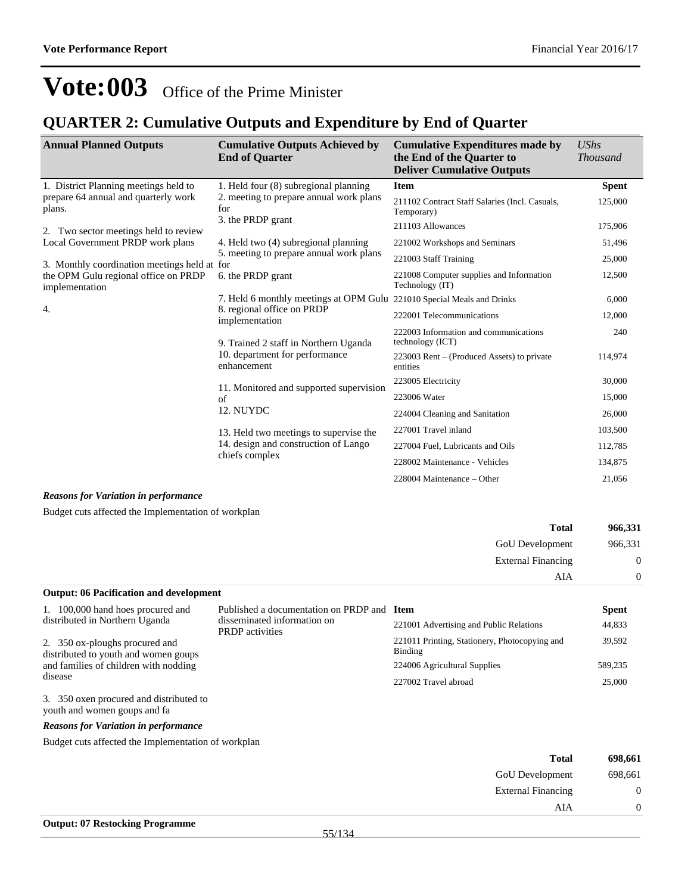### **QUARTER 2: Cumulative Outputs and Expenditure by End of Quarter**

| <b>Annual Planned Outputs</b>                          | <b>Cumulative Outputs Achieved by</b><br><b>End of Quarter</b>                                                         | <b>Cumulative Expenditures made by</b><br>the End of the Quarter to<br><b>Deliver Cumulative Outputs</b> | $\mathit{UShs}$<br><b>Thousand</b> |
|--------------------------------------------------------|------------------------------------------------------------------------------------------------------------------------|----------------------------------------------------------------------------------------------------------|------------------------------------|
| 1. District Planning meetings held to                  | 1. Held four (8) subregional planning                                                                                  | <b>Item</b>                                                                                              | <b>Spent</b>                       |
| prepare 64 annual and quarterly work<br>plans.         | 2. meeting to prepare annual work plans<br>for                                                                         | 211102 Contract Staff Salaries (Incl. Casuals,<br>Temporary)                                             | 125,000                            |
| 2. Two sector meetings held to review                  | 3. the PRDP grant                                                                                                      | 211103 Allowances                                                                                        | 175,906                            |
| Local Government PRDP work plans                       | 4. Held two (4) subregional planning                                                                                   | 221002 Workshops and Seminars                                                                            | 51,496                             |
| 3. Monthly coordination meetings held at for           | 5. meeting to prepare annual work plans                                                                                | 221003 Staff Training                                                                                    | 25,000                             |
| the OPM Gulu regional office on PRDP<br>implementation | 6. the PRDP grant                                                                                                      | 221008 Computer supplies and Information<br>Technology (IT)                                              | 12,500                             |
| 4.                                                     | 7. Held 6 monthly meetings at OPM Gulu 221010 Special Meals and Drinks<br>8. regional office on PRDP<br>implementation |                                                                                                          | 6,000                              |
|                                                        |                                                                                                                        | 222001 Telecommunications                                                                                | 12,000                             |
|                                                        | 9. Trained 2 staff in Northern Uganda<br>10. department for performance<br>enhancement                                 | 222003 Information and communications<br>technology (ICT)                                                | 240                                |
|                                                        |                                                                                                                        | 223003 Rent $-$ (Produced Assets) to private<br>entities                                                 | 114,974                            |
|                                                        | 11. Monitored and supported supervision<br>of<br>12. NUYDC                                                             | 223005 Electricity                                                                                       | 30,000                             |
|                                                        |                                                                                                                        | 223006 Water                                                                                             | 15,000                             |
|                                                        |                                                                                                                        | 224004 Cleaning and Sanitation                                                                           | 26,000                             |
|                                                        | 13. Held two meetings to supervise the                                                                                 | 227001 Travel inland                                                                                     | 103,500                            |
|                                                        | 14. design and construction of Lango<br>chiefs complex                                                                 | 227004 Fuel, Lubricants and Oils                                                                         | 112,785                            |
|                                                        |                                                                                                                        | 228002 Maintenance - Vehicles                                                                            | 134,875                            |
|                                                        |                                                                                                                        | $228004$ Maintenance – Other                                                                             | 21,056                             |

#### *Reasons for Variation in performance*

**Output: 06 Pacification and development**

Budget cuts affected the Implementation of workplan

| 966,331        | <b>Total</b>              |
|----------------|---------------------------|
| 966,331        | <b>GoU</b> Development    |
| $\mathbf{0}$   | <b>External Financing</b> |
| $\overline{0}$ | AIA                       |

| 1. 100,000 hand hoes procured and                                       | Published a documentation on PRDP and Item            |                                                          | <b>Spent</b> |
|-------------------------------------------------------------------------|-------------------------------------------------------|----------------------------------------------------------|--------------|
| distributed in Northern Uganda                                          | disseminated information on<br><b>PRDP</b> activities | 221001 Advertising and Public Relations                  | 44,833       |
| 2. 350 ox-ploughs procured and<br>distributed to youth and women goups  |                                                       | 221011 Printing, Stationery, Photocopying and<br>Binding | 39,592       |
| and families of children with nodding                                   |                                                       | 224006 Agricultural Supplies                             | 589,235      |
| disease                                                                 |                                                       | 227002 Travel abroad                                     | 25,000       |
| 3. 350 oxen procured and distributed to<br>youth and women goups and fa |                                                       |                                                          |              |
| <b>Reasons for Variation in performance</b>                             |                                                       |                                                          |              |

Budget cuts affected the Implementation of workplan

| 698,661        | <b>Total</b>              |
|----------------|---------------------------|
| 698,661        | <b>GoU</b> Development    |
| $\overline{0}$ | <b>External Financing</b> |
| $\theta$       | AIA                       |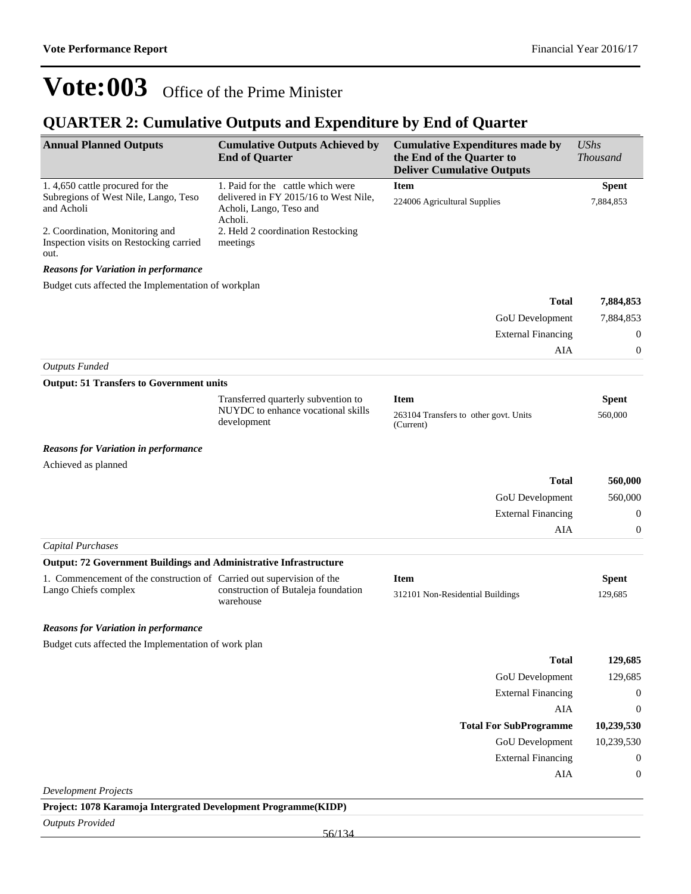### **QUARTER 2: Cumulative Outputs and Expenditure by End of Quarter**

| <b>Annual Planned Outputs</b>                                                                 | <b>Cumulative Outputs Achieved by</b><br><b>End of Quarter</b>                           | <b>Cumulative Expenditures made by</b><br>the End of the Quarter to<br><b>Deliver Cumulative Outputs</b> | <b>UShs</b><br><b>Thousand</b> |
|-----------------------------------------------------------------------------------------------|------------------------------------------------------------------------------------------|----------------------------------------------------------------------------------------------------------|--------------------------------|
| 1.4,650 cattle procured for the                                                               | 1. Paid for the cattle which were                                                        | <b>Item</b>                                                                                              | <b>Spent</b>                   |
| Subregions of West Nile, Lango, Teso<br>and Acholi                                            | delivered in FY 2015/16 to West Nile,<br>Acholi, Lango, Teso and                         | 224006 Agricultural Supplies                                                                             | 7,884,853                      |
| 2. Coordination, Monitoring and<br>Inspection visits on Restocking carried<br>out.            | Acholi.<br>2. Held 2 coordination Restocking<br>meetings                                 |                                                                                                          |                                |
| <b>Reasons for Variation in performance</b>                                                   |                                                                                          |                                                                                                          |                                |
| Budget cuts affected the Implementation of workplan                                           |                                                                                          |                                                                                                          |                                |
|                                                                                               |                                                                                          | <b>Total</b>                                                                                             | 7,884,853                      |
|                                                                                               |                                                                                          | GoU Development                                                                                          | 7,884,853                      |
|                                                                                               |                                                                                          | <b>External Financing</b>                                                                                | $\boldsymbol{0}$               |
|                                                                                               |                                                                                          | AIA                                                                                                      | $\mathbf{0}$                   |
| <b>Outputs Funded</b>                                                                         |                                                                                          |                                                                                                          |                                |
| <b>Output: 51 Transfers to Government units</b>                                               |                                                                                          |                                                                                                          |                                |
|                                                                                               | Transferred quarterly subvention to<br>NUYDC to enhance vocational skills<br>development | <b>Item</b><br>263104 Transfers to other govt. Units<br>(Current)                                        | <b>Spent</b><br>560,000        |
| <b>Reasons for Variation in performance</b>                                                   |                                                                                          |                                                                                                          |                                |
| Achieved as planned                                                                           |                                                                                          |                                                                                                          |                                |
|                                                                                               |                                                                                          | <b>Total</b>                                                                                             | 560,000                        |
|                                                                                               |                                                                                          | GoU Development                                                                                          | 560,000                        |
|                                                                                               |                                                                                          | <b>External Financing</b>                                                                                | $\boldsymbol{0}$               |
|                                                                                               |                                                                                          | AIA                                                                                                      | $\boldsymbol{0}$               |
| <b>Capital Purchases</b>                                                                      |                                                                                          |                                                                                                          |                                |
| <b>Output: 72 Government Buildings and Administrative Infrastructure</b>                      |                                                                                          |                                                                                                          |                                |
| 1. Commencement of the construction of Carried out supervision of the<br>Lango Chiefs complex | construction of Butaleja foundation<br>warehouse                                         | <b>Item</b><br>312101 Non-Residential Buildings                                                          | <b>Spent</b><br>129,685        |
| <b>Reasons for Variation in performance</b>                                                   |                                                                                          |                                                                                                          |                                |
| Budget cuts affected the Implementation of work plan                                          |                                                                                          |                                                                                                          |                                |
|                                                                                               |                                                                                          | <b>Total</b>                                                                                             | 129,685                        |
|                                                                                               |                                                                                          | GoU Development                                                                                          | 129,685                        |
|                                                                                               |                                                                                          | <b>External Financing</b>                                                                                | $\boldsymbol{0}$               |
|                                                                                               |                                                                                          | AIA                                                                                                      | $\boldsymbol{0}$               |
|                                                                                               |                                                                                          | <b>Total For SubProgramme</b>                                                                            | 10,239,530                     |
|                                                                                               |                                                                                          | <b>GoU</b> Development                                                                                   | 10,239,530                     |
|                                                                                               |                                                                                          | <b>External Financing</b>                                                                                | $\theta$                       |
|                                                                                               |                                                                                          | AIA                                                                                                      | $\boldsymbol{0}$               |
| <b>Development Projects</b>                                                                   |                                                                                          |                                                                                                          |                                |
| Project: 1078 Karamoja Intergrated Development Programme(KIDP)                                |                                                                                          |                                                                                                          |                                |
|                                                                                               |                                                                                          |                                                                                                          |                                |

*Outputs Provided*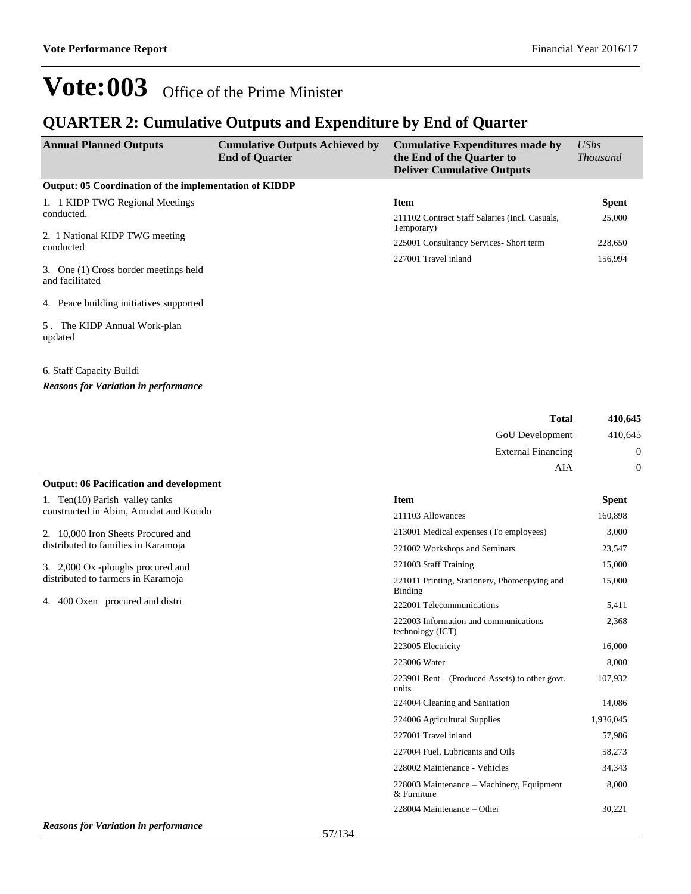AIA 0

8,000

228002 Maintenance - Vehicles 34,343

 $228004$  Maintenance – Other  $30,221$ 

228003 Maintenance - Machinery, Equipment

& Furniture

### **Vote:003** Office of the Prime Minister

#### **QUARTER 2: Cumulative Outputs and Expenditure by End of Quarter**

| <b>Annual Planned Outputs</b>                            | <b>Cumulative Outputs Achieved by</b><br><b>End of Quarter</b> | <b>Cumulative Expenditures made by</b><br>the End of the Quarter to<br><b>Deliver Cumulative Outputs</b> | UShs<br><b>Thousand</b> |
|----------------------------------------------------------|----------------------------------------------------------------|----------------------------------------------------------------------------------------------------------|-------------------------|
| Output: 05 Coordination of the implementation of KIDDP   |                                                                |                                                                                                          |                         |
| 1. 1 KIDP TWG Regional Meetings                          |                                                                | <b>Item</b>                                                                                              | <b>Spent</b>            |
| conducted.                                               |                                                                | 211102 Contract Staff Salaries (Incl. Casuals,<br>Temporary)                                             | 25,000                  |
| 2. 1 National KIDP TWG meeting<br>conducted              |                                                                | 225001 Consultancy Services- Short term                                                                  | 228,650                 |
| 3. One (1) Cross border meetings held<br>and facilitated |                                                                | 227001 Travel inland                                                                                     | 156,994                 |
| 4. Peace building initiatives supported                  |                                                                |                                                                                                          |                         |
| 5. The KIDP Annual Work-plan<br>updated                  |                                                                |                                                                                                          |                         |
| 6. Staff Capacity Buildi                                 |                                                                |                                                                                                          |                         |
| <b>Reasons for Variation in performance</b>              |                                                                |                                                                                                          |                         |
|                                                          |                                                                | <b>Total</b>                                                                                             | 410,645                 |
|                                                          |                                                                | <b>GoU</b> Development                                                                                   | 410,645                 |
|                                                          |                                                                | <b>External Financing</b>                                                                                | $\boldsymbol{0}$        |

| <b>Output: 06 Pacification and development</b> |                                                           |              |
|------------------------------------------------|-----------------------------------------------------------|--------------|
| 1. Ten $(10)$ Parish valley tanks              | <b>Item</b>                                               | <b>Spent</b> |
| constructed in Abim, Amudat and Kotido         | 211103 Allowances                                         | 160,898      |
| 2. 10,000 Iron Sheets Procured and             | 213001 Medical expenses (To employees)                    | 3,000        |
| distributed to families in Karamoja            | 221002 Workshops and Seminars                             | 23,547       |
| 3. 2,000 Ox -ploughs procured and              | 221003 Staff Training                                     | 15,000       |
| distributed to farmers in Karamoja             | 221011 Printing, Stationery, Photocopying and<br>Binding  | 15,000       |
| 4. 400 Oxen procured and distri                | 222001 Telecommunications                                 | 5,411        |
|                                                | 222003 Information and communications<br>technology (ICT) | 2,368        |
|                                                | 223005 Electricity                                        | 16,000       |
|                                                | 223006 Water                                              | 8,000        |
|                                                | $223901$ Rent – (Produced Assets) to other govt.<br>units | 107,932      |
|                                                | 224004 Cleaning and Sanitation                            | 14,086       |
|                                                | 224006 Agricultural Supplies                              | 1,936,045    |
|                                                | 227001 Travel inland                                      | 57,986       |
|                                                | 227004 Fuel, Lubricants and Oils                          | 58,273       |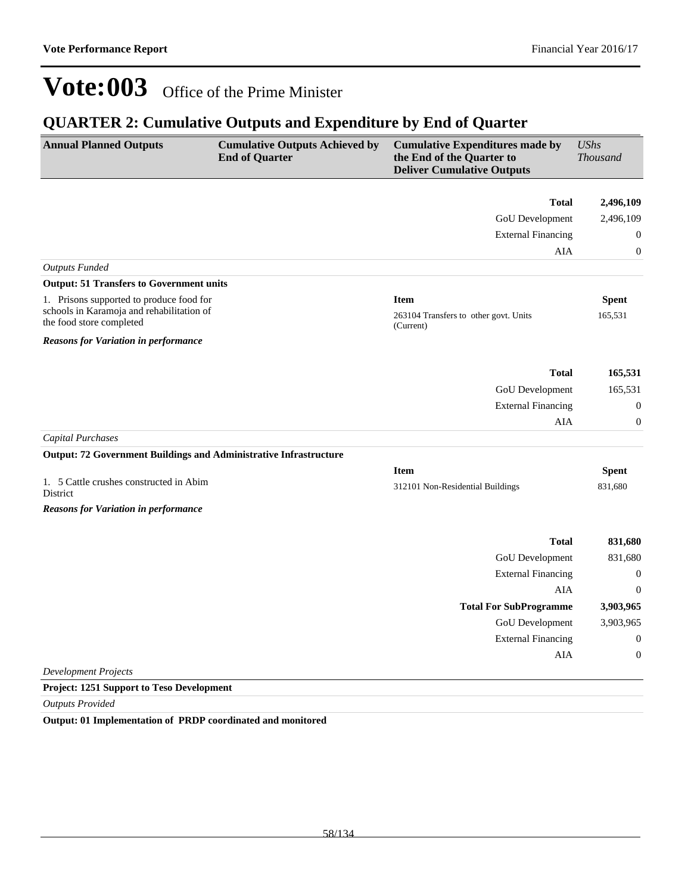#### **QUARTER 2: Cumulative Outputs and Expenditure by End of Quarter**

| <b>Annual Planned Outputs</b>                                            | <b>Cumulative Outputs Achieved by</b><br><b>End of Quarter</b> | <b>Cumulative Expenditures made by</b><br>the End of the Quarter to<br><b>Deliver Cumulative Outputs</b> | <b>UShs</b><br><b>Thousand</b> |
|--------------------------------------------------------------------------|----------------------------------------------------------------|----------------------------------------------------------------------------------------------------------|--------------------------------|
|                                                                          |                                                                | <b>Total</b>                                                                                             | 2,496,109                      |
|                                                                          |                                                                | GoU Development                                                                                          | 2,496,109                      |
|                                                                          |                                                                | <b>External Financing</b>                                                                                | $\boldsymbol{0}$               |
|                                                                          |                                                                | <b>AIA</b>                                                                                               | $\boldsymbol{0}$               |
| <b>Outputs Funded</b>                                                    |                                                                |                                                                                                          |                                |
| <b>Output: 51 Transfers to Government units</b>                          |                                                                |                                                                                                          |                                |
| 1. Prisons supported to produce food for                                 |                                                                | <b>Item</b>                                                                                              | <b>Spent</b>                   |
| schools in Karamoja and rehabilitation of<br>the food store completed    |                                                                | 263104 Transfers to other govt. Units<br>(Current)                                                       | 165,531                        |
| <b>Reasons for Variation in performance</b>                              |                                                                |                                                                                                          |                                |
|                                                                          |                                                                | <b>Total</b>                                                                                             | 165,531                        |
|                                                                          |                                                                | GoU Development                                                                                          | 165,531                        |
|                                                                          |                                                                | <b>External Financing</b>                                                                                | $\boldsymbol{0}$               |
|                                                                          |                                                                | AIA                                                                                                      | $\boldsymbol{0}$               |
| <b>Capital Purchases</b>                                                 |                                                                |                                                                                                          |                                |
| <b>Output: 72 Government Buildings and Administrative Infrastructure</b> |                                                                |                                                                                                          |                                |
| 1. 5 Cattle crushes constructed in Abim                                  |                                                                | <b>Item</b>                                                                                              | <b>Spent</b>                   |
| District                                                                 |                                                                | 312101 Non-Residential Buildings                                                                         | 831,680                        |
| <b>Reasons for Variation in performance</b>                              |                                                                |                                                                                                          |                                |
|                                                                          |                                                                | <b>Total</b>                                                                                             | 831,680                        |
|                                                                          |                                                                | GoU Development                                                                                          | 831,680                        |
|                                                                          |                                                                | <b>External Financing</b>                                                                                | $\boldsymbol{0}$               |
|                                                                          |                                                                | AIA                                                                                                      | $\boldsymbol{0}$               |
|                                                                          |                                                                | <b>Total For SubProgramme</b>                                                                            | 3,903,965                      |
|                                                                          |                                                                | GoU Development                                                                                          | 3,903,965                      |
|                                                                          |                                                                | <b>External Financing</b>                                                                                | $\mathbf{0}$                   |
|                                                                          |                                                                | AIA                                                                                                      | $\overline{0}$                 |
| Development Projects                                                     |                                                                |                                                                                                          |                                |
| Project: 1251 Support to Teso Development                                |                                                                |                                                                                                          |                                |

*Outputs Provided*

**Output: 01 Implementation of PRDP coordinated and monitored**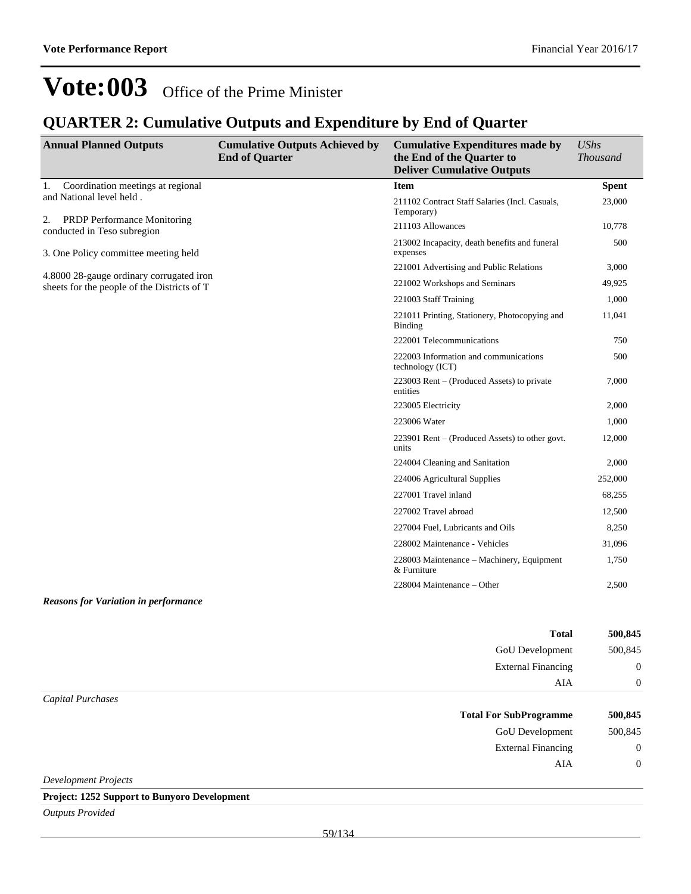### **QUARTER 2: Cumulative Outputs and Expenditure by End of Quarter**

| <b>Annual Planned Outputs</b>                                                           | <b>Cumulative Outputs Achieved by</b><br><b>End of Quarter</b> | <b>Cumulative Expenditures made by</b><br>the End of the Quarter to<br><b>Deliver Cumulative Outputs</b> | <b>UShs</b><br><b>Thousand</b> |
|-----------------------------------------------------------------------------------------|----------------------------------------------------------------|----------------------------------------------------------------------------------------------------------|--------------------------------|
| Coordination meetings at regional<br>1.                                                 |                                                                | <b>Item</b>                                                                                              | <b>Spent</b>                   |
| and National level held.                                                                |                                                                | 211102 Contract Staff Salaries (Incl. Casuals,<br>Temporary)                                             | 23,000                         |
| 2.<br>PRDP Performance Monitoring<br>conducted in Teso subregion                        |                                                                | 211103 Allowances                                                                                        | 10,778                         |
| 3. One Policy committee meeting held                                                    |                                                                | 213002 Incapacity, death benefits and funeral<br>expenses                                                | 500                            |
|                                                                                         |                                                                | 221001 Advertising and Public Relations                                                                  | 3,000                          |
| 4.8000 28-gauge ordinary corrugated iron<br>sheets for the people of the Districts of T |                                                                | 221002 Workshops and Seminars                                                                            | 49,925                         |
|                                                                                         |                                                                | 221003 Staff Training                                                                                    | 1,000                          |
|                                                                                         |                                                                | 221011 Printing, Stationery, Photocopying and<br>Binding                                                 | 11,041                         |
|                                                                                         |                                                                | 222001 Telecommunications                                                                                | 750                            |
|                                                                                         |                                                                | 222003 Information and communications<br>technology (ICT)                                                | 500                            |
|                                                                                         |                                                                | 223003 Rent – (Produced Assets) to private<br>entities                                                   | 7,000                          |
|                                                                                         |                                                                | 223005 Electricity                                                                                       | 2,000                          |
|                                                                                         |                                                                | 223006 Water                                                                                             | 1,000                          |
|                                                                                         |                                                                | 223901 Rent – (Produced Assets) to other govt.<br>units                                                  | 12,000                         |
|                                                                                         |                                                                | 224004 Cleaning and Sanitation                                                                           | 2,000                          |
|                                                                                         |                                                                | 224006 Agricultural Supplies                                                                             | 252,000                        |
|                                                                                         |                                                                | 227001 Travel inland                                                                                     | 68,255                         |
|                                                                                         |                                                                | 227002 Travel abroad                                                                                     | 12,500                         |
|                                                                                         |                                                                | 227004 Fuel, Lubricants and Oils                                                                         | 8,250                          |
|                                                                                         |                                                                | 228002 Maintenance - Vehicles                                                                            | 31,096                         |
|                                                                                         |                                                                | 228003 Maintenance - Machinery, Equipment<br>& Furniture                                                 | 1,750                          |
|                                                                                         |                                                                | 228004 Maintenance - Other                                                                               | 2,500                          |
| <b>Reasons for Variation in performance</b>                                             |                                                                |                                                                                                          |                                |

|                             | <b>Total</b>                  | 500,845          |
|-----------------------------|-------------------------------|------------------|
|                             | GoU Development               | 500,845          |
|                             | <b>External Financing</b>     | $\boldsymbol{0}$ |
|                             | AIA                           | $\overline{0}$   |
| <b>Capital Purchases</b>    |                               |                  |
|                             | <b>Total For SubProgramme</b> | 500,845          |
|                             | GoU Development               | 500,845          |
|                             | <b>External Financing</b>     | $\boldsymbol{0}$ |
|                             | AIA                           | $\boldsymbol{0}$ |
| <b>Development Projects</b> |                               |                  |

**Project: 1252 Support to Bunyoro Development**

*Outputs Provided*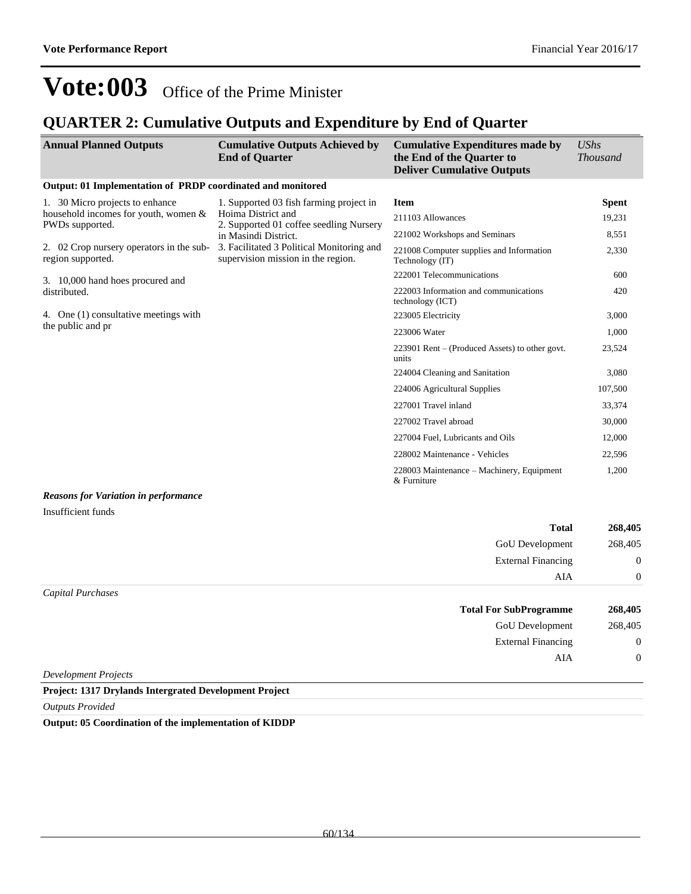### **QUARTER 2: Cumulative Outputs and Expenditure by End of Quarter**

| <b>Annual Planned Outputs</b>                                 | <b>Cumulative Outputs Achieved by</b><br><b>End of Quarter</b>                                           | <b>Cumulative Expenditures made by</b><br>the End of the Quarter to<br><b>Deliver Cumulative Outputs</b> | <b>UShs</b><br><b>Thousand</b> |
|---------------------------------------------------------------|----------------------------------------------------------------------------------------------------------|----------------------------------------------------------------------------------------------------------|--------------------------------|
| Output: 01 Implementation of PRDP coordinated and monitored   |                                                                                                          |                                                                                                          |                                |
| 1. 30 Micro projects to enhance                               | 1. Supported 03 fish farming project in<br>Hoima District and<br>2. Supported 01 coffee seedling Nursery | <b>Item</b>                                                                                              | <b>Spent</b>                   |
| household incomes for youth, women &<br>PWDs supported.       |                                                                                                          | 211103 Allowances                                                                                        | 19,231                         |
|                                                               | in Masindi District.                                                                                     | 221002 Workshops and Seminars                                                                            | 8,551                          |
| 2. 02 Crop nursery operators in the sub-<br>region supported. | 3. Facilitated 3 Political Monitoring and<br>supervision mission in the region.                          | 221008 Computer supplies and Information<br>Technology (IT)                                              | 2,330                          |
| 3. 10,000 hand hoes procured and<br>distributed.              |                                                                                                          | 222001 Telecommunications                                                                                | 600                            |
|                                                               |                                                                                                          | 222003 Information and communications<br>technology (ICT)                                                | 420                            |
| 4. One (1) consultative meetings with                         |                                                                                                          | 223005 Electricity                                                                                       | 3,000                          |
| the public and pr                                             |                                                                                                          | 223006 Water                                                                                             | 1,000                          |
|                                                               |                                                                                                          | $223901$ Rent – (Produced Assets) to other govt.<br>units                                                | 23,524                         |
|                                                               |                                                                                                          | 224004 Cleaning and Sanitation                                                                           | 3,080                          |
|                                                               |                                                                                                          | 224006 Agricultural Supplies                                                                             | 107,500                        |
|                                                               |                                                                                                          | 227001 Travel inland                                                                                     | 33,374                         |
|                                                               |                                                                                                          | 227002 Travel abroad                                                                                     | 30,000                         |
|                                                               |                                                                                                          | 227004 Fuel, Lubricants and Oils                                                                         | 12,000                         |
|                                                               |                                                                                                          | 228002 Maintenance - Vehicles                                                                            | 22,596                         |
| $\theta$ and $\theta$ and $\theta$                            |                                                                                                          | 228003 Maintenance – Machinery, Equipment<br>& Furniture                                                 | 1,200                          |

#### *Reasons for Variation in performance*

Insufficient funds

|                   | <b>Total</b>                  | 268,405        |
|-------------------|-------------------------------|----------------|
|                   | GoU Development               | 268,405        |
|                   | <b>External Financing</b>     | $\overline{0}$ |
|                   | AIA                           | $\overline{0}$ |
| Capital Purchases |                               |                |
|                   | <b>Total For SubProgramme</b> | 268,405        |
|                   | GoU Development               | 268,405        |
|                   | <b>External Financing</b>     | $\overline{0}$ |
|                   | AIA                           | $\overline{0}$ |
|                   |                               |                |

*Development Projects*

#### **Project: 1317 Drylands Intergrated Development Project**

*Outputs Provided*

**Output: 05 Coordination of the implementation of KIDDP**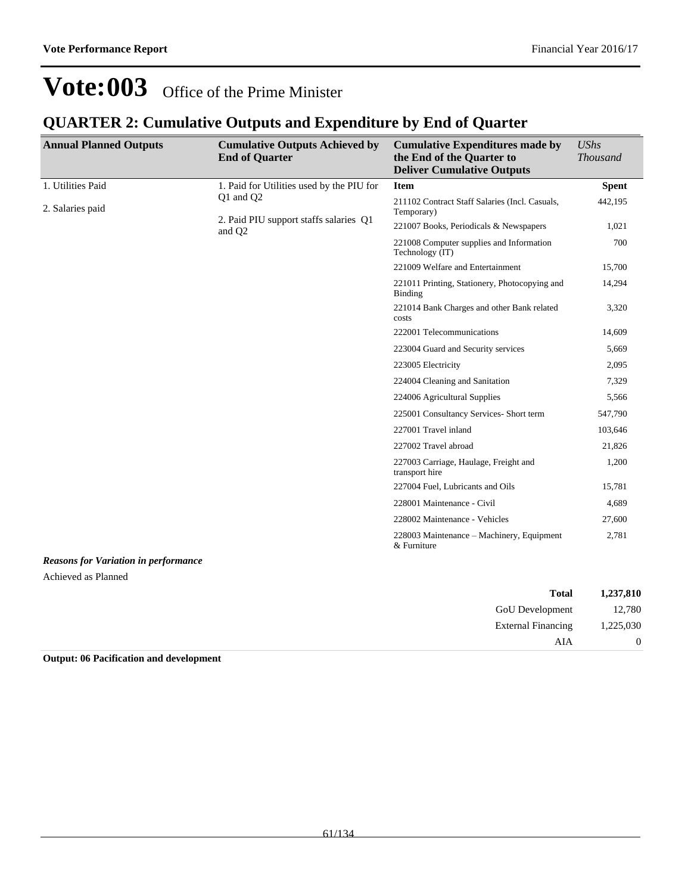### **QUARTER 2: Cumulative Outputs and Expenditure by End of Quarter**

| <b>Annual Planned Outputs</b>               | <b>Cumulative Outputs Achieved by</b><br><b>End of Quarter</b> | <b>Cumulative Expenditures made by</b><br>the End of the Quarter to<br><b>Deliver Cumulative Outputs</b> | UShs<br><b>Thousand</b> |
|---------------------------------------------|----------------------------------------------------------------|----------------------------------------------------------------------------------------------------------|-------------------------|
| 1. Utilities Paid                           | 1. Paid for Utilities used by the PIU for                      | <b>Item</b>                                                                                              | <b>Spent</b>            |
| Q1 and Q2<br>2. Salaries paid               | 211102 Contract Staff Salaries (Incl. Casuals,<br>Temporary)   | 442,195                                                                                                  |                         |
|                                             | 2. Paid PIU support staffs salaries Q1<br>and Q <sub>2</sub>   | 221007 Books, Periodicals & Newspapers                                                                   | 1,021                   |
|                                             |                                                                | 221008 Computer supplies and Information<br>Technology (IT)                                              | 700                     |
|                                             |                                                                | 221009 Welfare and Entertainment                                                                         | 15,700                  |
|                                             |                                                                | 221011 Printing, Stationery, Photocopying and<br><b>Binding</b>                                          | 14,294                  |
|                                             |                                                                | 221014 Bank Charges and other Bank related<br>costs                                                      | 3,320                   |
|                                             |                                                                | 222001 Telecommunications                                                                                | 14,609                  |
|                                             |                                                                | 223004 Guard and Security services                                                                       | 5,669                   |
|                                             |                                                                | 223005 Electricity                                                                                       | 2,095                   |
|                                             |                                                                | 224004 Cleaning and Sanitation                                                                           | 7,329                   |
|                                             |                                                                | 224006 Agricultural Supplies                                                                             | 5,566                   |
|                                             |                                                                | 225001 Consultancy Services- Short term                                                                  | 547,790                 |
|                                             |                                                                | 227001 Travel inland                                                                                     | 103,646                 |
|                                             |                                                                | 227002 Travel abroad                                                                                     | 21,826                  |
|                                             |                                                                | 227003 Carriage, Haulage, Freight and<br>transport hire                                                  | 1,200                   |
|                                             |                                                                | 227004 Fuel, Lubricants and Oils                                                                         | 15,781                  |
|                                             |                                                                | 228001 Maintenance - Civil                                                                               | 4,689                   |
|                                             |                                                                | 228002 Maintenance - Vehicles                                                                            | 27,600                  |
|                                             |                                                                | 228003 Maintenance - Machinery, Equipment<br>& Furniture                                                 | 2,781                   |
| <b>Reasons for Variation in performance</b> |                                                                |                                                                                                          |                         |

Achieved as Planned

| 1,237,810      | <b>Total</b>              |
|----------------|---------------------------|
| 12,780         | GoU Development           |
| 1,225,030      | <b>External Financing</b> |
| $\overline{0}$ | AIA                       |

#### **Output: 06 Pacification and development**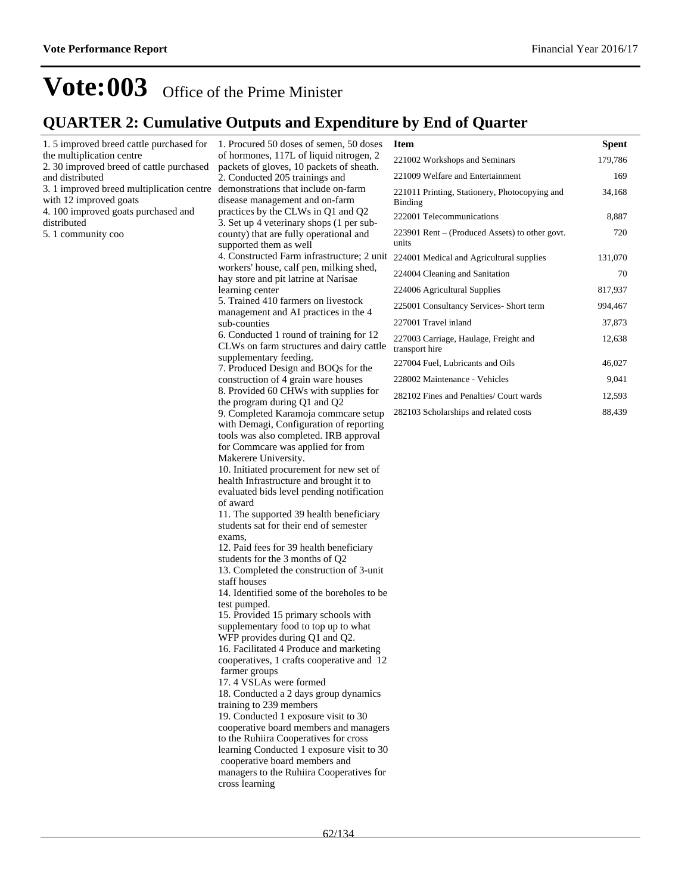#### **QUARTER 2: Cumulative Outputs and Expenditure by End of Quarter**

| 1.5 improved breed cattle purchased for<br>the multiplication centre<br>2. 30 improved breed of cattle purchased<br>and distributed<br>3. 1 improved breed multiplication centre<br>with 12 improved goats<br>4. 100 improved goats purchased and<br>distributed<br>5.1 community coo | 1. Procured 50 doses of semen, 50 doses<br>of hormones, 117L of liquid nitrogen, 2<br>packets of gloves, 10 packets of sheath.<br>2. Conducted 205 trainings and<br>demonstrations that include on-farm<br>disease management and on-farm<br>practices by the CLWs in Q1 and Q2<br>3. Set up 4 veterinary shops (1 per sub-<br>county) that are fully operational and<br>supported them as well<br>4. Constructed Farm infrastructure; 2 unit<br>workers' house, calf pen, milking shed,<br>hay store and pit latrine at Narisae<br>learning center<br>5. Trained 410 farmers on livestock<br>management and AI practices in the 4<br>sub-counties<br>6. Conducted 1 round of training for 12<br>CLWs on farm structures and dairy cattle<br>supplementary feeding.<br>7. Produced Design and BOQs for the<br>construction of 4 grain ware houses<br>8. Provided 60 CHWs with supplies for<br>the program during Q1 and Q2<br>9. Completed Karamoja commcare setup<br>with Demagi, Configuration of reporting<br>tools was also completed. IRB approval<br>for Commcare was applied for from<br>Makerere University.<br>10. Initiated procurement for new set of<br>health Infrastructure and brought it to<br>evaluated bids level pending notification<br>of award<br>11. The supported 39 health beneficiary<br>students sat for their end of semester<br>exams,<br>12. Paid fees for 39 health beneficiary<br>students for the 3 months of Q2<br>13. Completed the construction of 3-unit<br>staff houses<br>14. Identified some of the boreholes to be |
|---------------------------------------------------------------------------------------------------------------------------------------------------------------------------------------------------------------------------------------------------------------------------------------|-------------------------------------------------------------------------------------------------------------------------------------------------------------------------------------------------------------------------------------------------------------------------------------------------------------------------------------------------------------------------------------------------------------------------------------------------------------------------------------------------------------------------------------------------------------------------------------------------------------------------------------------------------------------------------------------------------------------------------------------------------------------------------------------------------------------------------------------------------------------------------------------------------------------------------------------------------------------------------------------------------------------------------------------------------------------------------------------------------------------------------------------------------------------------------------------------------------------------------------------------------------------------------------------------------------------------------------------------------------------------------------------------------------------------------------------------------------------------------------------------------------------------------------------------------------|
|                                                                                                                                                                                                                                                                                       | test pumped.<br>15. Provided 15 primary schools with<br>supplementary food to top up to what                                                                                                                                                                                                                                                                                                                                                                                                                                                                                                                                                                                                                                                                                                                                                                                                                                                                                                                                                                                                                                                                                                                                                                                                                                                                                                                                                                                                                                                                |
|                                                                                                                                                                                                                                                                                       | WFP provides during Q1 and Q2.<br>16. Facilitated 4 Produce and marketing<br>cooperatives, 1 crafts cooperative and 12<br>farmer groups<br>17.4 VSLAs were formed<br>18. Conducted a 2 days group dynamics                                                                                                                                                                                                                                                                                                                                                                                                                                                                                                                                                                                                                                                                                                                                                                                                                                                                                                                                                                                                                                                                                                                                                                                                                                                                                                                                                  |
|                                                                                                                                                                                                                                                                                       | training to 239 members<br>19. Conducted 1 exposure visit to 30<br>cooperative board members and managers<br>to the Ruhiira Cooperatives for cross<br>learning Conducted 1 exposure visit to 30<br>cooperative board members and<br>managers to the Ruhiira Cooperatives for<br>cross learning                                                                                                                                                                                                                                                                                                                                                                                                                                                                                                                                                                                                                                                                                                                                                                                                                                                                                                                                                                                                                                                                                                                                                                                                                                                              |

| 1. 50 doses                | <b>Item</b>                                                     | <b>Spent</b> |
|----------------------------|-----------------------------------------------------------------|--------------|
| itrogen, 2<br>of sheath.   | 221002 Workshops and Seminars                                   | 179,786      |
| d                          | 221009 Welfare and Entertainment                                | 169          |
| n-farm<br>arm              | 221011 Printing, Stationery, Photocopying and<br><b>Binding</b> | 34,168       |
| and Q2<br>l per sub-       | 222001 Telecommunications                                       | 8,887        |
| nal and                    | 223901 Rent – (Produced Assets) to other govt.<br>units         | 720          |
| cture: 2 unit              | 224001 Medical and Agricultural supplies                        | 131,070      |
| ing shed,<br>risae         | 224004 Cleaning and Sanitation                                  | 70           |
|                            | 224006 Agricultural Supplies                                    | 817,937      |
| estock<br>in the $4$       | 225001 Consultancy Services- Short term                         | 994,467      |
|                            | 227001 Travel inland                                            | 37,873       |
| ing for 12<br>dairy cattle | 227003 Carriage, Haulage, Freight and<br>transport hire         | 12,638       |
| s for the                  | 227004 Fuel, Lubricants and Oils                                | 46,027       |
| ouses                      | 228002 Maintenance - Vehicles                                   | 9,041        |
| pplies for<br>2.           | 282102 Fines and Penalties/ Court wards                         | 12,593       |
| ncare setup                | 282103 Scholarships and related costs                           | 88,439       |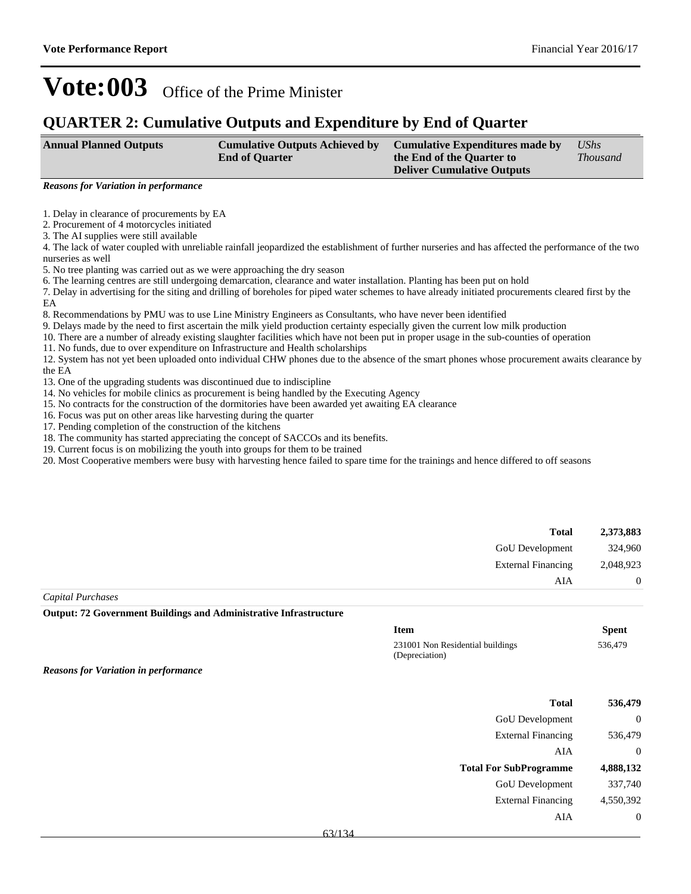#### **QUARTER 2: Cumulative Outputs and Expenditure by End of Quarter**

| <b>Annual Planned Outputs</b> | <b>Cumulative Outputs Achieved by</b> | Cumulative Expenditures made by   | <b>UShs</b>     |
|-------------------------------|---------------------------------------|-----------------------------------|-----------------|
|                               | <b>End of Quarter</b>                 | the End of the Quarter to         | <i>Thousand</i> |
|                               |                                       | <b>Deliver Cumulative Outputs</b> |                 |

*Reasons for Variation in performance*

1. Delay in clearance of procurements by EA

2. Procurement of 4 motorcycles initiated

3. The AI supplies were still available

4. The lack of water coupled with unreliable rainfall jeopardized the establishment of further nurseries and has affected the performance of the two nurseries as well

5. No tree planting was carried out as we were approaching the dry season

6. The learning centres are still undergoing demarcation, clearance and water installation. Planting has been put on hold

7. Delay in advertising for the siting and drilling of boreholes for piped water schemes to have already initiated procurements cleared first by the EA

8. Recommendations by PMU was to use Line Ministry Engineers as Consultants, who have never been identified

9. Delays made by the need to first ascertain the milk yield production certainty especially given the current low milk production

10. There are a number of already existing slaughter facilities which have not been put in proper usage in the sub-counties of operation

11. No funds, due to over expenditure on Infrastructure and Health scholarships

12. System has not yet been uploaded onto individual CHW phones due to the absence of the smart phones whose procurement awaits clearance by the EA

13. One of the upgrading students was discontinued due to indiscipline

14. No vehicles for mobile clinics as procurement is being handled by the Executing Agency

15. No contracts for the construction of the dormitories have been awarded yet awaiting EA clearance

16. Focus was put on other areas like harvesting during the quarter

17. Pending completion of the construction of the kitchens

18. The community has started appreciating the concept of SACCOs and its benefits.

19. Current focus is on mobilizing the youth into groups for them to be trained

20. Most Cooperative members were busy with harvesting hence failed to spare time for the trainings and hence differed to off seasons

| 2,373,883      | <b>Total</b>              |
|----------------|---------------------------|
| 324,960        | GoU Development           |
| 2,048,923      | <b>External Financing</b> |
| $\overline{0}$ | AIA                       |
|                |                           |

*Capital Purchases*

**Output: 72 Government Buildings and Administrative Infrastructure**

| <b>Item</b>                                        | <b>Spent</b> |
|----------------------------------------------------|--------------|
| 231001 Non Residential buildings<br>(Depreciation) | 536,479      |

*Reasons for Variation in performance*

| Total                         | 536,479   |
|-------------------------------|-----------|
| GoU Development               |           |
| <b>External Financing</b>     | 536,479   |
| AIA                           |           |
|                               |           |
| <b>Total For SubProgramme</b> | 4,888,132 |
| <b>GoU</b> Development        | 337,740   |
| <b>External Financing</b>     | 4,550,392 |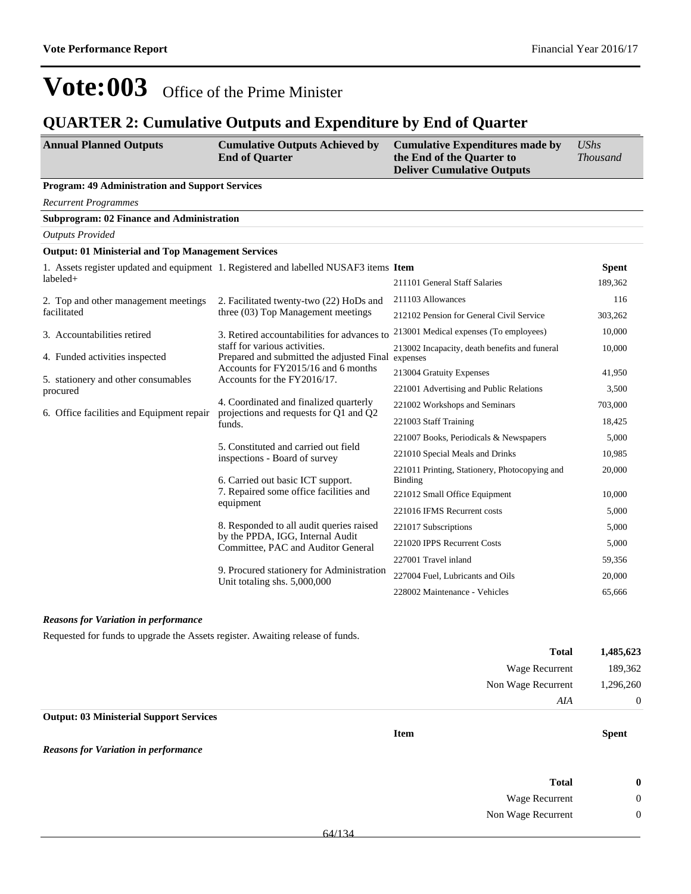#### **QUARTER 2: Cumulative Outputs and Expenditure by End of Quarter**

| <b>Cumulative Outputs Achieved by</b><br><b>End of Quarter</b> | Cumulative Expenditures made by<br>the End of the Quarter to<br><b>Deliver Cumulative Outputs</b> | <b>UShs</b><br><b>Thousand</b> |
|----------------------------------------------------------------|---------------------------------------------------------------------------------------------------|--------------------------------|
|                                                                |                                                                                                   |                                |
|                                                                |                                                                                                   |                                |

#### **Program: 49 Administration and Support Services**

*Recurrent Programmes*

#### **Subprogram: 02 Finance and Administration**

*Outputs Provided*

#### **Output: 01 Ministerial and Top Management Services**

|                                           | 1. Assets register updated and equipment 1. Registered and labelled NUSAF3 items Item                              |                                                           | <b>Spent</b> |
|-------------------------------------------|--------------------------------------------------------------------------------------------------------------------|-----------------------------------------------------------|--------------|
| labeled+                                  |                                                                                                                    | 211101 General Staff Salaries                             | 189,362      |
| 2. Top and other management meetings      | 2. Facilitated twenty-two (22) HoDs and                                                                            | 211103 Allowances                                         | 116          |
| facilitated                               | three (03) Top Management meetings                                                                                 | 212102 Pension for General Civil Service                  | 303,262      |
| 3. Accountabilities retired               | 3. Retired accountabilities for advances to                                                                        | 213001 Medical expenses (To employees)                    | 10,000       |
| 4. Funded activities inspected            | staff for various activities.<br>Prepared and submitted the adjusted Final                                         | 213002 Incapacity, death benefits and funeral<br>expenses | 10,000       |
| 5. stationery and other consumables       | Accounts for FY2015/16 and 6 months<br>Accounts for the FY2016/17.                                                 | 213004 Gratuity Expenses                                  | 41,950       |
| procured                                  |                                                                                                                    | 221001 Advertising and Public Relations                   | 3,500        |
|                                           | 4. Coordinated and finalized quarterly<br>projections and requests for Q1 and Q2<br>funds.                         | 221002 Workshops and Seminars                             | 703,000      |
| 6. Office facilities and Equipment repair |                                                                                                                    | 221003 Staff Training                                     | 18,425       |
|                                           | 5. Constituted and carried out field<br>inspections - Board of survey                                              | 221007 Books, Periodicals & Newspapers                    | 5,000        |
|                                           |                                                                                                                    | 221010 Special Meals and Drinks                           | 10,985       |
|                                           | 6. Carried out basic ICT support.<br>7. Repaired some office facilities and<br>equipment                           | 221011 Printing, Stationery, Photocopying and<br>Binding  | 20,000       |
|                                           |                                                                                                                    | 221012 Small Office Equipment                             | 10,000       |
|                                           |                                                                                                                    | 221016 IFMS Recurrent costs                               | 5,000        |
|                                           | 8. Responded to all audit queries raised<br>by the PPDA, IGG, Internal Audit<br>Committee, PAC and Auditor General | 221017 Subscriptions                                      | 5,000        |
|                                           |                                                                                                                    | 221020 IPPS Recurrent Costs                               | 5,000        |
|                                           |                                                                                                                    | 227001 Travel inland                                      | 59,356       |
|                                           | 9. Procured stationery for Administration<br>Unit totaling shs. $5,000,000$                                        | 227004 Fuel, Lubricants and Oils                          | 20,000       |
|                                           |                                                                                                                    | 228002 Maintenance - Vehicles                             | 65,666       |

#### *Reasons for Variation in performance*

Requested for funds to upgrade the Assets register. Awaiting release of funds.

|                                                |             | <b>Total</b>       | 1,485,623      |
|------------------------------------------------|-------------|--------------------|----------------|
|                                                |             | Wage Recurrent     | 189,362        |
|                                                |             | Non Wage Recurrent | 1,296,260      |
|                                                |             | AIA                | $\mathbf{0}$   |
| <b>Output: 03 Ministerial Support Services</b> |             |                    |                |
|                                                | <b>Item</b> |                    | <b>Spent</b>   |
| <b>Reasons for Variation in performance</b>    |             |                    |                |
|                                                |             | <b>Total</b>       | $\bf{0}$       |
|                                                |             | Wage Recurrent     | $\mathbf{0}$   |
|                                                |             | Non Wage Recurrent | $\overline{0}$ |
|                                                |             |                    |                |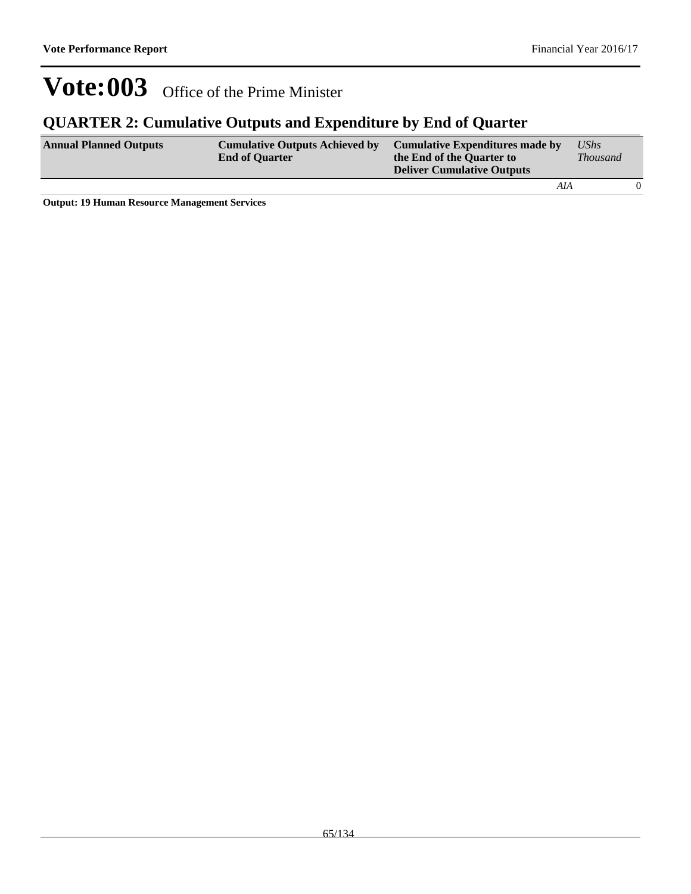### **QUARTER 2: Cumulative Outputs and Expenditure by End of Quarter**

| <b>Annual Planned Outputs</b> | <b>Cumulative Outputs Achieved by</b><br><b>End of Quarter</b> | Cumulative Expenditures made by<br>the End of the Quarter to<br><b>Deliver Cumulative Outputs</b> | <i>UShs</i><br><i>Thousand</i> |  |
|-------------------------------|----------------------------------------------------------------|---------------------------------------------------------------------------------------------------|--------------------------------|--|
|                               |                                                                |                                                                                                   | AIA                            |  |

**Output: 19 Human Resource Management Services**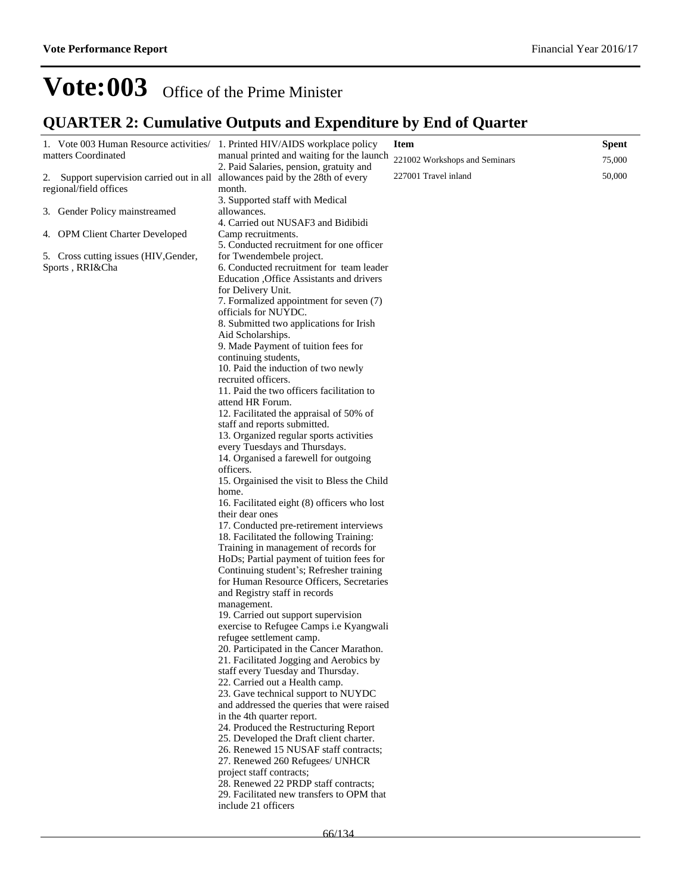### **QUARTER 2: Cumulative Outputs and Expenditure by End of Quarter**

| 1. Vote 003 Human Resource activities/ 1. Printed HIV/AIDS workplace policy    |                                                                                       | <b>Item</b>                   | <b>Spent</b> |
|--------------------------------------------------------------------------------|---------------------------------------------------------------------------------------|-------------------------------|--------------|
| matters Coordinated                                                            | manual printed and waiting for the launch                                             | 221002 Workshops and Seminars | 75,000       |
|                                                                                | 2. Paid Salaries, pension, gratuity and                                               |                               |              |
| 2. Support supervision carried out in all allowances paid by the 28th of every |                                                                                       | 227001 Travel inland          | 50,000       |
| regional/field offices                                                         | month.                                                                                |                               |              |
| 3. Gender Policy mainstreamed                                                  | 3. Supported staff with Medical<br>allowances.                                        |                               |              |
|                                                                                | 4. Carried out NUSAF3 and Bidibidi                                                    |                               |              |
| 4. OPM Client Charter Developed                                                | Camp recruitments.                                                                    |                               |              |
|                                                                                | 5. Conducted recruitment for one officer                                              |                               |              |
| 5. Cross cutting issues (HIV, Gender,                                          | for Twendembele project.                                                              |                               |              |
| Sports, RRI&Cha                                                                | 6. Conducted recruitment for team leader                                              |                               |              |
|                                                                                | Education , Office Assistants and drivers                                             |                               |              |
|                                                                                | for Delivery Unit.                                                                    |                               |              |
|                                                                                | 7. Formalized appointment for seven (7)                                               |                               |              |
|                                                                                | officials for NUYDC.                                                                  |                               |              |
|                                                                                | 8. Submitted two applications for Irish                                               |                               |              |
|                                                                                | Aid Scholarships.                                                                     |                               |              |
|                                                                                | 9. Made Payment of tuition fees for<br>continuing students,                           |                               |              |
|                                                                                | 10. Paid the induction of two newly                                                   |                               |              |
|                                                                                | recruited officers.                                                                   |                               |              |
|                                                                                | 11. Paid the two officers facilitation to                                             |                               |              |
|                                                                                | attend HR Forum.                                                                      |                               |              |
|                                                                                | 12. Facilitated the appraisal of 50% of                                               |                               |              |
|                                                                                | staff and reports submitted.                                                          |                               |              |
|                                                                                | 13. Organized regular sports activities                                               |                               |              |
|                                                                                | every Tuesdays and Thursdays.                                                         |                               |              |
|                                                                                | 14. Organised a farewell for outgoing                                                 |                               |              |
|                                                                                | officers.                                                                             |                               |              |
|                                                                                | 15. Orgainised the visit to Bless the Child                                           |                               |              |
|                                                                                | home.<br>16. Facilitated eight (8) officers who lost                                  |                               |              |
|                                                                                | their dear ones                                                                       |                               |              |
|                                                                                | 17. Conducted pre-retirement interviews                                               |                               |              |
|                                                                                | 18. Facilitated the following Training:                                               |                               |              |
|                                                                                | Training in management of records for                                                 |                               |              |
|                                                                                | HoDs; Partial payment of tuition fees for                                             |                               |              |
|                                                                                | Continuing student's; Refresher training                                              |                               |              |
|                                                                                | for Human Resource Officers, Secretaries                                              |                               |              |
|                                                                                | and Registry staff in records                                                         |                               |              |
|                                                                                | management.                                                                           |                               |              |
|                                                                                | 19. Carried out support supervision<br>exercise to Refugee Camps <i>i.e</i> Kyangwali |                               |              |
|                                                                                | refugee settlement camp.                                                              |                               |              |
|                                                                                | 20. Participated in the Cancer Marathon.                                              |                               |              |
|                                                                                | 21. Facilitated Jogging and Aerobics by                                               |                               |              |
|                                                                                | staff every Tuesday and Thursday.                                                     |                               |              |
|                                                                                | 22. Carried out a Health camp.                                                        |                               |              |
|                                                                                | 23. Gave technical support to NUYDC                                                   |                               |              |
|                                                                                | and addressed the queries that were raised                                            |                               |              |
|                                                                                | in the 4th quarter report.                                                            |                               |              |
|                                                                                | 24. Produced the Restructuring Report                                                 |                               |              |
|                                                                                | 25. Developed the Draft client charter.<br>26. Renewed 15 NUSAF staff contracts;      |                               |              |
|                                                                                | 27. Renewed 260 Refugees/ UNHCR                                                       |                               |              |
|                                                                                | project staff contracts;                                                              |                               |              |
|                                                                                | 28. Renewed 22 PRDP staff contracts;                                                  |                               |              |
|                                                                                | 29. Facilitated new transfers to OPM that                                             |                               |              |
|                                                                                | include 21 officers                                                                   |                               |              |
|                                                                                |                                                                                       |                               |              |
|                                                                                |                                                                                       |                               |              |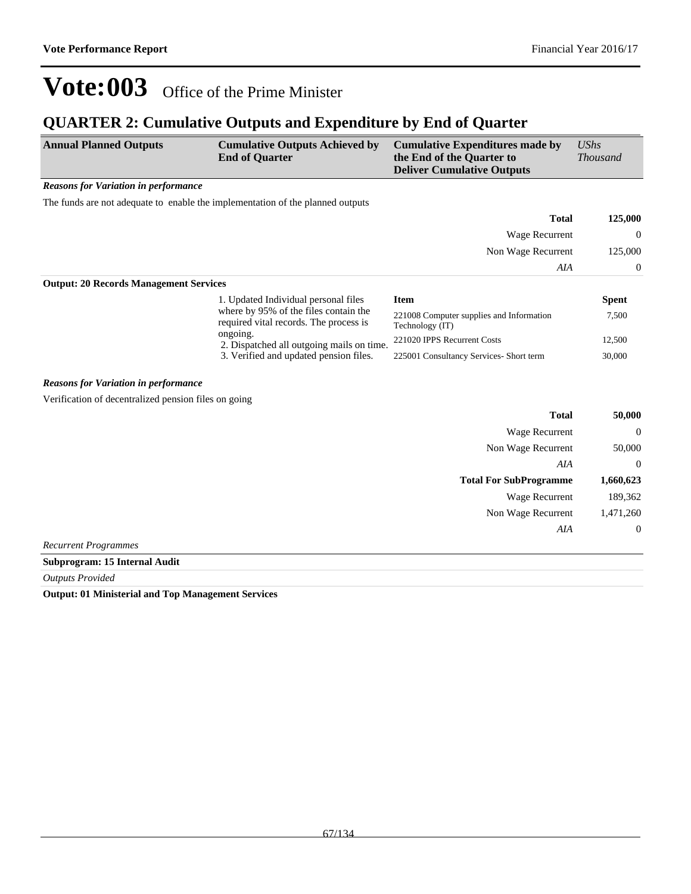### **QUARTER 2: Cumulative Outputs and Expenditure by End of Quarter**

| <b>Annual Planned Outputs</b>                                                  | <b>Cumulative Outputs Achieved by</b><br><b>End of Quarter</b>                                                                           | <b>Cumulative Expenditures made by</b><br>the End of the Quarter to<br><b>Deliver Cumulative Outputs</b> | <b>UShs</b><br><i>Thousand</i> |
|--------------------------------------------------------------------------------|------------------------------------------------------------------------------------------------------------------------------------------|----------------------------------------------------------------------------------------------------------|--------------------------------|
| <b>Reasons for Variation in performance</b>                                    |                                                                                                                                          |                                                                                                          |                                |
| The funds are not adequate to enable the implementation of the planned outputs |                                                                                                                                          |                                                                                                          |                                |
|                                                                                |                                                                                                                                          | <b>Total</b>                                                                                             | 125,000                        |
|                                                                                |                                                                                                                                          | Wage Recurrent                                                                                           | $\overline{0}$                 |
|                                                                                |                                                                                                                                          | Non Wage Recurrent                                                                                       | 125,000                        |
|                                                                                |                                                                                                                                          | AIA                                                                                                      | $\overline{0}$                 |
| <b>Output: 20 Records Management Services</b>                                  |                                                                                                                                          |                                                                                                          |                                |
|                                                                                | 1. Updated Individual personal files                                                                                                     | <b>Item</b>                                                                                              | <b>Spent</b>                   |
|                                                                                | where by 95% of the files contain the<br>required vital records. The process is<br>ongoing.<br>2. Dispatched all outgoing mails on time. | 221008 Computer supplies and Information<br>Technology (IT)                                              | 7,500                          |
|                                                                                |                                                                                                                                          | 221020 IPPS Recurrent Costs                                                                              | 12,500                         |
|                                                                                | 3. Verified and updated pension files.                                                                                                   | 225001 Consultancy Services- Short term                                                                  | 30,000                         |

#### *Reasons for Variation in performance*

Verification of decentralized pension files on going

| 50,000         | <b>Total</b>                  |
|----------------|-------------------------------|
| $\overline{0}$ | Wage Recurrent                |
| 50,000         | Non Wage Recurrent            |
| $\overline{0}$ | AIA                           |
| 1,660,623      | <b>Total For SubProgramme</b> |
| 189,362        | Wage Recurrent                |
| 1,471,260      | Non Wage Recurrent            |
| $\overline{0}$ | AIA                           |
|                |                               |

*Recurrent Programmes*

#### **Subprogram: 15 Internal Audit**

*Outputs Provided*

**Output: 01 Ministerial and Top Management Services**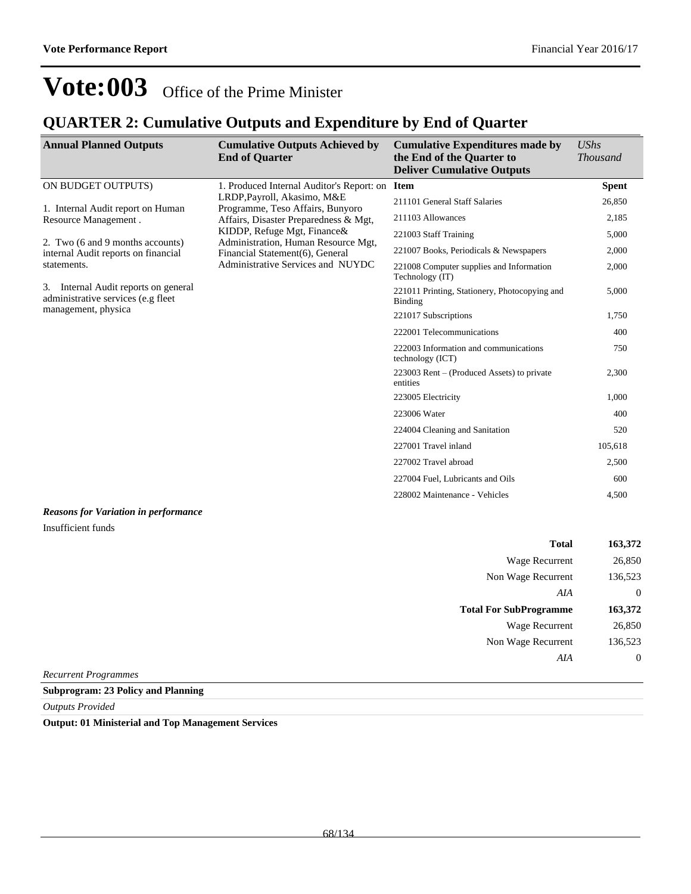### **QUARTER 2: Cumulative Outputs and Expenditure by End of Quarter**

| <b>Annual Planned Outputs</b>                                              | <b>Cumulative Outputs Achieved by</b><br><b>End of Quarter</b>         | <b>Cumulative Expenditures made by</b><br>the End of the Quarter to<br><b>Deliver Cumulative Outputs</b> | $\mathit{UShs}$<br><b>Thousand</b> |
|----------------------------------------------------------------------------|------------------------------------------------------------------------|----------------------------------------------------------------------------------------------------------|------------------------------------|
| ON BUDGET OUTPUTS)                                                         | 1. Produced Internal Auditor's Report: on Item                         |                                                                                                          | <b>Spent</b>                       |
| 1. Internal Audit report on Human                                          | LRDP, Payroll, Akasimo, M&E<br>Programme, Teso Affairs, Bunyoro        | 211101 General Staff Salaries                                                                            | 26,850                             |
| Resource Management.                                                       | Affairs, Disaster Preparedness & Mgt,                                  | 211103 Allowances                                                                                        | 2,185                              |
|                                                                            | KIDDP, Refuge Mgt, Finance&                                            | 221003 Staff Training                                                                                    | 5,000                              |
| 2. Two (6 and 9 months accounts)<br>internal Audit reports on financial    | Administration, Human Resource Mgt,<br>Financial Statement(6), General | 221007 Books, Periodicals & Newspapers                                                                   | 2,000                              |
| statements.                                                                | Administrative Services and NUYDC                                      | 221008 Computer supplies and Information<br>Technology (IT)                                              | 2,000                              |
| 3. Internal Audit reports on general<br>administrative services (e.g fleet |                                                                        | 221011 Printing, Stationery, Photocopying and<br><b>Binding</b>                                          | 5,000                              |
| management, physica                                                        |                                                                        | 221017 Subscriptions                                                                                     | 1,750                              |
|                                                                            |                                                                        | 222001 Telecommunications                                                                                | 400                                |
|                                                                            |                                                                        | 222003 Information and communications<br>technology (ICT)                                                | 750                                |
|                                                                            |                                                                        | $223003$ Rent – (Produced Assets) to private<br>entities                                                 | 2,300                              |
|                                                                            |                                                                        | 223005 Electricity                                                                                       | 1,000                              |
|                                                                            |                                                                        | 223006 Water                                                                                             | 400                                |
|                                                                            |                                                                        | 224004 Cleaning and Sanitation                                                                           | 520                                |
|                                                                            |                                                                        | 227001 Travel inland                                                                                     | 105,618                            |
|                                                                            |                                                                        | 227002 Travel abroad                                                                                     | 2,500                              |
|                                                                            |                                                                        | 227004 Fuel, Lubricants and Oils                                                                         | 600                                |
|                                                                            |                                                                        | 228002 Maintenance - Vehicles                                                                            | 4,500                              |
| <b>Reasons for Variation in performance</b>                                |                                                                        |                                                                                                          |                                    |
| Insufficient funds                                                         |                                                                        |                                                                                                          |                                    |

| 163,372        | <b>Total</b>                  |
|----------------|-------------------------------|
| 26,850         | Wage Recurrent                |
| 136,523        | Non Wage Recurrent            |
| $\overline{0}$ | AIA                           |
| 163,372        | <b>Total For SubProgramme</b> |
| 26,850         | Wage Recurrent                |
| 136,523        | Non Wage Recurrent            |
|                |                               |
| $\overline{0}$ | AIA                           |

*Recurrent Programmes*

**Subprogram: 23 Policy and Planning**

*Outputs Provided*

**Output: 01 Ministerial and Top Management Services**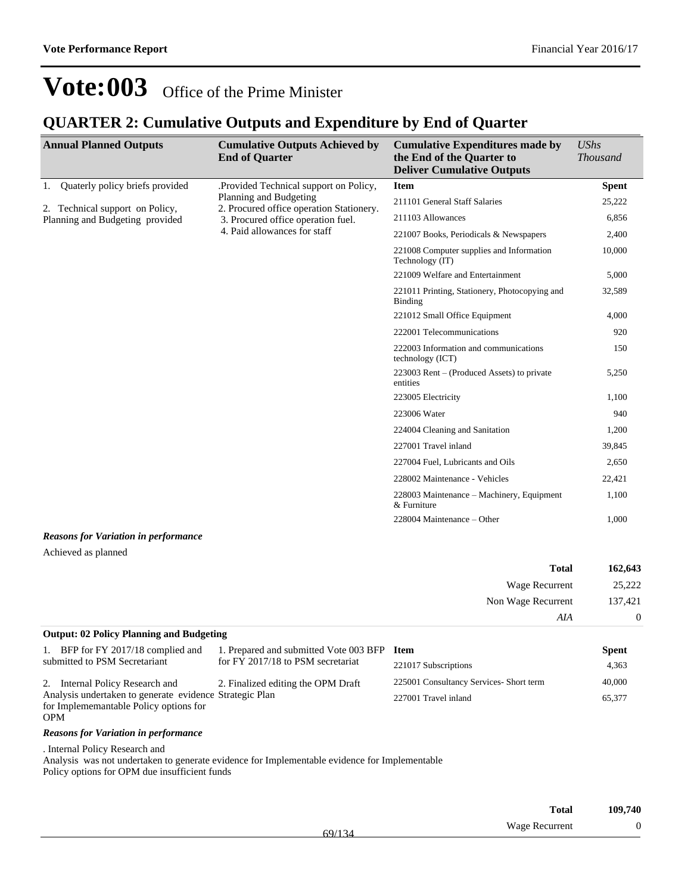Non Wage Recurrent 137,421

*AIA* 0

## **Vote:003** Office of the Prime Minister

### **QUARTER 2: Cumulative Outputs and Expenditure by End of Quarter**

| <b>Annual Planned Outputs</b>               | <b>Cumulative Outputs Achieved by</b><br><b>End of Quarter</b>     | <b>Cumulative Expenditures made by</b><br>the End of the Quarter to<br><b>Deliver Cumulative Outputs</b> | UShs<br><b>Thousand</b> |
|---------------------------------------------|--------------------------------------------------------------------|----------------------------------------------------------------------------------------------------------|-------------------------|
| Quaterly policy briefs provided<br>1.       | .Provided Technical support on Policy,                             | <b>Item</b>                                                                                              | <b>Spent</b>            |
| 2. Technical support on Policy,             | Planning and Budgeting<br>2. Procured office operation Stationery. | 211101 General Staff Salaries                                                                            | 25,222                  |
| Planning and Budgeting provided             | 3. Procured office operation fuel.                                 | 211103 Allowances                                                                                        | 6,856                   |
|                                             | 4. Paid allowances for staff                                       | 221007 Books, Periodicals & Newspapers                                                                   | 2,400                   |
|                                             |                                                                    | 221008 Computer supplies and Information<br>Technology (IT)                                              | 10,000                  |
|                                             |                                                                    | 221009 Welfare and Entertainment                                                                         | 5,000                   |
|                                             |                                                                    | 221011 Printing, Stationery, Photocopying and<br><b>Binding</b>                                          | 32,589                  |
|                                             |                                                                    | 221012 Small Office Equipment                                                                            | 4,000                   |
|                                             |                                                                    | 222001 Telecommunications                                                                                | 920                     |
|                                             |                                                                    | 222003 Information and communications<br>technology (ICT)                                                | 150                     |
|                                             |                                                                    | 223003 Rent - (Produced Assets) to private<br>entities                                                   | 5,250                   |
|                                             |                                                                    | 223005 Electricity                                                                                       | 1,100                   |
|                                             |                                                                    | 223006 Water                                                                                             | 940                     |
|                                             |                                                                    | 224004 Cleaning and Sanitation                                                                           | 1,200                   |
|                                             |                                                                    | 227001 Travel inland                                                                                     | 39,845                  |
|                                             |                                                                    | 227004 Fuel, Lubricants and Oils                                                                         | 2,650                   |
|                                             |                                                                    | 228002 Maintenance - Vehicles                                                                            | 22,421                  |
|                                             |                                                                    | 228003 Maintenance – Machinery, Equipment<br>& Furniture                                                 | 1,100                   |
|                                             |                                                                    | 228004 Maintenance - Other                                                                               | 1,000                   |
| <b>Reasons for Variation in performance</b> |                                                                    |                                                                                                          |                         |
| Achieved as planned                         |                                                                    |                                                                                                          |                         |
|                                             |                                                                    | <b>Total</b>                                                                                             | 162,643                 |
|                                             |                                                                    | Wage Recurrent                                                                                           | 25,222                  |

#### **Output: 02 Policy Planning and Budgeting**

| 1. BFP for FY 2017/18 complied and                                                                | 1. Prepared and submitted Vote 003 BFP Item |                                         | <b>Spent</b> |
|---------------------------------------------------------------------------------------------------|---------------------------------------------|-----------------------------------------|--------------|
| submitted to PSM Secretariant                                                                     | for FY 2017/18 to PSM secretariat           | 221017 Subscriptions                    | 4,363        |
| 2. Internal Policy Research and                                                                   | 2. Finalized editing the OPM Draft          | 225001 Consultancy Services- Short term | 40,000       |
| Analysis undertaken to generate evidence Strategic Plan<br>for Implememantable Policy options for |                                             | 227001 Travel inland                    | 65,377       |
| OPM                                                                                               |                                             |                                         |              |

#### *Reasons for Variation in performance*

. Internal Policy Research and

Analysis was not undertaken to generate evidence for Implementable evidence for Implementable Policy options for OPM due insufficient funds

|       | <b>Total</b>          | 109,740 |
|-------|-----------------------|---------|
| 69/12 | <b>Wage Recurrent</b> |         |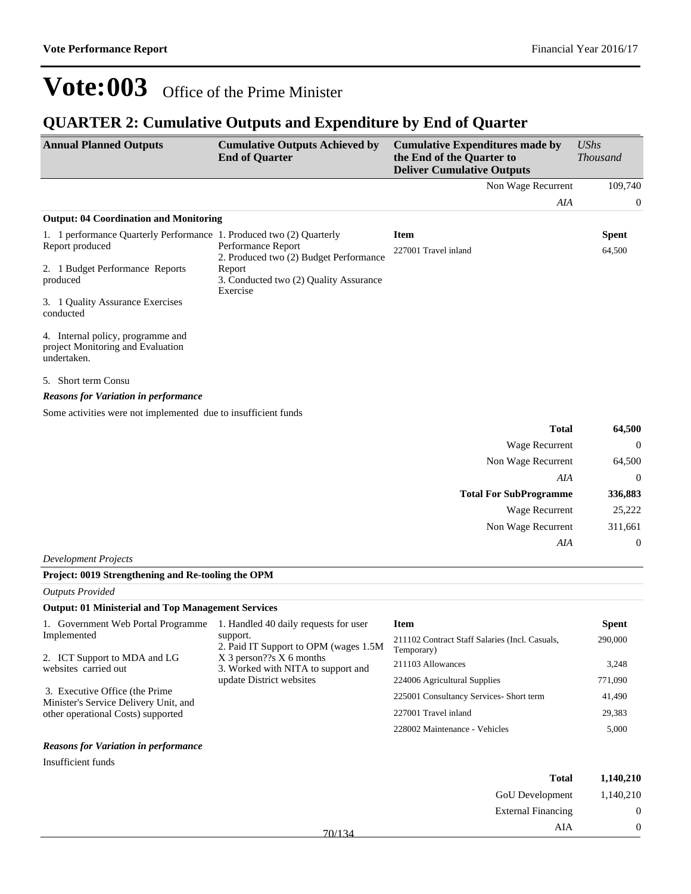### **QUARTER 2: Cumulative Outputs and Expenditure by End of Quarter**

| <b>Annual Planned Outputs</b>                                                           | <b>Cumulative Outputs Achieved by</b><br><b>End of Quarter</b>                 | <b>Cumulative Expenditures made by</b><br>the End of the Quarter to<br><b>Deliver Cumulative Outputs</b> | <b>UShs</b><br><b>Thousand</b> |
|-----------------------------------------------------------------------------------------|--------------------------------------------------------------------------------|----------------------------------------------------------------------------------------------------------|--------------------------------|
|                                                                                         |                                                                                | Non Wage Recurrent                                                                                       | 109,740                        |
|                                                                                         |                                                                                | AIA                                                                                                      | $\boldsymbol{0}$               |
| <b>Output: 04 Coordination and Monitoring</b>                                           |                                                                                |                                                                                                          |                                |
| 1. 1 performance Quarterly Performance 1. Produced two (2) Quarterly<br>Report produced | Performance Report<br>2. Produced two (2) Budget Performance                   | <b>Item</b><br>227001 Travel inland                                                                      | <b>Spent</b><br>64,500         |
| 2. 1 Budget Performance Reports<br>produced                                             | Report<br>3. Conducted two (2) Quality Assurance<br>Exercise                   |                                                                                                          |                                |
| 3. 1 Quality Assurance Exercises<br>conducted                                           |                                                                                |                                                                                                          |                                |
| 4. Internal policy, programme and<br>project Monitoring and Evaluation<br>undertaken.   |                                                                                |                                                                                                          |                                |
| 5. Short term Consu                                                                     |                                                                                |                                                                                                          |                                |
| <b>Reasons for Variation in performance</b>                                             |                                                                                |                                                                                                          |                                |
| Some activities were not implemented due to insufficient funds                          |                                                                                |                                                                                                          |                                |
|                                                                                         |                                                                                | <b>Total</b>                                                                                             | 64,500                         |
|                                                                                         |                                                                                | Wage Recurrent                                                                                           | $\mathbf{0}$                   |
|                                                                                         |                                                                                | Non Wage Recurrent                                                                                       | 64,500                         |
|                                                                                         |                                                                                | AIA                                                                                                      | $\theta$                       |
|                                                                                         |                                                                                | <b>Total For SubProgramme</b>                                                                            | 336,883                        |
|                                                                                         |                                                                                | Wage Recurrent                                                                                           | 25,222                         |
|                                                                                         |                                                                                | Non Wage Recurrent                                                                                       | 311,661                        |
|                                                                                         |                                                                                | AIA                                                                                                      | $\boldsymbol{0}$               |
| <b>Development Projects</b>                                                             |                                                                                |                                                                                                          |                                |
| Project: 0019 Strengthening and Re-tooling the OPM                                      |                                                                                |                                                                                                          |                                |
| <b>Outputs Provided</b>                                                                 |                                                                                |                                                                                                          |                                |
| <b>Output: 01 Ministerial and Top Management Services</b>                               |                                                                                |                                                                                                          |                                |
| 1. Government Web Portal Programme                                                      | 1. Handled 40 daily requests for user                                          | <b>Item</b>                                                                                              | <b>Spent</b>                   |
| Implemented<br>2. ICT Support to MDA and LG                                             | support.<br>2. Paid IT Support to OPM (wages 1.5M)<br>X 3 person??s X 6 months | 211102 Contract Staff Salaries (Incl. Casuals,<br>Temporary)                                             | 290,000                        |
| websites carried out                                                                    | 3. Worked with NITA to support and                                             | 211103 Allowances                                                                                        | 3,248                          |
|                                                                                         | update District websites                                                       | 224006 Agricultural Supplies                                                                             | 771,090                        |
| 3. Executive Office (the Prime<br>Minister's Service Delivery Unit, and                 |                                                                                | 225001 Consultancy Services- Short term                                                                  | 41,490                         |
| other operational Costs) supported                                                      |                                                                                | 227001 Travel inland                                                                                     | 29,383                         |
|                                                                                         |                                                                                | 228002 Maintenance - Vehicles                                                                            | 5,000                          |
| <b>Reasons for Variation in performance</b>                                             |                                                                                |                                                                                                          |                                |
| Insufficient funds                                                                      |                                                                                |                                                                                                          |                                |
|                                                                                         |                                                                                | <b>Total</b>                                                                                             | 1,140,210                      |
|                                                                                         |                                                                                | GoU Development                                                                                          | 1,140,210                      |
|                                                                                         |                                                                                | <b>External Financing</b>                                                                                | $\mathbf{0}$                   |
|                                                                                         | 70/12                                                                          | AIA                                                                                                      | $\boldsymbol{0}$               |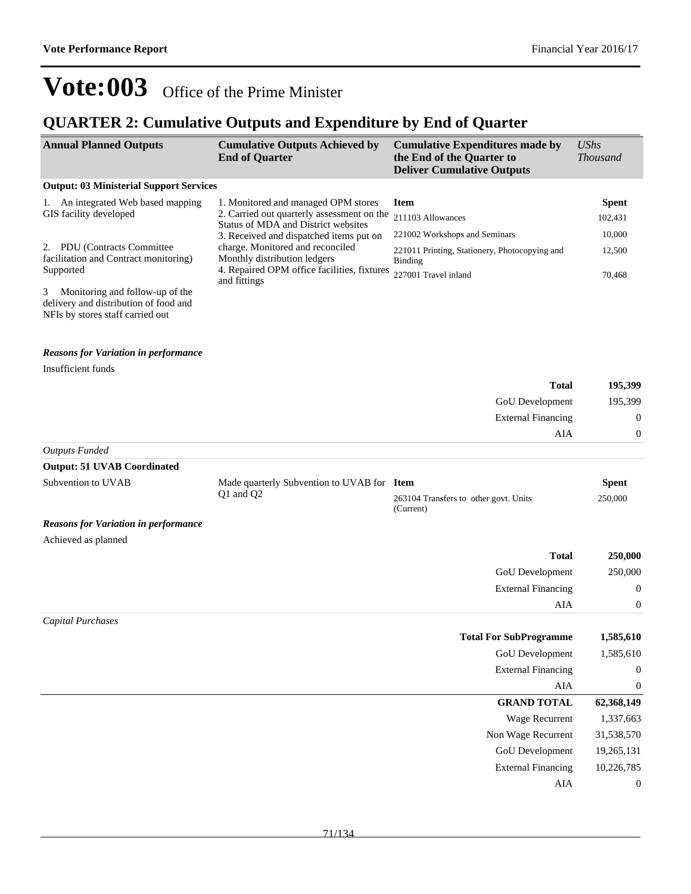### **QUARTER 2: Cumulative Outputs and Expenditure by End of Quarter**

| <b>Annual Planned Outputs</b>                                                                                     | <b>Cumulative Outputs Achieved by</b><br><b>End of Quarter</b>                                                  | <b>Cumulative Expenditures made by</b><br>the End of the Quarter to<br><b>Deliver Cumulative Outputs</b> | <b>UShs</b><br><b>Thousand</b> |
|-------------------------------------------------------------------------------------------------------------------|-----------------------------------------------------------------------------------------------------------------|----------------------------------------------------------------------------------------------------------|--------------------------------|
| <b>Output: 03 Ministerial Support Services</b>                                                                    |                                                                                                                 |                                                                                                          |                                |
| 1. An integrated Web based mapping                                                                                | 1. Monitored and managed OPM stores                                                                             | <b>Item</b>                                                                                              | <b>Spent</b>                   |
| GIS facility developed                                                                                            | 2. Carried out quarterly assessment on the<br>Status of MDA and District websites                               | 211103 Allowances                                                                                        | 102,431                        |
|                                                                                                                   | 3. Received and dispatched items put on                                                                         | 221002 Workshops and Seminars                                                                            | 10,000                         |
| 2. PDU (Contracts Committee)<br>facilitation and Contract monitoring)<br>Supported                                | charge. Monitored and reconciled<br>Monthly distribution ledgers<br>4. Repaired OPM office facilities, fixtures | 221011 Printing, Stationery, Photocopying and<br>Binding                                                 | 12,500                         |
| Monitoring and follow-up of the<br>3<br>delivery and distribution of food and<br>NFIs by stores staff carried out | and fittings                                                                                                    | 227001 Travel inland                                                                                     | 70,468                         |
| <b>Reasons for Variation in performance</b>                                                                       |                                                                                                                 |                                                                                                          |                                |
| Insufficient funds                                                                                                |                                                                                                                 | <b>Total</b>                                                                                             | 195,399                        |
|                                                                                                                   |                                                                                                                 | GoU Development                                                                                          | 195,399                        |
|                                                                                                                   |                                                                                                                 | <b>External Financing</b>                                                                                | $\mathbf{0}$                   |
|                                                                                                                   |                                                                                                                 | AIA                                                                                                      | $\boldsymbol{0}$               |
| <b>Outputs Funded</b>                                                                                             |                                                                                                                 |                                                                                                          |                                |
| <b>Output: 51 UVAB Coordinated</b>                                                                                |                                                                                                                 |                                                                                                          |                                |
| Subvention to UVAB                                                                                                | Made quarterly Subvention to UVAB for Item<br>Q1 and Q2                                                         | 263104 Transfers to other govt. Units<br>(Current)                                                       | <b>Spent</b><br>250,000        |
| <b>Reasons for Variation in performance</b>                                                                       |                                                                                                                 |                                                                                                          |                                |
| Achieved as planned                                                                                               |                                                                                                                 |                                                                                                          |                                |
|                                                                                                                   |                                                                                                                 | <b>Total</b>                                                                                             | 250,000                        |
|                                                                                                                   |                                                                                                                 | GoU Development                                                                                          | 250,000                        |
|                                                                                                                   |                                                                                                                 | <b>External Financing</b>                                                                                | $\boldsymbol{0}$               |
|                                                                                                                   |                                                                                                                 | AIA                                                                                                      | $\boldsymbol{0}$               |
| <b>Capital Purchases</b>                                                                                          |                                                                                                                 |                                                                                                          |                                |
|                                                                                                                   |                                                                                                                 | <b>Total For SubProgramme</b>                                                                            | 1,585,610                      |
|                                                                                                                   |                                                                                                                 | GoU Development                                                                                          | 1,585,610                      |
|                                                                                                                   |                                                                                                                 | <b>External Financing</b>                                                                                | $\boldsymbol{0}$               |
|                                                                                                                   |                                                                                                                 | ${\rm AIA}$                                                                                              | $\boldsymbol{0}$               |
|                                                                                                                   |                                                                                                                 | <b>GRAND TOTAL</b>                                                                                       | 62,368,149                     |
|                                                                                                                   |                                                                                                                 | Wage Recurrent                                                                                           | 1,337,663                      |
|                                                                                                                   |                                                                                                                 | Non Wage Recurrent                                                                                       | 31,538,570                     |
|                                                                                                                   |                                                                                                                 | <b>GoU</b> Development                                                                                   | 19,265,131                     |
|                                                                                                                   |                                                                                                                 | <b>External Financing</b>                                                                                | 10,226,785                     |
|                                                                                                                   |                                                                                                                 | AIA                                                                                                      | $\boldsymbol{0}$               |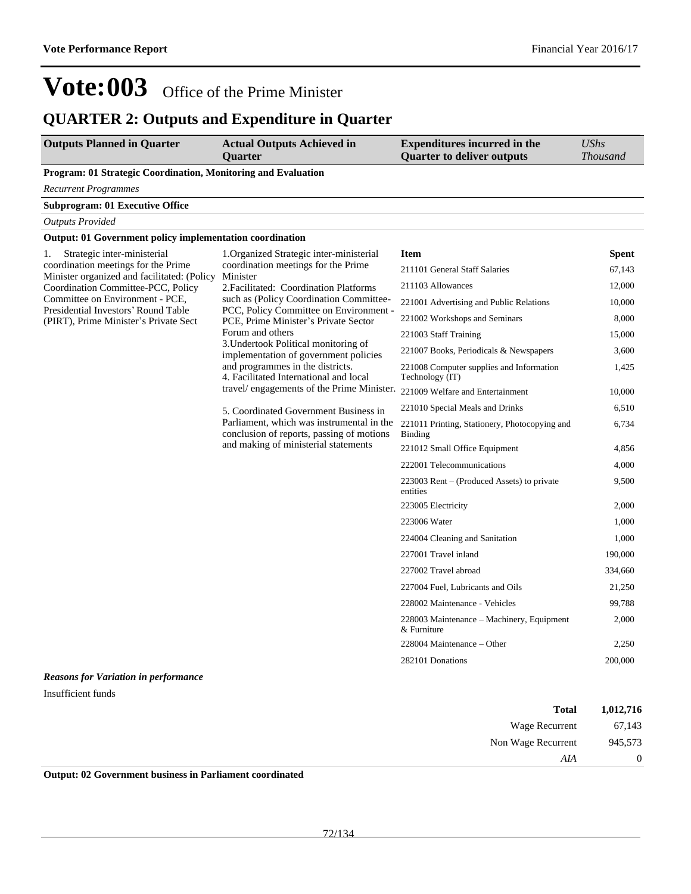### **QUARTER 2: Outputs and Expenditure in Quarter**

| <b>Outputs Planned in Quarter</b>                                                  | <b>Actual Outputs Achieved in</b><br>Quarter                                                                                                                                                                                                                                                       | <b>Expenditures incurred in the</b><br><b>Quarter to deliver outputs</b> | <b>UShs</b><br><b>Thousand</b> |
|------------------------------------------------------------------------------------|----------------------------------------------------------------------------------------------------------------------------------------------------------------------------------------------------------------------------------------------------------------------------------------------------|--------------------------------------------------------------------------|--------------------------------|
| Program: 01 Strategic Coordination, Monitoring and Evaluation                      |                                                                                                                                                                                                                                                                                                    |                                                                          |                                |
| <b>Recurrent Programmes</b>                                                        |                                                                                                                                                                                                                                                                                                    |                                                                          |                                |
| <b>Subprogram: 01 Executive Office</b>                                             |                                                                                                                                                                                                                                                                                                    |                                                                          |                                |
| <b>Outputs Provided</b>                                                            |                                                                                                                                                                                                                                                                                                    |                                                                          |                                |
| <b>Output: 01 Government policy implementation coordination</b>                    |                                                                                                                                                                                                                                                                                                    |                                                                          |                                |
| Strategic inter-ministerial<br>1.                                                  | 1. Organized Strategic inter-ministerial                                                                                                                                                                                                                                                           | <b>Item</b>                                                              | <b>Spent</b>                   |
| coordination meetings for the Prime<br>Minister organized and facilitated: (Policy | coordination meetings for the Prime<br>Minister                                                                                                                                                                                                                                                    | 211101 General Staff Salaries                                            | 67,143                         |
| Coordination Committee-PCC, Policy                                                 | 2. Facilitated: Coordination Platforms                                                                                                                                                                                                                                                             | 211103 Allowances                                                        | 12,000                         |
| Committee on Environment - PCE,                                                    | such as (Policy Coordination Committee-                                                                                                                                                                                                                                                            | 221001 Advertising and Public Relations                                  | 10,000                         |
| Presidential Investors' Round Table<br>(PIRT), Prime Minister's Private Sect       | PCC, Policy Committee on Environment -<br>PCE, Prime Minister's Private Sector                                                                                                                                                                                                                     | 221002 Workshops and Seminars                                            | 8,000                          |
|                                                                                    | Forum and others                                                                                                                                                                                                                                                                                   | 221003 Staff Training                                                    | 15,000                         |
|                                                                                    | 3. Undertook Political monitoring of<br>implementation of government policies                                                                                                                                                                                                                      | 221007 Books, Periodicals & Newspapers                                   | 3,600                          |
|                                                                                    | and programmes in the districts.<br>4. Facilitated International and local<br>travel/engagements of the Prime Minister.<br>5. Coordinated Government Business in<br>Parliament, which was instrumental in the<br>conclusion of reports, passing of motions<br>and making of ministerial statements | 221008 Computer supplies and Information<br>Technology (IT)              | 1,425                          |
|                                                                                    |                                                                                                                                                                                                                                                                                                    | 221009 Welfare and Entertainment                                         | 10,000                         |
|                                                                                    |                                                                                                                                                                                                                                                                                                    | 221010 Special Meals and Drinks                                          | 6,510                          |
|                                                                                    |                                                                                                                                                                                                                                                                                                    | 221011 Printing, Stationery, Photocopying and<br><b>Binding</b>          | 6,734                          |
|                                                                                    |                                                                                                                                                                                                                                                                                                    | 221012 Small Office Equipment                                            | 4,856                          |
|                                                                                    |                                                                                                                                                                                                                                                                                                    | 222001 Telecommunications                                                | 4,000                          |
|                                                                                    |                                                                                                                                                                                                                                                                                                    | 223003 Rent – (Produced Assets) to private<br>entities                   | 9,500                          |
|                                                                                    |                                                                                                                                                                                                                                                                                                    | 223005 Electricity                                                       | 2,000                          |
|                                                                                    |                                                                                                                                                                                                                                                                                                    | 223006 Water                                                             | 1,000                          |
|                                                                                    |                                                                                                                                                                                                                                                                                                    | 224004 Cleaning and Sanitation                                           | 1,000                          |
|                                                                                    |                                                                                                                                                                                                                                                                                                    | 227001 Travel inland                                                     | 190,000                        |
|                                                                                    |                                                                                                                                                                                                                                                                                                    | 227002 Travel abroad                                                     | 334,660                        |
|                                                                                    |                                                                                                                                                                                                                                                                                                    | 227004 Fuel, Lubricants and Oils                                         | 21,250                         |
|                                                                                    |                                                                                                                                                                                                                                                                                                    | 228002 Maintenance - Vehicles                                            | 99,788                         |
|                                                                                    |                                                                                                                                                                                                                                                                                                    | 228003 Maintenance – Machinery, Equipment<br>& Furniture                 | 2,000                          |
|                                                                                    |                                                                                                                                                                                                                                                                                                    | 228004 Maintenance - Other                                               | 2,250                          |
|                                                                                    |                                                                                                                                                                                                                                                                                                    | 282101 Donations                                                         | 200,000                        |
| <b>Reasons for Variation in performance</b>                                        |                                                                                                                                                                                                                                                                                                    |                                                                          |                                |
| Insufficient funds                                                                 |                                                                                                                                                                                                                                                                                                    | $T = 1$                                                                  | 1.012.716                      |

| 1,012,716 | Total              |
|-----------|--------------------|
| 67,143    | Wage Recurrent     |
| 945,573   | Non Wage Recurrent |
| 0         | AIA                |
|           |                    |

**Output: 02 Government business in Parliament coordinated**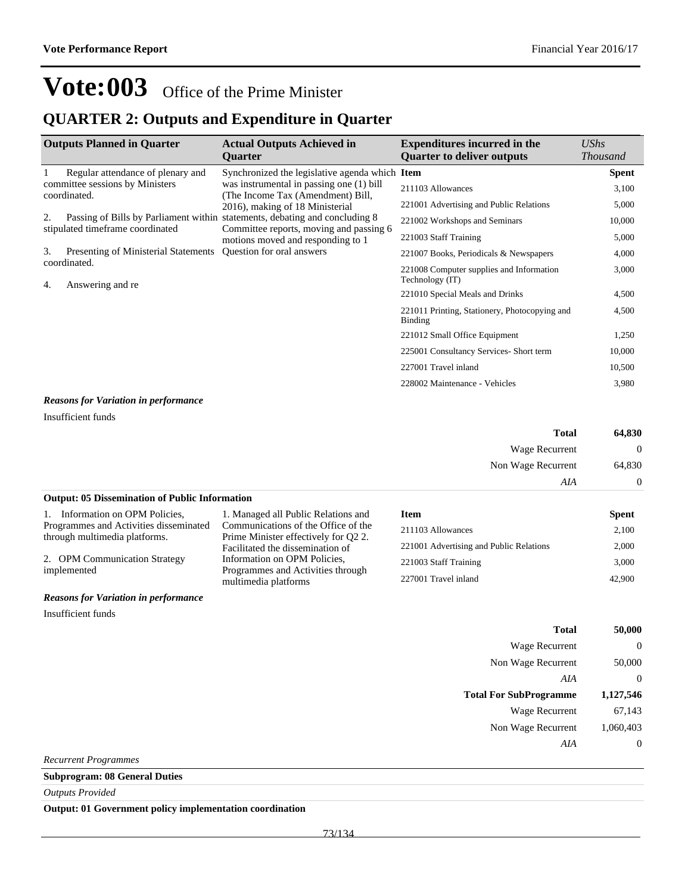### **QUARTER 2: Outputs and Expenditure in Quarter**

|                  | <b>Outputs Planned in Quarter</b>                                                                                | <b>Actual Outputs Achieved in</b><br><b>Ouarter</b>                           | <b>Expenditures incurred in the</b><br><b>Quarter to deliver outputs</b> | UShs<br><b>Thousand</b> |
|------------------|------------------------------------------------------------------------------------------------------------------|-------------------------------------------------------------------------------|--------------------------------------------------------------------------|-------------------------|
| 1                | Regular attendance of plenary and                                                                                | Synchronized the legislative agenda which Item                                |                                                                          | <b>Spent</b>            |
|                  | committee sessions by Ministers<br>coordinated.                                                                  | was instrumental in passing one (1) bill<br>(The Income Tax (Amendment) Bill, | 211103 Allowances                                                        | 3,100                   |
|                  |                                                                                                                  | 2016), making of 18 Ministerial                                               | 221001 Advertising and Public Relations                                  | 5,000                   |
|                  | Passing of Bills by Parliament within                                                                            | statements, debating and concluding 8                                         | 221002 Workshops and Seminars                                            | 10,000                  |
|                  | Committee reports, moving and passing 6<br>stipulated timeframe coordinated<br>motions moved and responding to 1 |                                                                               | 221003 Staff Training                                                    | 5,000                   |
| 3.               | Presenting of Ministerial Statements                                                                             | <b>Ouestion</b> for oral answers                                              | 221007 Books, Periodicals & Newspapers                                   | 4,000                   |
| 4.               | coordinated.                                                                                                     | 221008 Computer supplies and Information<br>Technology (IT)                   | 3,000                                                                    |                         |
| Answering and re |                                                                                                                  |                                                                               | 221010 Special Meals and Drinks                                          | 4,500                   |
|                  |                                                                                                                  |                                                                               | 221011 Printing, Stationery, Photocopying and<br>Binding                 | 4,500                   |
|                  |                                                                                                                  |                                                                               | 221012 Small Office Equipment                                            | 1,250                   |
|                  |                                                                                                                  |                                                                               | 225001 Consultancy Services- Short term                                  | 10,000                  |
|                  |                                                                                                                  |                                                                               | 227001 Travel inland                                                     | 10,500                  |
|                  |                                                                                                                  |                                                                               | 228002 Maintenance - Vehicles                                            | 3,980                   |
|                  |                                                                                                                  |                                                                               |                                                                          |                         |

#### *Reasons for Variation in performance*

Insufficient funds

| <b>Total</b>       | 64,830         |
|--------------------|----------------|
| Wage Recurrent     | $\overline{0}$ |
| Non Wage Recurrent | 64,830         |
| AIA                | $\overline{0}$ |

#### **Output: 05 Dissemination of Public Information**

1. Information on OPM Policies, Programmes and Activities disseminated through multimedia platforms.

2. OPM Communication Strategy implemented

*Reasons for Variation in performance*

Insufficient funds

#### 1. Managed all Public Relations and Communications of the Office of the Prime Minister effectively for Q2 2. Facilitated the dissemination of Information on OPM Policies, Programmes and Activities through multimedia platforms

| <b>Spent</b> |
|--------------|
| 2,100        |
| 2,000        |
| 3,000        |
| 42,900       |
|              |

| <b>Total</b>                  | 50,000    |
|-------------------------------|-----------|
| Wage Recurrent                | 0         |
| Non Wage Recurrent            | 50,000    |
| AIA                           | 0         |
|                               |           |
| <b>Total For SubProgramme</b> | 1,127,546 |
| Wage Recurrent                | 67,143    |
| Non Wage Recurrent            | 1,060,403 |
| AIA                           |           |

*Recurrent Programmes*

**Subprogram: 08 General Duties**

*Outputs Provided*

**Output: 01 Government policy implementation coordination**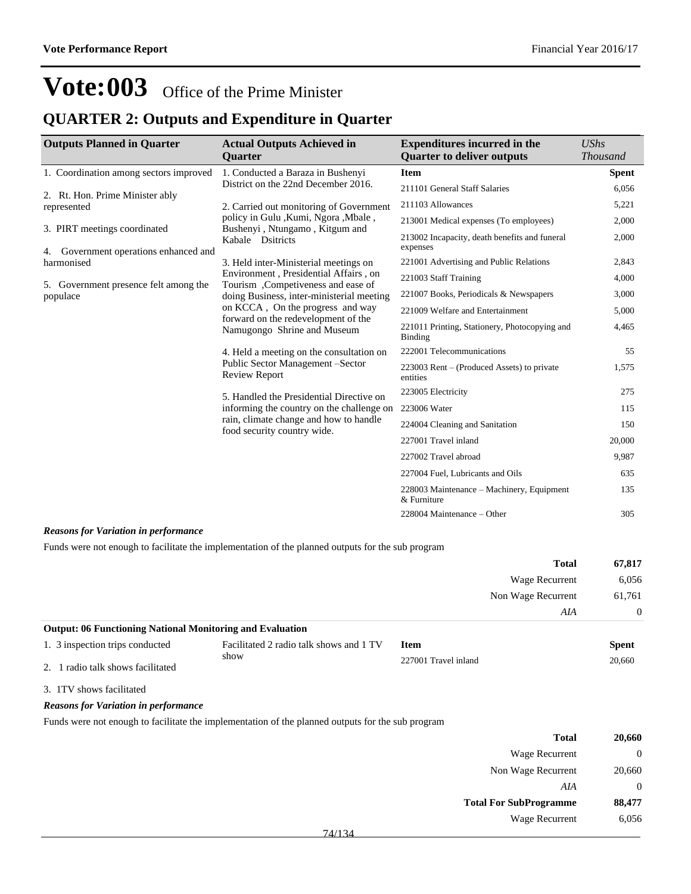### **QUARTER 2: Outputs and Expenditure in Quarter**

| <b>Outputs Planned in Quarter</b>                   | <b>Actual Outputs Achieved in</b><br><b>Ouarter</b>                                                                                                                        | <b>Expenditures incurred in the</b><br><b>Quarter to deliver outputs</b> | <b>UShs</b><br><b>Thousand</b> |
|-----------------------------------------------------|----------------------------------------------------------------------------------------------------------------------------------------------------------------------------|--------------------------------------------------------------------------|--------------------------------|
| 1. Coordination among sectors improved              | 1. Conducted a Baraza in Bushenyi                                                                                                                                          | <b>Item</b>                                                              | <b>Spent</b>                   |
| 2. Rt. Hon. Prime Minister ably                     | District on the 22nd December 2016.                                                                                                                                        | 211101 General Staff Salaries                                            | 6,056                          |
| represented                                         | 2. Carried out monitoring of Government                                                                                                                                    | 211103 Allowances                                                        | 5,221                          |
|                                                     | policy in Gulu , Kumi, Ngora , Mbale,                                                                                                                                      | 213001 Medical expenses (To employees)                                   | 2,000                          |
| 3. PIRT meetings coordinated                        | Bushenyi, Ntungamo, Kitgum and<br>Kabale Dsitricts                                                                                                                         | 213002 Incapacity, death benefits and funeral<br>expenses                | 2,000                          |
| 4. Government operations enhanced and<br>harmonised | 3. Held inter-Ministerial meetings on                                                                                                                                      | 221001 Advertising and Public Relations                                  | 2,843                          |
| 5. Government presence felt among the               | Environment, Presidential Affairs, on<br>Tourism, Competiveness and ease of                                                                                                | 221003 Staff Training                                                    | 4,000                          |
| populace                                            | doing Business, inter-ministerial meeting                                                                                                                                  | 221007 Books, Periodicals & Newspapers                                   | 3,000                          |
|                                                     | on KCCA, On the progress and way                                                                                                                                           | 221009 Welfare and Entertainment                                         | 5,000                          |
|                                                     | forward on the redevelopment of the<br>Namugongo Shrine and Museum<br>4. Held a meeting on the consultation on<br>Public Sector Management -Sector<br><b>Review Report</b> | 221011 Printing, Stationery, Photocopying and<br>Binding                 | 4,465                          |
|                                                     |                                                                                                                                                                            | 222001 Telecommunications                                                | 55                             |
|                                                     |                                                                                                                                                                            | 223003 Rent – (Produced Assets) to private<br>entities                   | 1,575                          |
|                                                     | 5. Handled the Presidential Directive on                                                                                                                                   | 223005 Electricity                                                       | 275                            |
|                                                     | informing the country on the challenge on                                                                                                                                  | 223006 Water                                                             | 115                            |
|                                                     | rain, climate change and how to handle<br>food security country wide.                                                                                                      | 224004 Cleaning and Sanitation                                           | 150                            |
|                                                     |                                                                                                                                                                            | 227001 Travel inland                                                     | 20,000                         |
|                                                     |                                                                                                                                                                            | 227002 Travel abroad                                                     | 9,987                          |
|                                                     |                                                                                                                                                                            | 227004 Fuel, Lubricants and Oils                                         | 635                            |
|                                                     |                                                                                                                                                                            | 228003 Maintenance – Machinery, Equipment<br>& Furniture                 | 135                            |
|                                                     |                                                                                                                                                                            | 228004 Maintenance – Other                                               | 305                            |

#### *Reasons for Variation in performance*

Funds were not enough to facilitate the implementation of the planned outputs for the sub program

|                                                                  |                                         | <b>Total</b>         | 67,817         |
|------------------------------------------------------------------|-----------------------------------------|----------------------|----------------|
|                                                                  |                                         | Wage Recurrent       | 6,056          |
|                                                                  |                                         | Non Wage Recurrent   | 61,761         |
|                                                                  |                                         | AIA                  | $\overline{0}$ |
| <b>Output: 06 Functioning National Monitoring and Evaluation</b> |                                         |                      |                |
| 1. 3 inspection trips conducted                                  | Facilitated 2 radio talk shows and 1 TV | <b>Item</b>          | <b>Spent</b>   |
| 2. 1 radio talk shows facilitated                                | show                                    | 227001 Travel inland | 20,660         |
| 3. ITV shows facilitated                                         |                                         |                      |                |

#### *Reasons for Variation in performance*

Funds were not enough to facilitate the implementation of the planned outputs for the sub program

| 20,660   | <b>Total</b>                  |
|----------|-------------------------------|
| $\theta$ | Wage Recurrent                |
| 20,660   | Non Wage Recurrent            |
| $\theta$ | AIA                           |
| 88,477   | <b>Total For SubProgramme</b> |
| 6,056    | Wage Recurrent                |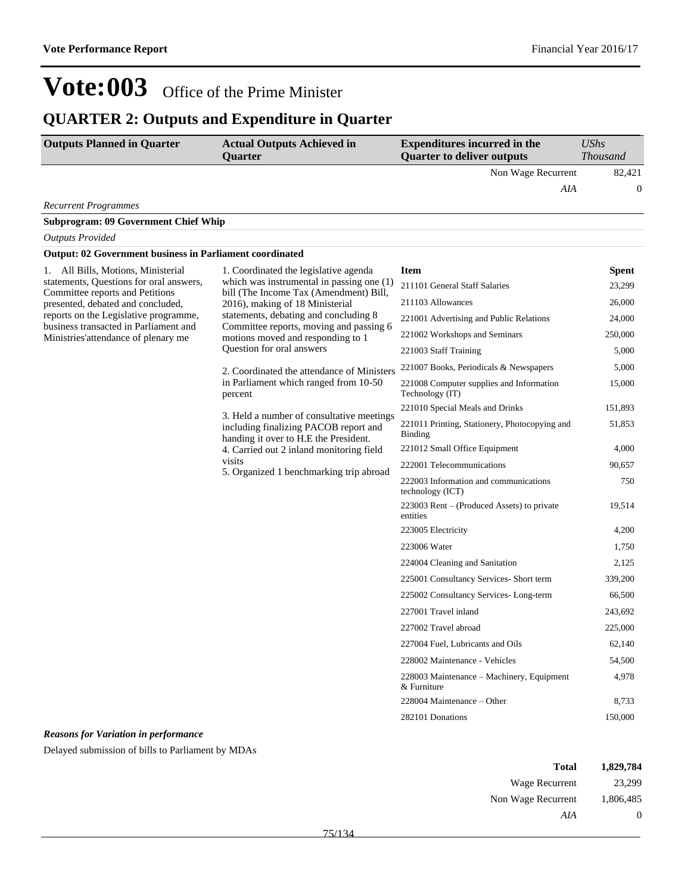### **QUARTER 2: Outputs and Expenditure in Quarter**

| <b>Outputs Planned in Quarter</b>                                              | <b>Actual Outputs Achieved in</b><br><b>Ouarter</b>                                                                                                                     | <b>Expenditures incurred in the</b><br><b>Quarter to deliver outputs</b> | <b>UShs</b><br><b>Thousand</b> |
|--------------------------------------------------------------------------------|-------------------------------------------------------------------------------------------------------------------------------------------------------------------------|--------------------------------------------------------------------------|--------------------------------|
|                                                                                |                                                                                                                                                                         | Non Wage Recurrent                                                       | 82,421                         |
|                                                                                |                                                                                                                                                                         | AIA                                                                      | 0                              |
| <b>Recurrent Programmes</b>                                                    |                                                                                                                                                                         |                                                                          |                                |
| <b>Subprogram: 09 Government Chief Whip</b>                                    |                                                                                                                                                                         |                                                                          |                                |
| <b>Outputs Provided</b>                                                        |                                                                                                                                                                         |                                                                          |                                |
| <b>Output: 02 Government business in Parliament coordinated</b>                |                                                                                                                                                                         |                                                                          |                                |
| 1. All Bills, Motions, Ministerial                                             | 1. Coordinated the legislative agenda                                                                                                                                   | <b>Item</b>                                                              | <b>Spent</b>                   |
| statements, Questions for oral answers,<br>Committee reports and Petitions     | which was instrumental in passing one $(1)$<br>bill (The Income Tax (Amendment) Bill,                                                                                   | 211101 General Staff Salaries                                            | 23,299                         |
| presented, debated and concluded,                                              | 2016), making of 18 Ministerial                                                                                                                                         | 211103 Allowances                                                        | 26,000                         |
| reports on the Legislative programme,<br>business transacted in Parliament and | statements, debating and concluding 8<br>Committee reports, moving and passing 6                                                                                        | 221001 Advertising and Public Relations                                  | 24,000                         |
| Ministries'attendance of plenary me                                            | motions moved and responding to 1                                                                                                                                       | 221002 Workshops and Seminars                                            | 250,000                        |
|                                                                                | Question for oral answers                                                                                                                                               | 221003 Staff Training                                                    | 5,000                          |
|                                                                                | 2. Coordinated the attendance of Ministers                                                                                                                              | 221007 Books, Periodicals & Newspapers                                   | 5,000                          |
|                                                                                | in Parliament which ranged from 10-50<br>percent                                                                                                                        | 221008 Computer supplies and Information<br>Technology (IT)              | 15,000                         |
|                                                                                | 3. Held a number of consultative meetings<br>including finalizing PACOB report and<br>handing it over to H.E the President.<br>4. Carried out 2 inland monitoring field | 221010 Special Meals and Drinks                                          | 151,893                        |
|                                                                                |                                                                                                                                                                         | 221011 Printing, Stationery, Photocopying and<br><b>Binding</b>          | 51,853                         |
|                                                                                |                                                                                                                                                                         | 221012 Small Office Equipment                                            | 4,000                          |
|                                                                                | visits                                                                                                                                                                  | 222001 Telecommunications                                                | 90,657                         |
|                                                                                | 5. Organized 1 benchmarking trip abroad                                                                                                                                 | 222003 Information and communications<br>technology (ICT)                | 750                            |
|                                                                                |                                                                                                                                                                         | 223003 Rent – (Produced Assets) to private<br>entities                   | 19,514                         |
|                                                                                |                                                                                                                                                                         | 223005 Electricity                                                       | 4,200                          |
|                                                                                |                                                                                                                                                                         | 223006 Water                                                             | 1,750                          |
|                                                                                |                                                                                                                                                                         | 224004 Cleaning and Sanitation                                           | 2,125                          |
|                                                                                |                                                                                                                                                                         | 225001 Consultancy Services- Short term                                  | 339,200                        |
|                                                                                |                                                                                                                                                                         | 225002 Consultancy Services-Long-term                                    | 66,500                         |
|                                                                                |                                                                                                                                                                         | 227001 Travel inland                                                     | 243,692                        |
|                                                                                |                                                                                                                                                                         | 227002 Travel abroad                                                     | 225,000                        |
|                                                                                |                                                                                                                                                                         | 227004 Fuel, Lubricants and Oils                                         | 62,140                         |
|                                                                                |                                                                                                                                                                         | 228002 Maintenance - Vehicles                                            | 54,500                         |
|                                                                                |                                                                                                                                                                         | 228003 Maintenance – Machinery, Equipment<br>& Furniture                 | 4,978                          |
|                                                                                |                                                                                                                                                                         | 228004 Maintenance – Other                                               | 8,733                          |
|                                                                                |                                                                                                                                                                         | 282101 Donations                                                         | 150,000                        |
| <b>Reasons for Variation in performance</b>                                    |                                                                                                                                                                         |                                                                          |                                |

Delayed submission of bills to Parliament by MDAs

| 1,829,784 | <b>Total</b>       |
|-----------|--------------------|
| 23.299    | Wage Recurrent     |
| 1,806,485 | Non Wage Recurrent |
| 0         | AIA                |
|           |                    |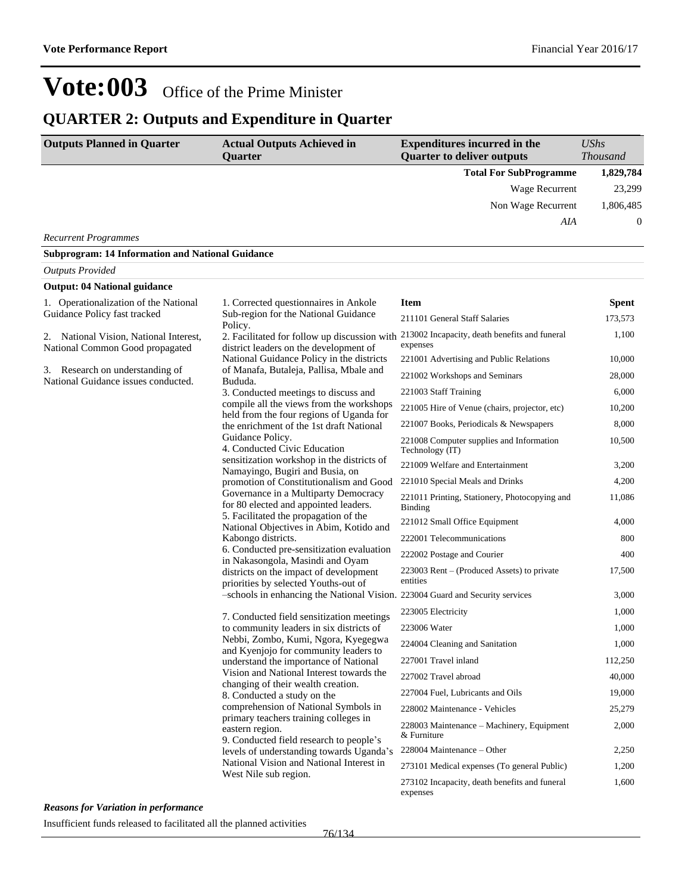### **QUARTER 2: Outputs and Expenditure in Quarter**

| <b>Outputs Planned in Quarter</b>                                      | <b>Actual Outputs Achieved in</b><br><b>Ouarter</b>                                                                | <b>Expenditures incurred in the</b><br><b>Quarter to deliver outputs</b> | <b>UShs</b><br><b>Thousand</b> |
|------------------------------------------------------------------------|--------------------------------------------------------------------------------------------------------------------|--------------------------------------------------------------------------|--------------------------------|
|                                                                        |                                                                                                                    | <b>Total For SubProgramme</b>                                            | 1,829,784                      |
|                                                                        |                                                                                                                    | <b>Wage Recurrent</b>                                                    | 23,299                         |
|                                                                        |                                                                                                                    | Non Wage Recurrent                                                       | 1,806,485                      |
|                                                                        |                                                                                                                    | AIA                                                                      | $\boldsymbol{0}$               |
| <b>Recurrent Programmes</b>                                            |                                                                                                                    |                                                                          |                                |
| <b>Subprogram: 14 Information and National Guidance</b>                |                                                                                                                    |                                                                          |                                |
| <b>Outputs Provided</b>                                                |                                                                                                                    |                                                                          |                                |
| <b>Output: 04 National guidance</b>                                    |                                                                                                                    |                                                                          |                                |
| 1. Operationalization of the National                                  | 1. Corrected questionnaires in Ankole                                                                              | <b>Item</b>                                                              | <b>Spent</b>                   |
| Guidance Policy fast tracked                                           | Sub-region for the National Guidance                                                                               | 211101 General Staff Salaries                                            | 173,573                        |
| 2. National Vision, National Interest,                                 | Policy.<br>2. Facilitated for follow up discussion with                                                            | 213002 Incapacity, death benefits and funeral                            | 1,100                          |
| National Common Good propagated                                        | district leaders on the development of                                                                             | expenses                                                                 |                                |
|                                                                        | National Guidance Policy in the districts                                                                          | 221001 Advertising and Public Relations                                  | 10,000                         |
| 3. Research on understanding of<br>National Guidance issues conducted. | of Manafa, Butaleja, Pallisa, Mbale and<br>Bududa.                                                                 | 221002 Workshops and Seminars                                            | 28,000                         |
|                                                                        | 3. Conducted meetings to discuss and                                                                               | 221003 Staff Training                                                    | 6,000                          |
|                                                                        | compile all the views from the workshops                                                                           | 221005 Hire of Venue (chairs, projector, etc)                            | 10,200                         |
|                                                                        | held from the four regions of Uganda for<br>the enrichment of the 1st draft National                               | 221007 Books, Periodicals & Newspapers                                   | 8,000                          |
|                                                                        | Guidance Policy.<br>4. Conducted Civic Education                                                                   | 221008 Computer supplies and Information<br>Technology (IT)              | 10,500                         |
|                                                                        | sensitization workshop in the districts of<br>Namayingo, Bugiri and Busia, on                                      | 221009 Welfare and Entertainment                                         | 3,200                          |
|                                                                        | promotion of Constitutionalism and Good                                                                            | 221010 Special Meals and Drinks                                          | 4,200                          |
|                                                                        | Governance in a Multiparty Democracy<br>for 80 elected and appointed leaders.                                      | 221011 Printing, Stationery, Photocopying and<br><b>Binding</b>          | 11,086                         |
|                                                                        | 5. Facilitated the propagation of the                                                                              | 221012 Small Office Equipment                                            | 4,000                          |
|                                                                        | National Objectives in Abim, Kotido and<br>Kabongo districts.                                                      | 222001 Telecommunications                                                | 800                            |
|                                                                        | 6. Conducted pre-sensitization evaluation                                                                          | 222002 Postage and Courier                                               | 400                            |
|                                                                        | in Nakasongola, Masindi and Oyam<br>districts on the impact of development<br>priorities by selected Youths-out of | 223003 Rent – (Produced Assets) to private<br>entities                   | 17,500                         |
|                                                                        | -schools in enhancing the National Vision. 223004 Guard and Security services                                      |                                                                          | 3,000                          |
|                                                                        |                                                                                                                    | 223005 Electricity                                                       | 1,000                          |
|                                                                        | 7. Conducted field sensitization meetings<br>to community leaders in six districts of                              | 223006 Water                                                             | 1,000                          |
|                                                                        | Nebbi, Zombo, Kumi, Ngora, Kyegegwa                                                                                | 224004 Cleaning and Sanitation                                           | 1,000                          |
|                                                                        | and Kyenjojo for community leaders to<br>understand the importance of National                                     | 227001 Travel inland                                                     | 112,250                        |
|                                                                        | Vision and National Interest towards the                                                                           | 227002 Travel abroad                                                     | 40,000                         |
|                                                                        | changing of their wealth creation.                                                                                 | 227004 Fuel, Lubricants and Oils                                         | 19,000                         |
|                                                                        | 8. Conducted a study on the<br>comprehension of National Symbols in                                                | 228002 Maintenance - Vehicles                                            |                                |
|                                                                        | primary teachers training colleges in                                                                              |                                                                          | 25,279                         |
|                                                                        | eastern region.<br>9. Conducted field research to people's                                                         | 228003 Maintenance - Machinery, Equipment<br>& Furniture                 | 2,000                          |
|                                                                        | levels of understanding towards Uganda's<br>National Vision and National Interest in                               | 228004 Maintenance – Other                                               | 2,250                          |
|                                                                        | West Nile sub region.                                                                                              | 273101 Medical expenses (To general Public)                              | 1,200                          |
|                                                                        |                                                                                                                    | 273102 Incapacity, death benefits and funeral<br>expenses                | 1,600                          |

Insufficient funds released to facilitated all the planned activities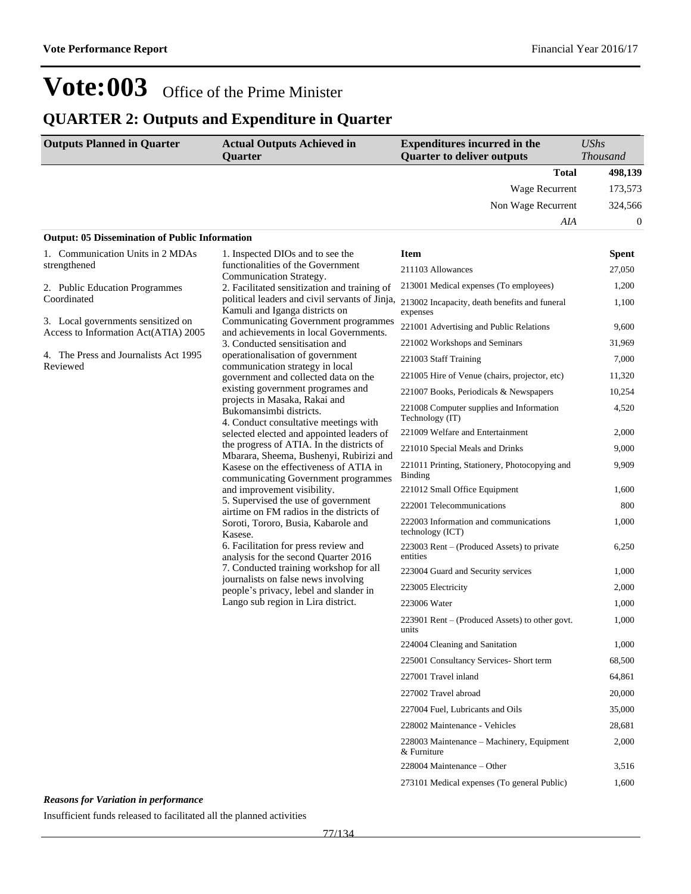### **QUARTER 2: Outputs and Expenditure in Quarter**

| <b>Outputs Planned in Quarter</b>                                          | <b>Actual Outputs Achieved in</b><br><b>Quarter</b>                                                                                                                                                             | <b>Expenditures incurred in the</b><br><b>Quarter to deliver outputs</b> | <b>UShs</b><br><b>Thousand</b> |
|----------------------------------------------------------------------------|-----------------------------------------------------------------------------------------------------------------------------------------------------------------------------------------------------------------|--------------------------------------------------------------------------|--------------------------------|
|                                                                            |                                                                                                                                                                                                                 | <b>Total</b>                                                             | 498,139                        |
|                                                                            |                                                                                                                                                                                                                 | Wage Recurrent                                                           | 173,573                        |
|                                                                            |                                                                                                                                                                                                                 | Non Wage Recurrent                                                       | 324,566                        |
|                                                                            |                                                                                                                                                                                                                 | AIA                                                                      | 0                              |
| <b>Output: 05 Dissemination of Public Information</b>                      |                                                                                                                                                                                                                 |                                                                          |                                |
| 1. Communication Units in 2 MDAs                                           | 1. Inspected DIOs and to see the                                                                                                                                                                                | <b>Item</b>                                                              | <b>Spent</b>                   |
| strengthened                                                               | functionalities of the Government<br>Communication Strategy.                                                                                                                                                    | 211103 Allowances                                                        | 27,050                         |
| 2. Public Education Programmes                                             | 2. Facilitated sensitization and training of                                                                                                                                                                    | 213001 Medical expenses (To employees)                                   | 1,200                          |
| Coordinated                                                                | political leaders and civil servants of Jinja,<br>Kamuli and Iganga districts on                                                                                                                                | 213002 Incapacity, death benefits and funeral<br>expenses                | 1,100                          |
| 3. Local governments sensitized on<br>Access to Information Act(ATIA) 2005 | Communicating Government programmes<br>and achievements in local Governments.                                                                                                                                   | 221001 Advertising and Public Relations                                  | 9,600                          |
|                                                                            | 3. Conducted sensitisation and                                                                                                                                                                                  | 221002 Workshops and Seminars                                            | 31,969                         |
| 4. The Press and Journalists Act 1995<br>Reviewed                          | operationalisation of government<br>communication strategy in local                                                                                                                                             | 221003 Staff Training                                                    | 7,000                          |
|                                                                            | government and collected data on the                                                                                                                                                                            | 221005 Hire of Venue (chairs, projector, etc)                            | 11,320                         |
|                                                                            | existing government programes and                                                                                                                                                                               | 221007 Books, Periodicals & Newspapers                                   | 10,254                         |
|                                                                            | projects in Masaka, Rakai and<br>Bukomansimbi districts.<br>4. Conduct consultative meetings with                                                                                                               | 221008 Computer supplies and Information<br>Technology (IT)              | 4,520                          |
|                                                                            | selected elected and appointed leaders of                                                                                                                                                                       | 221009 Welfare and Entertainment                                         | 2,000                          |
|                                                                            | the progress of ATIA. In the districts of<br>Mbarara, Sheema, Bushenyi, Rubirizi and                                                                                                                            | 221010 Special Meals and Drinks                                          | 9,000                          |
|                                                                            | Kasese on the effectiveness of ATIA in<br>communicating Government programmes                                                                                                                                   | 221011 Printing, Stationery, Photocopying and<br><b>Binding</b>          | 9,909                          |
|                                                                            | and improvement visibility.                                                                                                                                                                                     | 221012 Small Office Equipment                                            | 1,600                          |
|                                                                            | 5. Supervised the use of government<br>airtime on FM radios in the districts of                                                                                                                                 | 222001 Telecommunications                                                | 800                            |
|                                                                            | Soroti, Tororo, Busia, Kabarole and<br>Kasese.<br>6. Facilitation for press review and<br>analysis for the second Quarter 2016<br>7. Conducted training workshop for all<br>journalists on false news involving | 222003 Information and communications<br>technology (ICT)                | 1,000                          |
|                                                                            |                                                                                                                                                                                                                 | $223003$ Rent – (Produced Assets) to private<br>entities                 | 6,250                          |
|                                                                            |                                                                                                                                                                                                                 | 223004 Guard and Security services                                       | 1,000                          |
|                                                                            | people's privacy, lebel and slander in                                                                                                                                                                          | 223005 Electricity                                                       | 2,000                          |
|                                                                            | Lango sub region in Lira district.                                                                                                                                                                              | 223006 Water                                                             | 1,000                          |
|                                                                            |                                                                                                                                                                                                                 | 223901 Rent – (Produced Assets) to other govt.<br>units                  | 1,000                          |
|                                                                            |                                                                                                                                                                                                                 | 224004 Cleaning and Sanitation                                           | 1,000                          |
|                                                                            |                                                                                                                                                                                                                 | 225001 Consultancy Services- Short term                                  | 68,500                         |
|                                                                            |                                                                                                                                                                                                                 | 227001 Travel inland                                                     | 64,861                         |
|                                                                            |                                                                                                                                                                                                                 | 227002 Travel abroad                                                     | 20,000                         |
|                                                                            |                                                                                                                                                                                                                 | 227004 Fuel, Lubricants and Oils                                         | 35,000                         |
|                                                                            |                                                                                                                                                                                                                 | 228002 Maintenance - Vehicles                                            | 28,681                         |
|                                                                            |                                                                                                                                                                                                                 | 228003 Maintenance – Machinery, Equipment<br>& Furniture                 | 2,000                          |
|                                                                            |                                                                                                                                                                                                                 | 228004 Maintenance – Other                                               | 3,516                          |
|                                                                            |                                                                                                                                                                                                                 | 273101 Medical expenses (To general Public)                              | 1,600                          |

#### *Reasons for Variation in performance*

Insufficient funds released to facilitated all the planned activities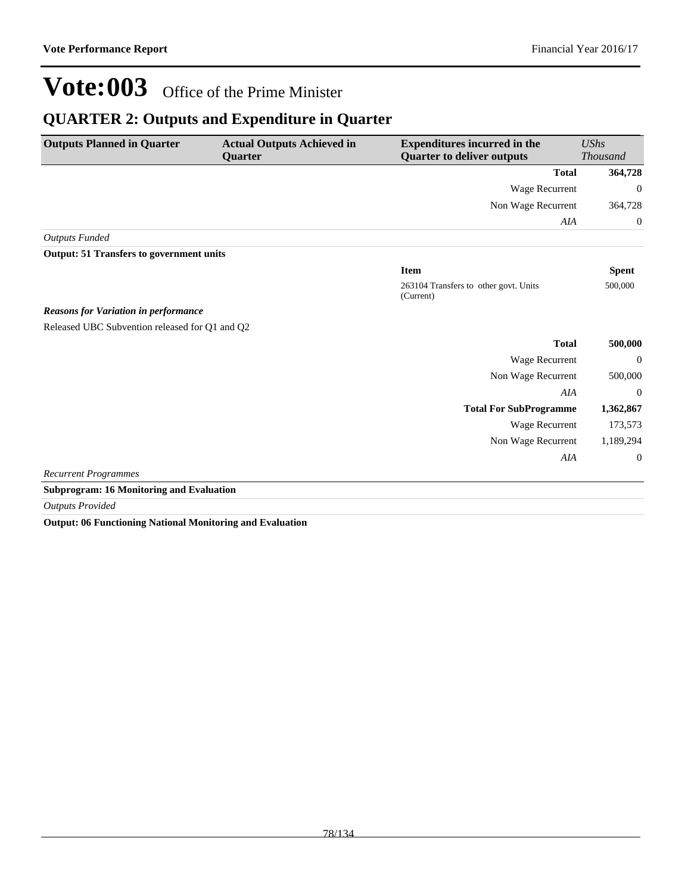### **QUARTER 2: Outputs and Expenditure in Quarter**

| <b>Outputs Planned in Quarter</b>               | <b>Actual Outputs Achieved in</b><br>Quarter | <b>Expenditures incurred in the</b><br><b>Quarter to deliver outputs</b> | <b>UShs</b><br><b>Thousand</b> |
|-------------------------------------------------|----------------------------------------------|--------------------------------------------------------------------------|--------------------------------|
|                                                 |                                              | <b>Total</b>                                                             | 364,728                        |
|                                                 |                                              | Wage Recurrent                                                           | $\theta$                       |
|                                                 |                                              | Non Wage Recurrent                                                       | 364,728                        |
|                                                 |                                              | AIA                                                                      | $\boldsymbol{0}$               |
| <b>Outputs Funded</b>                           |                                              |                                                                          |                                |
| <b>Output: 51 Transfers to government units</b> |                                              |                                                                          |                                |
|                                                 |                                              | <b>Item</b>                                                              | <b>Spent</b>                   |
|                                                 |                                              | 263104 Transfers to other govt. Units<br>(Current)                       | 500,000                        |
| <b>Reasons for Variation in performance</b>     |                                              |                                                                          |                                |
| Released UBC Subvention released for Q1 and Q2  |                                              |                                                                          |                                |
|                                                 |                                              | <b>Total</b>                                                             | 500,000                        |
|                                                 |                                              | Wage Recurrent                                                           | $\theta$                       |
|                                                 |                                              | Non Wage Recurrent                                                       | 500,000                        |
|                                                 |                                              | AIA                                                                      | $\overline{0}$                 |
|                                                 |                                              | <b>Total For SubProgramme</b>                                            | 1,362,867                      |
|                                                 |                                              | Wage Recurrent                                                           | 173,573                        |
|                                                 |                                              | Non Wage Recurrent                                                       | 1,189,294                      |
|                                                 |                                              | AIA                                                                      | $\overline{0}$                 |
| <b>Recurrent Programmes</b>                     |                                              |                                                                          |                                |
| <b>Subprogram: 16 Monitoring and Evaluation</b> |                                              |                                                                          |                                |

*Outputs Provided*

**Output: 06 Functioning National Monitoring and Evaluation**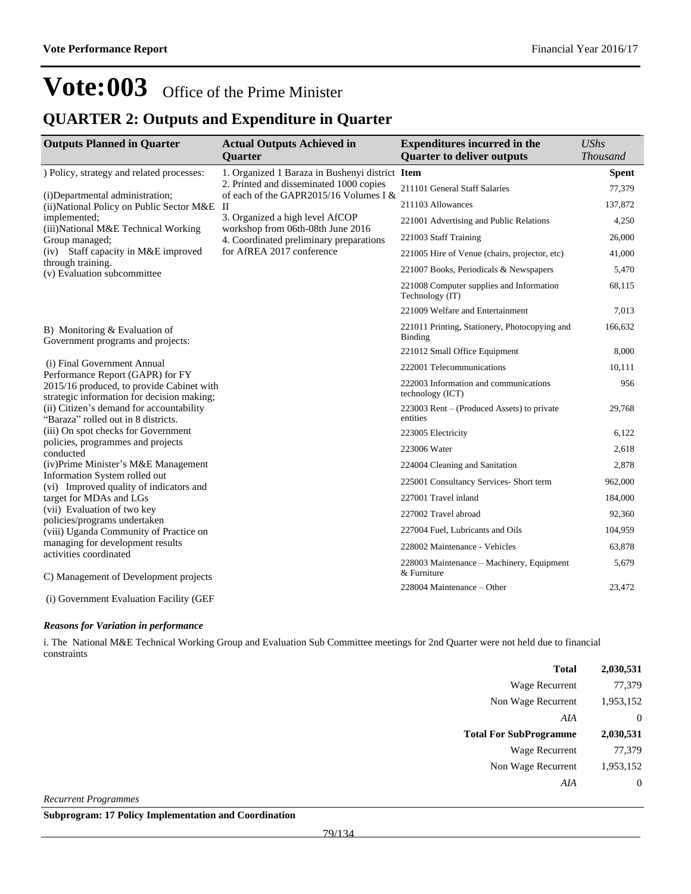### **QUARTER 2: Outputs and Expenditure in Quarter**

| <b>Outputs Planned in Quarter</b>                                                                                           | <b>Actual Outputs Achieved in</b>                                                 | <b>Expenditures incurred in the</b>                             | <b>UShs</b>     |
|-----------------------------------------------------------------------------------------------------------------------------|-----------------------------------------------------------------------------------|-----------------------------------------------------------------|-----------------|
|                                                                                                                             | <b>Quarter</b>                                                                    | <b>Quarter to deliver outputs</b>                               | <b>Thousand</b> |
| ) Policy, strategy and related processes:                                                                                   | 1. Organized 1 Baraza in Bushenyi district Item                                   |                                                                 | <b>Spent</b>    |
| (i)Departmental administration;                                                                                             | 2. Printed and disseminated 1000 copies<br>of each of the GAPR2015/16 Volumes I & | 211101 General Staff Salaries                                   | 77,379          |
| (ii) National Policy on Public Sector M&E                                                                                   | П                                                                                 | 211103 Allowances                                               | 137,872         |
| implemented:                                                                                                                | 3. Organized a high level AfCOP<br>workshop from 06th-08th June 2016              | 221001 Advertising and Public Relations                         | 4,250           |
| (iii) National M&E Technical Working<br>Group managed;                                                                      | 4. Coordinated preliminary preparations                                           | 221003 Staff Training                                           | 26,000          |
| (iv) Staff capacity in M&E improved<br>through training.                                                                    | for AfREA 2017 conference                                                         | 221005 Hire of Venue (chairs, projector, etc)                   | 41,000          |
| (v) Evaluation subcommittee                                                                                                 |                                                                                   | 221007 Books, Periodicals & Newspapers                          | 5,470           |
|                                                                                                                             |                                                                                   | 221008 Computer supplies and Information<br>Technology (IT)     | 68,115          |
|                                                                                                                             |                                                                                   | 221009 Welfare and Entertainment                                | 7,013           |
| B) Monitoring & Evaluation of<br>Government programs and projects:                                                          |                                                                                   | 221011 Printing, Stationery, Photocopying and<br><b>Binding</b> | 166,632         |
|                                                                                                                             |                                                                                   | 221012 Small Office Equipment                                   | 8,000           |
| (i) Final Government Annual                                                                                                 |                                                                                   | 222001 Telecommunications                                       | 10,111          |
| Performance Report (GAPR) for FY<br>2015/16 produced, to provide Cabinet with<br>strategic information for decision making; |                                                                                   | 222003 Information and communications<br>technology (ICT)       | 956             |
| (ii) Citizen's demand for accountability<br>"Baraza" rolled out in 8 districts.                                             |                                                                                   | 223003 Rent – (Produced Assets) to private<br>entities          | 29,768          |
| (iii) On spot checks for Government                                                                                         |                                                                                   | 223005 Electricity                                              | 6,122           |
| policies, programmes and projects<br>conducted                                                                              |                                                                                   | 223006 Water                                                    | 2,618           |
| (iv)Prime Minister's M&E Management                                                                                         |                                                                                   | 224004 Cleaning and Sanitation                                  | 2,878           |
| Information System rolled out                                                                                               |                                                                                   | 225001 Consultancy Services- Short term                         | 962,000         |
| (vi) Improved quality of indicators and<br>target for MDAs and LGs                                                          |                                                                                   | 227001 Travel inland                                            | 184,000         |
| (vii) Evaluation of two key                                                                                                 |                                                                                   | 227002 Travel abroad                                            | 92,360          |
| policies/programs undertaken                                                                                                |                                                                                   |                                                                 |                 |
| (viii) Uganda Community of Practice on                                                                                      |                                                                                   | 227004 Fuel, Lubricants and Oils                                | 104,959         |
| managing for development results<br>activities coordinated                                                                  |                                                                                   | 228002 Maintenance - Vehicles                                   | 63,878          |
| C) Management of Development projects                                                                                       |                                                                                   | 228003 Maintenance – Machinery, Equipment<br>& Furniture        | 5,679           |
|                                                                                                                             |                                                                                   | 228004 Maintenance - Other                                      | 23,472          |
| (i) Government Evaluation Facility (GEF                                                                                     |                                                                                   |                                                                 |                 |

#### *Reasons for Variation in performance*

i. The National M&E Technical Working Group and Evaluation Sub Committee meetings for 2nd Quarter were not held due to financial constraints

| 2,030,531 | <b>Total</b>                  |
|-----------|-------------------------------|
| 77,379    | Wage Recurrent                |
| 1,953,152 | Non Wage Recurrent            |
| $\theta$  | AIA                           |
| 2,030,531 | <b>Total For SubProgramme</b> |
| 77,379    | Wage Recurrent                |
| 1,953,152 | Non Wage Recurrent            |
| $\theta$  | AIA                           |
|           |                               |

*Recurrent Programmes*

**Subprogram: 17 Policy Implementation and Coordination**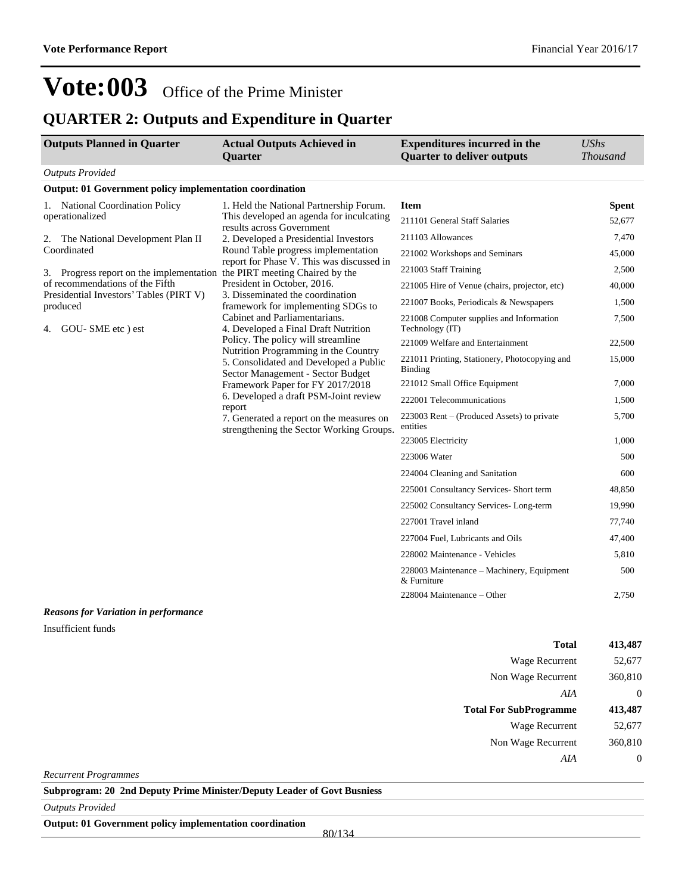### **QUARTER 2: Outputs and Expenditure in Quarter**

| <b>Outputs Planned in Quarter</b>                                        | <b>Actual Outputs Achieved in</b><br><b>Ouarter</b>                                                                                                                                                                               | <b>Expenditures incurred in the</b><br><b>Quarter to deliver outputs</b> | <b>UShs</b><br><b>Thousand</b> |
|--------------------------------------------------------------------------|-----------------------------------------------------------------------------------------------------------------------------------------------------------------------------------------------------------------------------------|--------------------------------------------------------------------------|--------------------------------|
| <b>Outputs Provided</b>                                                  |                                                                                                                                                                                                                                   |                                                                          |                                |
| Output: 01 Government policy implementation coordination                 |                                                                                                                                                                                                                                   |                                                                          |                                |
| 1. National Coordination Policy                                          | 1. Held the National Partnership Forum.                                                                                                                                                                                           | <b>Item</b>                                                              | <b>Spent</b>                   |
| operationalized                                                          | This developed an agenda for inculcating<br>results across Government<br>2. Developed a Presidential Investors<br>Round Table progress implementation<br>report for Phase V. This was discussed in<br>President in October, 2016. | 211101 General Staff Salaries                                            | 52,677                         |
| The National Development Plan II<br>2.                                   |                                                                                                                                                                                                                                   | 211103 Allowances                                                        | 7,470                          |
| Coordinated                                                              |                                                                                                                                                                                                                                   | 221002 Workshops and Seminars                                            | 45,000                         |
| 3. Progress report on the implementation the PIRT meeting Chaired by the |                                                                                                                                                                                                                                   | 221003 Staff Training                                                    | 2,500                          |
| of recommendations of the Fifth                                          |                                                                                                                                                                                                                                   | 221005 Hire of Venue (chairs, projector, etc)                            | 40,000                         |
| Presidential Investors' Tables (PIRT V)<br>produced                      | 3. Disseminated the coordination<br>framework for implementing SDGs to                                                                                                                                                            | 221007 Books, Periodicals & Newspapers                                   | 1,500                          |
| GOU-SME etc) est<br>4.                                                   | Cabinet and Parliamentarians.<br>4. Developed a Final Draft Nutrition                                                                                                                                                             | 221008 Computer supplies and Information<br>Technology (IT)              | 7,500                          |
|                                                                          | Policy. The policy will streamline<br>Nutrition Programming in the Country<br>5. Consolidated and Developed a Public<br>Sector Management - Sector Budget<br>Framework Paper for FY 2017/2018                                     | 221009 Welfare and Entertainment                                         | 22,500                         |
|                                                                          |                                                                                                                                                                                                                                   | 221011 Printing, Stationery, Photocopying and<br><b>Binding</b>          | 15,000                         |
|                                                                          |                                                                                                                                                                                                                                   | 221012 Small Office Equipment                                            | 7,000                          |
|                                                                          | 6. Developed a draft PSM-Joint review                                                                                                                                                                                             | 222001 Telecommunications                                                | 1,500                          |
|                                                                          | report<br>7. Generated a report on the measures on<br>strengthening the Sector Working Groups.                                                                                                                                    | 223003 Rent – (Produced Assets) to private<br>entities                   | 5,700                          |
|                                                                          |                                                                                                                                                                                                                                   | 223005 Electricity                                                       | 1,000                          |
|                                                                          |                                                                                                                                                                                                                                   | 223006 Water                                                             | 500                            |
|                                                                          |                                                                                                                                                                                                                                   | 224004 Cleaning and Sanitation                                           | 600                            |
|                                                                          |                                                                                                                                                                                                                                   | 225001 Consultancy Services- Short term                                  | 48,850                         |
|                                                                          |                                                                                                                                                                                                                                   | 225002 Consultancy Services-Long-term                                    | 19,990                         |
|                                                                          |                                                                                                                                                                                                                                   | 227001 Travel inland                                                     | 77,740                         |
|                                                                          |                                                                                                                                                                                                                                   | 227004 Fuel, Lubricants and Oils                                         | 47,400                         |
|                                                                          |                                                                                                                                                                                                                                   | 228002 Maintenance - Vehicles                                            | 5,810                          |
|                                                                          |                                                                                                                                                                                                                                   | 228003 Maintenance – Machinery, Equipment<br>& Furniture                 | 500                            |
|                                                                          |                                                                                                                                                                                                                                   | 228004 Maintenance – Other                                               | 2.750                          |

#### *Reasons for Variation in performance*

Insufficient funds

| <b>Total</b>                  | 413,487  |
|-------------------------------|----------|
| Wage Recurrent                | 52,677   |
| Non Wage Recurrent            | 360,810  |
| AIA                           | $\theta$ |
|                               |          |
| <b>Total For SubProgramme</b> | 413,487  |
| Wage Recurrent                | 52,677   |
| Non Wage Recurrent            | 360,810  |
| AIA                           |          |

*Recurrent Programmes*

**Subprogram: 20 2nd Deputy Prime Minister/Deputy Leader of Govt Busniess**

*Outputs Provided*

**Output: 01 Government policy implementation coordination**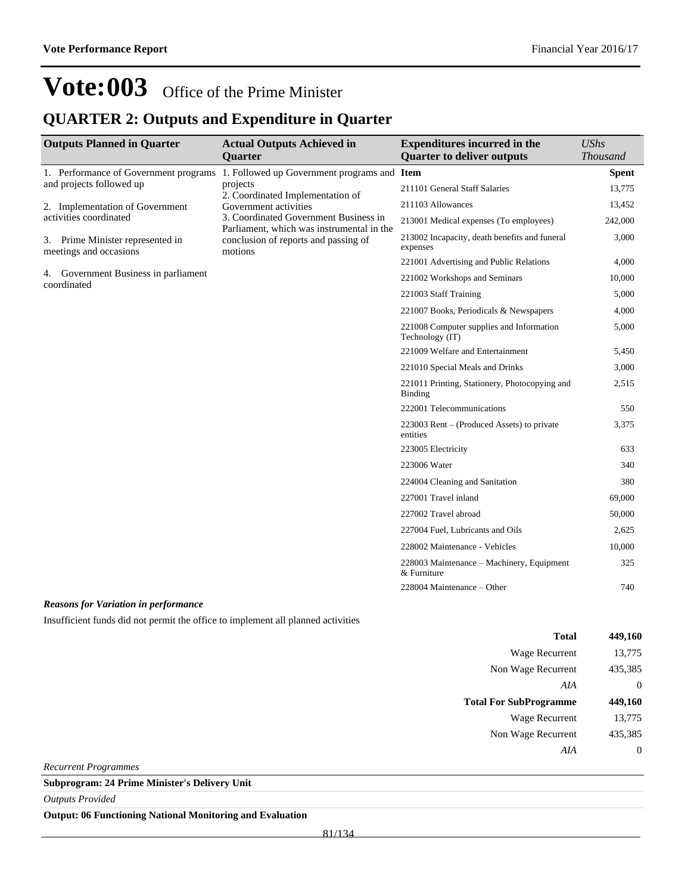### **QUARTER 2: Outputs and Expenditure in Quarter**

| <b>Outputs Planned in Quarter</b>                          | <b>Actual Outputs Achieved in</b>                                                                                                                                                                              | <b>Expenditures incurred in the</b>                             | <b>UShs</b>     |
|------------------------------------------------------------|----------------------------------------------------------------------------------------------------------------------------------------------------------------------------------------------------------------|-----------------------------------------------------------------|-----------------|
|                                                            | <b>Quarter</b>                                                                                                                                                                                                 | <b>Quarter to deliver outputs</b>                               | <b>Thousand</b> |
| 1. Performance of Government programs                      | 1. Followed up Government programs and Item                                                                                                                                                                    |                                                                 | <b>Spent</b>    |
| and projects followed up                                   | projects<br>2. Coordinated Implementation of<br>Government activities<br>3. Coordinated Government Business in<br>Parliament, which was instrumental in the<br>conclusion of reports and passing of<br>motions | 211101 General Staff Salaries                                   | 13,775          |
| 2. Implementation of Government                            |                                                                                                                                                                                                                | 211103 Allowances                                               | 13,452          |
| activities coordinated                                     |                                                                                                                                                                                                                | 213001 Medical expenses (To employees)                          | 242,000         |
| 3. Prime Minister represented in<br>meetings and occasions |                                                                                                                                                                                                                | 213002 Incapacity, death benefits and funeral<br>expenses       | 3,000           |
|                                                            |                                                                                                                                                                                                                | 221001 Advertising and Public Relations                         | 4,000           |
| 4. Government Business in parliament<br>coordinated        |                                                                                                                                                                                                                | 221002 Workshops and Seminars                                   | 10,000          |
|                                                            |                                                                                                                                                                                                                | 221003 Staff Training                                           | 5,000           |
|                                                            |                                                                                                                                                                                                                | 221007 Books, Periodicals & Newspapers                          | 4,000           |
|                                                            |                                                                                                                                                                                                                | 221008 Computer supplies and Information<br>Technology (IT)     | 5,000           |
|                                                            |                                                                                                                                                                                                                | 221009 Welfare and Entertainment                                | 5,450           |
|                                                            |                                                                                                                                                                                                                | 221010 Special Meals and Drinks                                 | 3,000           |
|                                                            |                                                                                                                                                                                                                | 221011 Printing, Stationery, Photocopying and<br><b>Binding</b> | 2,515           |
|                                                            |                                                                                                                                                                                                                | 222001 Telecommunications                                       | 550             |
|                                                            |                                                                                                                                                                                                                | 223003 Rent – (Produced Assets) to private<br>entities          | 3,375           |
|                                                            |                                                                                                                                                                                                                | 223005 Electricity                                              | 633             |
|                                                            |                                                                                                                                                                                                                | 223006 Water                                                    | 340             |
|                                                            |                                                                                                                                                                                                                | 224004 Cleaning and Sanitation                                  | 380             |
|                                                            |                                                                                                                                                                                                                | 227001 Travel inland                                            | 69,000          |
|                                                            |                                                                                                                                                                                                                | 227002 Travel abroad                                            | 50,000          |
|                                                            |                                                                                                                                                                                                                | 227004 Fuel, Lubricants and Oils                                | 2,625           |
|                                                            |                                                                                                                                                                                                                | 228002 Maintenance - Vehicles                                   | 10,000          |
|                                                            |                                                                                                                                                                                                                | 228003 Maintenance – Machinery, Equipment<br>& Furniture        | 325             |
|                                                            |                                                                                                                                                                                                                | 228004 Maintenance – Other                                      | 740             |

#### *Reasons for Variation in performance*

Insufficient funds did not permit the office to implement all planned activities

| <b>Total</b>                  | 449,160 |
|-------------------------------|---------|
| Wage Recurrent                | 13,775  |
| Non Wage Recurrent            | 435,385 |
| AIA                           | 0       |
|                               |         |
| <b>Total For SubProgramme</b> | 449,160 |
| <b>Wage Recurrent</b>         | 13,775  |
| Non Wage Recurrent            | 435,385 |

*Recurrent Programmes*

**Subprogram: 24 Prime Minister's Delivery Unit**

*Outputs Provided*

**Output: 06 Functioning National Monitoring and Evaluation**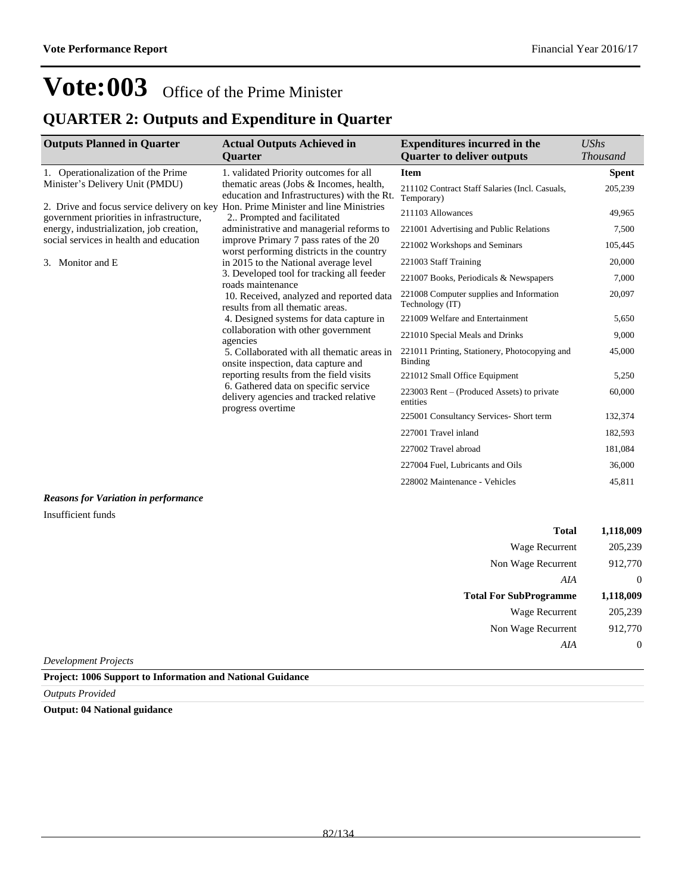### **QUARTER 2: Outputs and Expenditure in Quarter**

| <b>Outputs Planned in Quarter</b>                                                      | <b>Actual Outputs Achieved in</b><br><b>Ouarter</b>                                                                                  | <b>Expenditures incurred in the</b><br><b>Quarter to deliver outputs</b> | <b>UShs</b><br><b>Thousand</b> |
|----------------------------------------------------------------------------------------|--------------------------------------------------------------------------------------------------------------------------------------|--------------------------------------------------------------------------|--------------------------------|
| 1. Operationalization of the Prime                                                     | 1. validated Priority outcomes for all                                                                                               | <b>Item</b>                                                              | <b>Spent</b>                   |
| Minister's Delivery Unit (PMDU)                                                        | thematic areas (Jobs & Incomes, health,<br>education and Infrastructures) with the Rt.                                               | 211102 Contract Staff Salaries (Incl. Casuals,<br>Temporary)             | 205,239                        |
| 2. Drive and focus service delivery on key<br>government priorities in infrastructure, | Hon. Prime Minister and line Ministries<br>2 Prompted and facilitated                                                                | 211103 Allowances                                                        | 49,965                         |
| energy, industrialization, job creation,                                               | administrative and managerial reforms to                                                                                             | 221001 Advertising and Public Relations                                  | 7,500                          |
| social services in health and education                                                | improve Primary 7 pass rates of the 20<br>worst performing districts in the country                                                  | 221002 Workshops and Seminars                                            | 105,445                        |
| 3. Monitor and E                                                                       | in 2015 to the National average level                                                                                                | 221003 Staff Training                                                    | 20,000                         |
|                                                                                        | 3. Developed tool for tracking all feeder<br>roads maintenance                                                                       | 221007 Books, Periodicals & Newspapers                                   | 7,000                          |
|                                                                                        | 10. Received, analyzed and reported data<br>results from all thematic areas.                                                         | 221008 Computer supplies and Information<br>Technology (IT)              | 20,097                         |
|                                                                                        | 4. Designed systems for data capture in                                                                                              | 221009 Welfare and Entertainment                                         | 5,650                          |
|                                                                                        | collaboration with other government<br>agencies<br>5. Collaborated with all thematic areas in<br>onsite inspection, data capture and | 221010 Special Meals and Drinks                                          | 9,000                          |
|                                                                                        |                                                                                                                                      | 221011 Printing, Stationery, Photocopying and<br>Binding                 | 45,000                         |
|                                                                                        | reporting results from the field visits                                                                                              | 221012 Small Office Equipment                                            | 5,250                          |
| progress overtime                                                                      | 6. Gathered data on specific service<br>delivery agencies and tracked relative                                                       | 223003 Rent – (Produced Assets) to private<br>entities                   | 60,000                         |
|                                                                                        |                                                                                                                                      | 225001 Consultancy Services- Short term                                  | 132,374                        |
|                                                                                        |                                                                                                                                      | 227001 Travel inland                                                     | 182,593                        |
|                                                                                        |                                                                                                                                      | 227002 Travel abroad                                                     | 181,084                        |
|                                                                                        |                                                                                                                                      | 227004 Fuel, Lubricants and Oils                                         | 36,000                         |
|                                                                                        |                                                                                                                                      | 228002 Maintenance - Vehicles                                            | 45,811                         |

#### *Reasons for Variation in performance* Insufficient funds

| <b>Total</b>                  | 1,118,009 |
|-------------------------------|-----------|
| Wage Recurrent                | 205,239   |
| Non Wage Recurrent            | 912,770   |
| AIA                           | 0         |
|                               |           |
| <b>Total For SubProgramme</b> | 1,118,009 |
| Wage Recurrent                | 205,239   |
| Non Wage Recurrent            | 912,770   |
| AIA                           |           |

*Development Projects*

#### **Project: 1006 Support to Information and National Guidance**

*Outputs Provided*

**Output: 04 National guidance**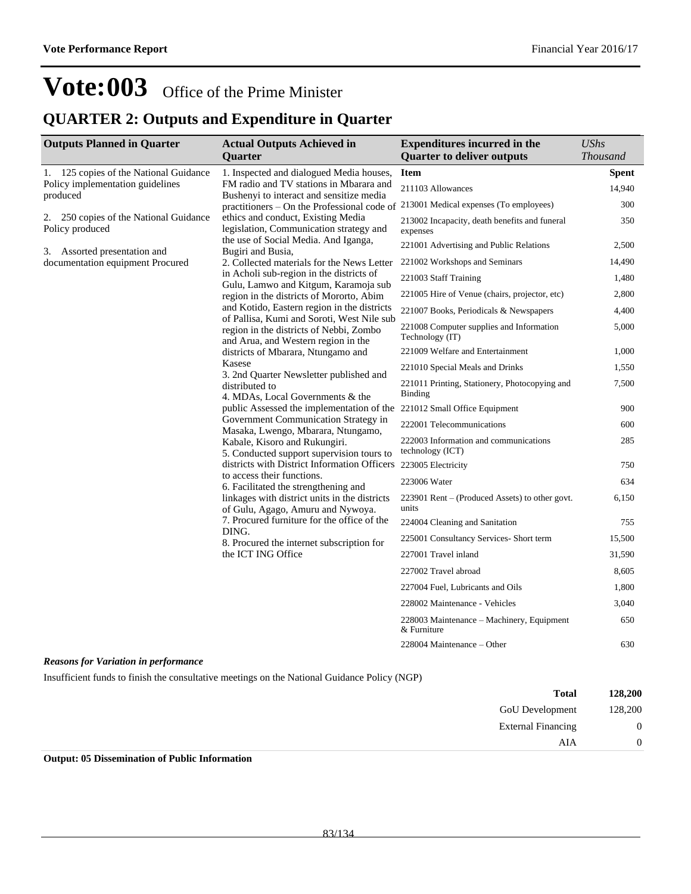### **QUARTER 2: Outputs and Expenditure in Quarter**

| <b>Outputs Planned in Quarter</b>                                | <b>Actual Outputs Achieved in</b>                                                                                                                                                                                                                                                                                                                                     | <b>Expenditures incurred in the</b>                             | <b>UShs</b>     |
|------------------------------------------------------------------|-----------------------------------------------------------------------------------------------------------------------------------------------------------------------------------------------------------------------------------------------------------------------------------------------------------------------------------------------------------------------|-----------------------------------------------------------------|-----------------|
|                                                                  | <b>Quarter</b>                                                                                                                                                                                                                                                                                                                                                        | <b>Quarter to deliver outputs</b>                               | <b>Thousand</b> |
| 1. 125 copies of the National Guidance                           | 1. Inspected and dialogued Media houses,                                                                                                                                                                                                                                                                                                                              | Item                                                            | <b>Spent</b>    |
| Policy implementation guidelines<br>produced                     | FM radio and TV stations in Mbarara and<br>Bushenyi to interact and sensitize media<br>practitioners - On the Professional code of 213001 Medical expenses (To employees)<br>ethics and conduct, Existing Media<br>legislation, Communication strategy and<br>the use of Social Media. And Iganga,<br>Bugiri and Busia,<br>2. Collected materials for the News Letter | 211103 Allowances                                               | 14,940          |
|                                                                  |                                                                                                                                                                                                                                                                                                                                                                       |                                                                 | 300             |
| 250 copies of the National Guidance<br>2.<br>Policy produced     |                                                                                                                                                                                                                                                                                                                                                                       | 213002 Incapacity, death benefits and funeral<br>expenses       | 350             |
|                                                                  |                                                                                                                                                                                                                                                                                                                                                                       | 221001 Advertising and Public Relations                         | 2,500           |
| 3. Assorted presentation and<br>documentation equipment Procured |                                                                                                                                                                                                                                                                                                                                                                       | 221002 Workshops and Seminars                                   | 14,490          |
|                                                                  | in Acholi sub-region in the districts of                                                                                                                                                                                                                                                                                                                              | 221003 Staff Training                                           | 1,480           |
|                                                                  | Gulu, Lamwo and Kitgum, Karamoja sub<br>region in the districts of Mororto, Abim                                                                                                                                                                                                                                                                                      | 221005 Hire of Venue (chairs, projector, etc)                   | 2,800           |
|                                                                  | and Kotido, Eastern region in the districts                                                                                                                                                                                                                                                                                                                           | 221007 Books, Periodicals & Newspapers                          | 4,400           |
|                                                                  | of Pallisa, Kumi and Soroti, West Nile sub<br>region in the districts of Nebbi, Zombo<br>and Arua, and Western region in the                                                                                                                                                                                                                                          | 221008 Computer supplies and Information<br>Technology (IT)     | 5,000           |
|                                                                  | districts of Mbarara, Ntungamo and                                                                                                                                                                                                                                                                                                                                    | 221009 Welfare and Entertainment                                | 1,000           |
|                                                                  | Kasese                                                                                                                                                                                                                                                                                                                                                                | 221010 Special Meals and Drinks                                 | 1,550           |
|                                                                  | 3. 2nd Quarter Newsletter published and<br>distributed to<br>4. MDAs, Local Governments & the                                                                                                                                                                                                                                                                         | 221011 Printing, Stationery, Photocopying and<br><b>Binding</b> | 7,500           |
|                                                                  | public Assessed the implementation of the                                                                                                                                                                                                                                                                                                                             | 221012 Small Office Equipment                                   | 900             |
|                                                                  | Government Communication Strategy in<br>Masaka, Lwengo, Mbarara, Ntungamo,                                                                                                                                                                                                                                                                                            | 222001 Telecommunications                                       | 600             |
|                                                                  | Kabale, Kisoro and Rukungiri.<br>5. Conducted support supervision tours to                                                                                                                                                                                                                                                                                            | 222003 Information and communications<br>technology (ICT)       | 285             |
|                                                                  | districts with District Information Officers                                                                                                                                                                                                                                                                                                                          | 223005 Electricity                                              | 750             |
|                                                                  | to access their functions.<br>6. Facilitated the strengthening and                                                                                                                                                                                                                                                                                                    | 223006 Water                                                    | 634             |
|                                                                  | linkages with district units in the districts<br>of Gulu, Agago, Amuru and Nywoya.                                                                                                                                                                                                                                                                                    | $223901$ Rent – (Produced Assets) to other govt.<br>units       | 6,150           |
|                                                                  | 7. Procured furniture for the office of the                                                                                                                                                                                                                                                                                                                           | 224004 Cleaning and Sanitation                                  | 755             |
|                                                                  | DING.<br>8. Procured the internet subscription for                                                                                                                                                                                                                                                                                                                    | 225001 Consultancy Services- Short term                         | 15,500          |
|                                                                  | the ICT ING Office                                                                                                                                                                                                                                                                                                                                                    | 227001 Travel inland                                            | 31,590          |
|                                                                  |                                                                                                                                                                                                                                                                                                                                                                       | 227002 Travel abroad                                            | 8,605           |
|                                                                  |                                                                                                                                                                                                                                                                                                                                                                       | 227004 Fuel, Lubricants and Oils                                | 1,800           |
|                                                                  |                                                                                                                                                                                                                                                                                                                                                                       | 228002 Maintenance - Vehicles                                   | 3,040           |
|                                                                  |                                                                                                                                                                                                                                                                                                                                                                       | 228003 Maintenance – Machinery, Equipment<br>& Furniture        | 650             |
|                                                                  |                                                                                                                                                                                                                                                                                                                                                                       | 228004 Maintenance – Other                                      | 630             |
| <b>Reasons for Variation in performance</b>                      |                                                                                                                                                                                                                                                                                                                                                                       |                                                                 |                 |
|                                                                  | Insufficient funds to finish the consultative meetings on the National Guidance Policy (NGP)                                                                                                                                                                                                                                                                          |                                                                 |                 |

| 128,200          | <b>Total</b>              |
|------------------|---------------------------|
| 128,200          | GoU Development           |
| $\boldsymbol{0}$ | <b>External Financing</b> |
| $\overline{0}$   | AIA                       |
|                  | .<br>.                    |

**Output: 05 Dissemination of Public Information**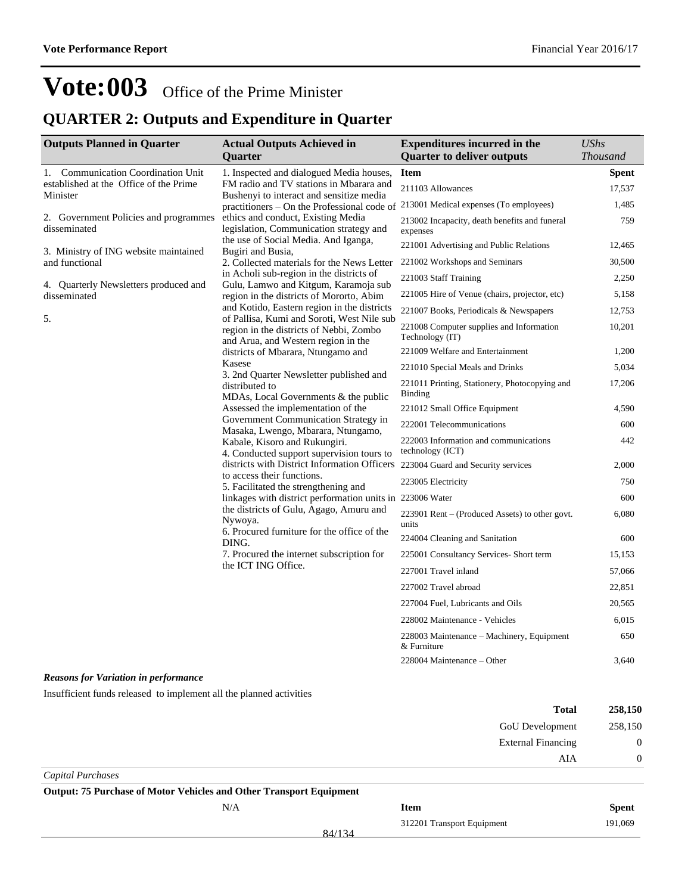312201 Transport Equipment 191,069

# **Vote:003** Office of the Prime Minister

### **QUARTER 2: Outputs and Expenditure in Quarter**

| <b>Outputs Planned in Quarter</b>                                   | <b>Actual Outputs Achieved in</b>                                                                                            | <b>Expenditures incurred in the</b>                             | <b>UShs</b>      |
|---------------------------------------------------------------------|------------------------------------------------------------------------------------------------------------------------------|-----------------------------------------------------------------|------------------|
|                                                                     | Quarter                                                                                                                      | <b>Quarter to deliver outputs</b>                               | <b>Thousand</b>  |
| 1. Communication Coordination Unit                                  | 1. Inspected and dialogued Media houses,                                                                                     | <b>Item</b>                                                     | <b>Spent</b>     |
| established at the Office of the Prime<br>Minister                  | FM radio and TV stations in Mbarara and<br>Bushenyi to interact and sensitize media                                          | 211103 Allowances                                               | 17,537           |
|                                                                     | practitioners - On the Professional code of 213001 Medical expenses (To employees)                                           |                                                                 | 1,485            |
| 2. Government Policies and programmes<br>disseminated               | ethics and conduct, Existing Media<br>legislation, Communication strategy and                                                | 213002 Incapacity, death benefits and funeral<br>expenses       | 759              |
|                                                                     | the use of Social Media. And Iganga,<br>Bugiri and Busia,                                                                    | 221001 Advertising and Public Relations                         | 12,465           |
| 3. Ministry of ING website maintained<br>and functional             | 2. Collected materials for the News Letter                                                                                   | 221002 Workshops and Seminars                                   | 30,500           |
| 4. Quarterly Newsletters produced and                               | in Acholi sub-region in the districts of<br>Gulu, Lamwo and Kitgum, Karamoja sub                                             | 221003 Staff Training                                           | 2,250            |
| disseminated                                                        | region in the districts of Mororto, Abim                                                                                     | 221005 Hire of Venue (chairs, projector, etc)                   | 5,158            |
|                                                                     | and Kotido, Eastern region in the districts                                                                                  | 221007 Books, Periodicals & Newspapers                          | 12,753           |
| 5.                                                                  | of Pallisa, Kumi and Soroti, West Nile sub<br>region in the districts of Nebbi, Zombo<br>and Arua, and Western region in the | 221008 Computer supplies and Information<br>Technology (IT)     | 10,201           |
|                                                                     | districts of Mbarara, Ntungamo and                                                                                           | 221009 Welfare and Entertainment                                | 1,200            |
|                                                                     | Kasese                                                                                                                       | 221010 Special Meals and Drinks                                 | 5,034            |
|                                                                     | 3. 2nd Quarter Newsletter published and<br>distributed to<br>MDAs, Local Governments & the public                            | 221011 Printing, Stationery, Photocopying and<br><b>Binding</b> | 17,206           |
|                                                                     | Assessed the implementation of the                                                                                           | 221012 Small Office Equipment                                   | 4,590            |
|                                                                     | Government Communication Strategy in<br>Masaka, Lwengo, Mbarara, Ntungamo,                                                   | 222001 Telecommunications                                       | 600              |
|                                                                     | Kabale, Kisoro and Rukungiri.<br>4. Conducted support supervision tours to                                                   | 222003 Information and communications<br>technology (ICT)       | 442              |
|                                                                     | districts with District Information Officers                                                                                 | 223004 Guard and Security services                              | 2,000            |
|                                                                     | to access their functions.<br>5. Facilitated the strengthening and                                                           | 223005 Electricity                                              | 750              |
|                                                                     | linkages with district performation units in 223006 Water                                                                    |                                                                 | 600              |
|                                                                     | the districts of Gulu, Agago, Amuru and<br>Nywoya.                                                                           | 223901 Rent – (Produced Assets) to other govt.<br>units         | 6,080            |
|                                                                     | 6. Procured furniture for the office of the<br>DING.                                                                         | 224004 Cleaning and Sanitation                                  | 600              |
|                                                                     | 7. Procured the internet subscription for                                                                                    | 225001 Consultancy Services- Short term                         | 15,153           |
|                                                                     | the ICT ING Office.                                                                                                          | 227001 Travel inland                                            | 57,066           |
|                                                                     |                                                                                                                              | 227002 Travel abroad                                            | 22,851           |
|                                                                     |                                                                                                                              | 227004 Fuel, Lubricants and Oils                                | 20,565           |
|                                                                     |                                                                                                                              | 228002 Maintenance - Vehicles                                   | 6,015            |
|                                                                     |                                                                                                                              | 228003 Maintenance – Machinery, Equipment<br>& Furniture        | 650              |
|                                                                     |                                                                                                                              | 228004 Maintenance – Other                                      | 3,640            |
| <b>Reasons for Variation in performance</b>                         |                                                                                                                              |                                                                 |                  |
| Insufficient funds released to implement all the planned activities |                                                                                                                              |                                                                 |                  |
|                                                                     |                                                                                                                              | <b>Total</b>                                                    | 258,150          |
|                                                                     |                                                                                                                              | <b>GoU</b> Development                                          | 258,150          |
|                                                                     |                                                                                                                              | <b>External Financing</b>                                       | $\boldsymbol{0}$ |
|                                                                     |                                                                                                                              | AIA                                                             | $\mathbf 0$      |
| <b>Capital Purchases</b>                                            |                                                                                                                              |                                                                 |                  |
| Output: 75 Purchase of Motor Vehicles and Other Transport Equipment |                                                                                                                              |                                                                 |                  |
|                                                                     | N/A                                                                                                                          | <b>Item</b>                                                     | Spent            |

84/134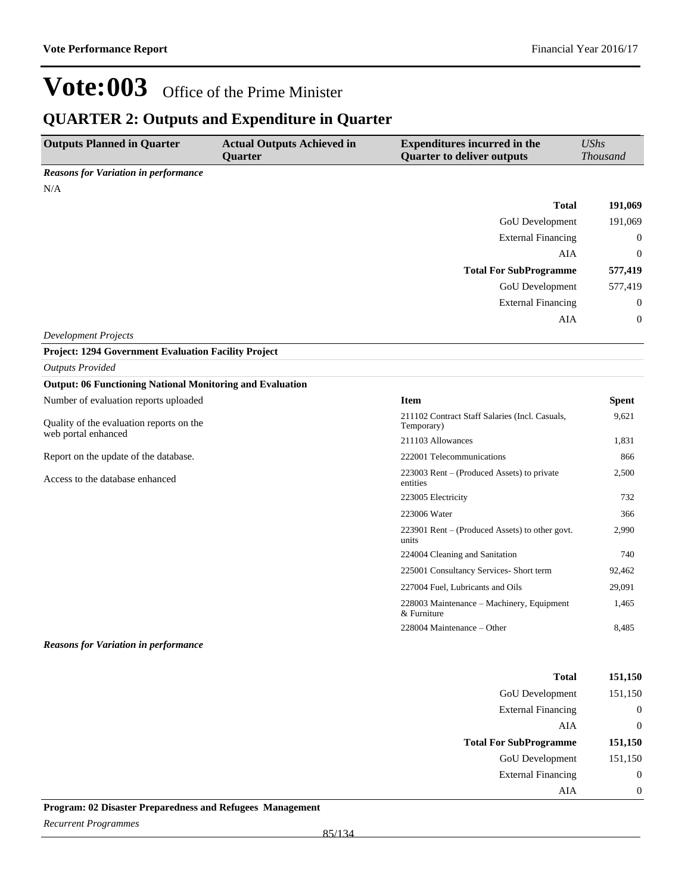### **QUARTER 2: Outputs and Expenditure in Quarter**

| <b>Outputs Planned in Quarter</b>                                | <b>Actual Outputs Achieved in</b><br>Quarter | <b>Expenditures incurred in the</b><br><b>Quarter to deliver outputs</b> | <b>UShs</b><br><b>Thousand</b> |
|------------------------------------------------------------------|----------------------------------------------|--------------------------------------------------------------------------|--------------------------------|
| <b>Reasons for Variation in performance</b>                      |                                              |                                                                          |                                |
| N/A                                                              |                                              |                                                                          |                                |
|                                                                  |                                              | <b>Total</b>                                                             | 191,069                        |
|                                                                  |                                              | GoU Development                                                          | 191,069                        |
|                                                                  |                                              | <b>External Financing</b>                                                | $\Omega$                       |
|                                                                  |                                              | AIA                                                                      | $\theta$                       |
|                                                                  |                                              | <b>Total For SubProgramme</b>                                            | 577,419                        |
|                                                                  |                                              | GoU Development                                                          | 577,419                        |
|                                                                  |                                              | <b>External Financing</b>                                                | $\theta$                       |
|                                                                  |                                              | AIA                                                                      | $\mathbf{0}$                   |
| <b>Development Projects</b>                                      |                                              |                                                                          |                                |
| <b>Project: 1294 Government Evaluation Facility Project</b>      |                                              |                                                                          |                                |
| <b>Outputs Provided</b>                                          |                                              |                                                                          |                                |
| <b>Output: 06 Functioning National Monitoring and Evaluation</b> |                                              |                                                                          |                                |
| Number of evaluation reports uploaded                            |                                              | <b>Item</b>                                                              | <b>Spent</b>                   |
| Quality of the evaluation reports on the<br>web portal enhanced  |                                              | 211102 Contract Staff Salaries (Incl. Casuals,<br>Temporary)             | 9,621                          |
|                                                                  |                                              | 211103 Allowances                                                        | 1,831                          |
| Report on the update of the database.                            |                                              | 222001 Telecommunications                                                | 866                            |
| Access to the database enhanced                                  |                                              | 223003 Rent – (Produced Assets) to private<br>entities                   | 2,500                          |
|                                                                  |                                              | 223005 Electricity                                                       | 732                            |
|                                                                  |                                              | 223006 Water                                                             | 366                            |
|                                                                  |                                              | 223901 Rent – (Produced Assets) to other govt.<br>units                  | 2,990                          |
|                                                                  |                                              | 224004 Cleaning and Sanitation                                           | 740                            |
|                                                                  |                                              | 225001 Consultancy Services- Short term                                  | 92,462                         |
|                                                                  |                                              | 227004 Fuel, Lubricants and Oils                                         | 29,091                         |
|                                                                  |                                              | 228003 Maintenance - Machinery, Equipment<br>& Furniture                 | 1,465                          |
|                                                                  |                                              | 228004 Maintenance – Other                                               | 8,485                          |
| <b>Reasons for Variation in performance</b>                      |                                              |                                                                          |                                |

| 151,150          | <b>Total</b>                  |
|------------------|-------------------------------|
| 151,150          | GoU Development               |
| $\boldsymbol{0}$ | <b>External Financing</b>     |
| $\theta$         | AIA                           |
| 151,150          | <b>Total For SubProgramme</b> |
| 151,150          | GoU Development               |
| $\boldsymbol{0}$ | <b>External Financing</b>     |
| $\theta$         | AIA                           |
|                  |                               |

**Program: 02 Disaster Preparedness and Refugees Management**

*Recurrent Programmes*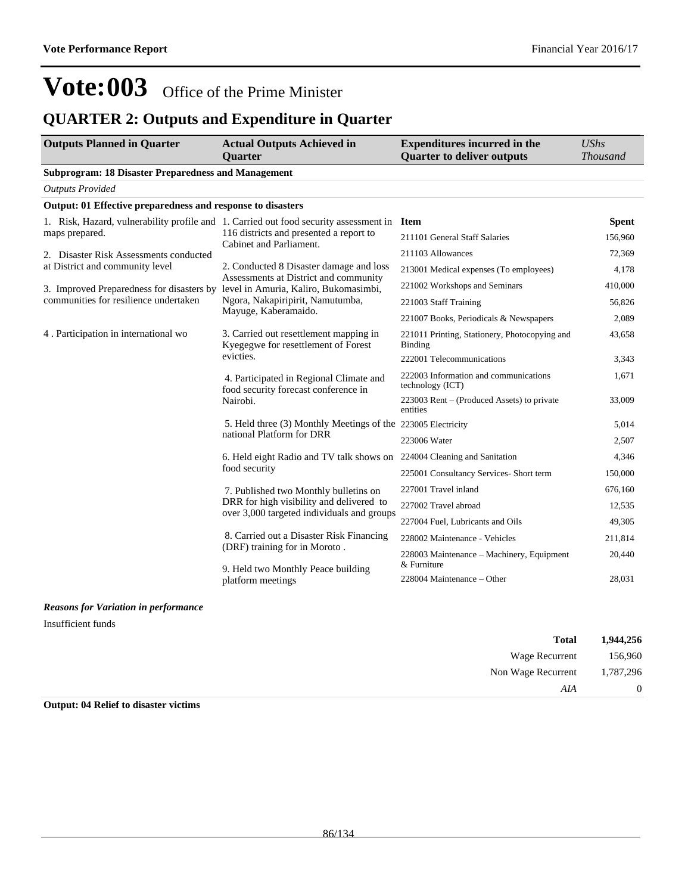### **QUARTER 2: Outputs and Expenditure in Quarter**

| <b>Outputs Planned in Quarter</b>                           | <b>Actual Outputs Achieved in</b>                                                          | <b>Expenditures incurred in the</b>                       | <b>UShs</b>     |
|-------------------------------------------------------------|--------------------------------------------------------------------------------------------|-----------------------------------------------------------|-----------------|
|                                                             | <b>Quarter</b>                                                                             | <b>Quarter to deliver outputs</b>                         | <b>Thousand</b> |
| <b>Subprogram: 18 Disaster Preparedness and Management</b>  |                                                                                            |                                                           |                 |
| <b>Outputs Provided</b>                                     |                                                                                            |                                                           |                 |
| Output: 01 Effective preparedness and response to disasters |                                                                                            |                                                           |                 |
|                                                             | 1. Risk, Hazard, vulnerability profile and 1. Carried out food security assessment in Item |                                                           | <b>Spent</b>    |
| maps prepared.                                              | 116 districts and presented a report to<br>Cabinet and Parliament.                         | 211101 General Staff Salaries                             | 156,960         |
| 2. Disaster Risk Assessments conducted                      |                                                                                            | 211103 Allowances                                         | 72,369          |
| at District and community level                             | 2. Conducted 8 Disaster damage and loss<br>Assessments at District and community           | 213001 Medical expenses (To employees)                    | 4,178           |
| 3. Improved Preparedness for disasters by                   | level in Amuria, Kaliro, Bukomasimbi,                                                      | 221002 Workshops and Seminars                             | 410,000         |
| communities for resilience undertaken                       | Ngora, Nakapiripirit, Namutumba,                                                           | 221003 Staff Training                                     | 56,826          |
|                                                             | Mayuge, Kaberamaido.                                                                       | 221007 Books, Periodicals & Newspapers                    | 2,089           |
| 4. Participation in international wo                        | 3. Carried out resettlement mapping in<br>Kyegegwe for resettlement of Forest<br>evicties. | 221011 Printing, Stationery, Photocopying and<br>Binding  | 43,658          |
|                                                             |                                                                                            | 222001 Telecommunications                                 | 3,343           |
|                                                             | 4. Participated in Regional Climate and<br>food security forecast conference in            | 222003 Information and communications<br>technology (ICT) | 1,671           |
|                                                             | Nairobi.                                                                                   | 223003 Rent – (Produced Assets) to private<br>entities    | 33,009          |
|                                                             | 5. Held three (3) Monthly Meetings of the 223005 Electricity                               |                                                           | 5,014           |
|                                                             | national Platform for DRR                                                                  | 223006 Water                                              | 2,507           |
|                                                             | 6. Held eight Radio and TV talk shows on                                                   | 224004 Cleaning and Sanitation                            | 4,346           |
|                                                             | food security                                                                              | 225001 Consultancy Services- Short term                   | 150,000         |
|                                                             | 7. Published two Monthly bulletins on                                                      | 227001 Travel inland                                      | 676,160         |
|                                                             | DRR for high visibility and delivered to<br>over 3,000 targeted individuals and groups     | 227002 Travel abroad                                      | 12,535          |
|                                                             | 227004 Fuel, Lubricants and Oils                                                           | 49,305                                                    |                 |
|                                                             | 8. Carried out a Disaster Risk Financing<br>(DRF) training for in Moroto.<br>& Furniture   | 228002 Maintenance - Vehicles                             | 211,814         |
|                                                             |                                                                                            | 228003 Maintenance – Machinery, Equipment                 | 20,440          |
|                                                             | 9. Held two Monthly Peace building<br>platform meetings                                    | 228004 Maintenance – Other                                | 28,031          |

#### *Reasons for Variation in performance*

Insufficient funds

| 1,944,256 | <b>Total</b>       |
|-----------|--------------------|
| 156,960   | Wage Recurrent     |
| 1,787,296 | Non Wage Recurrent |
| υ         | AIA                |

**Output: 04 Relief to disaster victims**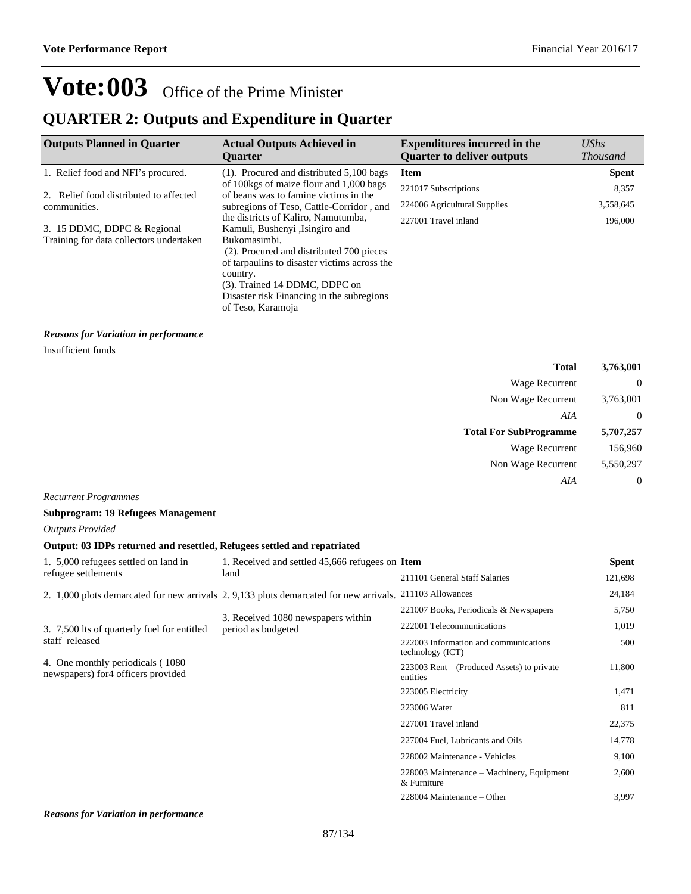### **QUARTER 2: Outputs and Expenditure in Quarter**

| <b>Outputs Planned in Quarter</b>                                      | <b>Actual Outputs Achieved in</b><br><b>Ouarter</b>                                                                                                                                                                                                                                               | <b>Expenditures incurred in the</b><br><b>Quarter to deliver outputs</b> | UShs<br><b>Thousand</b> |
|------------------------------------------------------------------------|---------------------------------------------------------------------------------------------------------------------------------------------------------------------------------------------------------------------------------------------------------------------------------------------------|--------------------------------------------------------------------------|-------------------------|
| 1. Relief food and NFI's procured.                                     | $(1)$ . Procured and distributed 5,100 bags                                                                                                                                                                                                                                                       | Item                                                                     | <b>Spent</b>            |
| 2. Relief food distributed to affected                                 | of 100 kgs of maize flour and 1,000 bags<br>of beans was to famine victims in the                                                                                                                                                                                                                 | 221017 Subscriptions                                                     | 8,357                   |
| communities.                                                           | subregions of Teso, Cattle-Corridor, and                                                                                                                                                                                                                                                          | 224006 Agricultural Supplies                                             | 3,558,645               |
| 3. 15 DDMC, DDPC & Regional<br>Training for data collectors undertaken | the districts of Kaliro, Namutumba,<br>Kamuli, Bushenyi , Isingiro and<br>Bukomasimbi.<br>(2). Procured and distributed 700 pieces<br>of tarpaulins to disaster victims across the<br>country.<br>(3). Trained 14 DDMC, DDPC on<br>Disaster risk Financing in the subregions<br>of Teso, Karamoja | 227001 Travel inland                                                     | 196,000                 |

### *Reasons for Variation in performance*

Insufficient funds

| 3,763,001 | <b>Total</b>                  |  |
|-----------|-------------------------------|--|
| $\theta$  | <b>Wage Recurrent</b>         |  |
| 3,763,001 | Non Wage Recurrent            |  |
| $\theta$  | AIA                           |  |
| 5,707,257 | <b>Total For SubProgramme</b> |  |
| 156,960   | Wage Recurrent                |  |
| 5,550,297 | Non Wage Recurrent            |  |
| $\theta$  | AIA                           |  |
|           |                               |  |

#### *Recurrent Programmes*

| <b>Subprogram: 19 Refugees Management</b>                                |                                                                                                          |                                                           |         |
|--------------------------------------------------------------------------|----------------------------------------------------------------------------------------------------------|-----------------------------------------------------------|---------|
| <b>Outputs Provided</b>                                                  |                                                                                                          |                                                           |         |
| Output: 03 IDPs returned and resettled, Refugees settled and repatriated |                                                                                                          |                                                           |         |
| 1. 5,000 refugees settled on land in                                     | 1. Received and settled 45,666 refugees on Item                                                          |                                                           | Spent   |
| refugee settlements                                                      | land                                                                                                     | 211101 General Staff Salaries                             | 121,698 |
|                                                                          | 2. 1,000 plots demarcated for new arrivals 2. 9,133 plots demarcated for new arrivals. 211103 Allowances |                                                           | 24,184  |
|                                                                          |                                                                                                          | 221007 Books, Periodicals & Newspapers                    | 5,750   |
| 3. 7,500 lts of quarterly fuel for entitled                              | 3. Received 1080 newspapers within<br>period as budgeted                                                 | 222001 Telecommunications                                 | 1,019   |
| staff released                                                           |                                                                                                          | 222003 Information and communications<br>technology (ICT) | 500     |
| 4. One monthly periodicals (1080)<br>newspapers) for 4 officers provided |                                                                                                          | 223003 Rent – (Produced Assets) to private<br>entities    | 11.800  |
|                                                                          |                                                                                                          | 223005 Electricity                                        | 1,471   |
|                                                                          |                                                                                                          | 223006 Water                                              | 811     |
|                                                                          |                                                                                                          | 227001 Travel inland                                      | 22,375  |
|                                                                          |                                                                                                          | 227004 Fuel, Lubricants and Oils                          | 14,778  |
|                                                                          |                                                                                                          | 228002 Maintenance - Vehicles                             | 9,100   |
|                                                                          |                                                                                                          | 228003 Maintenance – Machinery, Equipment<br>& Furniture  | 2,600   |
|                                                                          |                                                                                                          | $228004$ Maintenance – Other                              | 3.997   |

#### *Reasons for Variation in performance*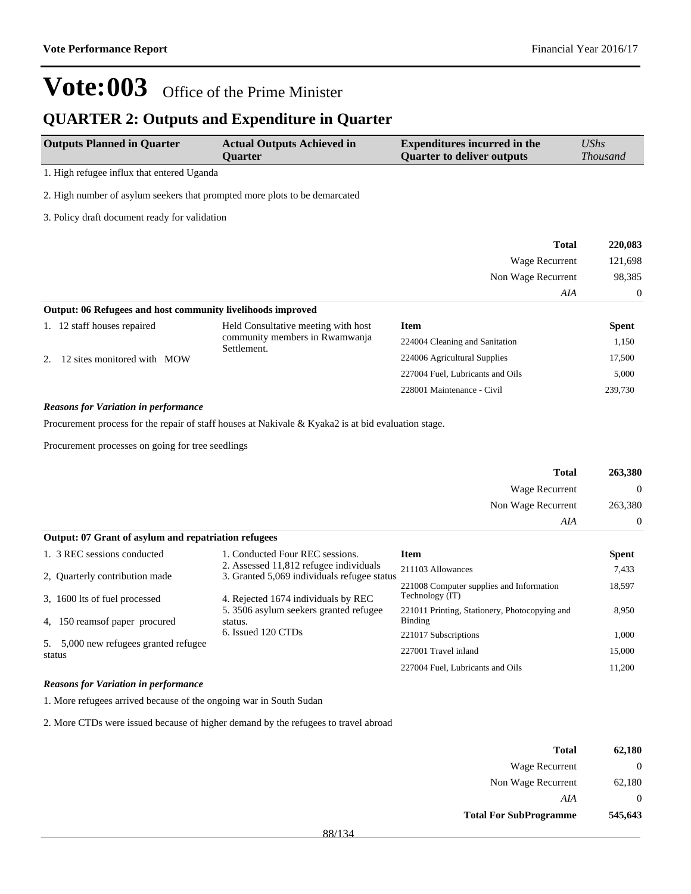### **QUARTER 2: Outputs and Expenditure in Quarter**

| <b>Outputs Planned in Quarter</b> | <b>Actual Outputs Achieved in</b> | <b>Expenditures incurred in the</b> | UShs     |
|-----------------------------------|-----------------------------------|-------------------------------------|----------|
|                                   | <b>Ouarter</b>                    | <b>Quarter to deliver outputs</b>   | Thousand |

1. High refugee influx that entered Uganda

2. High number of asylum seekers that prompted more plots to be demarcated

3. Policy draft document ready for validation

| <b>Total</b>                                                | 220,083  |
|-------------------------------------------------------------|----------|
| Wage Recurrent                                              | 121,698  |
| Non Wage Recurrent                                          | 98,385   |
| AIA                                                         | $\Omega$ |
| Output: 06 Refugees and host community livelihoods improved |          |

|  | Held Consultative meeting with host<br>1. 12 staff houses repaired | <b>Item</b>                                   | <b>Spent</b>                   |         |
|--|--------------------------------------------------------------------|-----------------------------------------------|--------------------------------|---------|
|  |                                                                    | community members in Rwamwanja<br>Settlement. | 224004 Cleaning and Sanitation | 1,150   |
|  | 2. 12 sites monitored with MOW                                     | 224006 Agricultural Supplies                  | 17.500                         |         |
|  |                                                                    | 227004 Fuel, Lubricants and Oils              | 5.000                          |         |
|  |                                                                    |                                               | 228001 Maintenance - Civil     | 239,730 |

#### *Reasons for Variation in performance*

Procurement process for the repair of staff houses at Nakivale & Kyaka2 is at bid evaluation stage.

Procurement processes on going for tree seedlings

|                                                             |                                                                                       | <b>Total</b>                                                | 263,380        |
|-------------------------------------------------------------|---------------------------------------------------------------------------------------|-------------------------------------------------------------|----------------|
|                                                             |                                                                                       | Wage Recurrent                                              | $\Omega$       |
|                                                             |                                                                                       | Non Wage Recurrent                                          | 263,380        |
|                                                             |                                                                                       | AIA                                                         | $\overline{0}$ |
| <b>Output: 07 Grant of asylum and repatriation refugees</b> |                                                                                       |                                                             |                |
| 1. 3 REC sessions conducted                                 | 1. Conducted Four REC sessions.                                                       | Item                                                        | <b>Spent</b>   |
| 2. Ouarterly contribution made                              | 2. Assessed 11,812 refugee individuals<br>3. Granted 5,069 individuals refugee status | 211103 Allowances                                           | 7,433          |
|                                                             |                                                                                       | 221008 Computer supplies and Information<br>Technology (IT) | 18,597         |
| 3, 1600 lts of fuel processed                               | 4. Rejected 1674 individuals by REC<br>5.3506 asylum seekers granted refugee          | 221011 Printing, Stationery, Photocopying and               | 8,950          |
| 4, 150 reams of paper procured                              | status.                                                                               | Binding                                                     |                |
|                                                             | 6. Issued 120 CTDs                                                                    | 221017 Subscriptions                                        | 1,000          |
| 5,000 new refugees granted refugee<br>5.<br>etatue          |                                                                                       | 227001 Travel inland                                        | 15,000         |

#### *Reasons for Variation in performance*

status

1. More refugees arrived because of the ongoing war in South Sudan

2. More CTDs were issued because of higher demand by the refugees to travel abroad

| 62,180   | <b>Total</b>                  |
|----------|-------------------------------|
| $\theta$ | Wage Recurrent                |
| 62,180   | Non Wage Recurrent            |
| $\theta$ | AIA                           |
| 545,643  | <b>Total For SubProgramme</b> |

227004 Fuel, Lubricants and Oils 11,200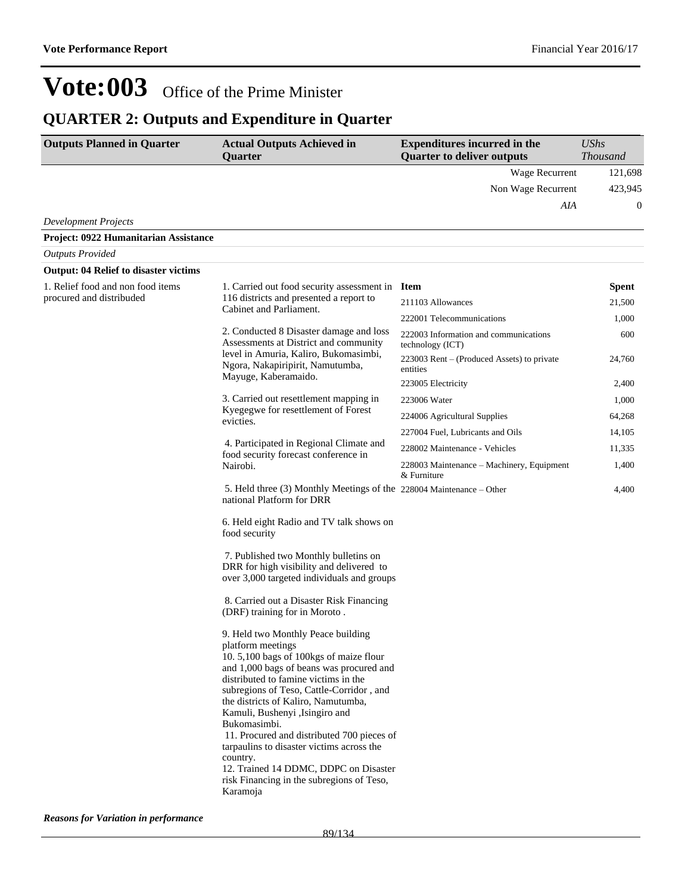### **QUARTER 2: Outputs and Expenditure in Quarter**

| <b>Outputs Planned in Quarter</b>            | <b>Actual Outputs Achieved in</b><br>Quarter                                                                                                                                                                                                                                                                                                                                                                                                                                                                                        | <b>Expenditures incurred in the</b><br><b>Quarter to deliver outputs</b> | <b>UShs</b><br>Thousand |
|----------------------------------------------|-------------------------------------------------------------------------------------------------------------------------------------------------------------------------------------------------------------------------------------------------------------------------------------------------------------------------------------------------------------------------------------------------------------------------------------------------------------------------------------------------------------------------------------|--------------------------------------------------------------------------|-------------------------|
|                                              |                                                                                                                                                                                                                                                                                                                                                                                                                                                                                                                                     | Wage Recurrent                                                           | 121,698                 |
|                                              |                                                                                                                                                                                                                                                                                                                                                                                                                                                                                                                                     | Non Wage Recurrent                                                       | 423,945                 |
|                                              |                                                                                                                                                                                                                                                                                                                                                                                                                                                                                                                                     | AIA                                                                      | $\mathbf 0$             |
| <b>Development Projects</b>                  |                                                                                                                                                                                                                                                                                                                                                                                                                                                                                                                                     |                                                                          |                         |
| Project: 0922 Humanitarian Assistance        |                                                                                                                                                                                                                                                                                                                                                                                                                                                                                                                                     |                                                                          |                         |
| <b>Outputs Provided</b>                      |                                                                                                                                                                                                                                                                                                                                                                                                                                                                                                                                     |                                                                          |                         |
| <b>Output: 04 Relief to disaster victims</b> |                                                                                                                                                                                                                                                                                                                                                                                                                                                                                                                                     |                                                                          |                         |
| 1. Relief food and non food items            | 1. Carried out food security assessment in Item                                                                                                                                                                                                                                                                                                                                                                                                                                                                                     |                                                                          | <b>Spent</b>            |
| procured and distribuded                     | 116 districts and presented a report to<br>Cabinet and Parliament.                                                                                                                                                                                                                                                                                                                                                                                                                                                                  | 211103 Allowances                                                        | 21,500                  |
|                                              |                                                                                                                                                                                                                                                                                                                                                                                                                                                                                                                                     | 222001 Telecommunications                                                | 1,000                   |
|                                              | 2. Conducted 8 Disaster damage and loss<br>Assessments at District and community                                                                                                                                                                                                                                                                                                                                                                                                                                                    | 222003 Information and communications<br>technology (ICT)                | 600                     |
|                                              | level in Amuria, Kaliro, Bukomasimbi,<br>Ngora, Nakapiripirit, Namutumba,<br>Mayuge, Kaberamaido.                                                                                                                                                                                                                                                                                                                                                                                                                                   | 223003 Rent - (Produced Assets) to private<br>entities                   | 24,760                  |
|                                              |                                                                                                                                                                                                                                                                                                                                                                                                                                                                                                                                     | 223005 Electricity                                                       | 2,400                   |
|                                              | 3. Carried out resettlement mapping in<br>Kyegegwe for resettlement of Forest                                                                                                                                                                                                                                                                                                                                                                                                                                                       | 223006 Water                                                             | 1,000                   |
|                                              | evicties.                                                                                                                                                                                                                                                                                                                                                                                                                                                                                                                           | 224006 Agricultural Supplies                                             | 64,268                  |
|                                              |                                                                                                                                                                                                                                                                                                                                                                                                                                                                                                                                     | 227004 Fuel, Lubricants and Oils                                         | 14,105                  |
|                                              | 4. Participated in Regional Climate and<br>food security forecast conference in                                                                                                                                                                                                                                                                                                                                                                                                                                                     | 228002 Maintenance - Vehicles                                            | 11,335                  |
|                                              | Nairobi.                                                                                                                                                                                                                                                                                                                                                                                                                                                                                                                            | 228003 Maintenance – Machinery, Equipment<br>& Furniture                 | 1,400                   |
|                                              | 5. Held three (3) Monthly Meetings of the 228004 Maintenance – Other<br>national Platform for DRR                                                                                                                                                                                                                                                                                                                                                                                                                                   |                                                                          | 4,400                   |
|                                              | 6. Held eight Radio and TV talk shows on<br>food security                                                                                                                                                                                                                                                                                                                                                                                                                                                                           |                                                                          |                         |
|                                              | 7. Published two Monthly bulletins on<br>DRR for high visibility and delivered to<br>over 3,000 targeted individuals and groups                                                                                                                                                                                                                                                                                                                                                                                                     |                                                                          |                         |
|                                              | 8. Carried out a Disaster Risk Financing<br>(DRF) training for in Moroto.                                                                                                                                                                                                                                                                                                                                                                                                                                                           |                                                                          |                         |
|                                              | 9. Held two Monthly Peace building<br>platform meetings<br>10.5,100 bags of 100kgs of maize flour<br>and 1,000 bags of beans was procured and<br>distributed to famine victims in the<br>subregions of Teso, Cattle-Corridor, and<br>the districts of Kaliro, Namutumba,<br>Kamuli, Bushenyi ,Isingiro and<br>Bukomasimbi.<br>11. Procured and distributed 700 pieces of<br>tarpaulins to disaster victims across the<br>country.<br>12. Trained 14 DDMC, DDPC on Disaster<br>risk Financing in the subregions of Teso,<br>Karamoja |                                                                          |                         |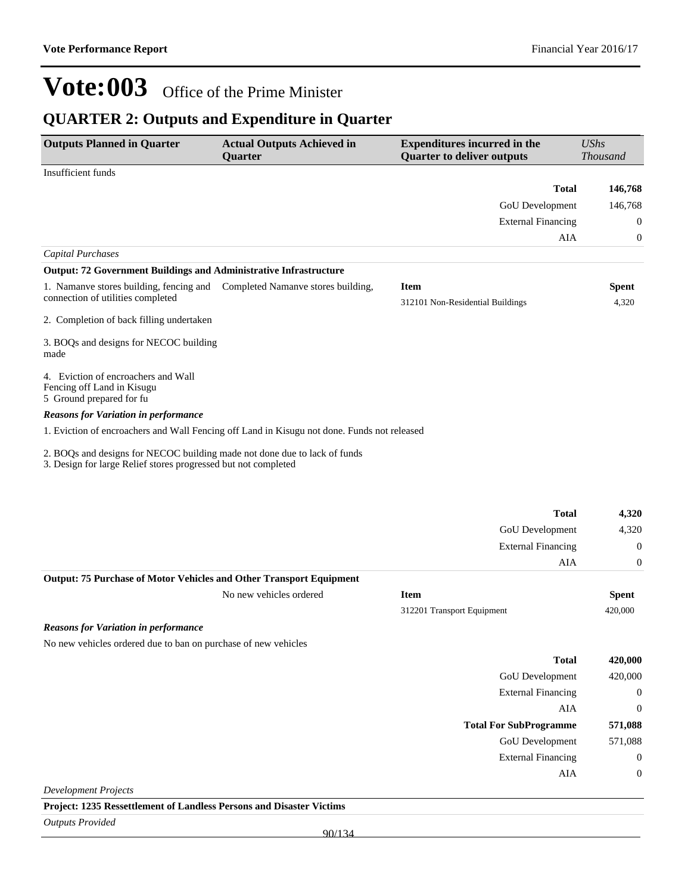### **QUARTER 2: Outputs and Expenditure in Quarter**

| <b>Outputs Planned in Quarter</b>                                                                                                           | <b>Actual Outputs Achieved in</b><br>Quarter | <b>Expenditures incurred in the</b><br><b>Quarter to deliver outputs</b> | UShs<br><b>Thousand</b>          |
|---------------------------------------------------------------------------------------------------------------------------------------------|----------------------------------------------|--------------------------------------------------------------------------|----------------------------------|
| Insufficient funds                                                                                                                          |                                              |                                                                          |                                  |
|                                                                                                                                             |                                              | <b>Total</b>                                                             | 146,768                          |
|                                                                                                                                             |                                              | GoU Development                                                          | 146,768                          |
|                                                                                                                                             |                                              | <b>External Financing</b>                                                | $\boldsymbol{0}$                 |
|                                                                                                                                             |                                              | AIA                                                                      | 0                                |
| <b>Capital Purchases</b>                                                                                                                    |                                              |                                                                          |                                  |
| <b>Output: 72 Government Buildings and Administrative Infrastructure</b>                                                                    |                                              |                                                                          |                                  |
| 1. Namanve stores building, fencing and<br>connection of utilities completed                                                                | Completed Namanye stores building,           | <b>Item</b><br>312101 Non-Residential Buildings                          | <b>Spent</b><br>4,320            |
| 2. Completion of back filling undertaken                                                                                                    |                                              |                                                                          |                                  |
| 3. BOQs and designs for NECOC building<br>made                                                                                              |                                              |                                                                          |                                  |
| 4. Eviction of encroachers and Wall<br>Fencing off Land in Kisugu<br>5 Ground prepared for fu                                               |                                              |                                                                          |                                  |
| <b>Reasons for Variation in performance</b>                                                                                                 |                                              |                                                                          |                                  |
| 1. Eviction of encroachers and Wall Fencing off Land in Kisugu not done. Funds not released                                                 |                                              |                                                                          |                                  |
| 2. BOQs and designs for NECOC building made not done due to lack of funds<br>3. Design for large Relief stores progressed but not completed |                                              |                                                                          |                                  |
|                                                                                                                                             |                                              | <b>Total</b>                                                             | 4,320                            |
|                                                                                                                                             |                                              | GoU Development                                                          | 4,320                            |
|                                                                                                                                             |                                              | <b>External Financing</b>                                                | $\mathbf{0}$                     |
|                                                                                                                                             |                                              | AIA                                                                      | 0                                |
| Output: 75 Purchase of Motor Vehicles and Other Transport Equipment                                                                         |                                              |                                                                          |                                  |
|                                                                                                                                             | No new vehicles ordered                      | <b>Item</b>                                                              | <b>Spent</b>                     |
|                                                                                                                                             |                                              | 312201 Transport Equipment                                               | 420,000                          |
| <b>Reasons for Variation in performance</b>                                                                                                 |                                              |                                                                          |                                  |
| No new vehicles ordered due to ban on purchase of new vehicles                                                                              |                                              |                                                                          |                                  |
|                                                                                                                                             |                                              | <b>Total</b>                                                             | 420,000                          |
|                                                                                                                                             |                                              | GoU Development                                                          | 420,000                          |
|                                                                                                                                             |                                              | <b>External Financing</b>                                                | $\boldsymbol{0}$                 |
|                                                                                                                                             |                                              | AIA                                                                      | $\boldsymbol{0}$                 |
|                                                                                                                                             |                                              | <b>Total For SubProgramme</b>                                            | 571,088                          |
|                                                                                                                                             |                                              | GoU Development                                                          | 571,088                          |
|                                                                                                                                             |                                              | <b>External Financing</b><br>${\rm AIA}$                                 | $\mathbf{0}$<br>$\boldsymbol{0}$ |
| <b>Development Projects</b>                                                                                                                 |                                              |                                                                          |                                  |
| Project: 1235 Ressettlement of Landless Persons and Disaster Victims                                                                        |                                              |                                                                          |                                  |

*Outputs Provided*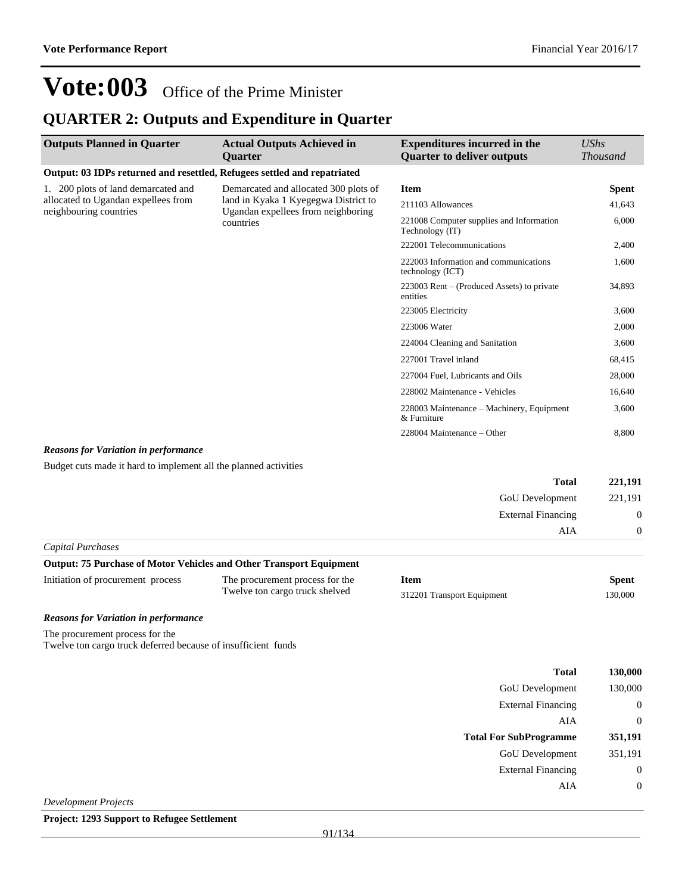### **QUARTER 2: Outputs and Expenditure in Quarter**

| <b>Outputs Planned in Quarter</b>                                                                    | <b>Actual Outputs Achieved in</b><br><b>Ouarter</b>                                                                              | <b>Expenditures incurred in the</b><br><b>Ouarter to deliver outputs</b> | UShs<br><b>Thousand</b> |
|------------------------------------------------------------------------------------------------------|----------------------------------------------------------------------------------------------------------------------------------|--------------------------------------------------------------------------|-------------------------|
| Output: 03 IDPs returned and resettled, Refugees settled and repatriated                             |                                                                                                                                  |                                                                          |                         |
| 1. 200 plots of land demarcated and<br>allocated to Ugandan expellees from<br>neighbouring countries | Demarcated and allocated 300 plots of<br>land in Kyaka 1 Kyegegwa District to<br>Ugandan expellees from neighboring<br>countries | <b>Item</b>                                                              | <b>Spent</b>            |
|                                                                                                      |                                                                                                                                  | 211103 Allowances                                                        | 41,643                  |
|                                                                                                      |                                                                                                                                  | 221008 Computer supplies and Information<br>Technology (IT)              | 6,000                   |
|                                                                                                      |                                                                                                                                  | 222001 Telecommunications                                                | 2,400                   |
|                                                                                                      |                                                                                                                                  | 222003 Information and communications<br>technology (ICT)                | 1,600                   |
|                                                                                                      |                                                                                                                                  | 223003 Rent – (Produced Assets) to private<br>entities                   | 34,893                  |
|                                                                                                      |                                                                                                                                  | 223005 Electricity                                                       | 3,600                   |
|                                                                                                      |                                                                                                                                  | 223006 Water                                                             | 2,000                   |
|                                                                                                      |                                                                                                                                  | 224004 Cleaning and Sanitation                                           | 3,600                   |
|                                                                                                      |                                                                                                                                  | 227001 Travel inland                                                     | 68,415                  |
|                                                                                                      |                                                                                                                                  | 227004 Fuel, Lubricants and Oils                                         | 28,000                  |
|                                                                                                      |                                                                                                                                  | 228002 Maintenance - Vehicles                                            | 16,640                  |
|                                                                                                      |                                                                                                                                  | 228003 Maintenance – Machinery, Equipment<br>& Furniture                 | 3,600                   |
|                                                                                                      |                                                                                                                                  | 228004 Maintenance – Other                                               | 8.800                   |

#### *Reasons for Variation in performance*

Budget cuts made it hard to implement all the planned activities

| <b>Total</b>              | 221,191          |
|---------------------------|------------------|
| <b>GoU</b> Development    | 221,191          |
| <b>External Financing</b> | $\boldsymbol{0}$ |
| AIA                       | $\overline{0}$   |
| .                         |                  |

#### *Capital Purchases*

#### **Output: 75 Purchase of Motor Vehicles and Other Transport Equipment**

Initiation of procurement process The procurement process for the

Twelve ton cargo truck shelved

| <b>Item</b>                | <b>Spent</b> |
|----------------------------|--------------|
| 312201 Transport Equipment | 130,000      |

#### *Reasons for Variation in performance*

The procurement process for the Twelve ton cargo truck deferred because of insufficient funds

| 130,000        | <b>Total</b>                  |  |
|----------------|-------------------------------|--|
| 130,000        | GoU Development               |  |
| $\mathbf{0}$   | <b>External Financing</b>     |  |
| $\mathbf{0}$   | AIA                           |  |
|                |                               |  |
| 351,191        | <b>Total For SubProgramme</b> |  |
| 351,191        | GoU Development               |  |
| $\overline{0}$ | <b>External Financing</b>     |  |
| $\overline{0}$ | AIA                           |  |

*Development Projects*

**Project: 1293 Support to Refugee Settlement**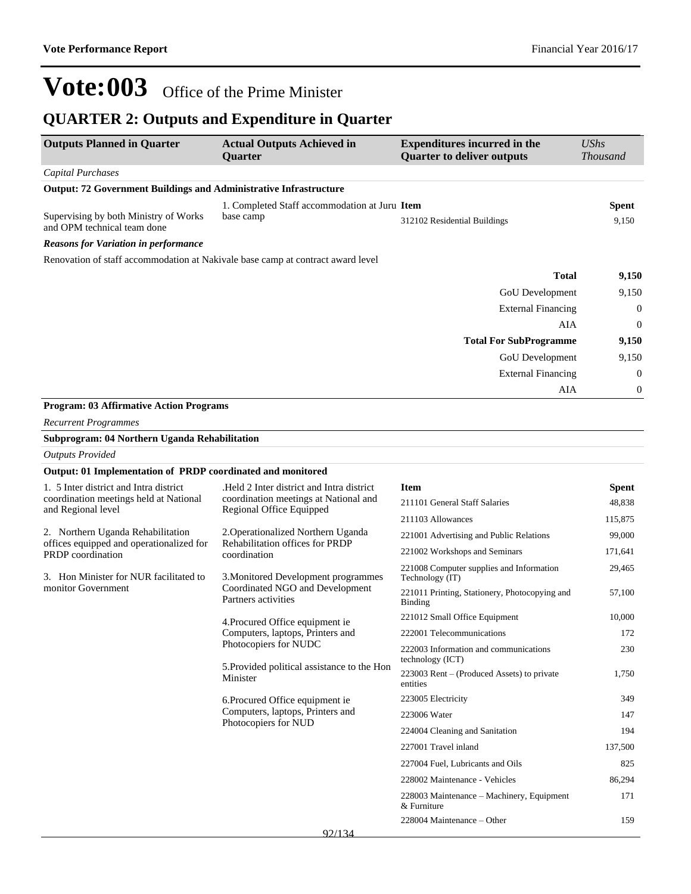### **QUARTER 2: Outputs and Expenditure in Quarter**

| <b>Outputs Planned in Quarter</b>                                                                                   | <b>Actual Outputs Achieved in</b><br><b>Quarter</b>                                           | <b>Expenditures incurred in the</b><br><b>Quarter to deliver outputs</b> | <b>UShs</b><br><b>Thousand</b> |
|---------------------------------------------------------------------------------------------------------------------|-----------------------------------------------------------------------------------------------|--------------------------------------------------------------------------|--------------------------------|
| Capital Purchases                                                                                                   |                                                                                               |                                                                          |                                |
| <b>Output: 72 Government Buildings and Administrative Infrastructure</b>                                            |                                                                                               |                                                                          |                                |
| Supervising by both Ministry of Works<br>and OPM technical team done<br><b>Reasons for Variation in performance</b> | 1. Completed Staff accommodation at Juru Item<br>base camp                                    | 312102 Residential Buildings                                             | <b>Spent</b><br>9,150          |
| Renovation of staff accommodation at Nakivale base camp at contract award level                                     |                                                                                               |                                                                          |                                |
|                                                                                                                     |                                                                                               | <b>Total</b>                                                             | 9,150                          |
|                                                                                                                     |                                                                                               | GoU Development                                                          | 9,150                          |
|                                                                                                                     |                                                                                               | <b>External Financing</b>                                                | $\mathbf{0}$                   |
|                                                                                                                     |                                                                                               | AIA                                                                      | $\mathbf{0}$                   |
|                                                                                                                     |                                                                                               | <b>Total For SubProgramme</b>                                            | 9,150                          |
|                                                                                                                     |                                                                                               | GoU Development                                                          | 9,150                          |
|                                                                                                                     |                                                                                               | <b>External Financing</b>                                                | $\mathbf{0}$                   |
|                                                                                                                     |                                                                                               | AIA                                                                      | $\boldsymbol{0}$               |
| <b>Program: 03 Affirmative Action Programs</b>                                                                      |                                                                                               |                                                                          |                                |
| <b>Recurrent Programmes</b>                                                                                         |                                                                                               |                                                                          |                                |
| Subprogram: 04 Northern Uganda Rehabilitation                                                                       |                                                                                               |                                                                          |                                |
| <b>Outputs Provided</b>                                                                                             |                                                                                               |                                                                          |                                |
| Output: 01 Implementation of PRDP coordinated and monitored                                                         |                                                                                               |                                                                          |                                |
| 1. 5 Inter district and Intra district                                                                              | .Held 2 Inter district and Intra district                                                     | <b>Item</b>                                                              | <b>Spent</b>                   |
| coordination meetings held at National                                                                              | coordination meetings at National and                                                         | 211101 General Staff Salaries                                            | 48,838                         |
| and Regional level                                                                                                  | Regional Office Equipped                                                                      | 211103 Allowances                                                        | 115,875                        |
| 2. Northern Uganda Rehabilitation                                                                                   | 2. Operationalized Northern Uganda                                                            | 221001 Advertising and Public Relations                                  | 99,000                         |
| offices equipped and operationalized for<br>PRDP coordination                                                       | Rehabilitation offices for PRDP<br>coordination                                               | 221002 Workshops and Seminars                                            | 171,641                        |
| 3. Hon Minister for NUR facilitated to                                                                              | 3. Monitored Development programmes<br>Coordinated NGO and Development<br>Partners activities | 221008 Computer supplies and Information<br>Technology (IT)              | 29,465                         |
| monitor Government                                                                                                  |                                                                                               | 221011 Printing, Stationery, Photocopying and<br><b>Binding</b>          | 57.100                         |
|                                                                                                                     | 4. Procured Office equipment ie<br>Computers, laptops, Printers and<br>Photocopiers for NUDC  | 221012 Small Office Equipment                                            | 10,000                         |
|                                                                                                                     |                                                                                               | 222001 Telecommunications                                                | 172                            |
|                                                                                                                     |                                                                                               | 222003 Information and communications<br>technology (ICT)                | 230                            |
|                                                                                                                     | 5. Provided political assistance to the Hon<br>Minister                                       | 223003 Rent – (Produced Assets) to private<br>entities                   | 1,750                          |
|                                                                                                                     | 6. Procured Office equipment ie                                                               | 223005 Electricity                                                       | 349                            |
|                                                                                                                     | Computers, laptops, Printers and<br>Photocopiers for NUD                                      | 223006 Water                                                             | 147                            |
|                                                                                                                     |                                                                                               | 224004 Cleaning and Sanitation                                           | 194                            |
|                                                                                                                     |                                                                                               | 227001 Travel inland                                                     | 137,500                        |
|                                                                                                                     |                                                                                               | 227004 Fuel, Lubricants and Oils                                         | 825                            |
|                                                                                                                     |                                                                                               | 228002 Maintenance - Vehicles                                            | 86,294                         |
|                                                                                                                     |                                                                                               | 228003 Maintenance – Machinery, Equipment<br>& Furniture                 | 171                            |
|                                                                                                                     | 92/134                                                                                        | 228004 Maintenance – Other                                               | 159                            |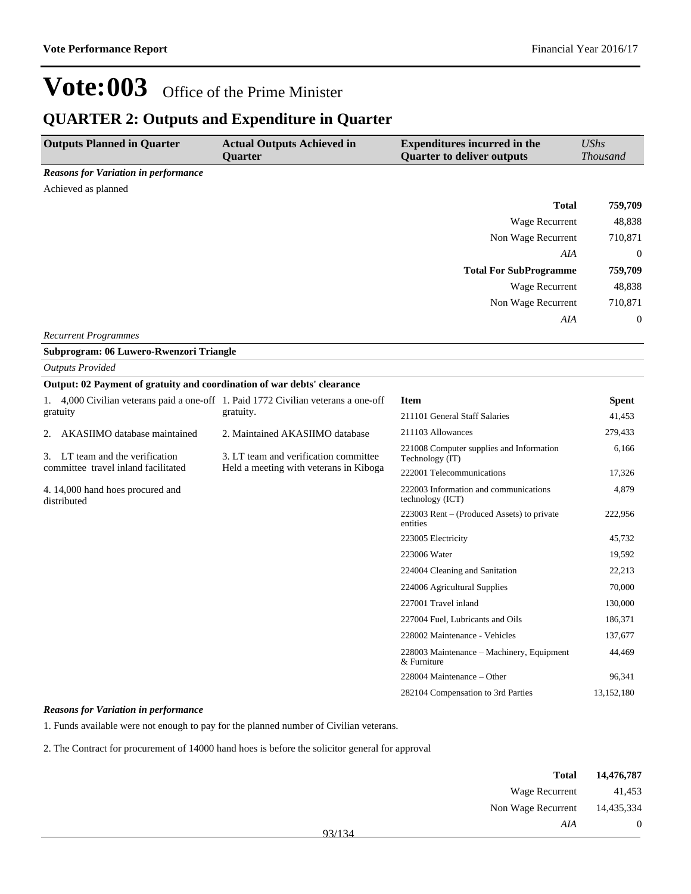### **QUARTER 2: Outputs and Expenditure in Quarter**

| <b>Outputs Planned in Quarter</b>                                       | <b>Actual Outputs Achieved in</b><br>Quarter                                    | <b>Expenditures incurred in the</b><br><b>Quarter to deliver outputs</b> | <b>UShs</b><br><b>Thousand</b> |
|-------------------------------------------------------------------------|---------------------------------------------------------------------------------|--------------------------------------------------------------------------|--------------------------------|
| <b>Reasons for Variation in performance</b>                             |                                                                                 |                                                                          |                                |
| Achieved as planned                                                     |                                                                                 |                                                                          |                                |
|                                                                         |                                                                                 | <b>Total</b>                                                             | 759,709                        |
|                                                                         |                                                                                 | Wage Recurrent                                                           | 48,838                         |
|                                                                         |                                                                                 | Non Wage Recurrent                                                       | 710,871                        |
|                                                                         |                                                                                 | AIA                                                                      | $\theta$                       |
|                                                                         |                                                                                 | <b>Total For SubProgramme</b>                                            | 759,709                        |
|                                                                         |                                                                                 | Wage Recurrent                                                           | 48,838                         |
|                                                                         |                                                                                 | Non Wage Recurrent                                                       | 710,871                        |
|                                                                         |                                                                                 | AIA                                                                      | $\boldsymbol{0}$               |
| <b>Recurrent Programmes</b>                                             |                                                                                 |                                                                          |                                |
| Subprogram: 06 Luwero-Rwenzori Triangle                                 |                                                                                 |                                                                          |                                |
| <b>Outputs Provided</b>                                                 |                                                                                 |                                                                          |                                |
| Output: 02 Payment of gratuity and coordination of war debts' clearance |                                                                                 |                                                                          |                                |
| 1.                                                                      | 4,000 Civilian veterans paid a one-off 1. Paid 1772 Civilian veterans a one-off | <b>Item</b>                                                              | Spent                          |
| gratuity                                                                | gratuity.                                                                       | 211101 General Staff Salaries                                            | 41,453                         |
| AKASIIMO database maintained<br>2.                                      | 2. Maintained AKASIIMO database                                                 | 211103 Allowances                                                        | 279,433                        |
| 3. LT team and the verification                                         | 3. LT team and verification committee                                           | 221008 Computer supplies and Information<br>Technology (IT)              | 6,166                          |
| committee travel inland facilitated                                     | Held a meeting with veterans in Kiboga                                          | 222001 Telecommunications                                                | 17,326                         |
| 4.14,000 hand hoes procured and<br>distributed                          |                                                                                 | 222003 Information and communications<br>technology (ICT)                | 4,879                          |
|                                                                         |                                                                                 | 223003 Rent – (Produced Assets) to private<br>entities                   | 222,956                        |
|                                                                         |                                                                                 | 223005 Electricity                                                       | 45,732                         |
|                                                                         |                                                                                 | 223006 Water                                                             | 19,592                         |
|                                                                         |                                                                                 | 224004 Cleaning and Sanitation                                           | 22,213                         |
|                                                                         |                                                                                 | 224006 Agricultural Supplies                                             | 70,000                         |
|                                                                         |                                                                                 | 227001 Travel inland                                                     | 130,000                        |
|                                                                         |                                                                                 | 227004 Fuel, Lubricants and Oils                                         | 186,371                        |
|                                                                         |                                                                                 | 228002 Maintenance - Vehicles                                            | 137,677                        |
|                                                                         |                                                                                 | 228003 Maintenance – Machinery, Equipment<br>& Furniture                 | 44,469                         |

#### *Reasons for Variation in performance*

1. Funds available were not enough to pay for the planned number of Civilian veterans.

2. The Contract for procurement of 14000 hand hoes is before the solicitor general for approval

| 14,476,787 | <b>Total</b>       |        |
|------------|--------------------|--------|
| 41,453     | Wage Recurrent     |        |
| 14,435,334 | Non Wage Recurrent |        |
| $\theta$   | AIA                | 93/134 |

 $228004$  Maintenance – Other 96,341 282104 Compensation to 3rd Parties 13,152,180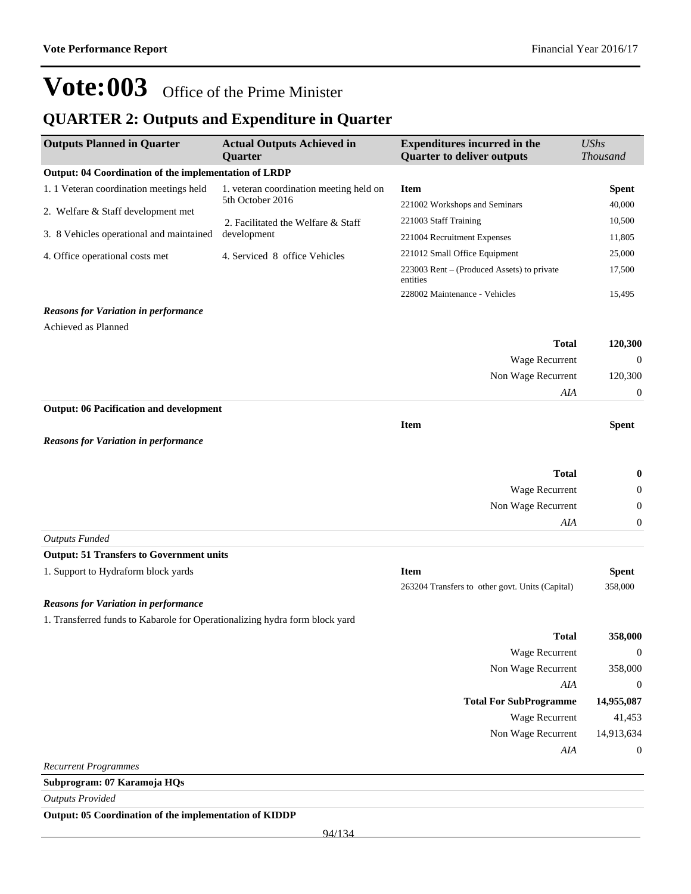### **QUARTER 2: Outputs and Expenditure in Quarter**

| <b>Outputs Planned in Quarter</b>                                           | <b>Actual Outputs Achieved in</b><br>Quarter | <b>Expenditures incurred in the</b><br><b>Quarter to deliver outputs</b> | <b>UShs</b><br><b>Thousand</b> |
|-----------------------------------------------------------------------------|----------------------------------------------|--------------------------------------------------------------------------|--------------------------------|
| Output: 04 Coordination of the implementation of LRDP                       |                                              |                                                                          |                                |
| 1. 1 Veteran coordination meetings held                                     | 1. veteran coordination meeting held on      | <b>Item</b>                                                              | <b>Spent</b>                   |
|                                                                             | 5th October 2016                             | 221002 Workshops and Seminars                                            | 40,000                         |
| 2. Welfare & Staff development met                                          | 2. Facilitated the Welfare & Staff           | 221003 Staff Training                                                    | 10,500                         |
| 3. 8 Vehicles operational and maintained                                    | development                                  | 221004 Recruitment Expenses                                              | 11,805                         |
| 4. Office operational costs met                                             | 4. Serviced 8 office Vehicles                | 221012 Small Office Equipment                                            | 25,000                         |
|                                                                             |                                              | 223003 Rent – (Produced Assets) to private<br>entities                   | 17,500                         |
|                                                                             |                                              | 228002 Maintenance - Vehicles                                            | 15,495                         |
| <b>Reasons for Variation in performance</b>                                 |                                              |                                                                          |                                |
| Achieved as Planned                                                         |                                              |                                                                          |                                |
|                                                                             |                                              | <b>Total</b>                                                             | 120,300                        |
|                                                                             |                                              | Wage Recurrent                                                           | 0                              |
|                                                                             |                                              | Non Wage Recurrent                                                       | 120,300                        |
|                                                                             |                                              | AIA                                                                      | 0                              |
| <b>Output: 06 Pacification and development</b>                              |                                              |                                                                          |                                |
|                                                                             |                                              | <b>Item</b>                                                              | <b>Spent</b>                   |
| <b>Reasons for Variation in performance</b>                                 |                                              |                                                                          |                                |
|                                                                             |                                              |                                                                          |                                |
|                                                                             |                                              | <b>Total</b>                                                             | 0                              |
|                                                                             |                                              | Wage Recurrent                                                           | 0                              |
|                                                                             |                                              | Non Wage Recurrent                                                       | 0                              |
|                                                                             |                                              | AIA                                                                      | 0                              |
| <b>Outputs Funded</b>                                                       |                                              |                                                                          |                                |
| <b>Output: 51 Transfers to Government units</b>                             |                                              |                                                                          |                                |
| 1. Support to Hydraform block yards                                         |                                              | <b>Item</b>                                                              | <b>Spent</b>                   |
|                                                                             |                                              | 263204 Transfers to other govt. Units (Capital)                          | 358,000                        |
| <b>Reasons for Variation in performance</b>                                 |                                              |                                                                          |                                |
| 1. Transferred funds to Kabarole for Operationalizing hydra form block yard |                                              |                                                                          |                                |
|                                                                             |                                              | Total                                                                    | 358,000                        |
|                                                                             |                                              | Wage Recurrent                                                           | $\boldsymbol{0}$               |
|                                                                             |                                              | Non Wage Recurrent                                                       | 358,000                        |
|                                                                             |                                              | AIA                                                                      | $\boldsymbol{0}$               |
|                                                                             |                                              | <b>Total For SubProgramme</b>                                            | 14,955,087                     |
|                                                                             |                                              | <b>Wage Recurrent</b>                                                    | 41,453                         |
|                                                                             |                                              | Non Wage Recurrent                                                       | 14,913,634                     |
|                                                                             |                                              | AIA                                                                      | $\boldsymbol{0}$               |
| <b>Recurrent Programmes</b>                                                 |                                              |                                                                          |                                |
| Subprogram: 07 Karamoja HQs                                                 |                                              |                                                                          |                                |

*Outputs Provided*

**Output: 05 Coordination of the implementation of KIDDP**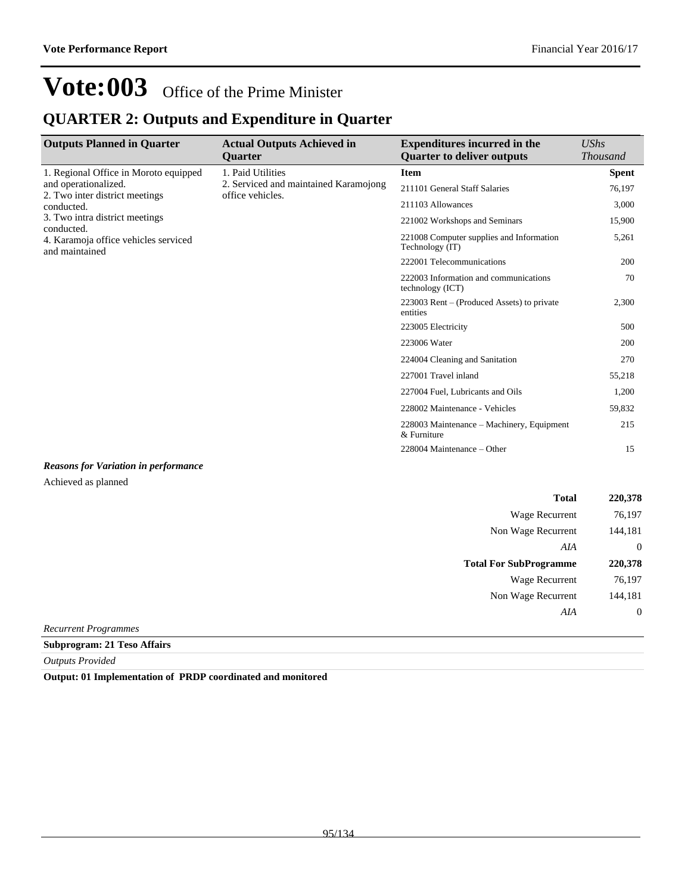### **QUARTER 2: Outputs and Expenditure in Quarter**

| <b>Outputs Planned in Quarter</b>                                    | <b>Actual Outputs Achieved in</b><br><b>Ouarter</b>       | <b>Expenditures incurred in the</b><br><b>Quarter to deliver outputs</b> | UShs<br><b>Thousand</b> |
|----------------------------------------------------------------------|-----------------------------------------------------------|--------------------------------------------------------------------------|-------------------------|
| 1. Regional Office in Moroto equipped                                | 1. Paid Utilities                                         | <b>Item</b>                                                              | <b>Spent</b>            |
| and operationalized.<br>2. Two inter district meetings               | 2. Serviced and maintained Karamojong<br>office vehicles. | 211101 General Staff Salaries                                            | 76,197                  |
| conducted.                                                           |                                                           | 211103 Allowances                                                        | 3,000                   |
| 3. Two intra district meetings                                       |                                                           | 221002 Workshops and Seminars                                            | 15,900                  |
| conducted.<br>4. Karamoja office vehicles serviced<br>and maintained |                                                           | 221008 Computer supplies and Information<br>Technology (IT)              | 5,261                   |
|                                                                      |                                                           | 222001 Telecommunications                                                | 200                     |
|                                                                      |                                                           | 222003 Information and communications<br>technology (ICT)                | 70                      |
|                                                                      |                                                           | $223003$ Rent – (Produced Assets) to private<br>entities                 | 2,300                   |
|                                                                      |                                                           | 223005 Electricity                                                       | 500                     |
|                                                                      |                                                           | 223006 Water                                                             | 200                     |
|                                                                      |                                                           | 224004 Cleaning and Sanitation                                           | 270                     |
|                                                                      |                                                           | 227001 Travel inland                                                     | 55,218                  |
|                                                                      |                                                           | 227004 Fuel, Lubricants and Oils                                         | 1,200                   |
|                                                                      |                                                           | 228002 Maintenance - Vehicles                                            | 59,832                  |
|                                                                      |                                                           | 228003 Maintenance – Machinery, Equipment<br>& Furniture                 | 215                     |
|                                                                      |                                                           | 228004 Maintenance – Other                                               | 15                      |

#### *Reasons for Variation in performance*

Achieved as planned

| <b>Total</b>                  | 220,378  |
|-------------------------------|----------|
| <b>Wage Recurrent</b>         | 76,197   |
| Non Wage Recurrent            | 144,181  |
| AIA                           | $\theta$ |
| <b>Total For SubProgramme</b> | 220,378  |
| Wage Recurrent                | 76,197   |
| Non Wage Recurrent            | 144,181  |
| AIA                           | $\theta$ |
| <b>Recurrent Programmes</b>   |          |

**Subprogram: 21 Teso Affairs**

*Outputs Provided*

**Output: 01 Implementation of PRDP coordinated and monitored**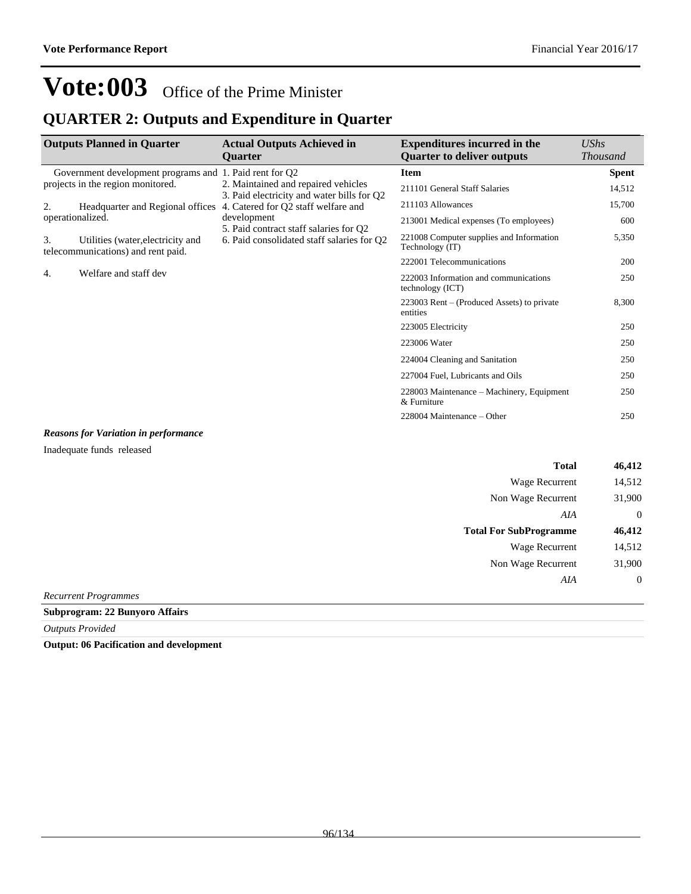### **QUARTER 2: Outputs and Expenditure in Quarter**

| <b>Outputs Planned in Quarter</b>                                             | <b>Actual Outputs Achieved in</b><br><b>Ouarter</b>                                  | <b>Expenditures incurred in the</b><br><b>Quarter to deliver outputs</b> | UShs<br><b>Thousand</b> |
|-------------------------------------------------------------------------------|--------------------------------------------------------------------------------------|--------------------------------------------------------------------------|-------------------------|
| Government development programs and 1. Paid rent for Q2                       |                                                                                      | <b>Item</b>                                                              | <b>Spent</b>            |
| projects in the region monitored.                                             | 2. Maintained and repaired vehicles<br>3. Paid electricity and water bills for Q2    | 211101 General Staff Salaries                                            | 14,512                  |
| 2.<br>Headquarter and Regional offices                                        | 4. Catered for Q2 staff welfare and                                                  | 211103 Allowances                                                        | 15,700                  |
| operationalized.                                                              | development                                                                          | 213001 Medical expenses (To employees)                                   | 600                     |
| 3.<br>Utilities (water, electricity and<br>telecommunications) and rent paid. | 5. Paid contract staff salaries for Q2<br>6. Paid consolidated staff salaries for Q2 | 221008 Computer supplies and Information<br>Technology (IT)              | 5,350                   |
|                                                                               |                                                                                      | 222001 Telecommunications                                                | 200                     |
| Welfare and staff dev<br>4.                                                   |                                                                                      | 222003 Information and communications<br>technology (ICT)                | 250                     |
|                                                                               |                                                                                      | 223003 Rent – (Produced Assets) to private<br>entities                   | 8,300                   |
|                                                                               |                                                                                      | 223005 Electricity                                                       | 250                     |
|                                                                               |                                                                                      | 223006 Water                                                             | 250                     |
|                                                                               |                                                                                      | 224004 Cleaning and Sanitation                                           | 250                     |
|                                                                               |                                                                                      | 227004 Fuel, Lubricants and Oils                                         | 250                     |
|                                                                               |                                                                                      | 228003 Maintenance – Machinery, Equipment<br>& Furniture                 | 250                     |
|                                                                               |                                                                                      | $228004$ Maintenance – Other                                             | 250                     |

#### *Reasons for Variation in performance*

Inadequate funds released

|                               | <b>Total</b> | 46,412   |
|-------------------------------|--------------|----------|
| Wage Recurrent                |              | 14,512   |
| Non Wage Recurrent            |              | 31,900   |
|                               | AIA          | $\theta$ |
| <b>Total For SubProgramme</b> |              | 46,412   |
| Wage Recurrent                |              | 14,512   |
| Non Wage Recurrent            |              | 31,900   |
|                               | AIA          | $\theta$ |
| <b>Recurrent Programmes</b>   |              |          |

**Subprogram: 22 Bunyoro Affairs**

*Outputs Provided*

**Output: 06 Pacification and development**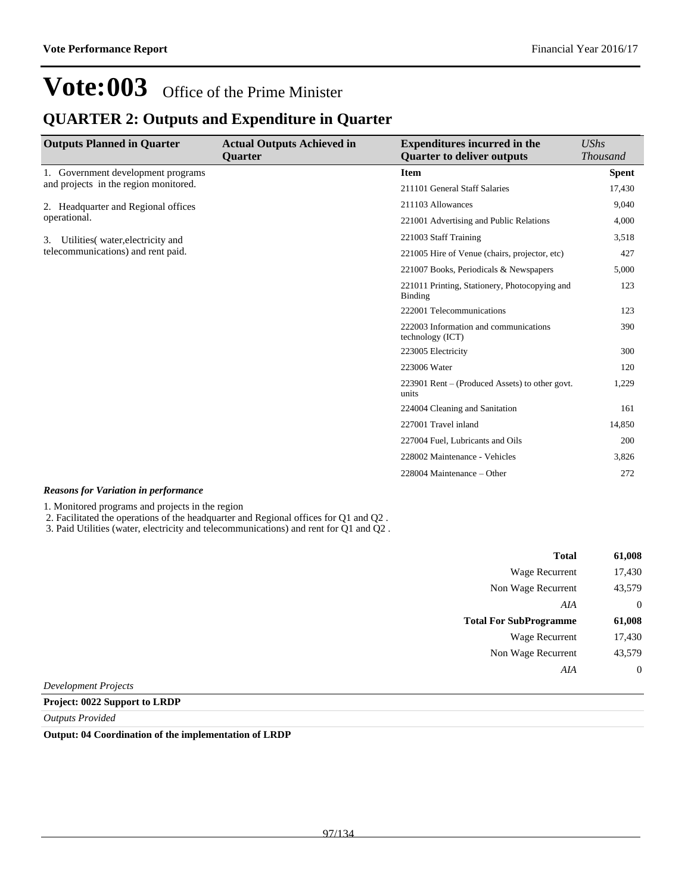### **QUARTER 2: Outputs and Expenditure in Quarter**

| <b>Outputs Planned in Quarter</b>      | <b>Actual Outputs Achieved in</b><br><b>Ouarter</b> | <b>Expenditures incurred in the</b><br><b>Quarter to deliver outputs</b> | <b>UShs</b><br><b>Thousand</b> |
|----------------------------------------|-----------------------------------------------------|--------------------------------------------------------------------------|--------------------------------|
| 1. Government development programs     |                                                     | Item                                                                     | <b>Spent</b>                   |
| and projects in the region monitored.  |                                                     | 211101 General Staff Salaries                                            | 17,430                         |
| 2. Headquarter and Regional offices    |                                                     | 211103 Allowances                                                        | 9,040                          |
| operational.                           |                                                     | 221001 Advertising and Public Relations                                  | 4,000                          |
| Utilities water, electricity and<br>3. |                                                     | 221003 Staff Training                                                    | 3,518                          |
| telecommunications) and rent paid.     |                                                     | 221005 Hire of Venue (chairs, projector, etc)                            | 427                            |
|                                        |                                                     | 221007 Books, Periodicals & Newspapers                                   | 5,000                          |
|                                        |                                                     | 221011 Printing, Stationery, Photocopying and<br>Binding                 | 123                            |
|                                        |                                                     | 222001 Telecommunications                                                | 123                            |
|                                        |                                                     | 222003 Information and communications<br>technology (ICT)                | 390                            |
|                                        |                                                     | 223005 Electricity                                                       | 300                            |
|                                        |                                                     | 223006 Water                                                             | 120                            |
|                                        |                                                     | 223901 Rent – (Produced Assets) to other govt.<br>units                  | 1,229                          |
|                                        |                                                     | 224004 Cleaning and Sanitation                                           | 161                            |
|                                        |                                                     | 227001 Travel inland                                                     | 14,850                         |
|                                        |                                                     | 227004 Fuel, Lubricants and Oils                                         | 200                            |
|                                        |                                                     | 228002 Maintenance - Vehicles                                            | 3,826                          |
|                                        |                                                     | 228004 Maintenance – Other                                               | 272                            |

#### *Reasons for Variation in performance*

1. Monitored programs and projects in the region

2. Facilitated the operations of the headquarter and Regional offices for Q1 and Q2 .

3. Paid Utilities (water, electricity and telecommunications) and rent for Q1 and Q2 .

| Total                         | 61,008   |
|-------------------------------|----------|
| Wage Recurrent                | 17,430   |
| Non Wage Recurrent            | 43,579   |
| AIA                           | $\Omega$ |
|                               |          |
| <b>Total For SubProgramme</b> | 61,008   |
| Wage Recurrent                | 17,430   |
| Non Wage Recurrent            | 43,579   |

*Development Projects*

**Project: 0022 Support to LRDP**

*Outputs Provided*

**Output: 04 Coordination of the implementation of LRDP**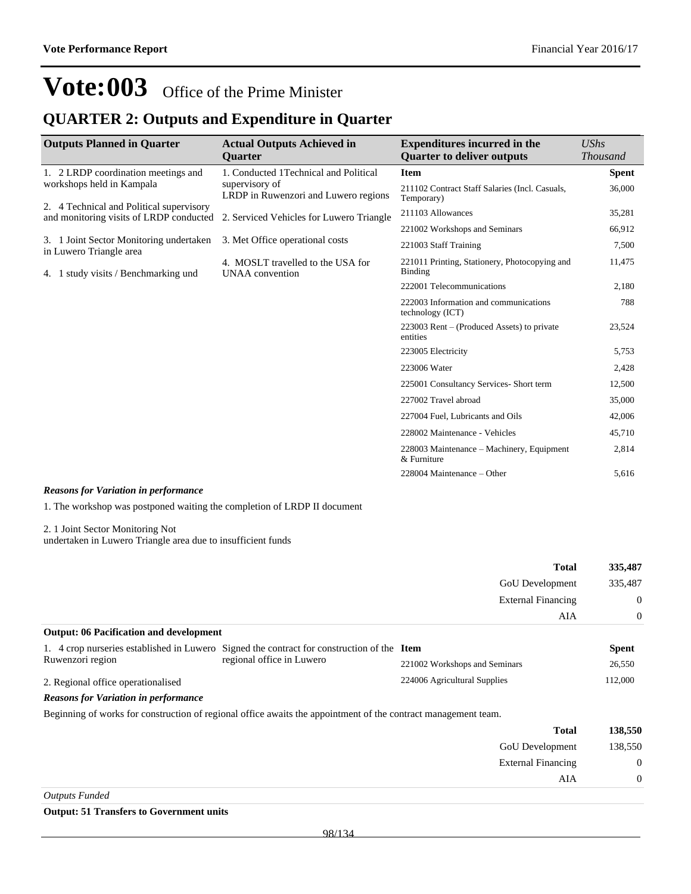### **QUARTER 2: Outputs and Expenditure in Quarter**

| <b>Outputs Planned in Quarter</b>                                                   | <b>Actual Outputs Achieved in</b><br><b>Ouarter</b>         | <b>Expenditures incurred in the</b><br><b>Quarter to deliver outputs</b> | $\mathit{UShs}$<br><b>Thousand</b> |
|-------------------------------------------------------------------------------------|-------------------------------------------------------------|--------------------------------------------------------------------------|------------------------------------|
| 1. 2 LRDP coordination meetings and                                                 | 1. Conducted 1 Technical and Political                      | <b>Item</b>                                                              | <b>Spent</b>                       |
| workshops held in Kampala                                                           | supervisory of<br>LRDP in Ruwenzori and Luwero regions      | 211102 Contract Staff Salaries (Incl. Casuals,<br>Temporary)             | 36,000                             |
| 2. 4 Technical and Political supervisory<br>and monitoring visits of LRDP conducted | 2. Serviced Vehicles for Luwero Triangle                    | 211103 Allowances                                                        | 35,281                             |
|                                                                                     |                                                             | 221002 Workshops and Seminars                                            | 66,912                             |
| 3. 1 Joint Sector Monitoring undertaken<br>in Luwero Triangle area                  | 3. Met Office operational costs                             | 221003 Staff Training                                                    | 7,500                              |
| 4. 1 study visits / Benchmarking und                                                | 4. MOSLT travelled to the USA for<br><b>UNAA</b> convention | 221011 Printing, Stationery, Photocopying and<br>Binding                 | 11,475                             |
|                                                                                     |                                                             | 222001 Telecommunications                                                | 2,180                              |
|                                                                                     |                                                             | 222003 Information and communications<br>technology (ICT)                | 788                                |
|                                                                                     |                                                             | 223003 Rent – (Produced Assets) to private<br>entities                   | 23,524                             |
|                                                                                     |                                                             | 223005 Electricity                                                       | 5,753                              |
|                                                                                     |                                                             | 223006 Water                                                             | 2,428                              |
|                                                                                     |                                                             | 225001 Consultancy Services- Short term                                  | 12,500                             |
|                                                                                     |                                                             | 227002 Travel abroad                                                     | 35,000                             |
|                                                                                     |                                                             | 227004 Fuel, Lubricants and Oils                                         | 42,006                             |
|                                                                                     |                                                             | 228002 Maintenance - Vehicles                                            | 45,710                             |
|                                                                                     |                                                             | 228003 Maintenance – Machinery, Equipment<br>& Furniture                 | 2,814                              |
|                                                                                     |                                                             | 228004 Maintenance – Other                                               | 5.616                              |

#### *Reasons for Variation in performance*

1. The workshop was postponed waiting the completion of LRDP II document

2. 1 Joint Sector Monitoring Not

undertaken in Luwero Triangle area due to insufficient funds

|                                                |                                                                                            | <b>Total</b>                                               | 335,487                         |
|------------------------------------------------|--------------------------------------------------------------------------------------------|------------------------------------------------------------|---------------------------------|
|                                                |                                                                                            | <b>GoU</b> Development<br><b>External Financing</b><br>AIA | 335,487<br>$\Omega$<br>$\Omega$ |
|                                                |                                                                                            |                                                            |                                 |
|                                                |                                                                                            |                                                            |                                 |
| <b>Output: 06 Pacification and development</b> |                                                                                            |                                                            |                                 |
|                                                | 1. 4 crop nurseries established in Luwero Signed the contract for construction of the Item |                                                            | <b>Spent</b>                    |
| Ruwenzori region                               | regional office in Luwero                                                                  | 221002 Workshops and Seminars                              | 26,550                          |

224006 Agricultural Supplies 112,000

2. Regional office operationalised

#### *Reasons for Variation in performance*

Beginning of works for construction of regional office awaits the appointment of the contract management team.

|                                               | <b>Total</b>              | 138,550        |
|-----------------------------------------------|---------------------------|----------------|
|                                               | GoU Development           | 138,550        |
|                                               | <b>External Financing</b> | $\overline{0}$ |
|                                               | AIA                       | $\overline{0}$ |
| $\bigcap$ , $\bigcap$ , $\bigcap$ , $\bigcap$ |                           |                |

*Outputs Funded*

#### **Output: 51 Transfers to Government units**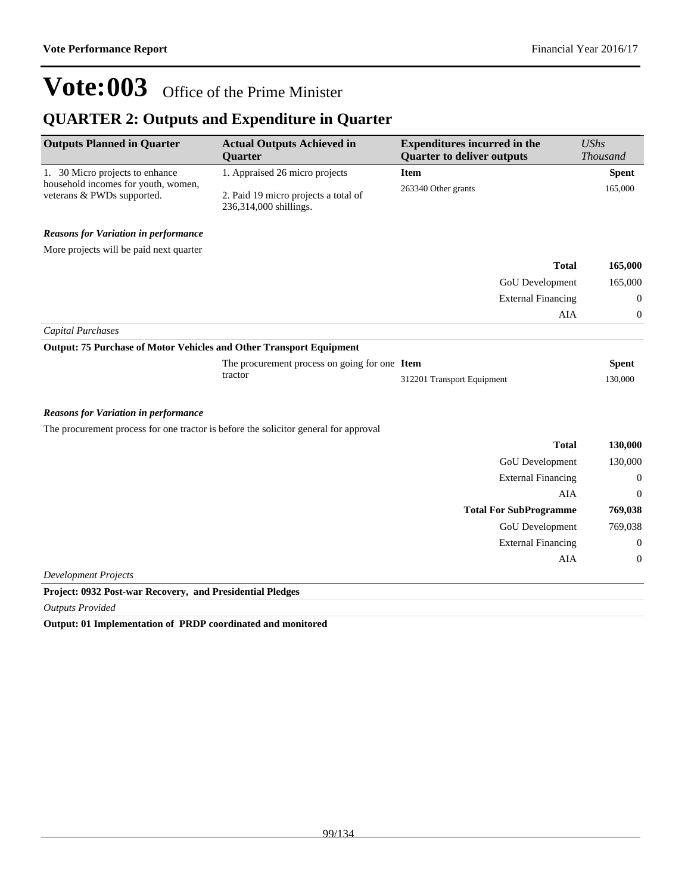### **QUARTER 2: Outputs and Expenditure in Quarter**

| <b>Outputs Planned in Quarter</b>                                                    | <b>Actual Outputs Achieved in</b><br><b>Ouarter</b>            | <b>Expenditures incurred in the</b><br><b>Quarter to deliver outputs</b> | <b>UShs</b><br><b>Thousand</b> |
|--------------------------------------------------------------------------------------|----------------------------------------------------------------|--------------------------------------------------------------------------|--------------------------------|
| 1. 30 Micro projects to enhance                                                      | 1. Appraised 26 micro projects                                 | <b>Item</b>                                                              | <b>Spent</b>                   |
| household incomes for youth, women,<br>veterans & PWDs supported.                    | 2. Paid 19 micro projects a total of<br>236,314,000 shillings. | 263340 Other grants                                                      | 165,000                        |
| <b>Reasons for Variation in performance</b>                                          |                                                                |                                                                          |                                |
| More projects will be paid next quarter                                              |                                                                |                                                                          |                                |
|                                                                                      |                                                                | <b>Total</b>                                                             | 165,000                        |
|                                                                                      |                                                                | GoU Development                                                          | 165,000                        |
|                                                                                      |                                                                | <b>External Financing</b>                                                | $\mathbf{0}$                   |
|                                                                                      |                                                                | <b>AIA</b>                                                               | 0                              |
| <b>Capital Purchases</b>                                                             |                                                                |                                                                          |                                |
| <b>Output: 75 Purchase of Motor Vehicles and Other Transport Equipment</b>           |                                                                |                                                                          |                                |
|                                                                                      | The procurement process on going for one Item                  |                                                                          | <b>Spent</b>                   |
|                                                                                      | tractor                                                        | 312201 Transport Equipment                                               | 130,000                        |
| <b>Reasons for Variation in performance</b>                                          |                                                                |                                                                          |                                |
| The procurement process for one tractor is before the solicitor general for approval |                                                                |                                                                          |                                |
|                                                                                      |                                                                | <b>Total</b>                                                             | 130,000                        |
|                                                                                      |                                                                | GoU Development                                                          | 130,000                        |
|                                                                                      |                                                                | <b>External Financing</b>                                                | $\boldsymbol{0}$               |
|                                                                                      |                                                                | <b>AIA</b>                                                               | $\boldsymbol{0}$               |
|                                                                                      |                                                                | <b>Total For SubProgramme</b>                                            | 769,038                        |
|                                                                                      |                                                                | GoU Development                                                          | 769,038                        |
|                                                                                      |                                                                | <b>External Financing</b>                                                | $\overline{0}$                 |
|                                                                                      |                                                                | AIA                                                                      | $\boldsymbol{0}$               |

*Development Projects*

**Project: 0932 Post-war Recovery, and Presidential Pledges**

*Outputs Provided*

**Output: 01 Implementation of PRDP coordinated and monitored**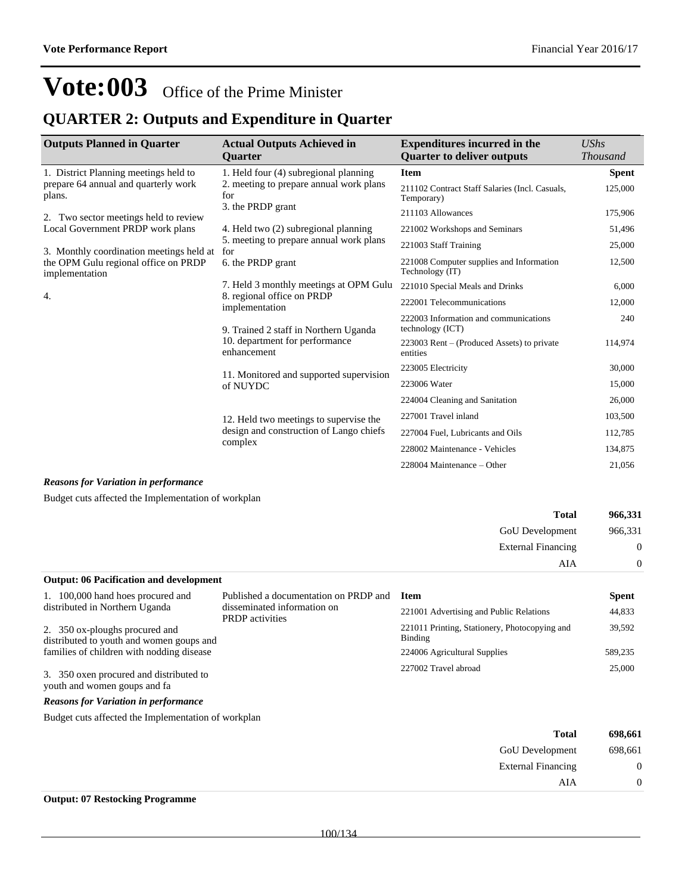### **QUARTER 2: Outputs and Expenditure in Quarter**

| <b>Outputs Planned in Quarter</b>                      | <b>Actual Outputs Achieved in</b><br><b>Quarter</b>                                    | <b>Expenditures incurred in the</b><br><b>Ouarter to deliver outputs</b> | <b>UShs</b><br><b>Thousand</b> |
|--------------------------------------------------------|----------------------------------------------------------------------------------------|--------------------------------------------------------------------------|--------------------------------|
| 1. District Planning meetings held to                  | 1. Held four (4) subregional planning                                                  | <b>Item</b>                                                              | <b>Spent</b>                   |
| prepare 64 annual and quarterly work<br>plans.         | 2. meeting to prepare annual work plans<br>for                                         | 211102 Contract Staff Salaries (Incl. Casuals,<br>Temporary)             | 125,000                        |
| 2. Two sector meetings held to review                  | 3. the PRDP grant                                                                      | 211103 Allowances                                                        | 175,906                        |
| Local Government PRDP work plans                       | 4. Held two (2) subregional planning                                                   | 221002 Workshops and Seminars                                            | 51,496                         |
| 3. Monthly coordination meetings held at               | 5. meeting to prepare annual work plans<br>for                                         | 221003 Staff Training                                                    | 25,000                         |
| the OPM Gulu regional office on PRDP<br>implementation | 6. the PRDP grant                                                                      | 221008 Computer supplies and Information<br>Technology (IT)              | 12,500                         |
|                                                        | 7. Held 3 monthly meetings at OPM Gulu<br>8. regional office on PRDP<br>implementation | 221010 Special Meals and Drinks                                          | 6,000                          |
| 4.                                                     |                                                                                        | 222001 Telecommunications                                                | 12,000                         |
|                                                        | 9. Trained 2 staff in Northern Uganda                                                  | 222003 Information and communications<br>technology (ICT)                | 240                            |
|                                                        | 10. department for performance<br>enhancement                                          | 223003 Rent – (Produced Assets) to private<br>entities                   | 114,974                        |
|                                                        | 11. Monitored and supported supervision<br>of NUYDC                                    | 223005 Electricity                                                       | 30,000                         |
|                                                        |                                                                                        | 223006 Water                                                             | 15,000                         |
|                                                        |                                                                                        | 224004 Cleaning and Sanitation                                           | 26,000                         |
|                                                        | 12. Held two meetings to supervise the<br>design and construction of Lango chiefs      | 227001 Travel inland                                                     | 103,500                        |
|                                                        |                                                                                        | 227004 Fuel, Lubricants and Oils                                         | 112,785                        |
|                                                        | complex                                                                                | 228002 Maintenance - Vehicles                                            | 134,875                        |
|                                                        |                                                                                        | 228004 Maintenance – Other                                               | 21,056                         |

#### *Reasons for Variation in performance*

Budget cuts affected the Implementation of workplan

| <b>Total</b>                                   | 966,331  |
|------------------------------------------------|----------|
| <b>GoU</b> Development                         | 966,331  |
| <b>External Financing</b>                      | $\theta$ |
| AIA                                            | $\Omega$ |
| <b>Output: 06 Pacification and development</b> |          |

| 1. 100,000 hand hoes procured and                                          | Published a documentation on PRDP and                 | <b>Item</b>                                                     | <b>Spent</b> |
|----------------------------------------------------------------------------|-------------------------------------------------------|-----------------------------------------------------------------|--------------|
| distributed in Northern Uganda                                             | disseminated information on<br><b>PRDP</b> activities | 221001 Advertising and Public Relations                         | 44,833       |
| 2. 350 ox-ploughs procured and<br>distributed to youth and women goups and |                                                       | 221011 Printing, Stationery, Photocopying and<br><b>Binding</b> | 39,592       |
| families of children with nodding disease                                  |                                                       | 224006 Agricultural Supplies                                    | 589,235      |
| 3. 350 oxen procured and distributed to<br>youth and women goups and fa    |                                                       | 227002 Travel abroad                                            | 25,000       |

*Reasons for Variation in performance*

Budget cuts affected the Implementation of workplan

| 698,661  | <b>Total</b>              |
|----------|---------------------------|
| 698,661  | GoU Development           |
| 0        | <b>External Financing</b> |
| $\Omega$ | AIA                       |
|          |                           |

#### **Output: 07 Restocking Programme**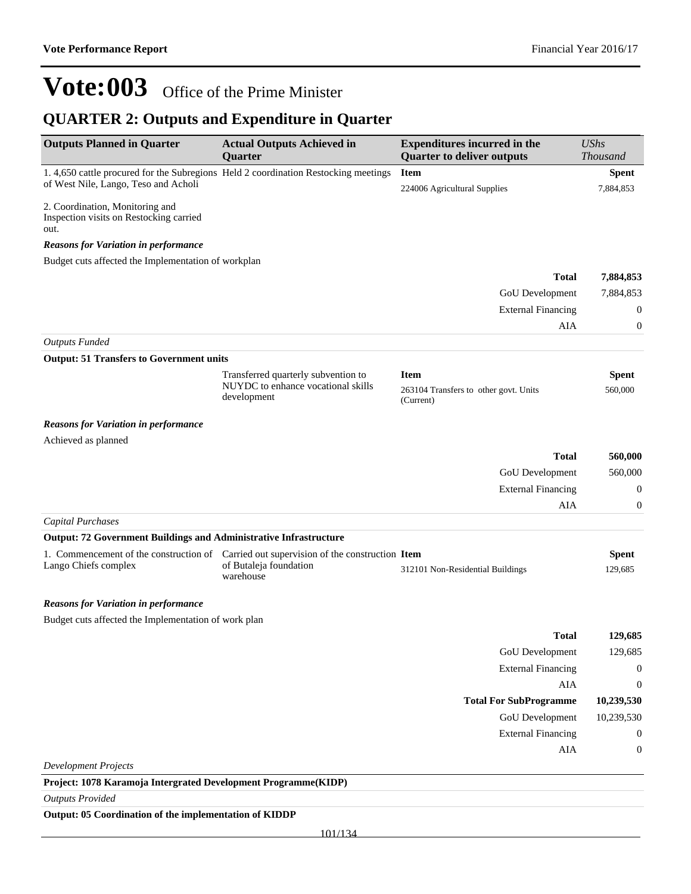### **QUARTER 2: Outputs and Expenditure in Quarter**

| <b>Outputs Planned in Quarter</b>                                                  | <b>Actual Outputs Achieved in</b><br>Quarter                                                                                   | <b>Expenditures incurred in the</b><br><b>Quarter to deliver outputs</b> | <b>UShs</b><br><b>Thousand</b> |
|------------------------------------------------------------------------------------|--------------------------------------------------------------------------------------------------------------------------------|--------------------------------------------------------------------------|--------------------------------|
| of West Nile, Lango, Teso and Acholi                                               | 1.4,650 cattle procured for the Subregions Held 2 coordination Restocking meetings                                             | <b>Item</b>                                                              | <b>Spent</b>                   |
| 2. Coordination, Monitoring and<br>Inspection visits on Restocking carried<br>out. |                                                                                                                                | 224006 Agricultural Supplies                                             | 7,884,853                      |
| <b>Reasons for Variation in performance</b>                                        |                                                                                                                                |                                                                          |                                |
| Budget cuts affected the Implementation of workplan                                |                                                                                                                                |                                                                          |                                |
|                                                                                    |                                                                                                                                | <b>Total</b>                                                             | 7,884,853                      |
|                                                                                    |                                                                                                                                | GoU Development                                                          | 7,884,853                      |
|                                                                                    |                                                                                                                                | <b>External Financing</b>                                                | $\boldsymbol{0}$               |
|                                                                                    |                                                                                                                                | AIA                                                                      | 0                              |
| <b>Outputs Funded</b>                                                              |                                                                                                                                |                                                                          |                                |
| <b>Output: 51 Transfers to Government units</b>                                    |                                                                                                                                |                                                                          |                                |
|                                                                                    | Transferred quarterly subvention to<br>NUYDC to enhance vocational skills<br>development                                       | <b>Item</b><br>263104 Transfers to other govt. Units<br>(Current)        | <b>Spent</b><br>560,000        |
| <b>Reasons for Variation in performance</b>                                        |                                                                                                                                |                                                                          |                                |
| Achieved as planned                                                                |                                                                                                                                |                                                                          |                                |
|                                                                                    |                                                                                                                                | <b>Total</b>                                                             | 560,000                        |
|                                                                                    |                                                                                                                                | GoU Development                                                          | 560,000                        |
|                                                                                    |                                                                                                                                | <b>External Financing</b>                                                | $\boldsymbol{0}$               |
|                                                                                    |                                                                                                                                | AIA                                                                      | 0                              |
| <b>Capital Purchases</b>                                                           |                                                                                                                                |                                                                          |                                |
| <b>Output: 72 Government Buildings and Administrative Infrastructure</b>           |                                                                                                                                |                                                                          |                                |
| Lango Chiefs complex                                                               | 1. Commencement of the construction of Carried out supervision of the construction Item<br>of Butaleja foundation<br>warehouse | 312101 Non-Residential Buildings                                         | <b>Spent</b><br>129,685        |
| <b>Reasons for Variation in performance</b>                                        |                                                                                                                                |                                                                          |                                |
| Budget cuts affected the Implementation of work plan                               |                                                                                                                                |                                                                          |                                |
|                                                                                    |                                                                                                                                | <b>Total</b>                                                             | 129,685                        |
|                                                                                    |                                                                                                                                | GoU Development                                                          | 129,685                        |
|                                                                                    |                                                                                                                                | <b>External Financing</b>                                                | $\mathbf{0}$                   |
|                                                                                    |                                                                                                                                | AIA                                                                      | $\boldsymbol{0}$               |
|                                                                                    |                                                                                                                                | <b>Total For SubProgramme</b>                                            | 10,239,530                     |
|                                                                                    |                                                                                                                                | <b>GoU</b> Development                                                   | 10,239,530                     |
|                                                                                    |                                                                                                                                | <b>External Financing</b>                                                | $\mathbf{0}$                   |
|                                                                                    |                                                                                                                                | AIA                                                                      | $\boldsymbol{0}$               |
| <b>Development Projects</b>                                                        |                                                                                                                                |                                                                          |                                |
| Project: 1078 Karamoja Intergrated Development Programme(KIDP)                     |                                                                                                                                |                                                                          |                                |
| <b>Outputs Provided</b>                                                            |                                                                                                                                |                                                                          |                                |
| Output: 05 Coordination of the implementation of KIDDP                             |                                                                                                                                |                                                                          |                                |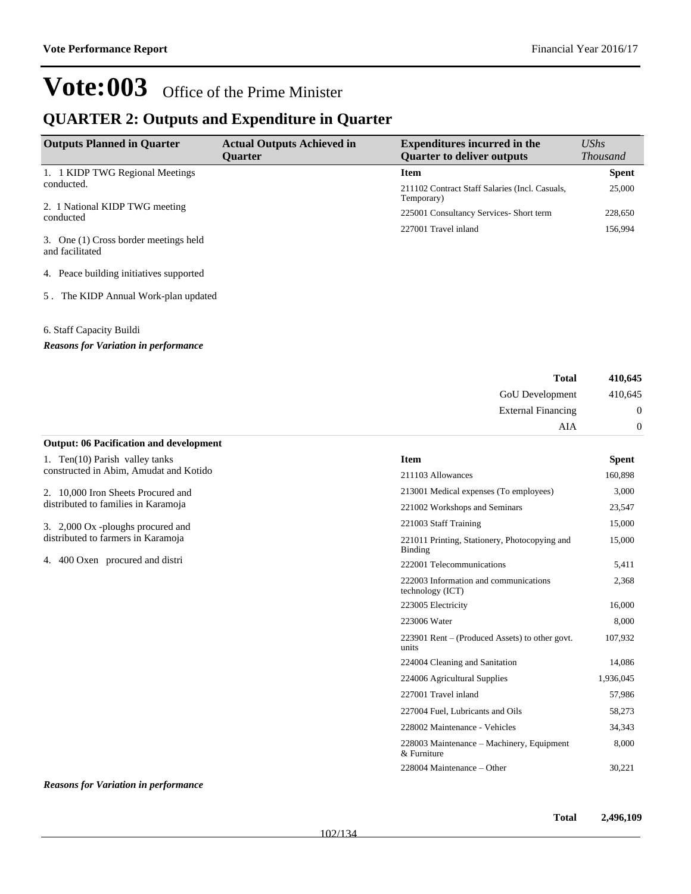### **QUARTER 2: Outputs and Expenditure in Quarter**

| <b>Outputs Planned in Quarter</b>                        | <b>Actual Outputs Achieved in</b><br><b>Ouarter</b> | <b>Expenditures incurred in the</b><br><b>Quarter to deliver outputs</b> | $\mathit{UShs}$<br><i>Thousand</i> |
|----------------------------------------------------------|-----------------------------------------------------|--------------------------------------------------------------------------|------------------------------------|
| 1. 1 KIDP TWG Regional Meetings                          |                                                     | <b>Item</b>                                                              | <b>Spent</b>                       |
| conducted.                                               |                                                     | 211102 Contract Staff Salaries (Incl. Casuals,<br>Temporary)             | 25,000                             |
| 2. 1 National KIDP TWG meeting<br>conducted              |                                                     | 225001 Consultancy Services- Short term                                  | 228,650                            |
| 3. One (1) Cross border meetings held<br>and facilitated |                                                     | 227001 Travel inland                                                     | 156,994                            |

4. Peace building initiatives supported

5 . The KIDP Annual Work-plan updated

#### 6. Staff Capacity Buildi

#### *Reasons for Variation in performance*

| 410,645        | <b>Total</b>              |
|----------------|---------------------------|
| 410,645        | GoU Development           |
| $\overline{0}$ | <b>External Financing</b> |
| $\overline{0}$ | AIA                       |

#### **Output: 06 Pacification and development**

1. Ten(10) Parish valley tanks constructed in Abim, Amudat and Kotido

2. 10,000 Iron Sheets Procured and distributed to families in Karamoja

3. 2,000 Ox -ploughs procured and distributed to farmers in Karamoja

4. 400 Oxen procured and distri

#### *Reasons for Variation in performance*

| 160.898   |
|-----------|
| 3,000     |
| 23,547    |
| 15,000    |
| 15,000    |
| 5,411     |
| 2,368     |
| 16,000    |
| 8,000     |
| 107,932   |
| 14,086    |
| 1,936,045 |
| 57,986    |
| 58,273    |
| 34,343    |
| 8,000     |
| 30,221    |
|           |

**Item Spent**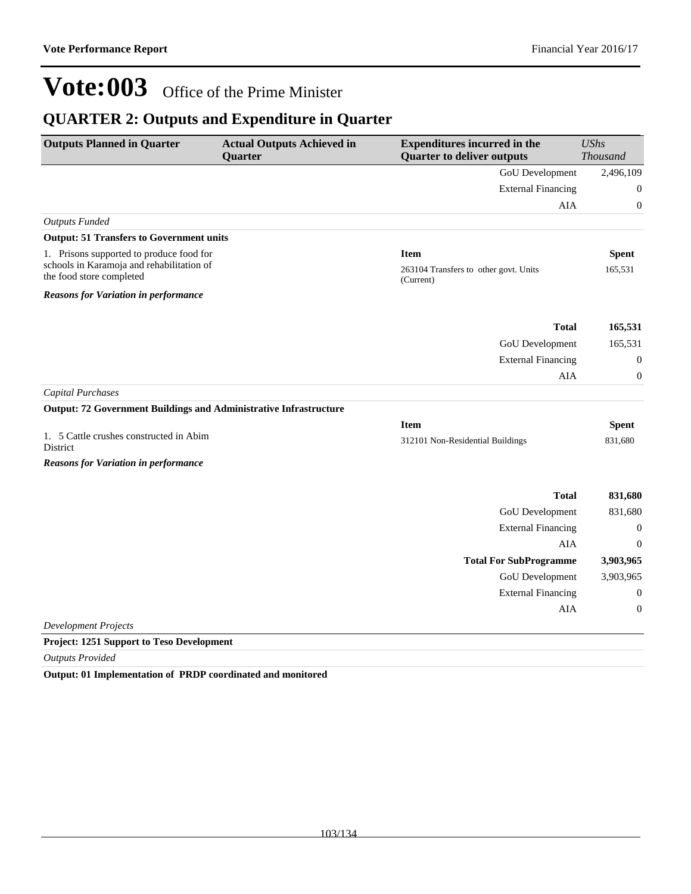### **QUARTER 2: Outputs and Expenditure in Quarter**

| <b>Outputs Planned in Quarter</b>                                                                                 | <b>Actual Outputs Achieved in</b><br><b>Quarter</b> | <b>Expenditures incurred in the</b><br><b>Quarter to deliver outputs</b> | <b>UShs</b><br><b>Thousand</b> |  |
|-------------------------------------------------------------------------------------------------------------------|-----------------------------------------------------|--------------------------------------------------------------------------|--------------------------------|--|
|                                                                                                                   |                                                     | <b>GoU</b> Development                                                   | 2,496,109                      |  |
|                                                                                                                   |                                                     | <b>External Financing</b>                                                | $\mathbf{0}$                   |  |
|                                                                                                                   |                                                     | <b>AIA</b>                                                               | $\theta$                       |  |
| <b>Outputs Funded</b>                                                                                             |                                                     |                                                                          |                                |  |
| <b>Output: 51 Transfers to Government units</b>                                                                   |                                                     |                                                                          |                                |  |
| 1. Prisons supported to produce food for<br>schools in Karamoja and rehabilitation of<br>the food store completed |                                                     | <b>Item</b><br>263104 Transfers to other govt. Units<br>(Current)        | <b>Spent</b><br>165,531        |  |
| <b>Reasons for Variation in performance</b>                                                                       |                                                     |                                                                          |                                |  |
|                                                                                                                   |                                                     | <b>Total</b>                                                             | 165,531                        |  |
|                                                                                                                   |                                                     | GoU Development                                                          | 165,531                        |  |
|                                                                                                                   |                                                     | <b>External Financing</b>                                                | $\theta$                       |  |
|                                                                                                                   |                                                     | AIA                                                                      | $\boldsymbol{0}$               |  |
| <b>Capital Purchases</b>                                                                                          |                                                     |                                                                          |                                |  |
| <b>Output: 72 Government Buildings and Administrative Infrastructure</b>                                          |                                                     |                                                                          |                                |  |
|                                                                                                                   |                                                     | <b>Item</b>                                                              | <b>Spent</b>                   |  |
| 1. 5 Cattle crushes constructed in Abim<br>District                                                               |                                                     | 312101 Non-Residential Buildings                                         | 831,680                        |  |
| <b>Reasons for Variation in performance</b>                                                                       |                                                     |                                                                          |                                |  |
|                                                                                                                   |                                                     | <b>Total</b>                                                             | 831,680                        |  |
|                                                                                                                   |                                                     | GoU Development                                                          | 831,680                        |  |
|                                                                                                                   |                                                     | <b>External Financing</b>                                                | $\boldsymbol{0}$               |  |
|                                                                                                                   |                                                     | <b>AIA</b>                                                               | $\overline{0}$                 |  |
|                                                                                                                   |                                                     | <b>Total For SubProgramme</b>                                            | 3,903,965                      |  |
|                                                                                                                   |                                                     | GoU Development                                                          | 3,903,965                      |  |
|                                                                                                                   |                                                     | <b>External Financing</b>                                                | $\mathbf{0}$                   |  |
|                                                                                                                   |                                                     | AIA                                                                      | $\boldsymbol{0}$               |  |
| <b>Development Projects</b>                                                                                       |                                                     |                                                                          |                                |  |
| <b>Project: 1251 Support to Teso Development</b>                                                                  |                                                     |                                                                          |                                |  |

*Outputs Provided*

**Output: 01 Implementation of PRDP coordinated and monitored**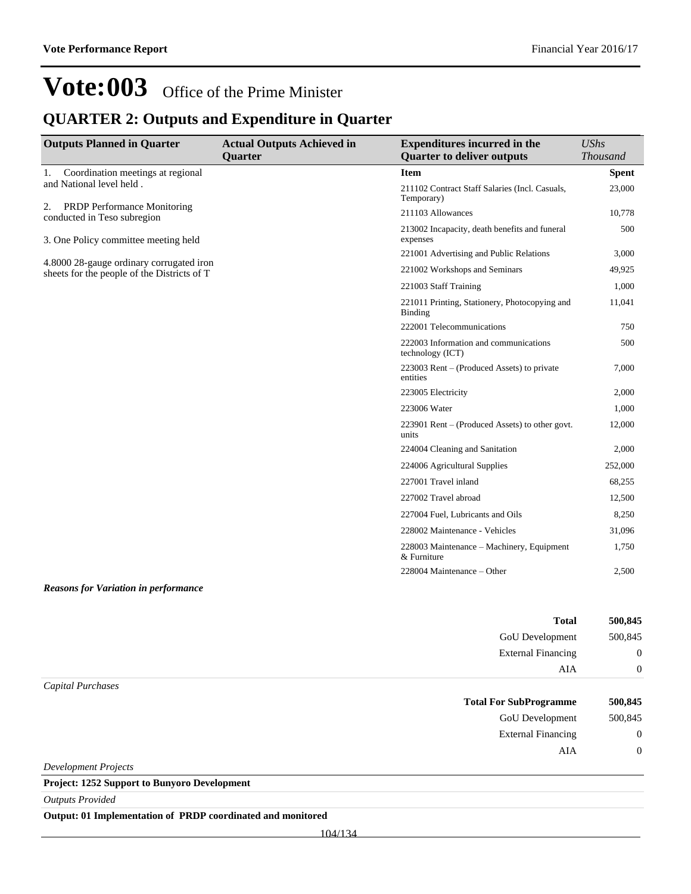### **QUARTER 2: Outputs and Expenditure in Quarter**

| <b>Outputs Planned in Quarter</b>                                                       | <b>Actual Outputs Achieved in</b><br><b>Quarter</b> | <b>Expenditures incurred in the</b><br><b>Quarter to deliver outputs</b> | <b>UShs</b><br><b>Thousand</b> |
|-----------------------------------------------------------------------------------------|-----------------------------------------------------|--------------------------------------------------------------------------|--------------------------------|
| Coordination meetings at regional<br>1.                                                 |                                                     | <b>Item</b>                                                              | <b>Spent</b>                   |
| and National level held.                                                                |                                                     | 211102 Contract Staff Salaries (Incl. Casuals,<br>Temporary)             | 23,000                         |
| <b>PRDP</b> Performance Monitoring<br>2.<br>conducted in Teso subregion                 |                                                     | 211103 Allowances                                                        | 10,778                         |
| 3. One Policy committee meeting held                                                    |                                                     | 213002 Incapacity, death benefits and funeral<br>expenses                | 500                            |
|                                                                                         |                                                     | 221001 Advertising and Public Relations                                  | 3,000                          |
| 4.8000 28-gauge ordinary corrugated iron<br>sheets for the people of the Districts of T |                                                     | 221002 Workshops and Seminars                                            | 49,925                         |
|                                                                                         |                                                     | 221003 Staff Training                                                    | 1,000                          |
|                                                                                         |                                                     | 221011 Printing, Stationery, Photocopying and<br><b>Binding</b>          | 11,041                         |
|                                                                                         |                                                     | 222001 Telecommunications                                                | 750                            |
|                                                                                         |                                                     | 222003 Information and communications<br>technology (ICT)                | 500                            |
|                                                                                         |                                                     | $223003$ Rent – (Produced Assets) to private<br>entities                 | 7,000                          |
|                                                                                         |                                                     | 223005 Electricity                                                       | 2,000                          |
|                                                                                         |                                                     | 223006 Water                                                             | 1,000                          |
|                                                                                         |                                                     | $223901$ Rent – (Produced Assets) to other govt.<br>units                | 12,000                         |
|                                                                                         |                                                     | 224004 Cleaning and Sanitation                                           | 2,000                          |
|                                                                                         |                                                     | 224006 Agricultural Supplies                                             | 252,000                        |
|                                                                                         |                                                     | 227001 Travel inland                                                     | 68,255                         |
|                                                                                         |                                                     | 227002 Travel abroad                                                     | 12,500                         |
|                                                                                         |                                                     | 227004 Fuel, Lubricants and Oils                                         | 8,250                          |
|                                                                                         |                                                     | 228002 Maintenance - Vehicles                                            | 31,096                         |
|                                                                                         |                                                     | 228003 Maintenance – Machinery, Equipment<br>& Furniture                 | 1,750                          |
|                                                                                         |                                                     | 228004 Maintenance - Other                                               | 2,500                          |

#### *Reasons for Variation in performance*

|                                                                                                                | <b>Total</b>                  | 500,845        |
|----------------------------------------------------------------------------------------------------------------|-------------------------------|----------------|
|                                                                                                                | GoU Development               | 500,845        |
|                                                                                                                | <b>External Financing</b>     | $\overline{0}$ |
|                                                                                                                | AIA                           | $\overline{0}$ |
| Capital Purchases                                                                                              |                               |                |
|                                                                                                                | <b>Total For SubProgramme</b> | 500,845        |
|                                                                                                                | GoU Development               | 500,845        |
|                                                                                                                | <b>External Financing</b>     | $\overline{0}$ |
|                                                                                                                | AIA                           | $\overline{0}$ |
| <b>Development Projects</b>                                                                                    |                               |                |
| $\mathbf{D}$ and $\mathbf{A}$ and $\mathbf{A}$ $\mathbf{D}$ and $\mathbf{D}$ and $\mathbf{D}$ and $\mathbf{D}$ |                               |                |

**Project: 1252 Support to Bunyoro Development**

*Outputs Provided*

**Output: 01 Implementation of PRDP coordinated and monitored**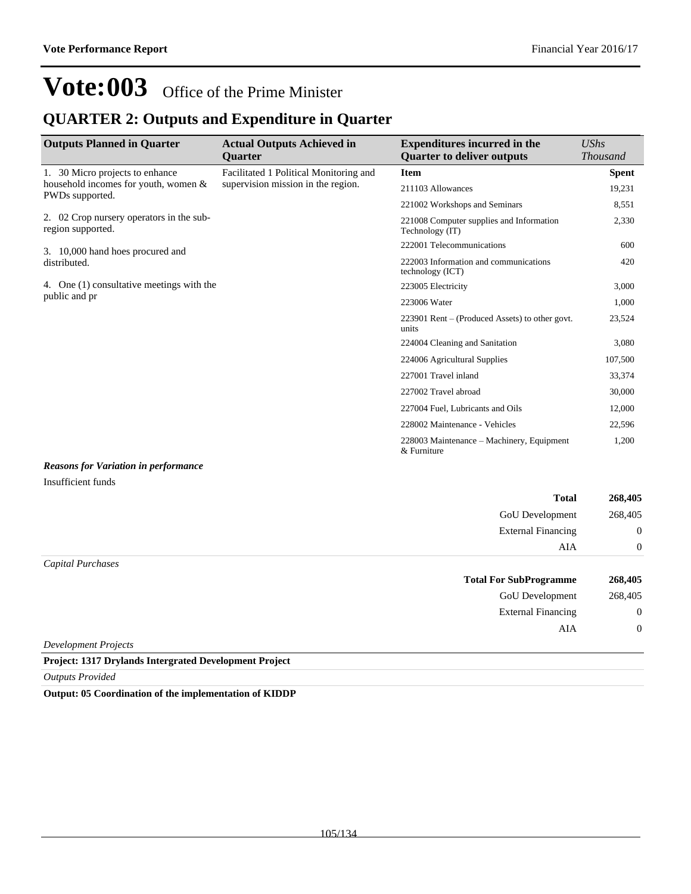### **QUARTER 2: Outputs and Expenditure in Quarter**

| <b>Outputs Planned in Quarter</b><br><b>Actual Outputs Achieved in</b><br><b>Expenditures incurred in the</b><br><b>Quarter to deliver outputs</b><br><b>Ouarter</b> |                                        |                                                             | UShs<br><b>Thousand</b> |
|----------------------------------------------------------------------------------------------------------------------------------------------------------------------|----------------------------------------|-------------------------------------------------------------|-------------------------|
| 1. 30 Micro projects to enhance                                                                                                                                      | Facilitated 1 Political Monitoring and | <b>Item</b>                                                 | <b>Spent</b>            |
| household incomes for youth, women &<br>PWDs supported.                                                                                                              | supervision mission in the region.     | 211103 Allowances                                           | 19,231                  |
|                                                                                                                                                                      |                                        | 221002 Workshops and Seminars                               | 8,551                   |
| 2. 02 Crop nursery operators in the sub-<br>region supported.                                                                                                        |                                        | 221008 Computer supplies and Information<br>Technology (IT) | 2,330                   |
| 3. 10,000 hand hoes procured and                                                                                                                                     |                                        | 222001 Telecommunications                                   | 600                     |
| distributed.                                                                                                                                                         |                                        | 222003 Information and communications<br>technology (ICT)   | 420                     |
| 4. One (1) consultative meetings with the<br>public and pr                                                                                                           |                                        | 223005 Electricity                                          | 3,000                   |
|                                                                                                                                                                      |                                        | 223006 Water                                                | 1,000                   |
|                                                                                                                                                                      |                                        | 223901 Rent – (Produced Assets) to other govt.<br>units     | 23,524                  |
|                                                                                                                                                                      |                                        | 224004 Cleaning and Sanitation                              | 3,080                   |
|                                                                                                                                                                      |                                        | 224006 Agricultural Supplies                                | 107,500                 |
|                                                                                                                                                                      |                                        | 227001 Travel inland                                        | 33,374                  |
|                                                                                                                                                                      |                                        | 227002 Travel abroad                                        | 30,000                  |
|                                                                                                                                                                      |                                        | 227004 Fuel, Lubricants and Oils                            | 12,000                  |
|                                                                                                                                                                      |                                        | 228002 Maintenance - Vehicles                               | 22,596                  |
|                                                                                                                                                                      |                                        | 228003 Maintenance – Machinery, Equipment<br>& Furniture    | 1,200                   |

#### *Reasons for Variation in performance*

Insufficient funds

| GoU Development<br><b>External Financing</b><br>AIA<br><b>Total For SubProgramme</b><br>GoU Development |                   | <b>Total</b> | 268,405        |
|---------------------------------------------------------------------------------------------------------|-------------------|--------------|----------------|
|                                                                                                         |                   |              | 268,405        |
|                                                                                                         |                   |              | $\overline{0}$ |
|                                                                                                         |                   |              | $\overline{0}$ |
|                                                                                                         | Capital Purchases |              |                |
|                                                                                                         |                   |              | 268,405        |
|                                                                                                         |                   |              | 268,405        |
| <b>External Financing</b>                                                                               |                   |              | $\overline{0}$ |
| <b>AIA</b>                                                                                              |                   |              | $\overline{0}$ |
| <b>Development Projects</b>                                                                             |                   |              |                |

#### **Project: 1317 Drylands Intergrated Development Project**

*Outputs Provided*

**Output: 05 Coordination of the implementation of KIDDP**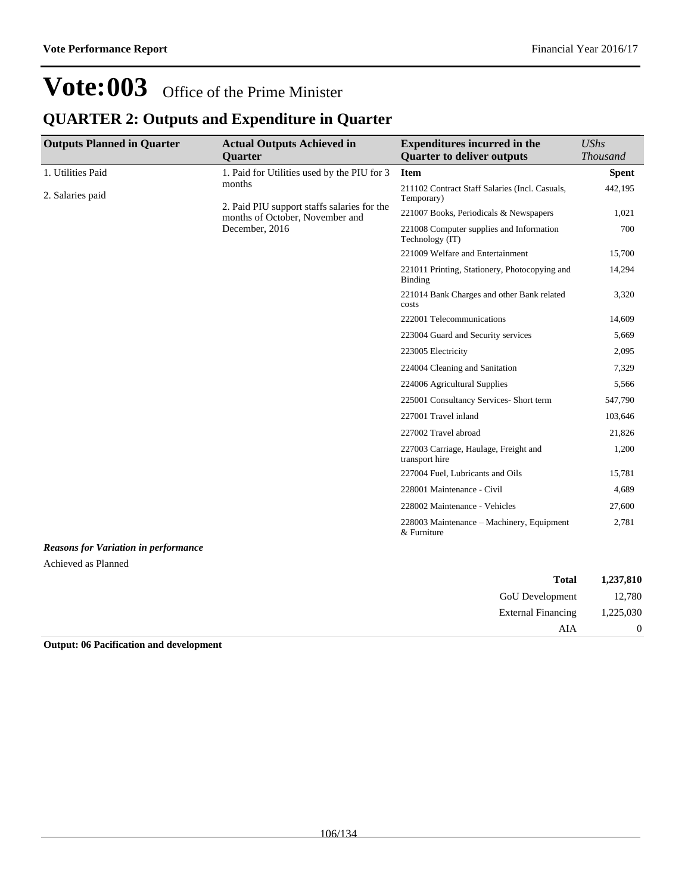### **QUARTER 2: Outputs and Expenditure in Quarter**

| <b>Outputs Planned in Quarter</b>           | <b>Actual Outputs Achieved in</b>                                              | <b>Expenditures incurred in the</b>                             | <b>UShs</b>     |
|---------------------------------------------|--------------------------------------------------------------------------------|-----------------------------------------------------------------|-----------------|
|                                             | <b>Quarter</b>                                                                 | <b>Quarter to deliver outputs</b>                               | <b>Thousand</b> |
| 1. Utilities Paid                           | 1. Paid for Utilities used by the PIU for 3                                    | <b>Item</b>                                                     | <b>Spent</b>    |
| 2. Salaries paid                            | months                                                                         | 211102 Contract Staff Salaries (Incl. Casuals,<br>Temporary)    | 442,195         |
|                                             | 2. Paid PIU support staffs salaries for the<br>months of October, November and | 221007 Books, Periodicals & Newspapers                          | 1,021           |
|                                             | December, 2016                                                                 | 221008 Computer supplies and Information<br>Technology (IT)     | 700             |
|                                             |                                                                                | 221009 Welfare and Entertainment                                | 15,700          |
|                                             |                                                                                | 221011 Printing, Stationery, Photocopying and<br><b>Binding</b> | 14,294          |
|                                             |                                                                                | 221014 Bank Charges and other Bank related<br>costs             | 3,320           |
|                                             |                                                                                | 222001 Telecommunications                                       | 14,609          |
|                                             |                                                                                | 223004 Guard and Security services                              | 5,669           |
|                                             |                                                                                | 223005 Electricity                                              | 2,095           |
|                                             |                                                                                | 224004 Cleaning and Sanitation                                  | 7,329           |
|                                             |                                                                                | 224006 Agricultural Supplies                                    | 5,566           |
|                                             |                                                                                | 225001 Consultancy Services- Short term                         | 547,790         |
|                                             |                                                                                | 227001 Travel inland                                            | 103,646         |
|                                             |                                                                                | 227002 Travel abroad                                            | 21,826          |
|                                             |                                                                                | 227003 Carriage, Haulage, Freight and<br>transport hire         | 1,200           |
|                                             |                                                                                | 227004 Fuel, Lubricants and Oils                                | 15,781          |
|                                             |                                                                                | 228001 Maintenance - Civil                                      | 4,689           |
|                                             |                                                                                | 228002 Maintenance - Vehicles                                   | 27,600          |
|                                             |                                                                                | 228003 Maintenance – Machinery, Equipment<br>& Furniture        | 2,781           |
| <b>Reasons for Variation in performance</b> |                                                                                |                                                                 |                 |

Achieved as Planned

| 1,237,810      | <b>Total</b>              |
|----------------|---------------------------|
| 12,780         | <b>GoU</b> Development    |
| 1,225,030      | <b>External Financing</b> |
| $\overline{0}$ | AIA                       |

**Output: 06 Pacification and development**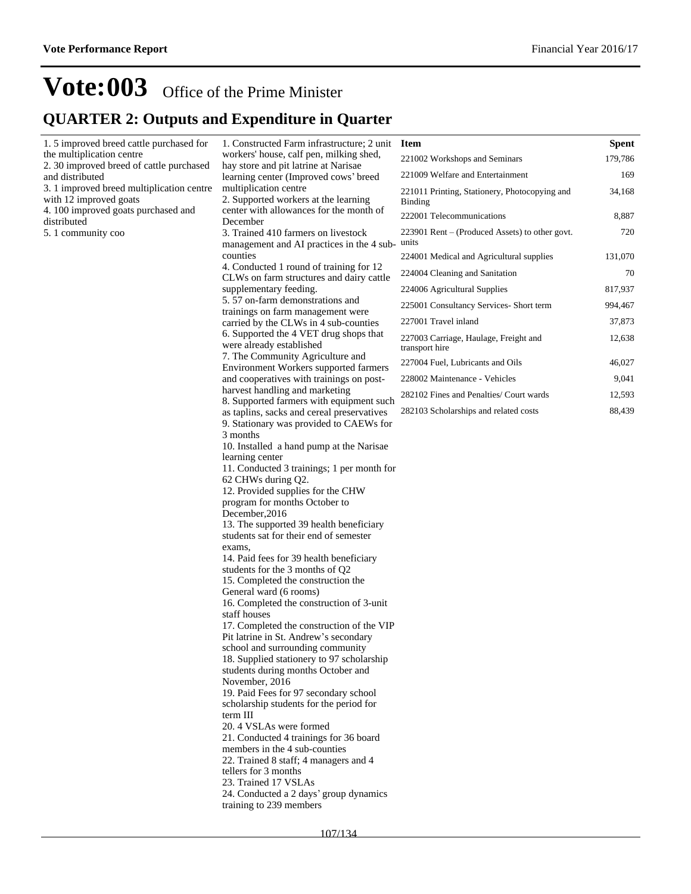**Spent** 

## **Vote:003** Office of the Prime Minister **QUARTER 2: Outputs and Expenditure in Quarter**

| 1.5 improved breed cattle purchased for<br>the multiplication centre<br>2.30 improved breed of cattle purchased<br>and distributed<br>3. 1 improved breed multiplication centre<br>with 12 improved goats<br>4.100 improved goats purchased and<br>distributed<br>5.1 community coo | 1. Constructed Farm infrastructure; 2 unit<br>workers' house, calf pen, milking shed,<br>hay store and pit latrine at Narisae<br>learning center (Improved cows' breed<br>multiplication centre<br>2. Supported workers at the learning<br>center with allowances for the month of<br>December<br>3. Trained 410 farmers on livestock<br>management and AI practices in the 4 sub-<br>counties<br>4. Conducted 1 round of training for 12<br>CLWs on farm structures and dairy cattle<br>supplementary feeding.<br>5.57 on-farm demonstrations and<br>trainings on farm management were<br>carried by the CLWs in 4 sub-counties<br>6. Supported the 4 VET drug shops that<br>were already established<br>7. The Community Agriculture and<br>Environment Workers supported farmers<br>and cooperatives with trainings on post-<br>harvest handling and marketing<br>8. Supported farmers with equipment such<br>as taplins, sacks and cereal preservatives<br>9. Stationary was provided to CAEWs for<br>3 months<br>10. Installed a hand pump at the Narisae<br>learning center<br>11. Conducted 3 trainings; 1 per month for<br>62 CHWs during Q2.<br>12. Provided supplies for the CHW<br>program for months October to<br>December, 2016<br>13. The supported 39 health beneficiary<br>students sat for their end of semester<br>exams,<br>14. Paid fees for 39 health beneficiary<br>students for the 3 months of Q2<br>15. Completed the construction the<br>General ward (6 rooms)<br>16. Completed the construction of 3-unit<br>staff houses<br>17. Completed the construction of the VIP<br>Pit latrine in St. Andrew's secondary<br>school and surrounding community<br>18. Supplied stationery to 97 scholarship<br>students during months October and<br>November, 2016<br>19. Paid Fees for 97 secondary school<br>scholarship students for the period for<br>term III<br>20. 4 VSLAs were formed<br>21. Conducted 4 trainings for 36 board<br>members in the 4 sub-counties<br>22. Trained 8 staff; 4 managers and 4 |
|-------------------------------------------------------------------------------------------------------------------------------------------------------------------------------------------------------------------------------------------------------------------------------------|--------------------------------------------------------------------------------------------------------------------------------------------------------------------------------------------------------------------------------------------------------------------------------------------------------------------------------------------------------------------------------------------------------------------------------------------------------------------------------------------------------------------------------------------------------------------------------------------------------------------------------------------------------------------------------------------------------------------------------------------------------------------------------------------------------------------------------------------------------------------------------------------------------------------------------------------------------------------------------------------------------------------------------------------------------------------------------------------------------------------------------------------------------------------------------------------------------------------------------------------------------------------------------------------------------------------------------------------------------------------------------------------------------------------------------------------------------------------------------------------------------------------------------------------------------------------------------------------------------------------------------------------------------------------------------------------------------------------------------------------------------------------------------------------------------------------------------------------------------------------------------------------------------------------------------------------------------------------------------------------------------------------------------------|
|                                                                                                                                                                                                                                                                                     | tellers for 3 months<br>23. Trained 17 VSLAs<br>24. Conducted a 2 days' group dynamics<br>training to 239 members                                                                                                                                                                                                                                                                                                                                                                                                                                                                                                                                                                                                                                                                                                                                                                                                                                                                                                                                                                                                                                                                                                                                                                                                                                                                                                                                                                                                                                                                                                                                                                                                                                                                                                                                                                                                                                                                                                                    |

| $\mathbf{c}\mathbf{s}$ |  |  |  |
|------------------------|--|--|--|

| ! unit                   | <b>Item</b>                                              | Spent   |
|--------------------------|----------------------------------------------------------|---------|
| d,                       | 221002 Workshops and Seminars                            | 179,786 |
| эd                       | 221009 Welfare and Entertainment                         | 169     |
| ı of                     | 221011 Printing, Stationery, Photocopying and<br>Binding | 34,168  |
|                          | 222001 Telecommunications                                | 8,887   |
| 4 sub-                   | 223901 Rent – (Produced Assets) to other govt.<br>units  | 720     |
| 12<br>∶attle             | 224001 Medical and Agricultural supplies                 | 131,070 |
|                          | 224004 Cleaning and Sanitation                           | 70      |
|                          | 224006 Agricultural Supplies                             | 817,937 |
|                          | 225001 Consultancy Services- Short term                  | 994,467 |
| 5S<br>hat                | 227001 Travel inland                                     | 37,873  |
|                          | 227003 Carriage, Haulage, Freight and<br>transport hire  | 12,638  |
| ners<br>-ost             | 227004 Fuel, Lubricants and Oils                         | 46,027  |
|                          | 228002 Maintenance - Vehicles                            | 9,041   |
| t such<br>ives<br>'s for | 282102 Fines and Penalties/ Court wards                  | 12,593  |
|                          | 282103 Scholarships and related costs                    | 88,439  |
|                          |                                                          |         |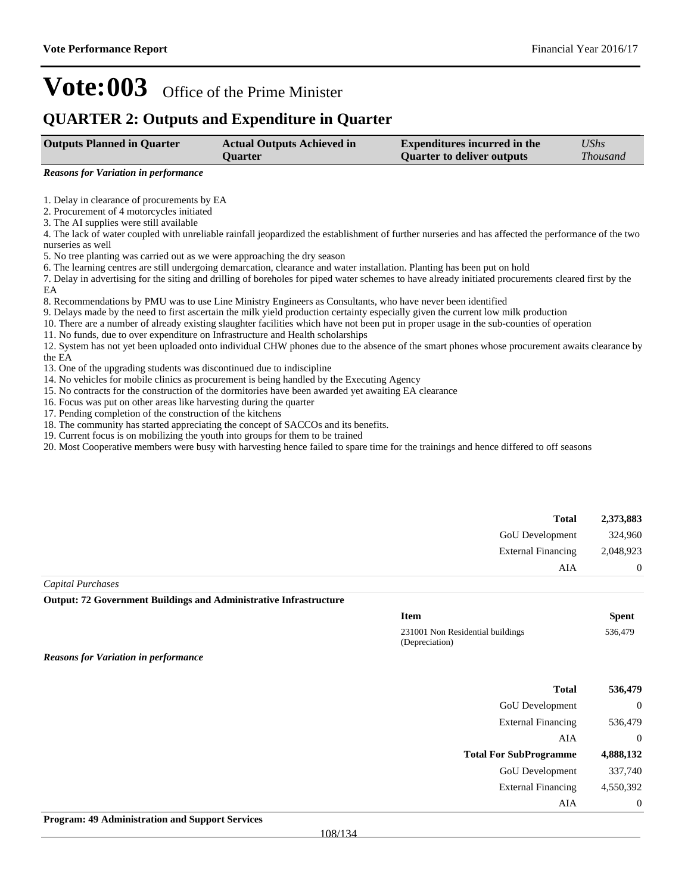### **QUARTER 2: Outputs and Expenditure in Quarter**

| <b>Outputs Planned in Quarter</b><br><b>Actual Outputs Achieved in</b><br><b>Ouarter</b> | <b>Expenditures incurred in the</b><br><b>Quarter to deliver outputs</b> | UShs<br>Thousand |
|------------------------------------------------------------------------------------------|--------------------------------------------------------------------------|------------------|
|------------------------------------------------------------------------------------------|--------------------------------------------------------------------------|------------------|

*Reasons for Variation in performance*

1. Delay in clearance of procurements by EA

2. Procurement of 4 motorcycles initiated

3. The AI supplies were still available

4. The lack of water coupled with unreliable rainfall jeopardized the establishment of further nurseries and has affected the performance of the two nurseries as well

5. No tree planting was carried out as we were approaching the dry season

6. The learning centres are still undergoing demarcation, clearance and water installation. Planting has been put on hold

7. Delay in advertising for the siting and drilling of boreholes for piped water schemes to have already initiated procurements cleared first by the EA

8. Recommendations by PMU was to use Line Ministry Engineers as Consultants, who have never been identified

9. Delays made by the need to first ascertain the milk yield production certainty especially given the current low milk production

10. There are a number of already existing slaughter facilities which have not been put in proper usage in the sub-counties of operation

11. No funds, due to over expenditure on Infrastructure and Health scholarships

12. System has not yet been uploaded onto individual CHW phones due to the absence of the smart phones whose procurement awaits clearance by the EA

13. One of the upgrading students was discontinued due to indiscipline

- 14. No vehicles for mobile clinics as procurement is being handled by the Executing Agency
- 15. No contracts for the construction of the dormitories have been awarded yet awaiting EA clearance
- 16. Focus was put on other areas like harvesting during the quarter

17. Pending completion of the construction of the kitchens

18. The community has started appreciating the concept of SACCOs and its benefits.

19. Current focus is on mobilizing the youth into groups for them to be trained

20. Most Cooperative members were busy with harvesting hence failed to spare time for the trainings and hence differed to off seasons

| 2,373,883 | <b>Total</b>              |  |
|-----------|---------------------------|--|
| 324,960   | <b>GoU</b> Development    |  |
| 2,048,923 | <b>External Financing</b> |  |
| $\theta$  | AIA                       |  |
|           |                           |  |

*Capital Purchases*

**Output: 72 Government Buildings and Administrative Infrastructure**

| <b>Item</b>                                        | <b>Spent</b> |
|----------------------------------------------------|--------------|
| 231001 Non Residential buildings<br>(Depreciation) | 536,479      |

*Reasons for Variation in performance*

| <b>Total</b>                  | 536,479   |
|-------------------------------|-----------|
| GoU Development               | $\theta$  |
| <b>External Financing</b>     | 536,479   |
| AIA                           | $\theta$  |
| <b>Total For SubProgramme</b> | 4,888,132 |
| GoU Development               | 337,740   |
| <b>External Financing</b>     | 4,550,392 |
| AIA                           | $\theta$  |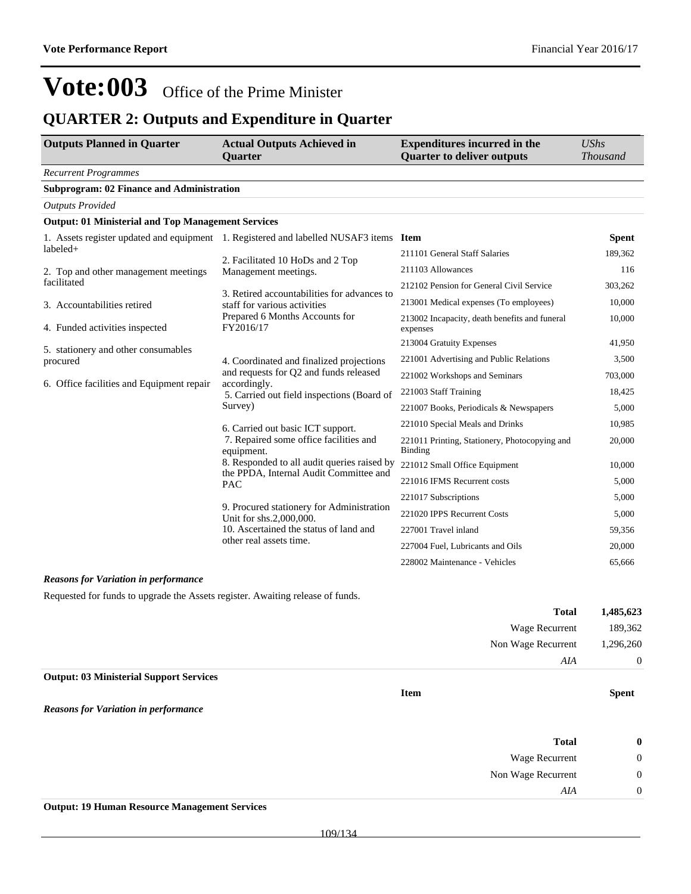### **QUARTER 2: Outputs and Expenditure in Quarter**

| <b>Outputs Planned in Quarter</b>                         | <b>Actual Outputs Achieved in</b><br><b>Ouarter</b>                                   | <b>Expenditures incurred in the</b><br><b>Quarter to deliver outputs</b>                                                                        | <b>UShs</b><br><b>Thousand</b> |
|-----------------------------------------------------------|---------------------------------------------------------------------------------------|-------------------------------------------------------------------------------------------------------------------------------------------------|--------------------------------|
| <b>Recurrent Programmes</b>                               |                                                                                       |                                                                                                                                                 |                                |
| <b>Subprogram: 02 Finance and Administration</b>          |                                                                                       |                                                                                                                                                 |                                |
| <b>Outputs Provided</b>                                   |                                                                                       |                                                                                                                                                 |                                |
| <b>Output: 01 Ministerial and Top Management Services</b> |                                                                                       |                                                                                                                                                 |                                |
|                                                           | 1. Assets register updated and equipment 1. Registered and labelled NUSAF3 items Item |                                                                                                                                                 | <b>Spent</b>                   |
| $labeled+$                                                | 2. Facilitated 10 HoDs and 2 Top                                                      | 211101 General Staff Salaries                                                                                                                   | 189,362                        |
| 2. Top and other management meetings                      | Management meetings.                                                                  | 211103 Allowances                                                                                                                               | 116                            |
| facilitated                                               |                                                                                       | 212102 Pension for General Civil Service<br>213001 Medical expenses (To employees)<br>213002 Incapacity, death benefits and funeral<br>expenses | 303,262                        |
| 3. Accountabilities retired                               | 3. Retired accountabilities for advances to<br>staff for various activities           |                                                                                                                                                 | 10.000                         |
| 4. Funded activities inspected                            | Prepared 6 Months Accounts for<br>FY2016/17                                           |                                                                                                                                                 | 10,000                         |
| 5. stationery and other consumables                       |                                                                                       | 213004 Gratuity Expenses                                                                                                                        | 41,950                         |
| procured                                                  | 4. Coordinated and finalized projections                                              | 221001 Advertising and Public Relations                                                                                                         | 3,500                          |
|                                                           | and requests for Q2 and funds released                                                | 221002 Workshops and Seminars                                                                                                                   | 703,000                        |
| 6. Office facilities and Equipment repair                 | accordingly.<br>5. Carried out field inspections (Board of                            | 221003 Staff Training                                                                                                                           | 18,425                         |
|                                                           | Survey)                                                                               | 221007 Books, Periodicals & Newspapers                                                                                                          | 5,000                          |
|                                                           | 6. Carried out basic ICT support.                                                     | 221010 Special Meals and Drinks                                                                                                                 | 10,985                         |
|                                                           | 7. Repaired some office facilities and<br>equipment.                                  | 221011 Printing, Stationery, Photocopying and<br>Binding                                                                                        | 20,000                         |
|                                                           | 8. Responded to all audit queries raised by                                           | 221012 Small Office Equipment                                                                                                                   | 10,000                         |
|                                                           | the PPDA, Internal Audit Committee and<br><b>PAC</b>                                  | 221016 IFMS Recurrent costs                                                                                                                     | 5,000                          |
|                                                           |                                                                                       | 221017 Subscriptions                                                                                                                            | 5,000                          |
|                                                           | 9. Procured stationery for Administration<br>Unit for shs.2,000,000.                  | 221020 IPPS Recurrent Costs                                                                                                                     | 5,000                          |
|                                                           | 10. Ascertained the status of land and                                                | 227001 Travel inland                                                                                                                            | 59,356                         |
|                                                           | other real assets time.                                                               | 227004 Fuel, Lubricants and Oils                                                                                                                | 20,000                         |
|                                                           |                                                                                       | 228002 Maintenance - Vehicles                                                                                                                   | 65,666                         |

#### *Reasons for Variation in performance*

Requested for funds to upgrade the Assets register. Awaiting release of funds.

|                                                |             | <b>Total</b>       | 1,485,623      |
|------------------------------------------------|-------------|--------------------|----------------|
|                                                |             | Wage Recurrent     | 189,362        |
|                                                |             | Non Wage Recurrent | 1,296,260      |
|                                                |             | AIA                | $\overline{0}$ |
| <b>Output: 03 Ministerial Support Services</b> |             |                    |                |
|                                                | <b>Item</b> |                    | <b>Spent</b>   |
| <b>Reasons for Variation in performance</b>    |             |                    |                |
|                                                |             |                    |                |

| <b>Total</b>       |
|--------------------|
| Wage Recurrent     |
| Non Wage Recurrent |
| AIA                |
|                    |

**Output: 19 Human Resource Management Services**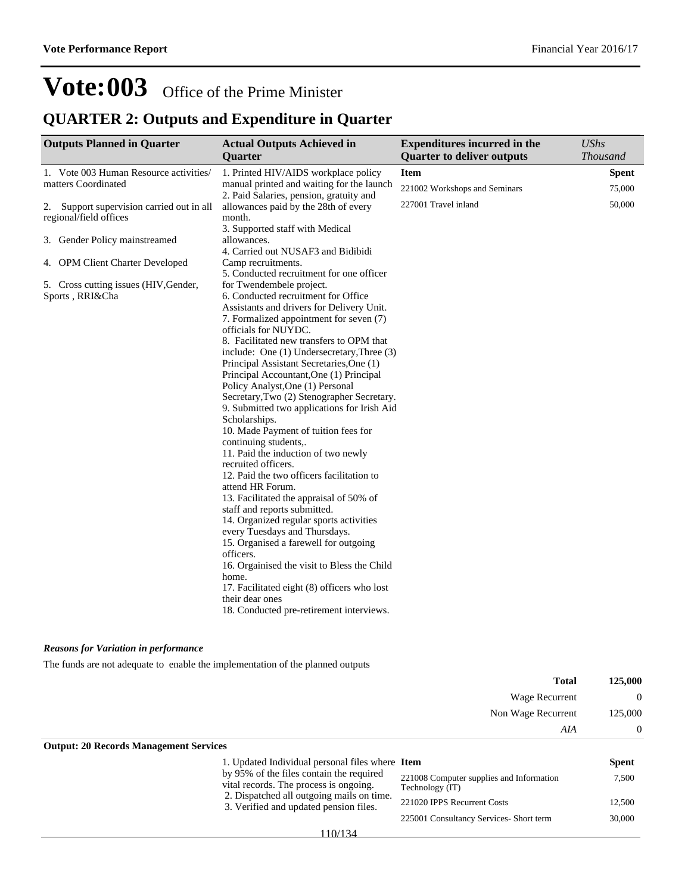### **QUARTER 2: Outputs and Expenditure in Quarter**

| <b>Outputs Planned in Quarter</b>                                      | <b>Actual Outputs Achieved in</b>                                                                                                                                                                                                                                                                                                                                                                                                                                                                                                                                                                                                                                                                                                                                                                                                                                                                                                                                                       | <b>Expenditures incurred in the</b> | <b>UShs</b>     |
|------------------------------------------------------------------------|-----------------------------------------------------------------------------------------------------------------------------------------------------------------------------------------------------------------------------------------------------------------------------------------------------------------------------------------------------------------------------------------------------------------------------------------------------------------------------------------------------------------------------------------------------------------------------------------------------------------------------------------------------------------------------------------------------------------------------------------------------------------------------------------------------------------------------------------------------------------------------------------------------------------------------------------------------------------------------------------|-------------------------------------|-----------------|
|                                                                        | <b>Ouarter</b>                                                                                                                                                                                                                                                                                                                                                                                                                                                                                                                                                                                                                                                                                                                                                                                                                                                                                                                                                                          | <b>Quarter to deliver outputs</b>   | <b>Thousand</b> |
| 1. Vote 003 Human Resource activities/                                 | 1. Printed HIV/AIDS workplace policy                                                                                                                                                                                                                                                                                                                                                                                                                                                                                                                                                                                                                                                                                                                                                                                                                                                                                                                                                    | <b>Item</b>                         | <b>Spent</b>    |
| matters Coordinated                                                    | manual printed and waiting for the launch<br>2. Paid Salaries, pension, gratuity and                                                                                                                                                                                                                                                                                                                                                                                                                                                                                                                                                                                                                                                                                                                                                                                                                                                                                                    | 221002 Workshops and Seminars       | 75,000          |
| Support supervision carried out in all<br>2.<br>regional/field offices | allowances paid by the 28th of every<br>month.<br>3. Supported staff with Medical                                                                                                                                                                                                                                                                                                                                                                                                                                                                                                                                                                                                                                                                                                                                                                                                                                                                                                       | 227001 Travel inland                | 50,000          |
| 3. Gender Policy mainstreamed                                          | allowances.<br>4. Carried out NUSAF3 and Bidibidi                                                                                                                                                                                                                                                                                                                                                                                                                                                                                                                                                                                                                                                                                                                                                                                                                                                                                                                                       |                                     |                 |
| 4. OPM Client Charter Developed                                        | Camp recruitments.<br>5. Conducted recruitment for one officer                                                                                                                                                                                                                                                                                                                                                                                                                                                                                                                                                                                                                                                                                                                                                                                                                                                                                                                          |                                     |                 |
| 5. Cross cutting issues (HIV, Gender,<br>Sports, RRI&Cha               | for Twendembele project.<br>6. Conducted recruitment for Office<br>Assistants and drivers for Delivery Unit.<br>7. Formalized appointment for seven (7)<br>officials for NUYDC.<br>8. Facilitated new transfers to OPM that<br>include: One (1) Undersecretary, Three (3)<br>Principal Assistant Secretaries, One (1)<br>Principal Accountant, One (1) Principal<br>Policy Analyst, One (1) Personal<br>Secretary, Two (2) Stenographer Secretary.<br>9. Submitted two applications for Irish Aid<br>Scholarships.<br>10. Made Payment of tuition fees for<br>continuing students,.<br>11. Paid the induction of two newly<br>recruited officers.<br>12. Paid the two officers facilitation to<br>attend HR Forum.<br>13. Facilitated the appraisal of 50% of<br>staff and reports submitted.<br>14. Organized regular sports activities<br>every Tuesdays and Thursdays.<br>15. Organised a farewell for outgoing<br>officers.<br>16. Orgainised the visit to Bless the Child<br>home. |                                     |                 |
|                                                                        | 17. Facilitated eight (8) officers who lost<br>their dear ones                                                                                                                                                                                                                                                                                                                                                                                                                                                                                                                                                                                                                                                                                                                                                                                                                                                                                                                          |                                     |                 |
|                                                                        | 18. Conducted pre-retirement interviews.                                                                                                                                                                                                                                                                                                                                                                                                                                                                                                                                                                                                                                                                                                                                                                                                                                                                                                                                                |                                     |                 |

#### *Reasons for Variation in performance*

The funds are not adequate to enable the implementation of the planned outputs

| <b>Total</b>                                  | 125,000  |
|-----------------------------------------------|----------|
| Wage Recurrent                                | $\theta$ |
| Non Wage Recurrent                            | 125,000  |
| AIA                                           | $\Omega$ |
| <b>Output: 20 Records Management Services</b> |          |

|  | 1. Updated Individual personal files where Item                                     |                                                             | <b>Spent</b> |
|--|-------------------------------------------------------------------------------------|-------------------------------------------------------------|--------------|
|  | by 95% of the files contain the required<br>vital records. The process is ongoing.  | 221008 Computer supplies and Information<br>Technology (IT) | 7,500        |
|  | 2. Dispatched all outgoing mails on time.<br>3. Verified and updated pension files. | 221020 IPPS Recurrent Costs                                 | 12,500       |
|  |                                                                                     | 225001 Consultancy Services- Short term                     | 30,000       |
|  | 10/134                                                                              |                                                             |              |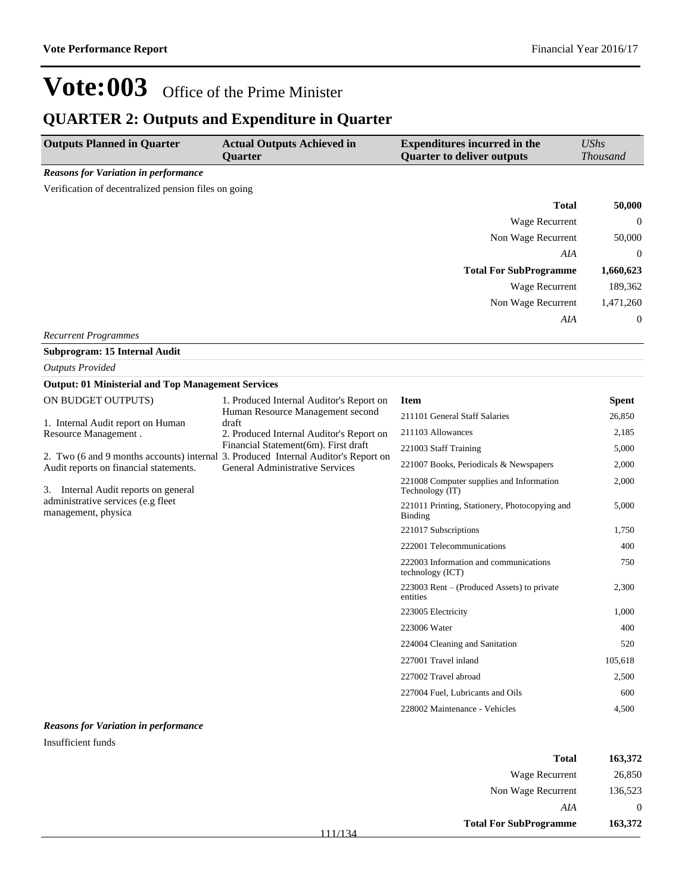### **QUARTER 2: Outputs and Expenditure in Quarter**

| <b>Outputs Planned in Quarter</b>                          | <b>Actual Outputs Achieved in</b><br>Quarter                                                                                                                                                                                                                                                                                                                                                                                                                                                                                                                                                                                                                                                                                                                                                                                                              | <b>Expenditures incurred in the</b><br><b>Quarter to deliver outputs</b> | <b>UShs</b><br><b>Thousand</b> |
|------------------------------------------------------------|-----------------------------------------------------------------------------------------------------------------------------------------------------------------------------------------------------------------------------------------------------------------------------------------------------------------------------------------------------------------------------------------------------------------------------------------------------------------------------------------------------------------------------------------------------------------------------------------------------------------------------------------------------------------------------------------------------------------------------------------------------------------------------------------------------------------------------------------------------------|--------------------------------------------------------------------------|--------------------------------|
| <b>Reasons for Variation in performance</b>                |                                                                                                                                                                                                                                                                                                                                                                                                                                                                                                                                                                                                                                                                                                                                                                                                                                                           |                                                                          |                                |
| Verification of decentralized pension files on going       |                                                                                                                                                                                                                                                                                                                                                                                                                                                                                                                                                                                                                                                                                                                                                                                                                                                           |                                                                          |                                |
|                                                            |                                                                                                                                                                                                                                                                                                                                                                                                                                                                                                                                                                                                                                                                                                                                                                                                                                                           | <b>Total</b>                                                             | 50,000                         |
|                                                            |                                                                                                                                                                                                                                                                                                                                                                                                                                                                                                                                                                                                                                                                                                                                                                                                                                                           | Wage Recurrent                                                           | $\boldsymbol{0}$               |
|                                                            |                                                                                                                                                                                                                                                                                                                                                                                                                                                                                                                                                                                                                                                                                                                                                                                                                                                           | Non Wage Recurrent                                                       | 50,000                         |
|                                                            |                                                                                                                                                                                                                                                                                                                                                                                                                                                                                                                                                                                                                                                                                                                                                                                                                                                           | AIA                                                                      | $\overline{0}$                 |
|                                                            |                                                                                                                                                                                                                                                                                                                                                                                                                                                                                                                                                                                                                                                                                                                                                                                                                                                           | <b>Total For SubProgramme</b>                                            | 1,660,623                      |
|                                                            |                                                                                                                                                                                                                                                                                                                                                                                                                                                                                                                                                                                                                                                                                                                                                                                                                                                           | Wage Recurrent                                                           | 189,362                        |
|                                                            |                                                                                                                                                                                                                                                                                                                                                                                                                                                                                                                                                                                                                                                                                                                                                                                                                                                           | Non Wage Recurrent                                                       | 1,471,260                      |
|                                                            |                                                                                                                                                                                                                                                                                                                                                                                                                                                                                                                                                                                                                                                                                                                                                                                                                                                           | AIA                                                                      | $\overline{0}$                 |
| <b>Recurrent Programmes</b>                                |                                                                                                                                                                                                                                                                                                                                                                                                                                                                                                                                                                                                                                                                                                                                                                                                                                                           |                                                                          |                                |
| Subprogram: 15 Internal Audit                              |                                                                                                                                                                                                                                                                                                                                                                                                                                                                                                                                                                                                                                                                                                                                                                                                                                                           |                                                                          |                                |
| <b>Outputs Provided</b>                                    |                                                                                                                                                                                                                                                                                                                                                                                                                                                                                                                                                                                                                                                                                                                                                                                                                                                           |                                                                          |                                |
| <b>Output: 01 Ministerial and Top Management Services</b>  |                                                                                                                                                                                                                                                                                                                                                                                                                                                                                                                                                                                                                                                                                                                                                                                                                                                           |                                                                          |                                |
| ON BUDGET OUTPUTS)                                         | 1. Produced Internal Auditor's Report on                                                                                                                                                                                                                                                                                                                                                                                                                                                                                                                                                                                                                                                                                                                                                                                                                  | <b>Item</b>                                                              | <b>Spent</b>                   |
| 1. Internal Audit report on Human                          | Human Resource Management second<br>211101 General Staff Salaries<br>draft<br>211103 Allowances<br>2. Produced Internal Auditor's Report on<br>Financial Statement(6m). First draft<br>221003 Staff Training<br>2. Two (6 and 9 months accounts) internal 3. Produced Internal Auditor's Report on<br>221007 Books, Periodicals & Newspapers<br><b>General Administrative Services</b><br>221008 Computer supplies and Information<br>Technology (IT)<br>221011 Printing, Stationery, Photocopying and<br>Binding<br>221017 Subscriptions<br>222001 Telecommunications<br>222003 Information and communications<br>technology (ICT)<br>223003 Rent – (Produced Assets) to private<br>entities<br>223005 Electricity<br>223006 Water<br>224004 Cleaning and Sanitation<br>227001 Travel inland<br>227002 Travel abroad<br>227004 Fuel, Lubricants and Oils |                                                                          | 26,850                         |
| Resource Management.                                       |                                                                                                                                                                                                                                                                                                                                                                                                                                                                                                                                                                                                                                                                                                                                                                                                                                                           | 2,185                                                                    |                                |
|                                                            |                                                                                                                                                                                                                                                                                                                                                                                                                                                                                                                                                                                                                                                                                                                                                                                                                                                           |                                                                          | 5,000                          |
| Audit reports on financial statements.                     |                                                                                                                                                                                                                                                                                                                                                                                                                                                                                                                                                                                                                                                                                                                                                                                                                                                           |                                                                          | 2,000                          |
| 3. Internal Audit reports on general                       |                                                                                                                                                                                                                                                                                                                                                                                                                                                                                                                                                                                                                                                                                                                                                                                                                                                           |                                                                          | 2,000                          |
| administrative services (e.g fleet)<br>management, physica |                                                                                                                                                                                                                                                                                                                                                                                                                                                                                                                                                                                                                                                                                                                                                                                                                                                           |                                                                          | 5,000                          |
|                                                            |                                                                                                                                                                                                                                                                                                                                                                                                                                                                                                                                                                                                                                                                                                                                                                                                                                                           |                                                                          | 1,750                          |
|                                                            |                                                                                                                                                                                                                                                                                                                                                                                                                                                                                                                                                                                                                                                                                                                                                                                                                                                           |                                                                          | 400                            |
|                                                            |                                                                                                                                                                                                                                                                                                                                                                                                                                                                                                                                                                                                                                                                                                                                                                                                                                                           |                                                                          | 750                            |
|                                                            |                                                                                                                                                                                                                                                                                                                                                                                                                                                                                                                                                                                                                                                                                                                                                                                                                                                           |                                                                          | 2,300                          |
|                                                            |                                                                                                                                                                                                                                                                                                                                                                                                                                                                                                                                                                                                                                                                                                                                                                                                                                                           |                                                                          | 1,000                          |
|                                                            |                                                                                                                                                                                                                                                                                                                                                                                                                                                                                                                                                                                                                                                                                                                                                                                                                                                           |                                                                          | 400                            |
|                                                            |                                                                                                                                                                                                                                                                                                                                                                                                                                                                                                                                                                                                                                                                                                                                                                                                                                                           |                                                                          | 520                            |
|                                                            |                                                                                                                                                                                                                                                                                                                                                                                                                                                                                                                                                                                                                                                                                                                                                                                                                                                           |                                                                          | 105,618                        |
|                                                            |                                                                                                                                                                                                                                                                                                                                                                                                                                                                                                                                                                                                                                                                                                                                                                                                                                                           |                                                                          | 2,500                          |
|                                                            |                                                                                                                                                                                                                                                                                                                                                                                                                                                                                                                                                                                                                                                                                                                                                                                                                                                           |                                                                          | 600                            |

#### *Reasons for Variation in performance* Insufficient funds

|       | <b>Total</b>                  | 163,372 |
|-------|-------------------------------|---------|
|       | Wage Recurrent                | 26,850  |
|       | Non Wage Recurrent            | 136,523 |
|       | AIA                           |         |
| 1/134 | <b>Total For SubProgramme</b> | 163,372 |

228002 Maintenance - Vehicles 4,500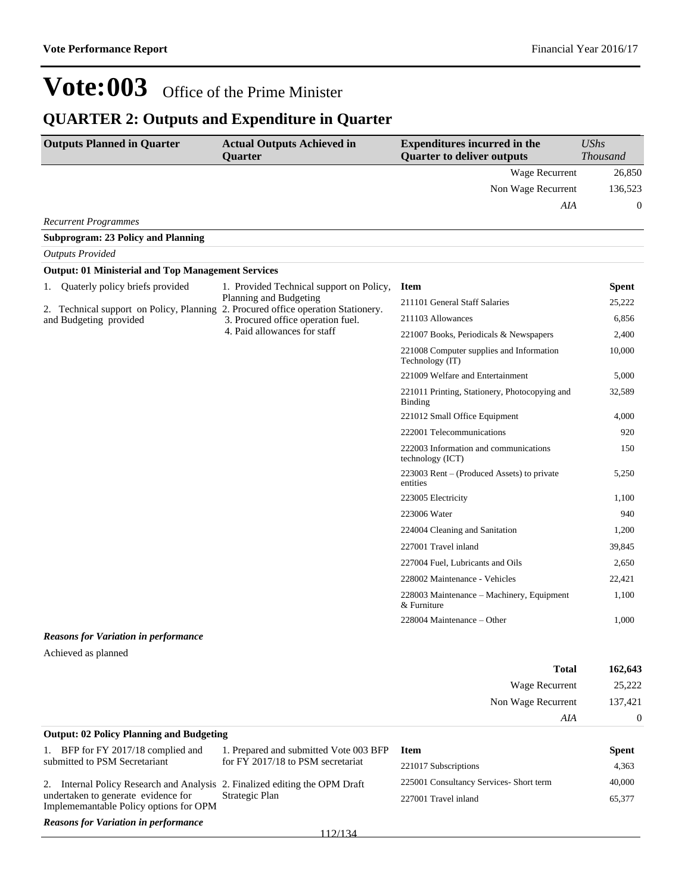### **QUARTER 2: Outputs and Expenditure in Quarter**

| <b>Outputs Planned in Quarter</b>                                                 | <b>Actual Outputs Achieved in</b><br>Quarter                                | <b>Expenditures incurred in the</b><br><b>Quarter to deliver outputs</b> | <b>UShs</b><br>Thousand |
|-----------------------------------------------------------------------------------|-----------------------------------------------------------------------------|--------------------------------------------------------------------------|-------------------------|
|                                                                                   |                                                                             | Wage Recurrent                                                           | 26,850                  |
|                                                                                   |                                                                             | Non Wage Recurrent                                                       | 136,523                 |
|                                                                                   |                                                                             | AIA                                                                      | $\theta$                |
| <b>Recurrent Programmes</b>                                                       |                                                                             |                                                                          |                         |
| <b>Subprogram: 23 Policy and Planning</b>                                         |                                                                             |                                                                          |                         |
| <b>Outputs Provided</b>                                                           |                                                                             |                                                                          |                         |
| <b>Output: 01 Ministerial and Top Management Services</b>                         |                                                                             |                                                                          |                         |
| 1. Quaterly policy briefs provided                                                | 1. Provided Technical support on Policy,                                    | <b>Item</b>                                                              | <b>Spent</b>            |
| 2. Technical support on Policy, Planning 2. Procured office operation Stationery. | Planning and Budgeting                                                      | 211101 General Staff Salaries                                            | 25,222                  |
| and Budgeting provided                                                            | 3. Procured office operation fuel.                                          | 211103 Allowances                                                        | 6,856                   |
|                                                                                   | 4. Paid allowances for staff                                                | 221007 Books, Periodicals & Newspapers                                   | 2,400                   |
|                                                                                   |                                                                             | 221008 Computer supplies and Information<br>Technology (IT)              | 10,000                  |
|                                                                                   |                                                                             | 221009 Welfare and Entertainment                                         | 5,000                   |
|                                                                                   |                                                                             | 221011 Printing, Stationery, Photocopying and<br><b>Binding</b>          | 32,589                  |
|                                                                                   |                                                                             | 221012 Small Office Equipment                                            | 4,000                   |
|                                                                                   |                                                                             | 222001 Telecommunications                                                | 920                     |
|                                                                                   |                                                                             | 222003 Information and communications<br>technology (ICT)                | 150                     |
|                                                                                   |                                                                             | 223003 Rent – (Produced Assets) to private<br>entities                   | 5,250                   |
|                                                                                   |                                                                             | 223005 Electricity                                                       | 1,100                   |
|                                                                                   |                                                                             | 223006 Water                                                             | 940                     |
|                                                                                   |                                                                             | 224004 Cleaning and Sanitation                                           | 1,200                   |
|                                                                                   |                                                                             | 227001 Travel inland                                                     | 39,845                  |
|                                                                                   |                                                                             | 227004 Fuel, Lubricants and Oils                                         | 2,650                   |
|                                                                                   |                                                                             | 228002 Maintenance - Vehicles                                            | 22,421                  |
|                                                                                   |                                                                             | 228003 Maintenance – Machinery, Equipment<br>& Furniture                 | 1,100                   |
|                                                                                   |                                                                             | 228004 Maintenance - Other                                               | 1,000                   |
| <b>Reasons for Variation in performance</b><br>Achieved as planned                |                                                                             |                                                                          |                         |
|                                                                                   |                                                                             | <b>Total</b>                                                             | 162,643                 |
|                                                                                   |                                                                             | Wage Recurrent                                                           | 25,222                  |
|                                                                                   |                                                                             | Non Wage Recurrent                                                       | 137,421                 |
|                                                                                   |                                                                             | AIA                                                                      | $\boldsymbol{0}$        |
| <b>Output: 02 Policy Planning and Budgeting</b>                                   |                                                                             |                                                                          |                         |
| BFP for FY 2017/18 complied and<br>1.<br>submitted to PSM Secretariant            | 1. Prepared and submitted Vote 003 BFP<br>for FY 2017/18 to PSM secretariat | <b>Item</b><br>221017 Subscriptions                                      | <b>Spent</b><br>4,363   |

2. Internal Policy Research and Analysis 2. Finalized editing the OPM Draft undertaken to generate evidence for Implememantable Policy options for OPM Strategic Plan

*Reasons for Variation in performance*

225001 Consultancy Services- Short term 40,000 227001 Travel inland 65,377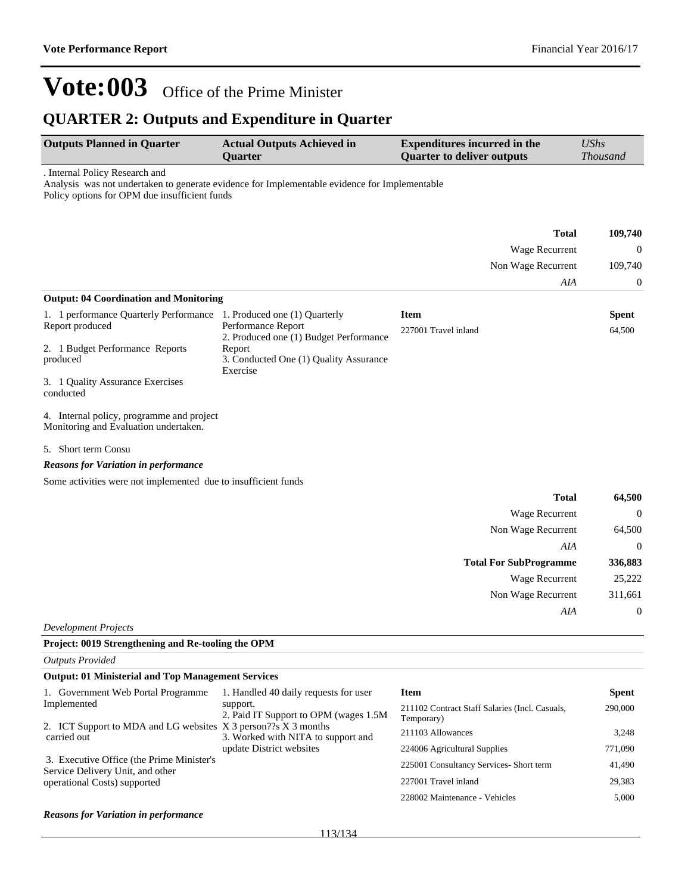### **QUARTER 2: Outputs and Expenditure in Quarter**

| <b>Outputs Planned in Quarter</b>                                                  | <b>Actual Outputs Achieved in</b><br><b>Ouarter</b>                                                    | <b>Expenditures incurred in the</b><br><b>Quarter to deliver outputs</b> |                    | <b>UShs</b><br><b>Thousand</b> |
|------------------------------------------------------------------------------------|--------------------------------------------------------------------------------------------------------|--------------------------------------------------------------------------|--------------------|--------------------------------|
| . Internal Policy Research and<br>Policy options for OPM due insufficient funds    | Analysis was not undertaken to generate evidence for Implementable evidence for Implementable          |                                                                          |                    |                                |
|                                                                                    |                                                                                                        |                                                                          | <b>Total</b>       | 109,740                        |
|                                                                                    |                                                                                                        |                                                                          | Wage Recurrent     | $\overline{0}$                 |
|                                                                                    |                                                                                                        |                                                                          | Non Wage Recurrent | 109,740                        |
|                                                                                    |                                                                                                        |                                                                          | AIA                | $\theta$                       |
| <b>Output: 04 Coordination and Monitoring</b>                                      |                                                                                                        |                                                                          |                    |                                |
| 1. 1 performance Quarterly Performance<br>Report produced                          | 1. Produced one (1) Quarterly<br>Performance Report                                                    | <b>Item</b><br>227001 Travel inland                                      |                    | <b>Spent</b><br>64,500         |
| 2. 1 Budget Performance Reports<br>produced                                        | 2. Produced one (1) Budget Performance<br>Report<br>3. Conducted One (1) Quality Assurance<br>Exercise |                                                                          |                    |                                |
| 3. 1 Quality Assurance Exercises<br>conducted                                      |                                                                                                        |                                                                          |                    |                                |
| 4. Internal policy, programme and project<br>Monitoring and Evaluation undertaken. |                                                                                                        |                                                                          |                    |                                |
| 5. Short term Consu                                                                |                                                                                                        |                                                                          |                    |                                |
| <b>Reasons for Variation in performance</b>                                        |                                                                                                        |                                                                          |                    |                                |
| Some activities were not implemented due to insufficient funds                     |                                                                                                        |                                                                          |                    |                                |
|                                                                                    |                                                                                                        |                                                                          | Total              | 64.500                         |

| 64,500         | <b>Total</b>                  |  |
|----------------|-------------------------------|--|
| $\overline{0}$ | <b>Wage Recurrent</b>         |  |
| 64,500         | Non Wage Recurrent            |  |
| $\overline{0}$ | AIA                           |  |
| 336,883        | <b>Total For SubProgramme</b> |  |
| 25,222         | Wage Recurrent                |  |
| 311,661        | Non Wage Recurrent            |  |
| $\mathbf{0}$   | AIA                           |  |
|                |                               |  |

#### *Development Projects*

#### **Project: 0019 Strengthening and Re-tooling the OPM**

#### *Outputs Provided*

| <b>Output: 01 Ministerial and Top Management Services</b>                                                                                                                                                                                           |                                                                                                                                   |                                                              |              |
|-----------------------------------------------------------------------------------------------------------------------------------------------------------------------------------------------------------------------------------------------------|-----------------------------------------------------------------------------------------------------------------------------------|--------------------------------------------------------------|--------------|
| 1. Government Web Portal Programme<br>Implemented<br>2. ICT Support to MDA and LG websites X 3 person??s X 3 months<br>carried out<br>3. Executive Office (the Prime Minister's<br>Service Delivery Unit, and other<br>operational Costs) supported | 1. Handled 40 daily requests for user<br>support.<br>2. Paid IT Support to OPM (wages 1.5M)<br>3. Worked with NITA to support and | <b>Item</b>                                                  | <b>Spent</b> |
|                                                                                                                                                                                                                                                     |                                                                                                                                   | 211102 Contract Staff Salaries (Incl. Casuals,<br>Temporary) | 290,000      |
|                                                                                                                                                                                                                                                     |                                                                                                                                   | 211103 Allowances                                            | 3,248        |
|                                                                                                                                                                                                                                                     | update District websites                                                                                                          | 224006 Agricultural Supplies                                 | 771,090      |
|                                                                                                                                                                                                                                                     |                                                                                                                                   | 225001 Consultancy Services- Short term                      | 41,490       |
|                                                                                                                                                                                                                                                     |                                                                                                                                   | 227001 Travel inland                                         | 29,383       |
|                                                                                                                                                                                                                                                     |                                                                                                                                   | 228002 Maintenance - Vehicles                                | 5,000        |

#### *Reasons for Variation in performance*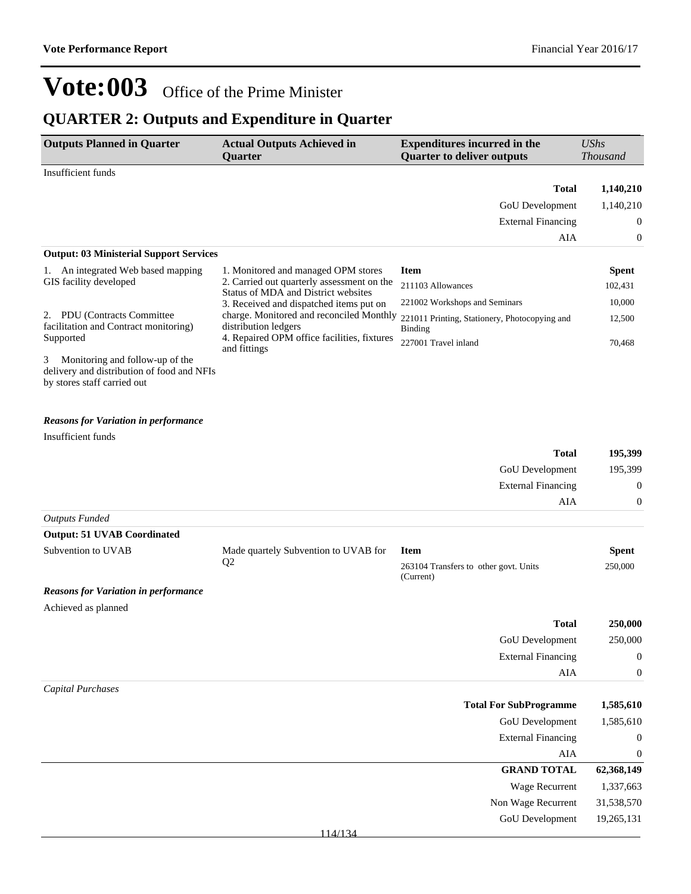Non Wage Recurrent 31,538,570 GoU Development 19,265,131

# **Vote:003** Office of the Prime Minister

### **QUARTER 2: Outputs and Expenditure in Quarter**

| <b>Outputs Planned in Quarter</b>                                                                                 | <b>Actual Outputs Achieved in</b><br><b>Ouarter</b>                                                             | <b>Expenditures incurred in the</b><br><b>Quarter to deliver outputs</b> | <b>UShs</b><br><b>Thousand</b> |
|-------------------------------------------------------------------------------------------------------------------|-----------------------------------------------------------------------------------------------------------------|--------------------------------------------------------------------------|--------------------------------|
| Insufficient funds                                                                                                |                                                                                                                 |                                                                          |                                |
|                                                                                                                   |                                                                                                                 | <b>Total</b>                                                             | 1,140,210                      |
|                                                                                                                   |                                                                                                                 | GoU Development                                                          | 1,140,210                      |
|                                                                                                                   |                                                                                                                 | <b>External Financing</b>                                                | $\boldsymbol{0}$               |
|                                                                                                                   |                                                                                                                 | AIA                                                                      | $\boldsymbol{0}$               |
| <b>Output: 03 Ministerial Support Services</b>                                                                    |                                                                                                                 |                                                                          |                                |
| 1. An integrated Web based mapping                                                                                | 1. Monitored and managed OPM stores                                                                             | <b>Item</b>                                                              | <b>Spent</b>                   |
| GIS facility developed                                                                                            | 2. Carried out quarterly assessment on the<br>Status of MDA and District websites                               | 211103 Allowances                                                        | 102,431                        |
|                                                                                                                   | 3. Received and dispatched items put on                                                                         | 221002 Workshops and Seminars                                            | 10,000                         |
| 2. PDU (Contracts Committee)<br>facilitation and Contract monitoring)<br>Supported                                | charge. Monitored and reconciled Monthly<br>distribution ledgers<br>4. Repaired OPM office facilities, fixtures | 221011 Printing, Stationery, Photocopying and<br>Binding                 | 12,500                         |
|                                                                                                                   | and fittings                                                                                                    | 227001 Travel inland                                                     | 70,468                         |
| Monitoring and follow-up of the<br>3<br>delivery and distribution of food and NFIs<br>by stores staff carried out |                                                                                                                 |                                                                          |                                |
| <b>Reasons for Variation in performance</b>                                                                       |                                                                                                                 |                                                                          |                                |
| Insufficient funds                                                                                                |                                                                                                                 |                                                                          |                                |
|                                                                                                                   |                                                                                                                 | <b>Total</b>                                                             | 195,399                        |
|                                                                                                                   |                                                                                                                 | GoU Development                                                          | 195,399                        |
|                                                                                                                   |                                                                                                                 | <b>External Financing</b>                                                | $\boldsymbol{0}$               |
|                                                                                                                   |                                                                                                                 | AIA                                                                      | $\boldsymbol{0}$               |
| <b>Outputs Funded</b>                                                                                             |                                                                                                                 |                                                                          |                                |
| <b>Output: 51 UVAB Coordinated</b>                                                                                |                                                                                                                 |                                                                          |                                |
| Subvention to UVAB                                                                                                | Made quartely Subvention to UVAB for<br>Q <sub>2</sub>                                                          | <b>Item</b>                                                              | <b>Spent</b>                   |
|                                                                                                                   |                                                                                                                 | 263104 Transfers to other govt. Units<br>(Current)                       | 250,000                        |
| <b>Reasons for Variation in performance</b>                                                                       |                                                                                                                 |                                                                          |                                |
| Achieved as planned                                                                                               |                                                                                                                 |                                                                          |                                |
|                                                                                                                   |                                                                                                                 | <b>Total</b>                                                             | 250,000                        |
|                                                                                                                   |                                                                                                                 | <b>GoU</b> Development                                                   | 250,000                        |
|                                                                                                                   |                                                                                                                 | <b>External Financing</b>                                                | $\boldsymbol{0}$               |
|                                                                                                                   |                                                                                                                 | ${\rm AIA}$                                                              | $\boldsymbol{0}$               |
| <b>Capital Purchases</b>                                                                                          |                                                                                                                 |                                                                          |                                |
|                                                                                                                   |                                                                                                                 | <b>Total For SubProgramme</b>                                            | 1,585,610                      |
|                                                                                                                   |                                                                                                                 | <b>GoU</b> Development                                                   | 1,585,610                      |
|                                                                                                                   |                                                                                                                 | <b>External Financing</b>                                                | $\boldsymbol{0}$               |
|                                                                                                                   |                                                                                                                 | <b>AIA</b>                                                               | $\boldsymbol{0}$               |
|                                                                                                                   |                                                                                                                 | <b>GRAND TOTAL</b>                                                       | 62,368,149                     |
|                                                                                                                   |                                                                                                                 | Wage Recurrent                                                           | 1,337,663                      |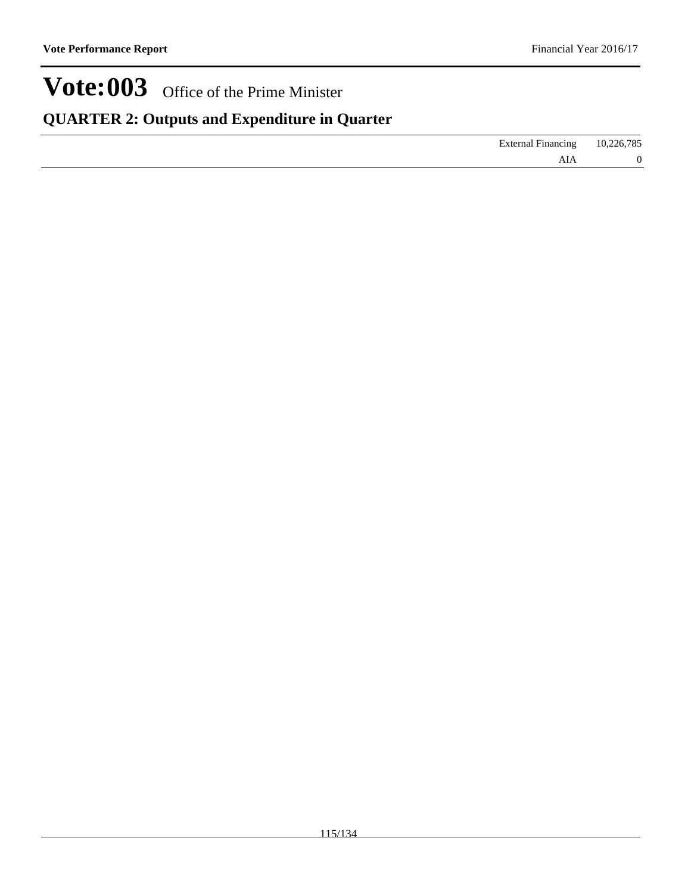### **QUARTER 2: Outputs and Expenditure in Quarter**

| T.<br>External<br>Financing | 10,226,785 |
|-----------------------------|------------|
| הנה                         | ∩          |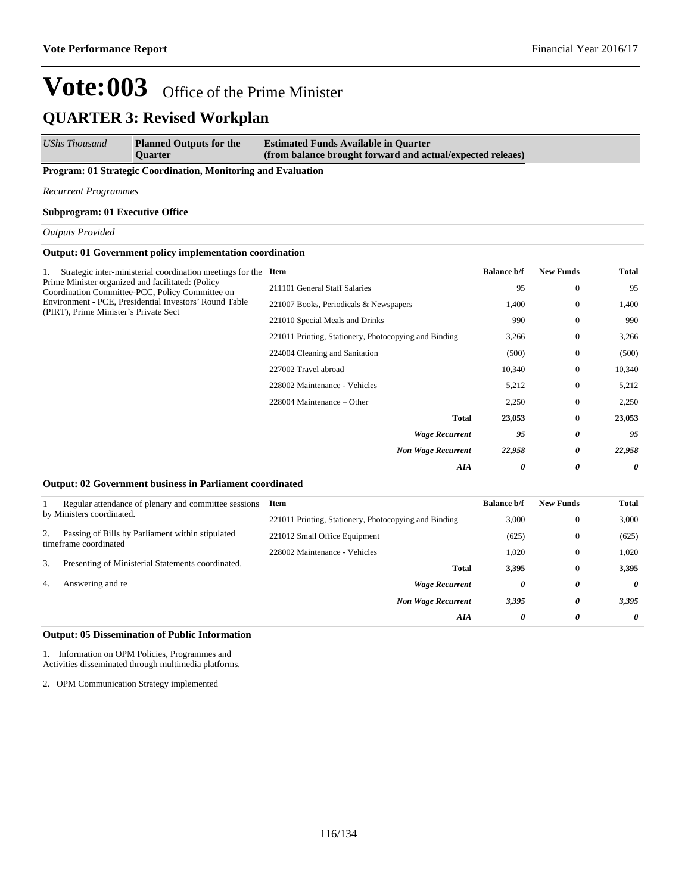*UShs Thousand* **Planned Outputs for the Quarter Estimated Funds Available in Quarter (from balance brought forward and actual/expected releaes)**

#### **Program: 01 Strategic Coordination, Monitoring and Evaluation**

*Recurrent Programmes*

#### **Subprogram: 01 Executive Office**

*Outputs Provided*

#### **Output: 01 Government policy implementation coordination**

| Strategic inter-ministerial coordination meetings for the<br>1.                                      | Item                                                  | <b>Balance b/f</b> | <b>New Funds</b> | <b>Total</b> |
|------------------------------------------------------------------------------------------------------|-------------------------------------------------------|--------------------|------------------|--------------|
| Prime Minister organized and facilitated: (Policy<br>Coordination Committee-PCC, Policy Committee on | 211101 General Staff Salaries                         | 95                 | $\mathbf{0}$     | 95           |
| Environment - PCE, Presidential Investors' Round Table<br>(PIRT), Prime Minister's Private Sect      | 221007 Books, Periodicals & Newspapers                | 1,400              | $\mathbf{0}$     | 1,400        |
|                                                                                                      | 221010 Special Meals and Drinks                       | 990                | $\mathbf{0}$     | 990          |
|                                                                                                      | 221011 Printing, Stationery, Photocopying and Binding | 3,266              | $\mathbf{0}$     | 3,266        |
|                                                                                                      | 224004 Cleaning and Sanitation                        | (500)              | $\boldsymbol{0}$ | (500)        |
|                                                                                                      | 227002 Travel abroad                                  | 10,340             | $\mathbf{0}$     | 10,340       |
|                                                                                                      | 228002 Maintenance - Vehicles                         | 5,212              | $\mathbf{0}$     | 5,212        |
|                                                                                                      | 228004 Maintenance – Other                            | 2,250              | $\mathbf{0}$     | 2,250        |
|                                                                                                      | <b>Total</b>                                          | 23,053             | $\mathbf{0}$     | 23,053       |
|                                                                                                      | <b>Wage Recurrent</b>                                 | 95                 | 0                | 95           |
|                                                                                                      | <b>Non Wage Recurrent</b>                             | 22,958             | 0                | 22,958       |
|                                                                                                      | AIA                                                   | 0                  | 0                | 0            |

|    | <b>Output: 02 Government business in Parliament coordinated</b>           |                                                       |                    |                  |              |
|----|---------------------------------------------------------------------------|-------------------------------------------------------|--------------------|------------------|--------------|
|    | Regular attendance of plenary and committee sessions                      | Item                                                  | <b>Balance b/f</b> | <b>New Funds</b> | <b>Total</b> |
|    | by Ministers coordinated.                                                 | 221011 Printing, Stationery, Photocopying and Binding | 3,000              | $\theta$         | 3,000        |
|    | Passing of Bills by Parliament within stipulated<br>timeframe coordinated | 221012 Small Office Equipment                         | (625)              | $\theta$         | (625)        |
|    |                                                                           | 228002 Maintenance - Vehicles                         | 1,020              | $\theta$         | 1,020        |
| 3. | Presenting of Ministerial Statements coordinated.                         | <b>Total</b>                                          | 3,395              | $\Omega$         | 3,395        |
| 4. | Answering and re                                                          | <b>Wage Recurrent</b>                                 | 0                  | 0                | 0            |
|    |                                                                           | <b>Non Wage Recurrent</b>                             | 3,395              | 0                | 3,395        |
|    |                                                                           | AIA                                                   | 0                  | 0                | 0            |

#### **Output: 05 Dissemination of Public Information**

1. Information on OPM Policies, Programmes and

Activities disseminated through multimedia platforms.

2. OPM Communication Strategy implemented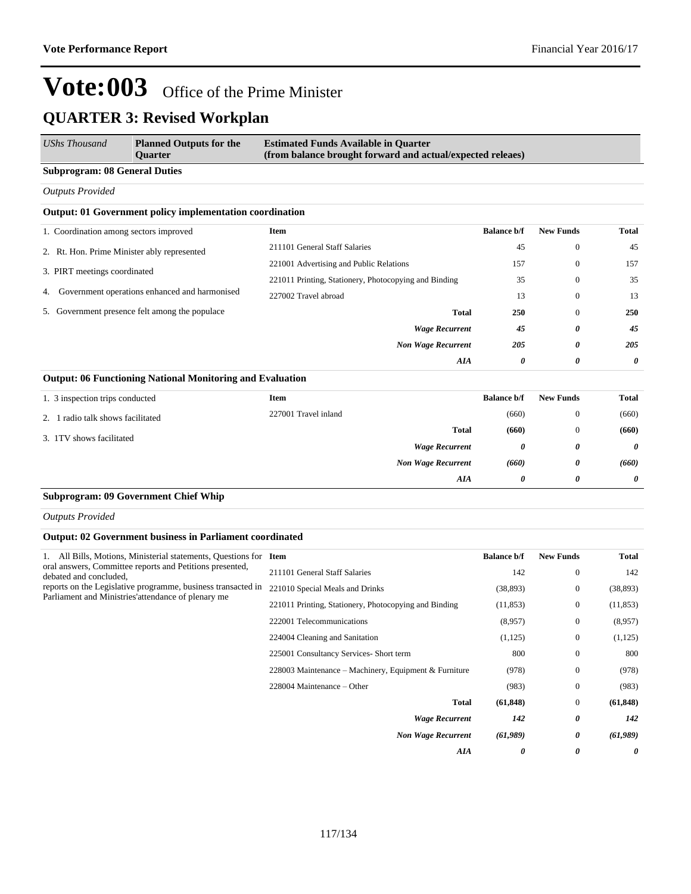| UShs Thousand                        | <b>Planned Outputs for the</b><br><b>Ouarter</b> | <b>Estimated Funds Available in Quarter</b><br>(from balance brought forward and actual/expected releaes) |
|--------------------------------------|--------------------------------------------------|-----------------------------------------------------------------------------------------------------------|
| <b>Subprogram: 08 General Duties</b> |                                                  |                                                                                                           |

#### *Outputs Provided*

#### **Output: 01 Government policy implementation coordination**

| 1. Coordination among sectors improved              | <b>Item</b>                                           | <b>Balance b/f</b> | <b>New Funds</b> | Total      |
|-----------------------------------------------------|-------------------------------------------------------|--------------------|------------------|------------|
| 2. Rt. Hon. Prime Minister ably represented         | 211101 General Staff Salaries                         | 45                 | $\mathbf{0}$     | 45         |
|                                                     | 221001 Advertising and Public Relations               | 157                | $\mathbf{0}$     | 157        |
| 3. PIRT meetings coordinated                        | 221011 Printing, Stationery, Photocopying and Binding | 35                 | $\mathbf{0}$     | 35         |
| Government operations enhanced and harmonised<br>4. | 227002 Travel abroad                                  | 13                 | $\mathbf{0}$     | 13         |
| 5. Government presence felt among the populace      | <b>Total</b>                                          | 250                | $\Omega$         | <b>250</b> |
|                                                     | <b>Wage Recurrent</b>                                 | 45                 | 0                | 45         |
|                                                     | <b>Non Wage Recurrent</b>                             | 205                | 0                | 205        |
|                                                     | AIA                                                   | 0                  | 0                | 0          |

#### **Output: 06 Functioning National Monitoring and Evaluation**

| 1. 3 inspection trips conducted        | Item                      | <b>Balance b/f</b> | <b>New Funds</b> | <b>Total</b> |
|----------------------------------------|---------------------------|--------------------|------------------|--------------|
| l radio talk shows facilitated<br>2. 1 | 227001 Travel inland      | (660)              | $\theta$         | (660)        |
| 3. 1 TV shows facilitated              | Total                     | (660)              | $\theta$         | (660)        |
|                                        | <b>Wage Recurrent</b>     | 0                  | 0                | $\theta$     |
|                                        | <b>Non Wage Recurrent</b> | (660)              | 0                | (660)        |
|                                        | AIA                       | 0                  | 0                | 0            |

#### **Subprogram: 09 Government Chief Whip**

*Outputs Provided*

#### **Output: 02 Government business in Parliament coordinated**

| 1. All Bills, Motions, Ministerial statements, Questions for                                                       | Item                                                  | <b>Balance b/f</b> | <b>New Funds</b> | Total     |
|--------------------------------------------------------------------------------------------------------------------|-------------------------------------------------------|--------------------|------------------|-----------|
| oral answers, Committee reports and Petitions presented,<br>debated and concluded,                                 | 211101 General Staff Salaries                         | 142                | $\mathbf{0}$     | 142       |
| reports on the Legislative programme, business transacted in<br>Parliament and Ministries'attendance of plenary me | 221010 Special Meals and Drinks                       | (38, 893)          | $\boldsymbol{0}$ | (38, 893) |
|                                                                                                                    | 221011 Printing, Stationery, Photocopying and Binding | (11, 853)          | 0                | (11, 853) |
|                                                                                                                    | 222001 Telecommunications                             | (8,957)            | $\mathbf{0}$     | (8,957)   |
|                                                                                                                    | 224004 Cleaning and Sanitation                        | (1,125)            | $\mathbf{0}$     | (1,125)   |
|                                                                                                                    | 225001 Consultancy Services- Short term               | 800                | $\mathbf{0}$     | 800       |
|                                                                                                                    | 228003 Maintenance – Machinery, Equipment & Furniture | (978)              | $\mathbf{0}$     | (978)     |
|                                                                                                                    | 228004 Maintenance – Other                            | (983)              | $\mathbf{0}$     | (983)     |
|                                                                                                                    | <b>Total</b>                                          | (61, 848)          | $\mathbf{0}$     | (61, 848) |
|                                                                                                                    | <b>Wage Recurrent</b>                                 | 142                | 0                | 142       |
|                                                                                                                    | <b>Non Wage Recurrent</b>                             | (61,989)           | 0                | (61,989)  |
|                                                                                                                    | AIA                                                   | 0                  | 0                | 0         |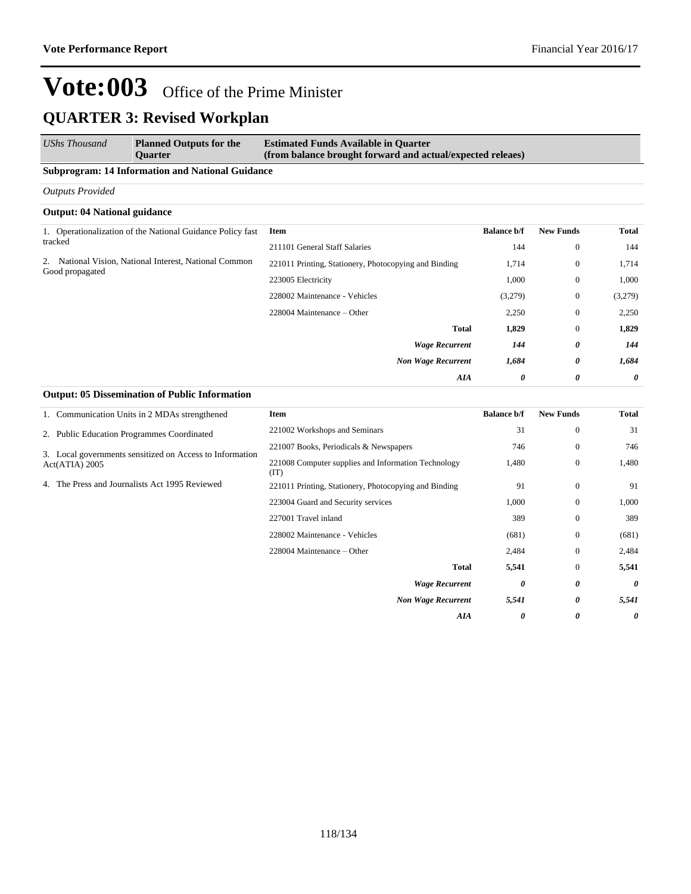| <b>UShs Thousand</b> | <b>Planned Outputs for the</b> | <b>Estimated Funds Available in Quarter</b>                |
|----------------------|--------------------------------|------------------------------------------------------------|
|                      | Ouarter                        | (from balance brought forward and actual/expected releaes) |

#### **Subprogram: 14 Information and National Guidance**

*Outputs Provided*

#### **Output: 04 National guidance**

| 1. Operationalization of the National Guidance Policy fast | Item                                                  | <b>Balance b/f</b> | <b>New Funds</b> | Total   |
|------------------------------------------------------------|-------------------------------------------------------|--------------------|------------------|---------|
| tracked                                                    | 211101 General Staff Salaries                         | 144                | $\overline{0}$   | 144     |
| 2. National Vision, National Interest, National Common     | 221011 Printing, Stationery, Photocopying and Binding | 1,714              | $\mathbf{0}$     | 1,714   |
| Good propagated                                            | 223005 Electricity                                    | 1,000              | $\mathbf{0}$     | 1,000   |
|                                                            | 228002 Maintenance - Vehicles                         | (3,279)            | $\mathbf{0}$     | (3,279) |
|                                                            | 228004 Maintenance – Other                            | 2,250              | $\mathbf{0}$     | 2,250   |
|                                                            | <b>Total</b>                                          | 1,829              | $\mathbf{0}$     | 1,829   |
|                                                            | <b>Wage Recurrent</b>                                 | 144                | 0                | 144     |
|                                                            | <b>Non Wage Recurrent</b>                             | 1,684              | 0                | 1,684   |
|                                                            | AIA                                                   | 0                  | 0                | 0       |

#### **Output: 05 Dissemination of Public Information**

| 1. Communication Units in 2 MDAs strengthened            | <b>Item</b>                                                 | <b>Balance b/f</b> | <b>New Funds</b> | <b>Total</b> |
|----------------------------------------------------------|-------------------------------------------------------------|--------------------|------------------|--------------|
| 2. Public Education Programmes Coordinated               | 221002 Workshops and Seminars                               | 31                 | $\boldsymbol{0}$ | 31           |
| 3. Local governments sensitized on Access to Information | 221007 Books, Periodicals & Newspapers                      | 746                | $\mathbf{0}$     | 746          |
| Act(ATIA) 2005                                           | 221008 Computer supplies and Information Technology<br>(TT) | 1,480              | $\mathbf{0}$     | 1,480        |
| 4. The Press and Journalists Act 1995 Reviewed           | 221011 Printing, Stationery, Photocopying and Binding       | 91                 | $\mathbf{0}$     | 91           |
|                                                          | 223004 Guard and Security services                          | 1,000              | $\mathbf{0}$     | 1,000        |
|                                                          | 227001 Travel inland                                        | 389                | $\mathbf{0}$     | 389          |
|                                                          | 228002 Maintenance - Vehicles                               | (681)              | $\bf{0}$         | (681)        |
|                                                          | 228004 Maintenance – Other                                  | 2,484              | $\mathbf{0}$     | 2,484        |
|                                                          | <b>Total</b>                                                | 5,541              | $\mathbf{0}$     | 5,541        |
|                                                          | <b>Wage Recurrent</b>                                       | 0                  | 0                | $\theta$     |
|                                                          | <b>Non Wage Recurrent</b>                                   | 5,541              | 0                | 5,541        |
|                                                          | AIA                                                         | 0                  | 0                | 0            |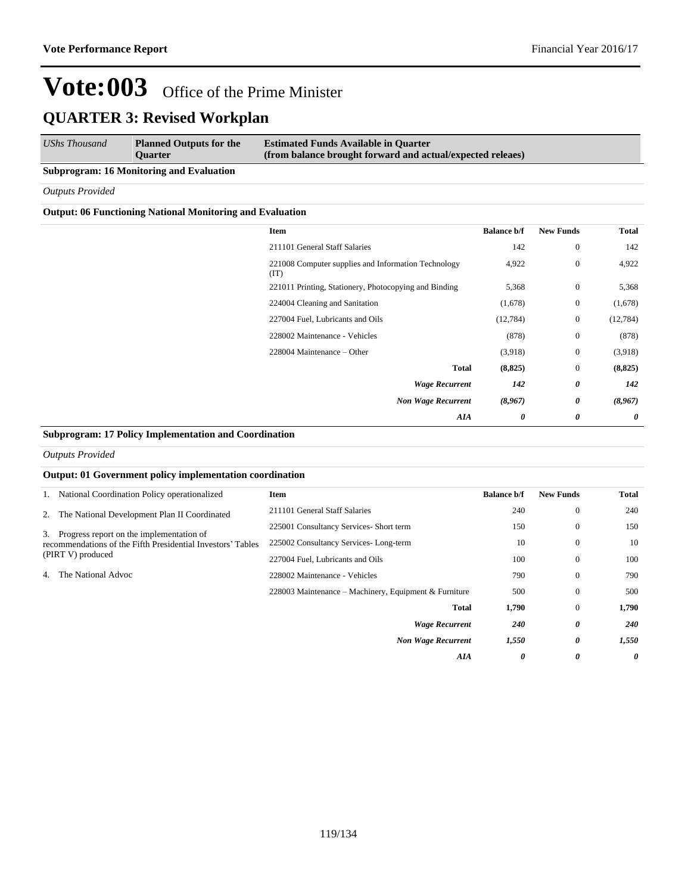| <b>UShs Thousand</b> | <b>Planned Outputs for the</b><br><b>Ouarter</b> | <b>Estimated Funds Available in Quarter</b><br>(from balance brought forward and actual/expected releaes) |
|----------------------|--------------------------------------------------|-----------------------------------------------------------------------------------------------------------|
|                      |                                                  |                                                                                                           |

#### **Subprogram: 16 Monitoring and Evaluation**

*Outputs Provided*

#### **Output: 06 Functioning National Monitoring and Evaluation**

| Item                                                        | <b>Balance b/f</b> | <b>New Funds</b> | <b>Total</b> |
|-------------------------------------------------------------|--------------------|------------------|--------------|
| 211101 General Staff Salaries                               | 142                | $\mathbf{0}$     | 142          |
| 221008 Computer supplies and Information Technology<br>(TT) | 4,922              | $\mathbf{0}$     | 4,922        |
| 221011 Printing, Stationery, Photocopying and Binding       | 5,368              | $\mathbf{0}$     | 5,368        |
| 224004 Cleaning and Sanitation                              | (1,678)            | $\mathbf{0}$     | (1,678)      |
| 227004 Fuel, Lubricants and Oils                            | (12, 784)          | $\mathbf{0}$     | (12, 784)    |
| 228002 Maintenance - Vehicles                               | (878)              | $\mathbf{0}$     | (878)        |
| 228004 Maintenance – Other                                  | (3,918)            | $\mathbf{0}$     | (3,918)      |
| <b>Total</b>                                                | (8, 825)           | $\boldsymbol{0}$ | (8, 825)     |
| <b>Wage Recurrent</b>                                       | 142                | 0                | 142          |
| <b>Non Wage Recurrent</b>                                   | (8,967)            | 0                | (8,967)      |
| AIA                                                         | 0                  | 0                | 0            |
|                                                             |                    |                  |              |

#### **Subprogram: 17 Policy Implementation and Coordination**

*Outputs Provided*

#### **Output: 01 Government policy implementation coordination**

| 1. National Coordination Policy operationalized                                                            | Item                                                  | <b>Balance b/f</b> | <b>New Funds</b> | <b>Total</b> |
|------------------------------------------------------------------------------------------------------------|-------------------------------------------------------|--------------------|------------------|--------------|
| 2. The National Development Plan II Coordinated                                                            | 211101 General Staff Salaries                         | 240                | $\mathbf{0}$     | 240          |
|                                                                                                            | 225001 Consultancy Services- Short term               | 150                | $\mathbf{0}$     | 150          |
| 3. Progress report on the implementation of<br>recommendations of the Fifth Presidential Investors' Tables | 225002 Consultancy Services-Long-term                 | 10                 | $\mathbf{0}$     | 10           |
| (PIRT V) produced                                                                                          | 227004 Fuel, Lubricants and Oils                      | 100                | $\mathbf{0}$     | 100          |
| The National Advoc<br>4.                                                                                   | 228002 Maintenance - Vehicles                         | 790                | $\mathbf{0}$     | 790          |
|                                                                                                            | 228003 Maintenance – Machinery, Equipment & Furniture | 500                | $\mathbf{0}$     | 500          |
|                                                                                                            | Total                                                 | 1,790              | $\mathbf{0}$     | 1,790        |
|                                                                                                            | <b>Wage Recurrent</b>                                 | <b>240</b>         | 0                | <b>240</b>   |
|                                                                                                            | <b>Non Wage Recurrent</b>                             | 1,550              | 0                | 1,550        |
|                                                                                                            | AIA                                                   | $\theta$           | 0                | $\theta$     |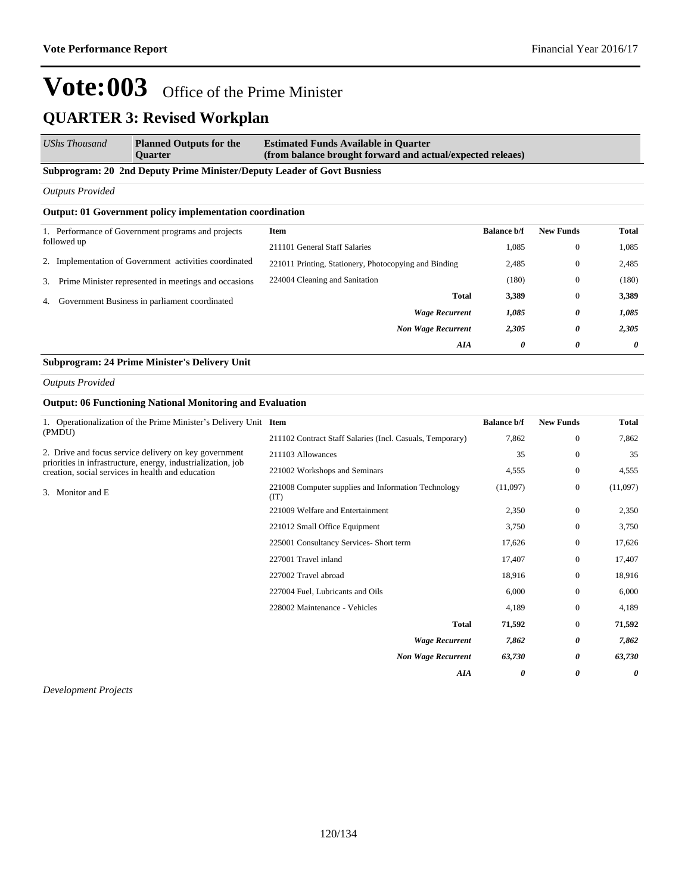#### *UShs Thousand* **Planned Outputs for the Quarter Estimated Funds Available in Quarter (from balance brought forward and actual/expected releaes)**

#### **Subprogram: 20 2nd Deputy Prime Minister/Deputy Leader of Govt Busniess**

#### *Outputs Provided*

#### **Output: 01 Government policy implementation coordination**

| 1. Performance of Government programs and projects |                                                         | Item                                                  | <b>Balance b/f</b> | <b>New Funds</b> | <b>Total</b> |
|----------------------------------------------------|---------------------------------------------------------|-------------------------------------------------------|--------------------|------------------|--------------|
|                                                    | followed up                                             | 211101 General Staff Salaries                         | 1.085              | $\theta$         | 1,085        |
|                                                    | 2. Implementation of Government activities coordinated  | 221011 Printing, Stationery, Photocopying and Binding | 2,485              | $\theta$         | 2,485        |
|                                                    | 3. Prime Minister represented in meetings and occasions | 224004 Cleaning and Sanitation                        | (180)              | $\theta$         | (180)        |
|                                                    | 4. Government Business in parliament coordinated        | <b>Total</b>                                          | 3,389              | $\theta$         | 3,389        |
|                                                    |                                                         | <b>Wage Recurrent</b>                                 | 1,085              | 0                | 1,085        |
|                                                    |                                                         | <b>Non Wage Recurrent</b>                             | 2,305              | 0                | 2,305        |
|                                                    |                                                         | AIA                                                   | 0                  | 0                | $\theta$     |
|                                                    |                                                         |                                                       |                    |                  |              |

#### **Subprogram: 24 Prime Minister's Delivery Unit**

*Outputs Provided*

#### **Output: 06 Functioning National Monitoring and Evaluation**

| 1. Operationalization of the Prime Minister's Delivery Unit Item                                                  |                                                             | <b>Balance b/f</b> | <b>New Funds</b> | <b>Total</b> |
|-------------------------------------------------------------------------------------------------------------------|-------------------------------------------------------------|--------------------|------------------|--------------|
| (PMDU)                                                                                                            | 211102 Contract Staff Salaries (Incl. Casuals, Temporary)   | 7,862              | $\boldsymbol{0}$ | 7,862        |
| 2. Drive and focus service delivery on key government                                                             | 211103 Allowances                                           | 35                 | $\mathbf{0}$     | 35           |
| priorities in infrastructure, energy, industrialization, job<br>creation, social services in health and education | 221002 Workshops and Seminars                               | 4,555              | $\boldsymbol{0}$ | 4,555        |
| 3. Monitor and E                                                                                                  | 221008 Computer supplies and Information Technology<br>(TT) | (11,097)           | $\boldsymbol{0}$ | (11,097)     |
|                                                                                                                   | 221009 Welfare and Entertainment                            | 2,350              | $\mathbf{0}$     | 2,350        |
|                                                                                                                   | 221012 Small Office Equipment                               | 3,750              | $\boldsymbol{0}$ | 3,750        |
|                                                                                                                   | 225001 Consultancy Services- Short term                     | 17,626             | $\mathbf{0}$     | 17,626       |
|                                                                                                                   | 227001 Travel inland                                        | 17,407             | $\mathbf{0}$     | 17,407       |
|                                                                                                                   | 227002 Travel abroad                                        | 18,916             | $\boldsymbol{0}$ | 18,916       |
|                                                                                                                   | 227004 Fuel, Lubricants and Oils                            | 6,000              | $\mathbf{0}$     | 6,000        |
|                                                                                                                   | 228002 Maintenance - Vehicles                               | 4,189              | $\mathbf{0}$     | 4,189        |
|                                                                                                                   | <b>Total</b>                                                | 71,592             | $\boldsymbol{0}$ | 71,592       |
|                                                                                                                   | <b>Wage Recurrent</b>                                       | 7,862              | 0                | 7,862        |
|                                                                                                                   | <b>Non Wage Recurrent</b>                                   | 63,730             | 0                | 63,730       |
|                                                                                                                   | AIA                                                         | 0                  | 0                | 0            |

*Development Projects*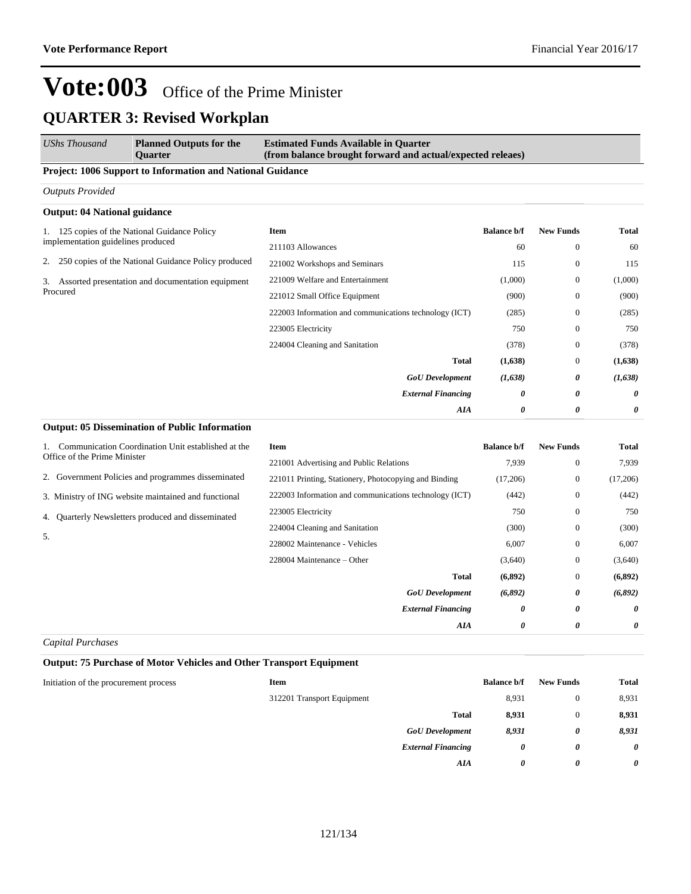| UShs Thousand | <b>Planned Outputs for the</b><br><b>Ouarter</b> | <b>Estimated Funds Available in Quarter</b><br>(from balance brought forward and actual/expected releaes) |
|---------------|--------------------------------------------------|-----------------------------------------------------------------------------------------------------------|
|---------------|--------------------------------------------------|-----------------------------------------------------------------------------------------------------------|

#### **Project: 1006 Support to Information and National Guidance**

*Outputs Provided*

#### **Output: 04 National guidance**

| 125 copies of the National Guidance Policy                       | Item                                                   | <b>Balance b/f</b> | <b>New Funds</b> | <b>Total</b> |
|------------------------------------------------------------------|--------------------------------------------------------|--------------------|------------------|--------------|
| implementation guidelines produced                               | 211103 Allowances                                      | 60                 | $\mathbf{0}$     | 60           |
| 2. 250 copies of the National Guidance Policy produced           | 221002 Workshops and Seminars                          | 115                | $\mathbf{0}$     | 115          |
| 3. Assorted presentation and documentation equipment<br>Procured | 221009 Welfare and Entertainment                       | (1,000)            | $\mathbf{0}$     | (1,000)      |
|                                                                  | 221012 Small Office Equipment                          | (900)              | $\mathbf{0}$     | (900)        |
|                                                                  | 222003 Information and communications technology (ICT) | (285)              | $\mathbf{0}$     | (285)        |
|                                                                  | 223005 Electricity                                     | 750                | $\mathbf{0}$     | 750          |
|                                                                  | 224004 Cleaning and Sanitation                         | (378)              | $\mathbf{0}$     | (378)        |
|                                                                  | <b>Total</b>                                           | (1,638)            | $\mathbf{0}$     | (1,638)      |
|                                                                  | <b>GoU</b> Development                                 | (1,638)            | 0                | (1,638)      |
|                                                                  | <b>External Financing</b>                              | 0                  | 0                | 0            |
|                                                                  | AIA                                                    | 0                  | 0                | 0            |

#### **Output: 05 Dissemination of Public Information**

| 1. Communication Coordination Unit established at the                    | Item                                                   | <b>Balance b/f</b> | <b>New Funds</b> | Total    |
|--------------------------------------------------------------------------|--------------------------------------------------------|--------------------|------------------|----------|
| Office of the Prime Minister                                             | 221001 Advertising and Public Relations                | 7,939              | $\mathbf{0}$     | 7,939    |
| 2. Government Policies and programmes disseminated                       | 221011 Printing, Stationery, Photocopying and Binding  | (17,206)           | $\mathbf{0}$     | (17,206) |
| 3. Ministry of ING website maintained and functional                     | 222003 Information and communications technology (ICT) | (442)              | $\mathbf{0}$     | (442)    |
| 223005 Electricity<br>4. Quarterly Newsletters produced and disseminated |                                                        | 750                | $\mathbf{0}$     | 750      |
|                                                                          | 224004 Cleaning and Sanitation                         | (300)              | $\mathbf{0}$     | (300)    |
| 5.                                                                       | 228002 Maintenance - Vehicles                          | 6,007              | $\mathbf{0}$     | 6,007    |
|                                                                          | 228004 Maintenance – Other                             | (3,640)            | $\mathbf{0}$     | (3,640)  |
|                                                                          | <b>Total</b>                                           | (6,892)            | $\mathbf{0}$     | (6,892)  |
|                                                                          | <b>GoU</b> Development                                 | (6,892)            | 0                | (6,892)  |
|                                                                          | <b>External Financing</b>                              | 0                  | 0                | 0        |
|                                                                          | AIA                                                    | 0                  | 0                | 0        |

*Capital Purchases*

#### **Output: 75 Purchase of Motor Vehicles and Other Transport Equipment**

|  | Initiation of the procurement process |
|--|---------------------------------------|
|--|---------------------------------------|

| Initiation of the procurement process | Item                       |                           | <b>Balance b/f</b> | <b>New Funds</b> | Total |
|---------------------------------------|----------------------------|---------------------------|--------------------|------------------|-------|
|                                       | 312201 Transport Equipment |                           | 8,931              | $\theta$         | 8.931 |
|                                       |                            | <b>Total</b>              | 8,931              | $\theta$         | 8,931 |
|                                       |                            | <b>GoU</b> Development    | 8,931              | 0                | 8,931 |
|                                       |                            | <b>External Financing</b> | 0                  | 0                | 0     |
|                                       |                            | AIA                       | 0                  | 0                | 0     |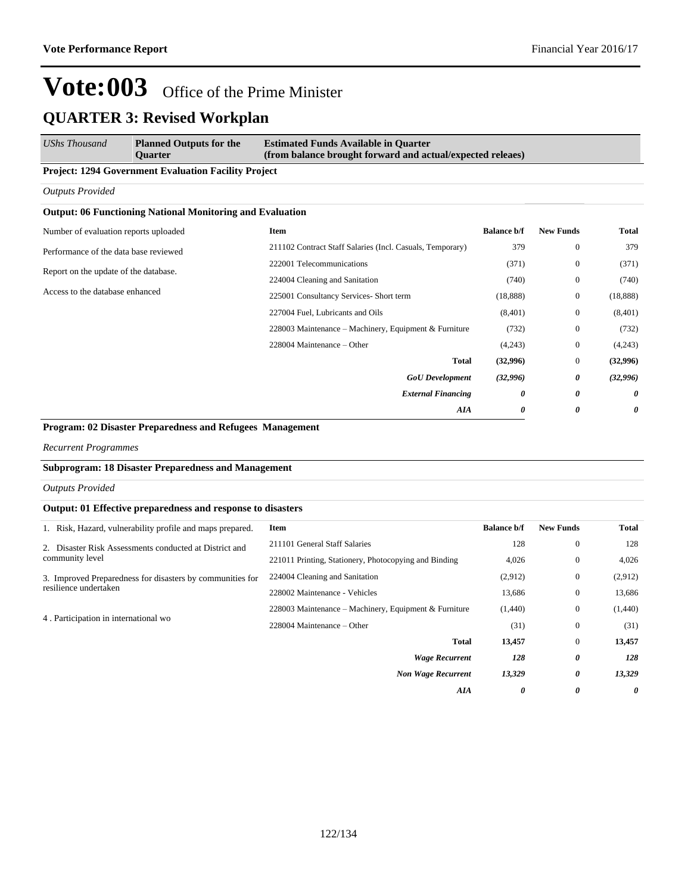#### *UShs Thousand* **Planned Outputs for the Quarter Estimated Funds Available in Quarter (from balance brought forward and actual/expected releaes)**

#### **Project: 1294 Government Evaluation Facility Project**

*Outputs Provided*

#### **Output: 06 Functioning National Monitoring and Evaluation**

| Number of evaluation reports uploaded | Item                                                      | <b>Balance b/f</b> | <b>New Funds</b> | Total                 |
|---------------------------------------|-----------------------------------------------------------|--------------------|------------------|-----------------------|
| Performance of the data base reviewed | 211102 Contract Staff Salaries (Incl. Casuals, Temporary) | 379                | $\theta$         | 379                   |
| Report on the update of the database. | 222001 Telecommunications                                 | (371)              | $\theta$         | (371)                 |
|                                       | 224004 Cleaning and Sanitation                            | (740)              | $\mathbf{0}$     | (740)                 |
| Access to the database enhanced       | 225001 Consultancy Services- Short term                   | (18, 888)          | $\mathbf{0}$     | (18, 888)             |
|                                       | 227004 Fuel, Lubricants and Oils                          | (8,401)            | $\mathbf{0}$     | (8,401)               |
|                                       | 228003 Maintenance – Machinery, Equipment & Furniture     | (732)              | $\mathbf{0}$     | (732)                 |
|                                       | 228004 Maintenance – Other                                | (4,243)            | $\mathbf{0}$     | (4,243)               |
|                                       | <b>Total</b>                                              | (32,996)           | $\mathbf{0}$     | (32,996)              |
|                                       | <b>GoU</b> Development                                    | (32,996)           | 0                | (32,996)              |
|                                       | <b>External Financing</b>                                 | 0                  | 0                | $\theta$              |
|                                       | AIA                                                       | 0                  | 0                | $\boldsymbol{\theta}$ |

#### **Program: 02 Disaster Preparedness and Refugees Management**

*Recurrent Programmes*

#### **Subprogram: 18 Disaster Preparedness and Management**

*Outputs Provided*

#### **Output: 01 Effective preparedness and response to disasters**

| 1. Risk, Hazard, vulnerability profile and maps prepared. | <b>Item</b>                                           | <b>Balance b/f</b> | <b>New Funds</b> | <b>Total</b> |
|-----------------------------------------------------------|-------------------------------------------------------|--------------------|------------------|--------------|
| 2. Disaster Risk Assessments conducted at District and    | 211101 General Staff Salaries                         | 128                | $\Omega$         | 128          |
| community level                                           | 221011 Printing, Stationery, Photocopying and Binding | 4,026              | $\theta$         | 4,026        |
| 3. Improved Preparedness for disasters by communities for | 224004 Cleaning and Sanitation                        | (2,912)            | $\theta$         | (2,912)      |
| resilience undertaken                                     | 228002 Maintenance - Vehicles                         | 13,686             | $\overline{0}$   | 13,686       |
|                                                           | 228003 Maintenance – Machinery, Equipment & Furniture | (1,440)            | $\overline{0}$   | (1,440)      |
| 4. Participation in international wo                      | 228004 Maintenance – Other                            | (31)               | $\overline{0}$   | (31)         |
|                                                           | <b>Total</b>                                          | 13,457             | $\theta$         | 13,457       |
|                                                           | <b>Wage Recurrent</b>                                 | 128                | 0                | 128          |
|                                                           | <b>Non Wage Recurrent</b>                             | 13,329             | 0                | 13,329       |
|                                                           | AIA                                                   | 0                  | 0                | $\theta$     |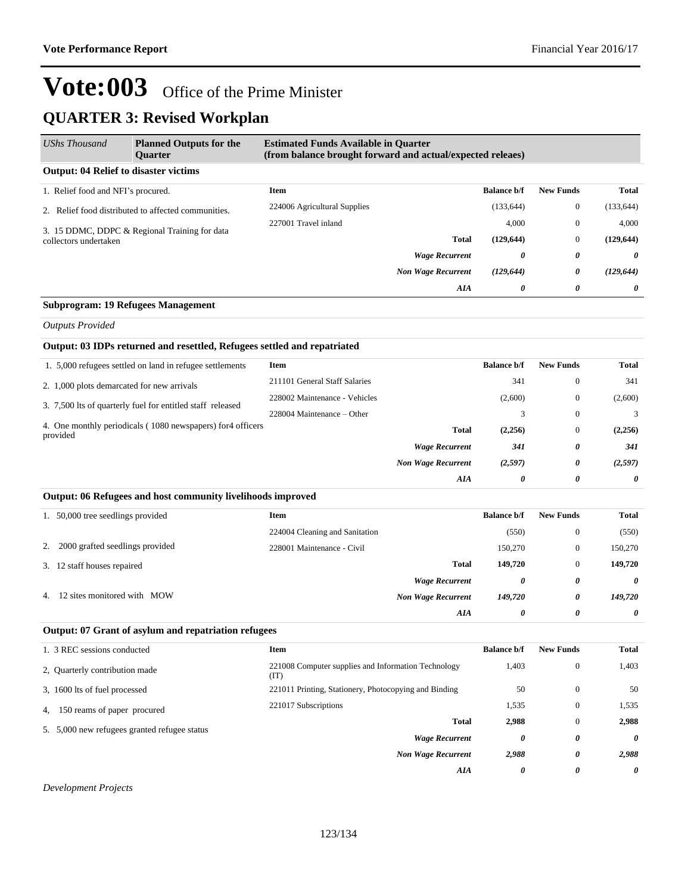| <b>UShs Thousand</b>                          | <b>Planned Outputs for the</b><br><b>Ouarter</b>    | <b>Estimated Funds Available in Quarter</b><br>(from balance brought forward and actual/expected releaes) |                    |                  |            |
|-----------------------------------------------|-----------------------------------------------------|-----------------------------------------------------------------------------------------------------------|--------------------|------------------|------------|
| <b>Output: 04 Relief to disaster victims</b>  |                                                     |                                                                                                           |                    |                  |            |
| 1. Relief food and NFI's procured.            |                                                     | <b>Item</b>                                                                                               | <b>Balance b/f</b> | <b>New Funds</b> | Total      |
|                                               | 2. Relief food distributed to affected communities. | 224006 Agricultural Supplies                                                                              | (133, 644)         | $\overline{0}$   | (133, 644) |
| 3. 15 DDMC, DDPC & Regional Training for data | 227001 Travel inland                                | 4.000                                                                                                     | $\mathbf{0}$       | 4,000            |            |
| collectors undertaken                         |                                                     | <b>Total</b>                                                                                              | (129, 644)         | $\mathbf{0}$     | (129, 644) |
|                                               |                                                     | <b>Wage Recurrent</b>                                                                                     | 0                  | 0                | 0          |
|                                               |                                                     | <b>Non Wage Recurrent</b>                                                                                 | (129, 644)         | 0                | (129, 644) |
|                                               |                                                     | AIA                                                                                                       | 0                  | 0                | 0          |
| $\sim$ $\sim$<br>$\cdots$                     | $\sim$                                              |                                                                                                           |                    |                  |            |

#### **Subprogram: 19 Refugees Management**

*Outputs Provided*

#### **Output: 03 IDPs returned and resettled, Refugees settled and repatriated**

| 1. 5,000 refugees settled on land in refugee settlements                | <b>Item</b>                   |                           | <b>Balance b/f</b> | <b>New Funds</b> | Total   |
|-------------------------------------------------------------------------|-------------------------------|---------------------------|--------------------|------------------|---------|
| 2. 1,000 plots demarcated for new arrivals                              | 211101 General Staff Salaries |                           | 341                | 0                | 341     |
|                                                                         | 228002 Maintenance - Vehicles |                           | (2,600)            | 0                | (2,600) |
| 3. 7,500 lts of quarterly fuel for entitled staff released              | $228004$ Maintenance – Other  |                           | 3                  | $\overline{0}$   | 3       |
| 4. One monthly periodicals (1080 newspapers) for 4 officers<br>provided |                               | <b>Total</b>              | (2,256)            | 0                | (2,256) |
|                                                                         |                               | <b>Wage Recurrent</b>     | 341                | 0                | 341     |
|                                                                         |                               | <b>Non Wage Recurrent</b> | (2,597)            | 0                | (2,597) |
|                                                                         |                               | AIA                       | 0                  | 0                | 0       |

#### **Output: 06 Refugees and host community livelihoods improved**

| 1. 50,000 tree seedlings provided  | Item                           |              | <b>Balance b/f</b> | <b>New Funds</b> | Total    |
|------------------------------------|--------------------------------|--------------|--------------------|------------------|----------|
|                                    | 224004 Cleaning and Sanitation |              | (550)              | $\theta$         | (550)    |
| 2. 2000 grafted seedlings provided | 228001 Maintenance - Civil     |              | 150,270            | $\mathbf{0}$     | 150,270  |
| 3. 12 staff houses repaired        |                                | <b>Total</b> | 149,720            | $\mathbf{0}$     | 149,720  |
|                                    | <b>Wage Recurrent</b>          |              | 0                  | 0                | 0        |
| 4. 12 sites monitored with MOW     | <b>Non Wage Recurrent</b>      |              | 149.720            | 0                | 149,720  |
|                                    |                                | AIA          | 0                  | 0                | $\theta$ |

#### **Output: 07 Grant of asylum and repatriation refugees**

| 1. 3 REC sessions conducted                  | <b>Item</b>                                                 | <b>Balance b/f</b> | <b>New Funds</b> | <b>Total</b> |
|----------------------------------------------|-------------------------------------------------------------|--------------------|------------------|--------------|
| 2. Quarterly contribution made               | 221008 Computer supplies and Information Technology<br>(IT) | 1,403              | $\theta$         | 1,403        |
| 3, 1600 lts of fuel processed                | 221011 Printing, Stationery, Photocopying and Binding       | 50                 | $\mathbf{0}$     | 50           |
| 150 reams of paper procured<br>4.            | 221017 Subscriptions                                        | 1,535              | $\overline{0}$   | 1,535        |
|                                              | <b>Total</b>                                                | 2,988              | $\mathbf{0}$     | 2.988        |
| 5. 5,000 new refugees granted refugee status | <b>Wage Recurrent</b>                                       | 0                  | 0                | $\theta$     |
|                                              | <b>Non Wage Recurrent</b>                                   | 2,988              | 0                | 2.988        |
|                                              | AIA                                                         | 0                  | 0                | $\theta$     |

#### *Development Projects*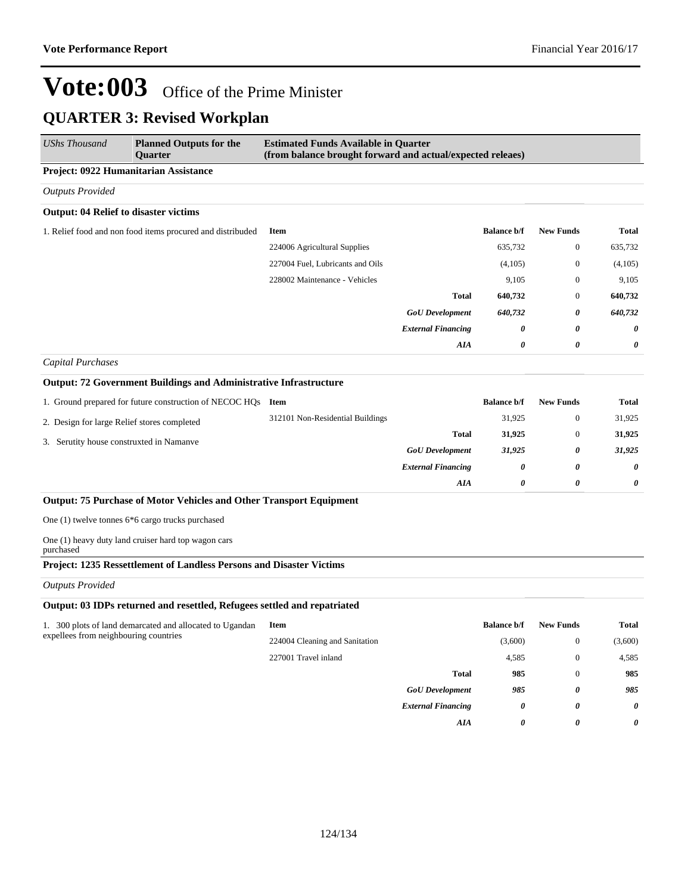| UShs Thousand                                | <b>Planned Outputs for the</b><br><b>Quarter</b>                         | <b>Estimated Funds Available in Quarter</b><br>(from balance brought forward and actual/expected releaes) |                           |                    |                  |              |
|----------------------------------------------|--------------------------------------------------------------------------|-----------------------------------------------------------------------------------------------------------|---------------------------|--------------------|------------------|--------------|
| <b>Project: 0922 Humanitarian Assistance</b> |                                                                          |                                                                                                           |                           |                    |                  |              |
| <b>Outputs Provided</b>                      |                                                                          |                                                                                                           |                           |                    |                  |              |
| <b>Output: 04 Relief to disaster victims</b> |                                                                          |                                                                                                           |                           |                    |                  |              |
|                                              | 1. Relief food and non food items procured and distribuded               | <b>Item</b>                                                                                               |                           | <b>Balance b/f</b> | <b>New Funds</b> | <b>Total</b> |
|                                              |                                                                          | 224006 Agricultural Supplies                                                                              |                           | 635,732            | $\boldsymbol{0}$ | 635,732      |
|                                              |                                                                          | 227004 Fuel, Lubricants and Oils                                                                          |                           | (4,105)            | $\theta$         | (4,105)      |
|                                              |                                                                          | 228002 Maintenance - Vehicles                                                                             |                           | 9.105              | $\mathbf{0}$     | 9,105        |
|                                              |                                                                          |                                                                                                           | <b>Total</b>              | 640,732            | $\mathbf{0}$     | 640,732      |
|                                              |                                                                          |                                                                                                           | <b>GoU</b> Development    | 640,732            | 0                | 640,732      |
|                                              |                                                                          |                                                                                                           | <b>External Financing</b> | 0                  | 0                | 0            |
|                                              |                                                                          |                                                                                                           | AIA                       | 0                  | 0                | 0            |
| Capital Purchases                            |                                                                          |                                                                                                           |                           |                    |                  |              |
|                                              | <b>Output: 72 Government Buildings and Administrative Infrastructure</b> |                                                                                                           |                           |                    |                  |              |
|                                              | 1. Ground prepared for future construction of NECOC HQs                  | Item                                                                                                      |                           | <b>Balance b/f</b> | <b>New Funds</b> | <b>Total</b> |
| 2. Design for large Polief stores completed  |                                                                          | 312101 Non-Residential Buildings                                                                          |                           | 31,925             | $\mathbf{0}$     | 31,925       |

| 2. Design for large Relief stores completed | 312101 ivon-Residential Buildings | <i>31.743</i>          | ν | J1,74J |
|---------------------------------------------|-----------------------------------|------------------------|---|--------|
|                                             |                                   | <b>Total</b><br>31.925 |   | 31,925 |
| 3. Serutity house construxted in Namanye    | <b>GoU</b> Development            | 31,925                 |   | 31,925 |
|                                             | <b>External Financing</b>         |                        |   | 0      |
|                                             |                                   | AIA                    |   | 0      |
|                                             |                                   |                        |   |        |

#### **Output: 75 Purchase of Motor Vehicles and Other Transport Equipment**

One (1) twelve tonnes 6\*6 cargo trucks purchased

One (1) heavy duty land cruiser hard top wagon cars purchased

#### **Project: 1235 Ressettlement of Landless Persons and Disaster Victims**

*Outputs Provided*

#### **Output: 03 IDPs returned and resettled, Refugees settled and repatriated**

| 1. 300 plots of land demarcated and allocated to Ugandan | Item                           |                           | <b>Balance b/f</b> | <b>New Funds</b> | <b>Total</b> |
|----------------------------------------------------------|--------------------------------|---------------------------|--------------------|------------------|--------------|
| expellees from neighbouring countries                    | 224004 Cleaning and Sanitation |                           | (3,600)            | $\overline{0}$   | (3,600)      |
|                                                          | 227001 Travel inland           |                           | 4,585              | $\mathbf{0}$     | 4,585        |
|                                                          |                                | <b>Total</b>              | 985                | $\mathbf{0}$     | 985          |
|                                                          |                                | <b>GoU</b> Development    | 985                | 0                | 985          |
|                                                          |                                | <b>External Financing</b> | 0                  | 0                | $\theta$     |
|                                                          |                                | AIA                       | 0                  | 0                | 0            |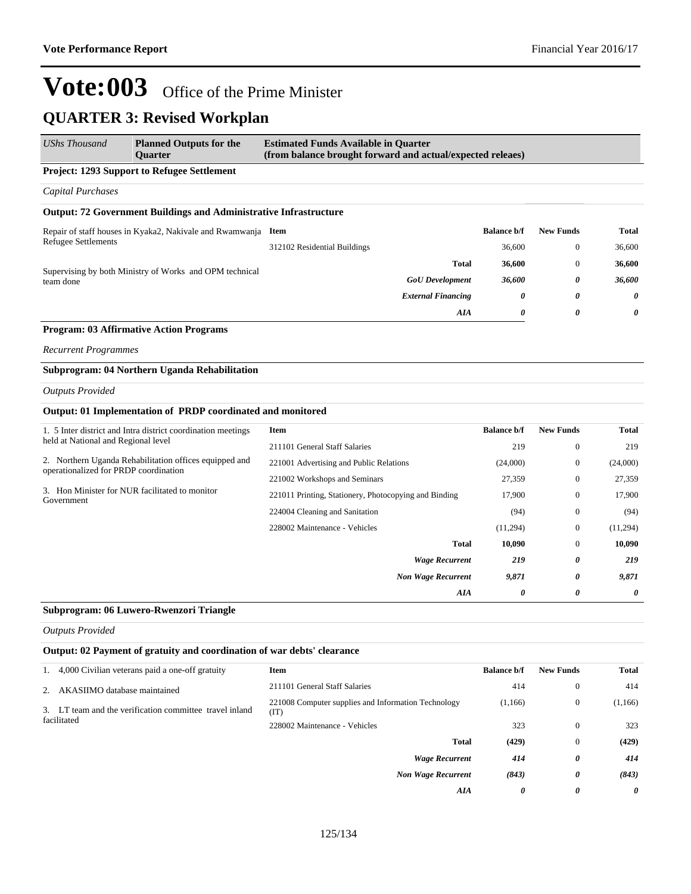*Wage Recurrent 414 0 414 Non Wage Recurrent (843) 0 (843)*

*AIA 0 0 0*

## **Vote:003** Office of the Prime Minister **QUARTER 3: Revised Workplan**

| UShs Thousand                                                        | <b>Planned Outputs for the</b><br><b>Ouarter</b>                         | <b>Estimated Funds Available in Quarter</b><br>(from balance brought forward and actual/expected releaes) |                           |                    |                  |              |
|----------------------------------------------------------------------|--------------------------------------------------------------------------|-----------------------------------------------------------------------------------------------------------|---------------------------|--------------------|------------------|--------------|
|                                                                      | <b>Project: 1293 Support to Refugee Settlement</b>                       |                                                                                                           |                           |                    |                  |              |
| <b>Capital Purchases</b>                                             |                                                                          |                                                                                                           |                           |                    |                  |              |
|                                                                      | <b>Output: 72 Government Buildings and Administrative Infrastructure</b> |                                                                                                           |                           |                    |                  |              |
| Repair of staff houses in Kyaka2, Nakivale and Rwamwanja Item        |                                                                          |                                                                                                           |                           | <b>Balance b/f</b> | <b>New Funds</b> | <b>Total</b> |
| Refugee Settlements                                                  |                                                                          | 312102 Residential Buildings                                                                              |                           | 36,600             | $\mathbf{0}$     | 36,600       |
|                                                                      |                                                                          |                                                                                                           | <b>Total</b>              | 36,600             | $\theta$         | 36,600       |
| Supervising by both Ministry of Works and OPM technical<br>team done |                                                                          |                                                                                                           | <b>GoU</b> Development    | 36,600             | 0                | 36,600       |
|                                                                      |                                                                          |                                                                                                           | <b>External Financing</b> | 0                  | 0                | 0            |
|                                                                      |                                                                          |                                                                                                           | AIA                       | 0                  | 0                | 0            |
|                                                                      | <b>Program: 03 Affirmative Action Programs</b>                           |                                                                                                           |                           |                    |                  |              |
| <b>Recurrent Programmes</b>                                          |                                                                          |                                                                                                           |                           |                    |                  |              |
|                                                                      | Subprogram: 04 Northern Uganda Rehabilitation                            |                                                                                                           |                           |                    |                  |              |
| <b>Outputs Provided</b>                                              |                                                                          |                                                                                                           |                           |                    |                  |              |
|                                                                      | Output: 01 Implementation of PRDP coordinated and monitored              |                                                                                                           |                           |                    |                  |              |
|                                                                      | 1. 5 Inter district and Intra district coordination meetings             | <b>Item</b>                                                                                               |                           | <b>Balance b/f</b> | <b>New Funds</b> | <b>Total</b> |

| Item                                                  | <b>Balance b/f</b> | <b>New Funds</b> | Total    |
|-------------------------------------------------------|--------------------|------------------|----------|
| 211101 General Staff Salaries                         | 219                | $\Omega$         | 219      |
| 221001 Advertising and Public Relations               | (24,000)           | $\overline{0}$   | (24,000) |
| 221002 Workshops and Seminars                         | 27,359             | $\overline{0}$   | 27,359   |
| 221011 Printing, Stationery, Photocopying and Binding | 17,900             | $\overline{0}$   | 17,900   |
| 224004 Cleaning and Sanitation                        | (94)               | $\mathbf{0}$     | (94)     |
| 228002 Maintenance - Vehicles                         | (11,294)           | $\overline{0}$   | (11,294) |
| <b>Total</b>                                          | 10,090             | $\mathbf{0}$     | 10,090   |
| <b>Wage Recurrent</b>                                 | 219                | 0                | 219      |
| <b>Non Wage Recurrent</b>                             | 9,871              | 0                | 9,871    |
| AIA                                                   | 0                  | 0                | 0        |
|                                                       |                    |                  |          |

#### **Subprogram: 06 Luwero-Rwenzori Triangle**

*Outputs Provided*

|             | Output: 02 Payment of gratuity and coordination of war debts' clearance |                                                             |                    |                  |          |  |  |
|-------------|-------------------------------------------------------------------------|-------------------------------------------------------------|--------------------|------------------|----------|--|--|
|             | 1. 4,000 Civilian veterans paid a one-off gratuity                      | Item                                                        | <b>Balance b/f</b> | <b>New Funds</b> | Total    |  |  |
|             | 2. AKASIIMO database maintained                                         | 211101 General Staff Salaries                               | 414                | 0                | 414      |  |  |
|             | 3. LT team and the verification committee travel inland                 | 221008 Computer supplies and Information Technology<br>(TT) | (1.166)            | 0                | (1, 166) |  |  |
| facilitated |                                                                         | 228002 Maintenance - Vehicles                               | 323                | $^{(1)}$         | 323      |  |  |
|             |                                                                         | <b>Total</b>                                                | (429)              | $^{(1)}$         | (429)    |  |  |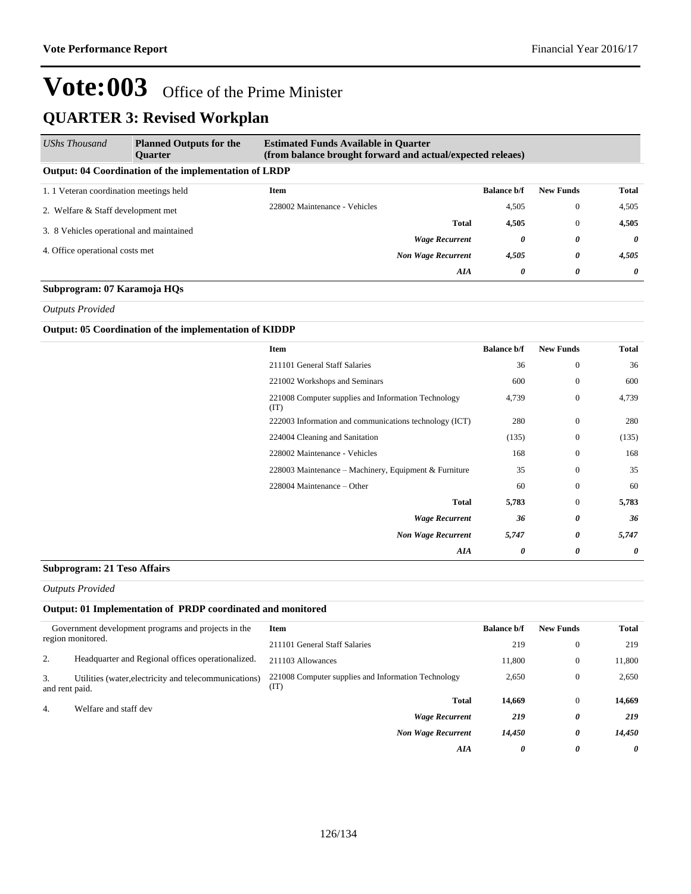| UShs Thousand                            | <b>Planned Outputs for the</b><br><b>Ouarter</b>             | <b>Estimated Funds Available in Quarter</b><br>(from balance brought forward and actual/expected releaes) |                    |                  |              |
|------------------------------------------|--------------------------------------------------------------|-----------------------------------------------------------------------------------------------------------|--------------------|------------------|--------------|
|                                          | <b>Output: 04 Coordination of the implementation of LRDP</b> |                                                                                                           |                    |                  |              |
| 1.1 Veteran coordination meetings held   |                                                              | Item                                                                                                      | <b>Balance b/f</b> | <b>New Funds</b> | <b>Total</b> |
| 2. Welfare & Staff development met       |                                                              | 228002 Maintenance - Vehicles                                                                             | 4,505              | $\mathbf{0}$     | 4,505        |
| 3. 8 Vehicles operational and maintained |                                                              | <b>Total</b>                                                                                              | 4,505              | $\mathbf{0}$     | 4,505        |
|                                          |                                                              | <b>Wage Recurrent</b>                                                                                     | 0                  | 0                | $\theta$     |
| 4. Office operational costs met          |                                                              | <b>Non Wage Recurrent</b>                                                                                 | 4,505              | 0                | 4,505        |
|                                          |                                                              | AIA                                                                                                       | 0                  | 0                | 0            |

#### **Subprogram: 07 Karamoja HQs**

*Outputs Provided*

#### **Output: 05 Coordination of the implementation of KIDDP**

| Item                                                        | <b>Balance b/f</b> | <b>New Funds</b> | <b>Total</b> |
|-------------------------------------------------------------|--------------------|------------------|--------------|
| 211101 General Staff Salaries                               | 36                 | $\mathbf{0}$     | 36           |
| 221002 Workshops and Seminars                               | 600                | $\boldsymbol{0}$ | 600          |
| 221008 Computer supplies and Information Technology<br>(TT) | 4,739              | $\boldsymbol{0}$ | 4,739        |
| 222003 Information and communications technology (ICT)      | 280                | $\mathbf{0}$     | 280          |
| 224004 Cleaning and Sanitation                              | (135)              | $\mathbf{0}$     | (135)        |
| 228002 Maintenance - Vehicles                               | 168                | $\mathbf{0}$     | 168          |
| 228003 Maintenance – Machinery, Equipment & Furniture       | 35                 | $\mathbf{0}$     | 35           |
| 228004 Maintenance – Other                                  | 60                 | $\mathbf{0}$     | 60           |
| <b>Total</b>                                                | 5,783              | $\mathbf{0}$     | 5,783        |
| <b>Wage Recurrent</b>                                       | 36                 | 0                | 36           |
| <b>Non Wage Recurrent</b>                                   | 5,747              | 0                | 5,747        |
| AIA                                                         | 0                  | 0                | 0            |

#### **Subprogram: 21 Teso Affairs**

*Outputs Provided*

#### **Output: 01 Implementation of PRDP coordinated and monitored**

| Government development programs and projects in the<br>region monitored. |                                                       | <b>Item</b>                                                 | <b>Balance b/f</b> | <b>New Funds</b> | Total  |
|--------------------------------------------------------------------------|-------------------------------------------------------|-------------------------------------------------------------|--------------------|------------------|--------|
|                                                                          |                                                       | 211101 General Staff Salaries                               | 219                | $\mathbf{0}$     | 219    |
| 2.                                                                       | Headquarter and Regional offices operationalized.     | 211103 Allowances                                           | 11.800             | $\theta$         | 11,800 |
| 3.<br>and rent paid.                                                     | Utilities (water, electricity and telecommunications) | 221008 Computer supplies and Information Technology<br>(TT) | 2,650              | $\theta$         | 2,650  |
| 4.                                                                       | Welfare and staff dev                                 | <b>Total</b>                                                | 14,669             | $\mathbf{0}$     | 14,669 |
|                                                                          |                                                       | <b>Wage Recurrent</b>                                       | 219                | 0                | 219    |
|                                                                          |                                                       | <b>Non Wage Recurrent</b>                                   | 14,450             | 0                | 14,450 |
|                                                                          |                                                       | AIA                                                         | 0                  | 0                | 0      |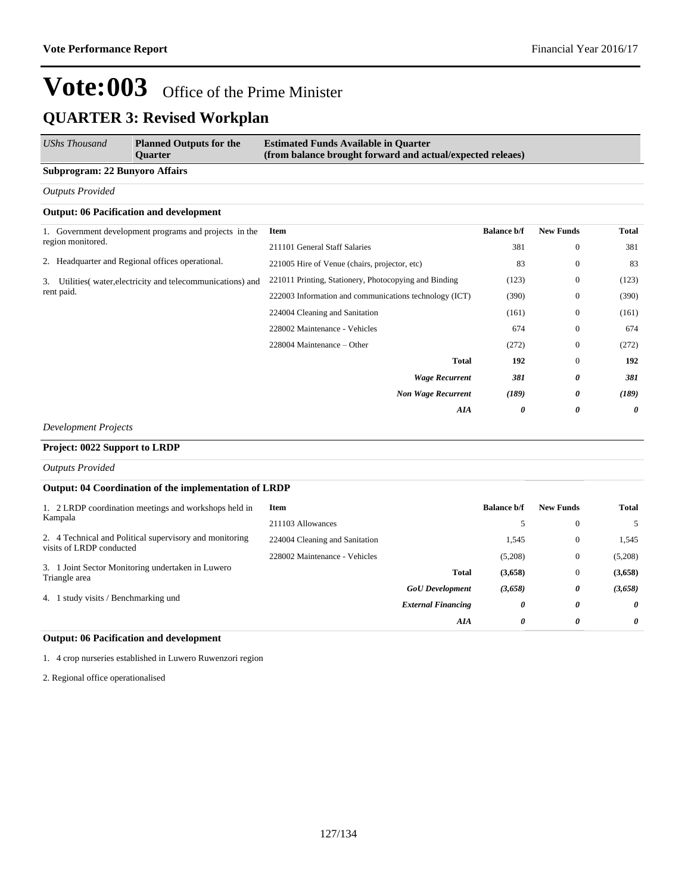*Wage Recurrent 381 0 381 Non Wage Recurrent (189) 0 (189)*

*AIA 0 0 0*

### **Vote:003** Office of the Prime Minister **QUARTER 3: Revised Workplan**

| <b>UShs Thousand</b>           | <b>Planned Outputs for the</b><br><b>Ouarter</b>         | <b>Estimated Funds Available in Quarter</b><br>(from balance brought forward and actual/expected releaes) |                    |                  |              |  |
|--------------------------------|----------------------------------------------------------|-----------------------------------------------------------------------------------------------------------|--------------------|------------------|--------------|--|
| Subprogram: 22 Bunyoro Affairs |                                                          |                                                                                                           |                    |                  |              |  |
| <b>Outputs Provided</b>        |                                                          |                                                                                                           |                    |                  |              |  |
|                                | <b>Output: 06 Pacification and development</b>           |                                                                                                           |                    |                  |              |  |
|                                | 1. Government development programs and projects in the   | Item                                                                                                      | <b>Balance b/f</b> | <b>New Funds</b> | <b>Total</b> |  |
| region monitored.              | 211101 General Staff Salaries                            | 381                                                                                                       | $\theta$           | 381              |              |  |
|                                | Headquarter and Regional offices operational.            | 221005 Hire of Venue (chairs, projector, etc)                                                             | 83                 | $\theta$         | 83           |  |
| 3.                             | Utilities water, electricity and telecommunications) and | 221011 Printing, Stationery, Photocopying and Binding                                                     | (123)              | $\theta$         | (123)        |  |
| rent paid.                     |                                                          | 222003 Information and communications technology (ICT)                                                    | (390)              | $\theta$         | (390)        |  |
|                                |                                                          | 224004 Cleaning and Sanitation                                                                            | (161)              | $\theta$         | (161)        |  |
|                                |                                                          | 228002 Maintenance - Vehicles                                                                             | 674                | $\theta$         | 674          |  |
|                                |                                                          | 228004 Maintenance – Other                                                                                | (272)              | $\theta$         | (272)        |  |
|                                |                                                          | Total                                                                                                     | 192                | $\mathbf{0}$     | 192          |  |

#### *Development Projects*

#### **Project: 0022 Support to LRDP**

*Outputs Provided*

| Output: 04 Coordination of the implementation of LRDP                 |                                |                           |                    |                  |              |
|-----------------------------------------------------------------------|--------------------------------|---------------------------|--------------------|------------------|--------------|
| 1. 2 LRDP coordination meetings and workshops held in                 | Item                           |                           | <b>Balance b/f</b> | <b>New Funds</b> | <b>Total</b> |
| Kampala                                                               | 211103 Allowances              |                           |                    | $\mathbf{0}$     | 5            |
| 2. 4 Technical and Political supervisory and monitoring               | 224004 Cleaning and Sanitation |                           | 1,545              | $\Omega$         | 1,545        |
| visits of LRDP conducted                                              | 228002 Maintenance - Vehicles  |                           | (5,208)            | $\theta$         | (5,208)      |
| Joint Sector Monitoring undertaken in Luwero<br>3. 1<br>Triangle area |                                | <b>Total</b>              | (3,658)            | $\Omega$         | (3,658)      |
| study visits / Benchmarking und<br>4. 1                               |                                | <b>GoU</b> Development    | (3,658)            | 0                | (3,658)      |
|                                                                       |                                | <b>External Financing</b> | 0                  | 0                | $\theta$     |
|                                                                       |                                | AIA                       | 0                  | 0                | 0            |

#### **Output: 06 Pacification and development**

1. 4 crop nurseries established in Luwero Ruwenzori region

2. Regional office operationalised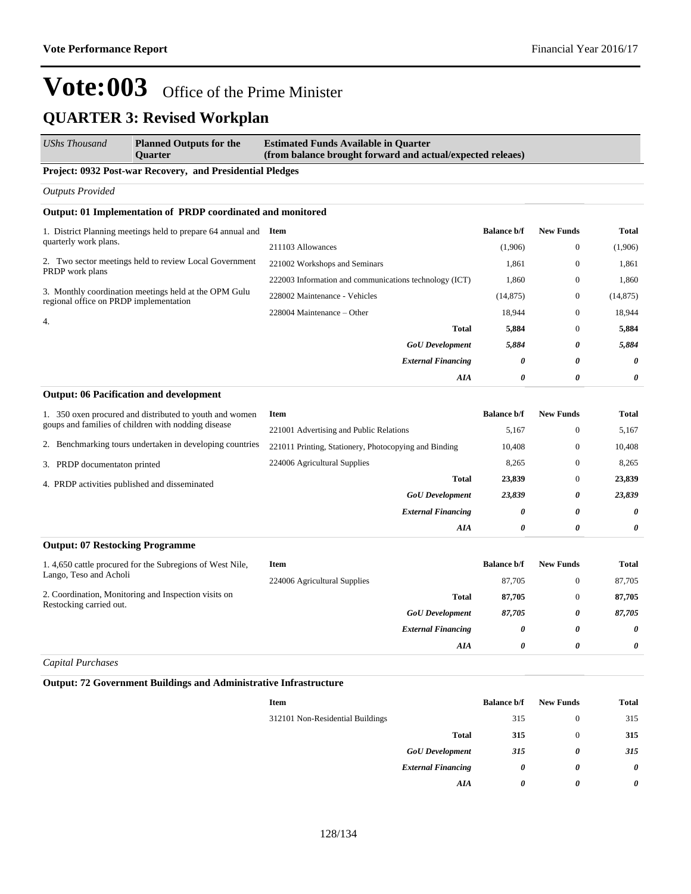#### *UShs Thousand* **Planned Outputs for the Quarter Estimated Funds Available in Quarter (from balance brought forward and actual/expected releaes)**

#### **Project: 0932 Post-war Recovery, and Presidential Pledges**

#### *Outputs Provided*

#### **Output: 01 Implementation of PRDP coordinated and monitored**

| 1. District Planning meetings held to prepare 64 annual and                                     | Item                                                   | <b>Balance b/f</b> | <b>New Funds</b> | Total     |
|-------------------------------------------------------------------------------------------------|--------------------------------------------------------|--------------------|------------------|-----------|
| quarterly work plans.                                                                           | 211103 Allowances                                      | (1,906)            | $\mathbf{0}$     | (1,906)   |
| 2. Two sector meetings held to review Local Government                                          | 221002 Workshops and Seminars                          | 1,861              | $\theta$         | 1,861     |
| PRDP work plans                                                                                 | 222003 Information and communications technology (ICT) | 1,860              | $\theta$         | 1,860     |
| 3. Monthly coordination meetings held at the OPM Gulu<br>regional office on PRDP implementation | 228002 Maintenance - Vehicles                          | (14, 875)          | $\overline{0}$   | (14, 875) |
|                                                                                                 | 228004 Maintenance – Other                             | 18,944             | $\Omega$         | 18,944    |
| 4.                                                                                              | Total                                                  | 5,884              | $\overline{0}$   | 5,884     |
|                                                                                                 | <b>GoU</b> Development                                 | 5,884              | 0                | 5,884     |
|                                                                                                 | <b>External Financing</b>                              | 0                  | 0                | $\theta$  |
|                                                                                                 | AIA                                                    | 0                  | 0                | 0         |

| 1. 350 oxen procured and distributed to youth and women  | Item                                                  | <b>Balance b/f</b> | <b>New Funds</b> | Total  |
|----------------------------------------------------------|-------------------------------------------------------|--------------------|------------------|--------|
| goups and families of children with nodding disease      | 221001 Advertising and Public Relations               | 5,167              | $\theta$         | 5,167  |
| 2. Benchmarking tours undertaken in developing countries | 221011 Printing, Stationery, Photocopying and Binding | 10.408             | $\theta$         | 10.408 |
| 3. PRDP documentaton printed                             | 224006 Agricultural Supplies                          | 8,265              | $\theta$         | 8,265  |
| 4. PRDP activities published and disseminated            | <b>Total</b>                                          | 23,839             | $\theta$         | 23,839 |
|                                                          | <b>GoU</b> Development                                | 23,839             | 0                | 23,839 |
|                                                          | <b>External Financing</b>                             | 0                  | 0                | 0      |
|                                                          | AIA                                                   | 0                  | 0                | 0      |

#### **Output: 07 Restocking Programme**

**Output: 06 Pacification and development**

| 1.4,650 cattle procured for the Subregions of West Nile.<br>Lango, Teso and Acholi | Item                         |                           | <b>Balance b/f</b> | <b>New Funds</b> | Total    |
|------------------------------------------------------------------------------------|------------------------------|---------------------------|--------------------|------------------|----------|
|                                                                                    | 224006 Agricultural Supplies |                           | 87,705             | $\Omega$         | 87,705   |
| 2. Coordination, Monitoring and Inspection visits on<br>Restocking carried out.    |                              | <b>Total</b>              | 87.705             | $\mathbf{0}$     | 87,705   |
|                                                                                    |                              | <b>GoU</b> Development    | 87,705             | 0                | 87,705   |
|                                                                                    |                              | <b>External Financing</b> | 0                  | 0                | $\theta$ |
|                                                                                    |                              | AIA                       | 0                  | 0                | 0        |

#### *Capital Purchases*

#### **Output: 72 Government Buildings and Administrative Infrastructure**

| <b>Item</b>                      | <b>Balance b/f</b> | <b>New Funds</b> | <b>Total</b> |
|----------------------------------|--------------------|------------------|--------------|
| 312101 Non-Residential Buildings | 315                | $\theta$         | 315          |
| <b>Total</b>                     | 315                | $\theta$         | 315          |
| <b>GoU</b> Development           | 315                | 0                | 315          |
| <b>External Financing</b>        | 0                  | 0                | 0            |
| AIA                              | 0                  | 0                | 0            |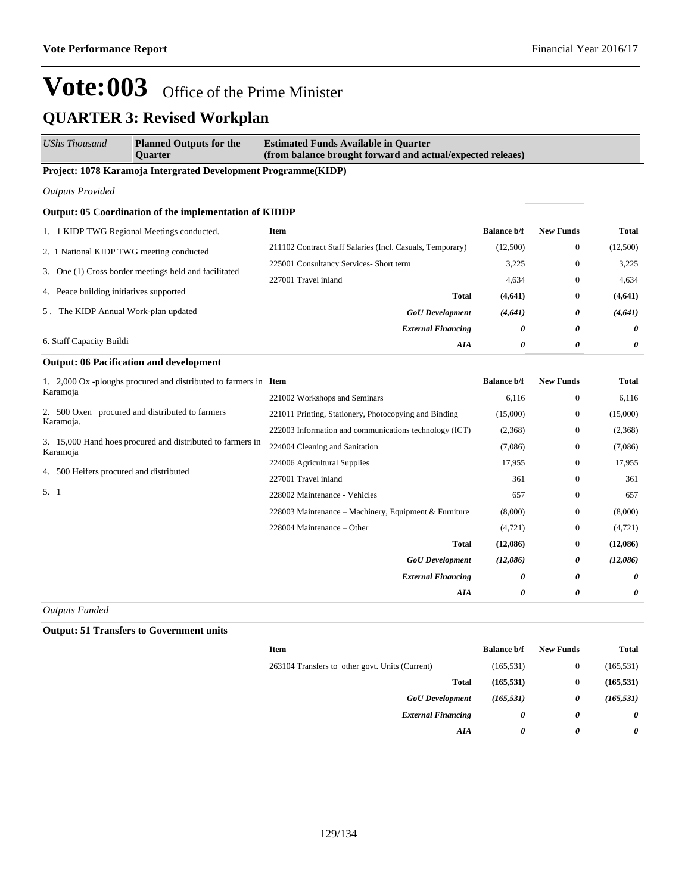*AIA 0 0 0*

### **Vote:003** Office of the Prime Minister **QUARTER 3: Revised Workplan**

| <b>UShs Thousand</b>                                  | <b>Planned Outputs for the</b><br><b>Ouarter</b>                 | <b>Estimated Funds Available in Quarter</b><br>(from balance brought forward and actual/expected releaes) |                    |                  |              |
|-------------------------------------------------------|------------------------------------------------------------------|-----------------------------------------------------------------------------------------------------------|--------------------|------------------|--------------|
|                                                       | Project: 1078 Karamoja Intergrated Development Programme(KIDP)   |                                                                                                           |                    |                  |              |
| <b>Outputs Provided</b>                               |                                                                  |                                                                                                           |                    |                  |              |
|                                                       | Output: 05 Coordination of the implementation of KIDDP           |                                                                                                           |                    |                  |              |
|                                                       | 1. 1 KIDP TWG Regional Meetings conducted.                       | <b>Item</b>                                                                                               | <b>Balance b/f</b> | <b>New Funds</b> | <b>Total</b> |
|                                                       | 2. 1 National KIDP TWG meeting conducted                         | 211102 Contract Staff Salaries (Incl. Casuals, Temporary)                                                 | (12,500)           | $\mathbf{0}$     | (12,500)     |
|                                                       |                                                                  | 225001 Consultancy Services- Short term                                                                   | 3,225              | $\mathbf{0}$     | 3,225        |
| 3. One (1) Cross border meetings held and facilitated |                                                                  | 227001 Travel inland                                                                                      | 4,634              | $\mathbf{0}$     | 4,634        |
| 4. Peace building initiatives supported               |                                                                  | <b>Total</b>                                                                                              | (4,641)            | $\mathbf{0}$     | (4,641)      |
| 5. The KIDP Annual Work-plan updated                  |                                                                  | <b>GoU</b> Development                                                                                    | (4, 641)           | 0                | (4, 641)     |
|                                                       |                                                                  | <b>External Financing</b>                                                                                 | 0                  | 0                | 0            |
| 6. Staff Capacity Buildi                              |                                                                  | <b>AIA</b>                                                                                                | 0                  | 0                | 0            |
|                                                       | <b>Output: 06 Pacification and development</b>                   |                                                                                                           |                    |                  |              |
|                                                       | 1. 2,000 Ox -ploughs procured and distributed to farmers in Item |                                                                                                           | <b>Balance b/f</b> | <b>New Funds</b> | <b>Total</b> |
| Karamoja                                              |                                                                  | 221002 Workshops and Seminars                                                                             | 6,116              | 0                | 6,116        |
|                                                       | 2. 500 Oxen procured and distributed to farmers                  | 221011 Printing, Stationery, Photocopying and Binding                                                     | (15,000)           | 0                | (15,000)     |
| Karamoja.                                             |                                                                  | 222003 Information and communications technology (ICT)                                                    | (2,368)            | $\mathbf{0}$     | (2,368)      |
| Karamoja                                              | 3. 15,000 Hand hoes procured and distributed to farmers in       | 224004 Cleaning and Sanitation                                                                            | (7,086)            | 0                | (7,086)      |
|                                                       |                                                                  | 224006 Agricultural Supplies                                                                              | 17,955             | $\boldsymbol{0}$ | 17,955       |

4. 500 Heifers procured and distributed

| 228002 Maintenance - Vehicles                         | 657      | $\mathbf{0}$   | 657      |
|-------------------------------------------------------|----------|----------------|----------|
| 228003 Maintenance – Machinery, Equipment & Furniture | (8,000)  | $\overline{0}$ | (8,000)  |
| $228004$ Maintenance – Other                          | (4,721)  | $\overline{0}$ | (4,721)  |
| <b>Total</b>                                          | (12,086) | $\overline{0}$ | (12,086) |
| <b>GoU</b> Development                                | (12,086) | 0              | (12,086) |
| <b>External Financing</b>                             | 0        | 0              | 0        |

*Outputs Funded*

5. 1

#### **Output: 51 Transfers to Government units**

| Item                                            | <b>Balance b/f</b> | <b>New Funds</b> | <b>Total</b> |
|-------------------------------------------------|--------------------|------------------|--------------|
| 263104 Transfers to other govt. Units (Current) | (165, 531)         | $\mathbf{0}$     | (165, 531)   |
| <b>Total</b>                                    | (165, 531)         | $\mathbf{0}$     | (165, 531)   |
| <b>GoU</b> Development                          | (165, 531)         | 0                | (165, 531)   |
| <b>External Financing</b>                       | 0                  | 0                | 0            |
| AIA                                             | 0                  | 0                | 0            |

227001 Travel inland 361 0 361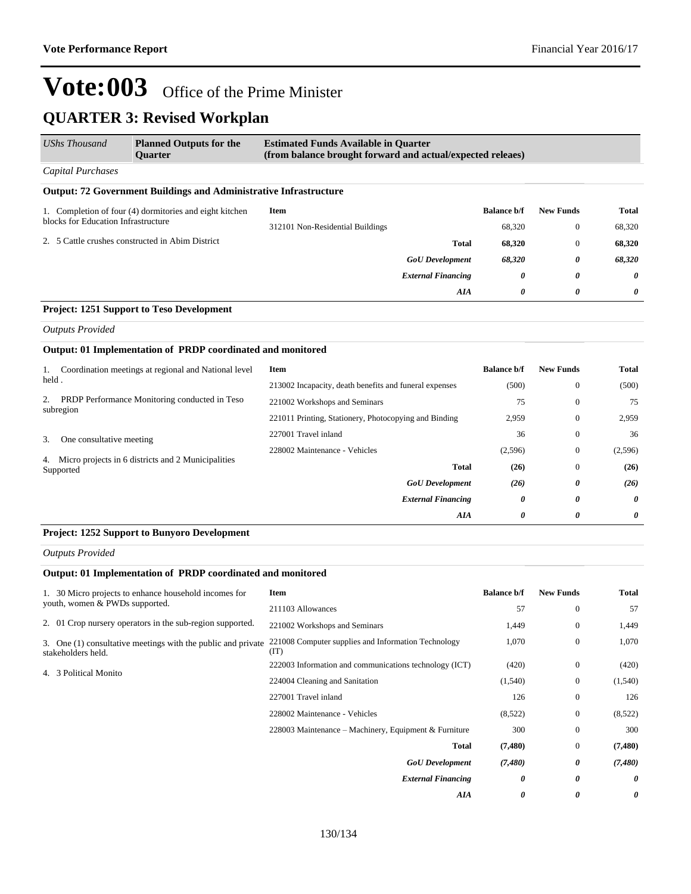### **QUARTER 3: Revised Workplan**

| <b>UShs Thousand</b>                                    | <b>Planned Outputs for the</b><br><b>Ouarter</b>                         | <b>Estimated Funds Available in Quarter</b><br>(from balance brought forward and actual/expected releaes) |                           |                    |                  |          |
|---------------------------------------------------------|--------------------------------------------------------------------------|-----------------------------------------------------------------------------------------------------------|---------------------------|--------------------|------------------|----------|
| <b>Capital Purchases</b>                                |                                                                          |                                                                                                           |                           |                    |                  |          |
|                                                         | <b>Output: 72 Government Buildings and Administrative Infrastructure</b> |                                                                                                           |                           |                    |                  |          |
| 1. Completion of four (4) dormitories and eight kitchen |                                                                          | <b>Item</b>                                                                                               |                           | <b>Balance b/f</b> | <b>New Funds</b> | Total    |
| blocks for Education Infrastructure                     |                                                                          | 312101 Non-Residential Buildings                                                                          |                           | 68,320             | $\mathbf{0}$     | 68,320   |
| 2. 5 Cattle crushes constructed in Abim District        |                                                                          |                                                                                                           | <b>Total</b>              | 68,320             | $\mathbf{0}$     | 68,320   |
|                                                         |                                                                          |                                                                                                           | <b>GoU</b> Development    | 68,320             | 0                | 68,320   |
|                                                         |                                                                          |                                                                                                           | <b>External Financing</b> | 0                  | 0                | $\theta$ |
|                                                         |                                                                          |                                                                                                           | AIA                       | 0                  | 0                | 0        |
|                                                         | <b>Project: 1251 Support to Teso Development</b>                         |                                                                                                           |                           |                    |                  |          |

*Outputs Provided*

#### **Output: 01 Implementation of PRDP coordinated and monitored**

| Coordination meetings at regional and National level               |                               | Item                                                   | <b>Balance b/f</b> | <b>New Funds</b> | Total   |
|--------------------------------------------------------------------|-------------------------------|--------------------------------------------------------|--------------------|------------------|---------|
| held.                                                              |                               | 213002 Incapacity, death benefits and funeral expenses | (500)              | $\mathbf{0}$     | (500)   |
| 2.<br>PRDP Performance Monitoring conducted in Teso                | 221002 Workshops and Seminars | 75                                                     | $\bf{0}$           | 75               |         |
|                                                                    | subregion                     | 221011 Printing, Stationery, Photocopying and Binding  | 2,959              | $\mathbf{0}$     | 2,959   |
| 3.                                                                 | One consultative meeting      | 227001 Travel inland                                   | 36                 | $\mathbf{0}$     | 36      |
|                                                                    |                               | 228002 Maintenance - Vehicles                          | (2,596)            | $\theta$         | (2,596) |
| 4. Micro projects in 6 districts and 2 Municipalities<br>Supported | <b>Total</b>                  | (26)                                                   | $\mathbf{0}$       | (26)             |         |
|                                                                    |                               | <b>GoU</b> Development                                 | (26)               | 0                | (26)    |
|                                                                    |                               | <b>External Financing</b>                              | 0                  | 0                | 0       |
|                                                                    |                               | AIA                                                    | 0                  | 0                | 0       |

#### **Project: 1252 Support to Bunyoro Development**

*Outputs Provided*

#### **Output: 01 Implementation of PRDP coordinated and monitored**

| 1. 30 Micro projects to enhance household incomes for                              | <b>Item</b>                                                 | <b>Balance b/f</b> | <b>New Funds</b> | Total    |
|------------------------------------------------------------------------------------|-------------------------------------------------------------|--------------------|------------------|----------|
| youth, women & PWDs supported.                                                     | 211103 Allowances                                           | 57                 | $\overline{0}$   | 57       |
| 2. 01 Crop nursery operators in the sub-region supported.                          | 221002 Workshops and Seminars                               | 1,449              | $\overline{0}$   | 1,449    |
| 3. One (1) consultative meetings with the public and private<br>stakeholders held. | 221008 Computer supplies and Information Technology<br>(TT) | 1,070              | $\overline{0}$   | 1,070    |
| 4. 3 Political Monito                                                              | 222003 Information and communications technology (ICT)      | (420)              | $\overline{0}$   | (420)    |
|                                                                                    | 224004 Cleaning and Sanitation                              | (1,540)            | $\theta$         | (1, 540) |
|                                                                                    | 227001 Travel inland                                        | 126                | $\overline{0}$   | 126      |
|                                                                                    | 228002 Maintenance - Vehicles                               | (8,522)            | $\overline{0}$   | (8,522)  |
|                                                                                    | 228003 Maintenance – Machinery, Equipment & Furniture       | 300                | $\theta$         | 300      |
|                                                                                    | <b>Total</b>                                                | (7,480)            | $\overline{0}$   | (7,480)  |
|                                                                                    | <b>GoU</b> Development                                      | (7,480)            | 0                | (7,480)  |
|                                                                                    | <b>External Financing</b>                                   | 0                  | 0                | 0        |
|                                                                                    | AIA                                                         | 0                  | 0                | 0        |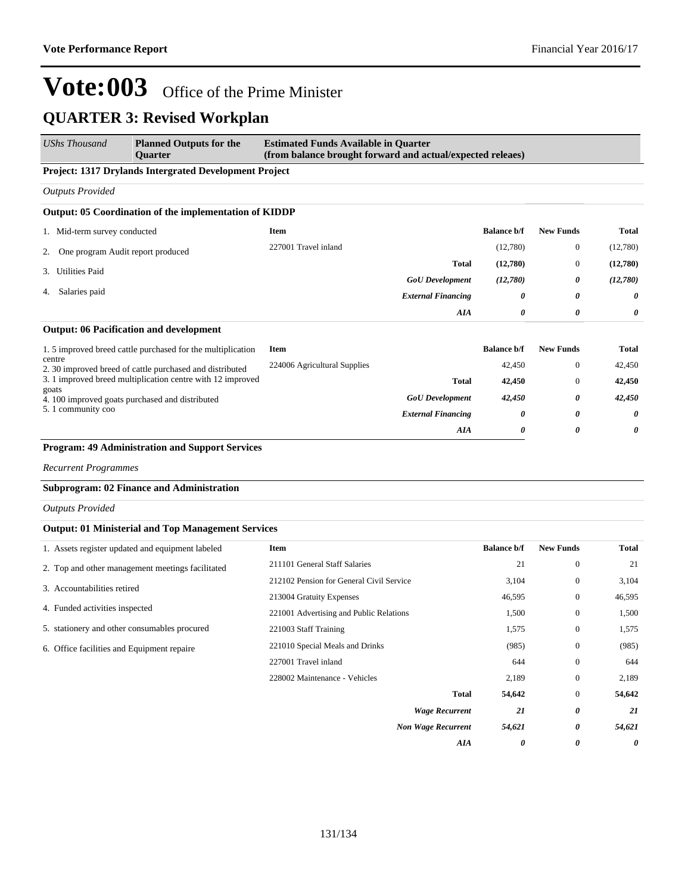| <b>UShs Thousand</b>                                                                                                                                                                                            | <b>Planned Outputs for the</b><br><b>Ouarter</b>              | <b>Estimated Funds Available in Quarter</b><br>(from balance brought forward and actual/expected releaes) |                           |                    |                  |              |
|-----------------------------------------------------------------------------------------------------------------------------------------------------------------------------------------------------------------|---------------------------------------------------------------|-----------------------------------------------------------------------------------------------------------|---------------------------|--------------------|------------------|--------------|
|                                                                                                                                                                                                                 | <b>Project: 1317 Drylands Intergrated Development Project</b> |                                                                                                           |                           |                    |                  |              |
| <b>Outputs Provided</b>                                                                                                                                                                                         |                                                               |                                                                                                           |                           |                    |                  |              |
|                                                                                                                                                                                                                 | Output: 05 Coordination of the implementation of KIDDP        |                                                                                                           |                           |                    |                  |              |
| 1. Mid-term survey conducted                                                                                                                                                                                    |                                                               | <b>Item</b>                                                                                               |                           | <b>Balance b/f</b> | <b>New Funds</b> | <b>Total</b> |
| 2.                                                                                                                                                                                                              | One program Audit report produced                             |                                                                                                           |                           | (12,780)           | $\theta$         | (12,780)     |
| 3. Utilities Paid                                                                                                                                                                                               |                                                               |                                                                                                           | <b>Total</b>              | (12,780)           | $\theta$         | (12,780)     |
|                                                                                                                                                                                                                 |                                                               |                                                                                                           | <b>GoU</b> Development    | (12,780)           | 0                | (12,780)     |
| Salaries paid<br>4.                                                                                                                                                                                             |                                                               |                                                                                                           | <b>External Financing</b> | 0                  | 0                | 0            |
|                                                                                                                                                                                                                 |                                                               |                                                                                                           | <b>AIA</b>                | 0                  | 0                | 0            |
|                                                                                                                                                                                                                 | <b>Output: 06 Pacification and development</b>                |                                                                                                           |                           |                    |                  |              |
|                                                                                                                                                                                                                 | 1.5 improved breed cattle purchased for the multiplication    | <b>Item</b>                                                                                               |                           | <b>Balance b/f</b> | <b>New Funds</b> | <b>Total</b> |
| centre<br>2.30 improved breed of cattle purchased and distributed<br>3. 1 improved breed multiplication centre with 12 improved<br>goats<br>4.100 improved goats purchased and distributed<br>5.1 community coo |                                                               | 224006 Agricultural Supplies                                                                              |                           | 42,450             | $\theta$         | 42,450       |
|                                                                                                                                                                                                                 |                                                               |                                                                                                           | <b>Total</b>              | 42,450             | $\Omega$         | 42,450       |
|                                                                                                                                                                                                                 |                                                               |                                                                                                           | <b>GoU</b> Development    | 42,450             | 0                | 42,450       |
|                                                                                                                                                                                                                 |                                                               |                                                                                                           | <b>External Financing</b> | 0                  | 0                | 0            |
|                                                                                                                                                                                                                 |                                                               |                                                                                                           | AIA                       | 0                  | 0                | 0            |
|                                                                                                                                                                                                                 | <b>Program: 49 Administration and Support Services</b>        |                                                                                                           |                           |                    |                  |              |
| <b>Recurrent Programmes</b>                                                                                                                                                                                     |                                                               |                                                                                                           |                           |                    |                  |              |
|                                                                                                                                                                                                                 | <b>Subprogram: 02 Finance and Administration</b>              |                                                                                                           |                           |                    |                  |              |

*Outputs Provided*

#### **Output: 01 Ministerial and Top Management Services**

| 1. Assets register updated and equipment labeled | Item                                     | <b>Balance b/f</b> | <b>New Funds</b> | <b>Total</b> |
|--------------------------------------------------|------------------------------------------|--------------------|------------------|--------------|
| 2. Top and other management meetings facilitated | 211101 General Staff Salaries            | 21                 | $\mathbf{0}$     | 21           |
| 3. Accountabilities retired                      | 212102 Pension for General Civil Service | 3,104              | $\bf{0}$         | 3,104        |
|                                                  | 213004 Gratuity Expenses                 | 46,595             | $\bf{0}$         | 46,595       |
| 4. Funded activities inspected                   | 221001 Advertising and Public Relations  | 1,500              | $\bf{0}$         | 1,500        |
| 5. stationery and other consumables procured     | 221003 Staff Training                    | 1,575              | $\bf{0}$         | 1,575        |
| 6. Office facilities and Equipment repaire       | 221010 Special Meals and Drinks          | (985)              | $\bf{0}$         | (985)        |
|                                                  | 227001 Travel inland                     | 644                | $\bf{0}$         | 644          |
|                                                  | 228002 Maintenance - Vehicles            | 2,189              | $\bf{0}$         | 2,189        |
|                                                  | Total                                    | 54,642             | $\bf{0}$         | 54,642       |
|                                                  | <b>Wage Recurrent</b>                    | 21                 | 0                | 21           |
|                                                  | <b>Non Wage Recurrent</b>                | 54,621             | 0                | 54,621       |
|                                                  | AIA                                      | 0                  | 0                | 0            |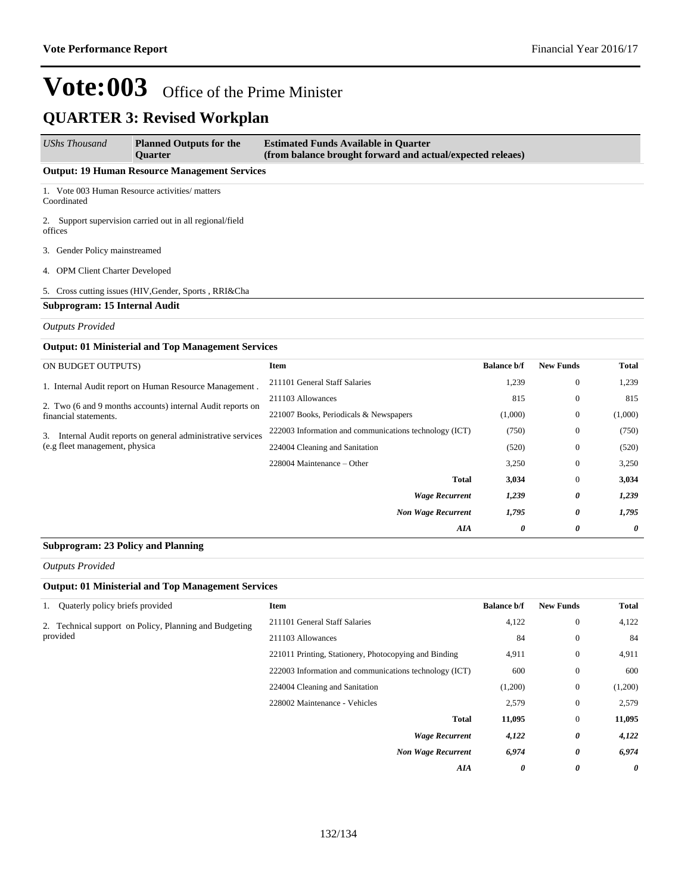| UShs Thousand                                                       | <b>Planned Outputs for the</b><br><b>Ouarter</b>      | <b>Estimated Funds Available in Quarter</b><br>(from balance brought forward and actual/expected releaes) |  |  |  |  |
|---------------------------------------------------------------------|-------------------------------------------------------|-----------------------------------------------------------------------------------------------------------|--|--|--|--|
| <b>Output: 19 Human Resource Management Services</b>                |                                                       |                                                                                                           |  |  |  |  |
| Coordinated                                                         | 1. Vote 003 Human Resource activities/ matters        |                                                                                                           |  |  |  |  |
| 2. Support supervision carried out in all regional/field<br>offices |                                                       |                                                                                                           |  |  |  |  |
| 3. Gender Policy mainstreamed                                       |                                                       |                                                                                                           |  |  |  |  |
|                                                                     | 4. OPM Client Charter Developed                       |                                                                                                           |  |  |  |  |
|                                                                     | 5. Cross cutting issues (HIV, Gender, Sports, RRI&Cha |                                                                                                           |  |  |  |  |
|                                                                     | Subprogram: 15 Internal Audit                         |                                                                                                           |  |  |  |  |

#### *Outputs Provided*

#### **Output: 01 Ministerial and Top Management Services**

| Item                                                   | <b>Balance b/f</b> | <b>New Funds</b> | <b>Total</b> |
|--------------------------------------------------------|--------------------|------------------|--------------|
| 211101 General Staff Salaries                          | 1,239              | $\mathbf{0}$     | 1,239        |
| 211103 Allowances                                      | 815                | $\mathbf{0}$     | 815          |
| 221007 Books, Periodicals & Newspapers                 | (1,000)            | $\mathbf{0}$     | (1,000)      |
| 222003 Information and communications technology (ICT) | (750)              | $\bf{0}$         | (750)        |
| 224004 Cleaning and Sanitation                         | (520)              | $\mathbf{0}$     | (520)        |
| 228004 Maintenance – Other                             | 3,250              | $\mathbf{0}$     | 3,250        |
| <b>Total</b>                                           | 3,034              | $\mathbf{0}$     | 3,034        |
| <b>Wage Recurrent</b>                                  | 1,239              | 0                | 1,239        |
| <b>Non Wage Recurrent</b>                              | 1,795              | 0                | 1,795        |
| AIA                                                    | 0                  | 0                | $\theta$     |
|                                                        |                    |                  |              |

#### **Subprogram: 23 Policy and Planning**

#### *Outputs Provided*

#### **Output: 01 Ministerial and Top Management Services**

| 1. Quaterly policy briefs provided                                 | Item                                                   | <b>Balance b/f</b> | <b>New Funds</b> | <b>Total</b> |
|--------------------------------------------------------------------|--------------------------------------------------------|--------------------|------------------|--------------|
| 2. Technical support on Policy, Planning and Budgeting<br>provided | 211101 General Staff Salaries                          | 4,122              | $\mathbf{0}$     | 4,122        |
|                                                                    | 211103 Allowances                                      | 84                 | $\mathbf{0}$     | 84           |
|                                                                    | 221011 Printing, Stationery, Photocopying and Binding  | 4,911              | $\mathbf{0}$     | 4,911        |
|                                                                    | 222003 Information and communications technology (ICT) | 600                | $\mathbf{0}$     | 600          |
|                                                                    | 224004 Cleaning and Sanitation                         | (1,200)            | $\mathbf{0}$     | (1,200)      |
|                                                                    | 228002 Maintenance - Vehicles                          | 2,579              | $\theta$         | 2,579        |
|                                                                    | <b>Total</b>                                           | 11,095             | $\mathbf{0}$     | 11,095       |
|                                                                    | <b>Wage Recurrent</b>                                  | 4,122              | 0                | 4,122        |
|                                                                    | <b>Non Wage Recurrent</b>                              | 6,974              | 0                | 6,974        |
|                                                                    | AIA                                                    | 0                  | 0                | 0            |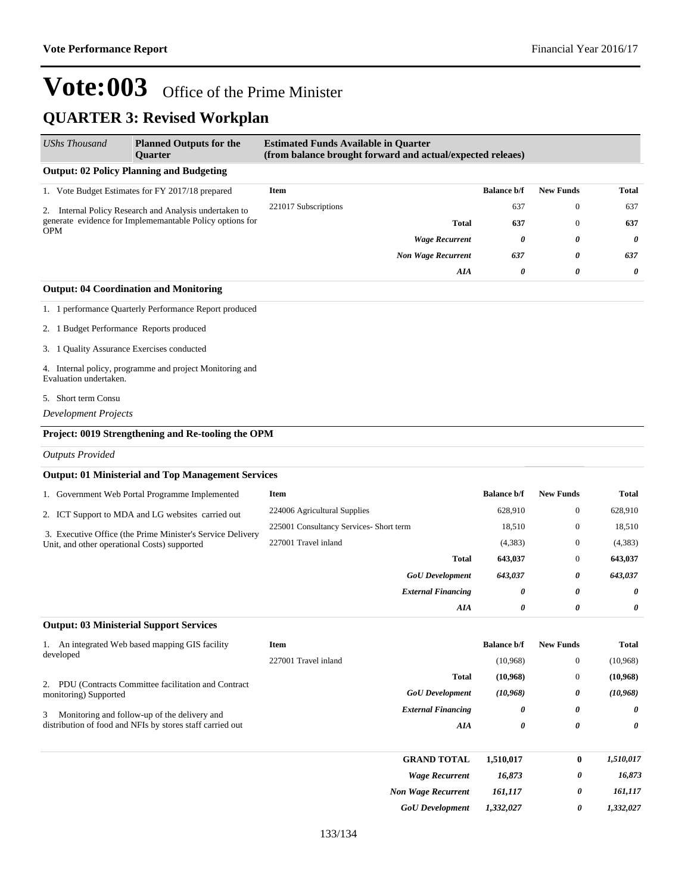### **QUARTER 3: Revised Workplan**

| UShs Thousand                                                                                                                    | <b>Planned Outputs for the</b><br><b>Quarter</b>           | <b>Estimated Funds Available in Quarter</b><br>(from balance brought forward and actual/expected releaes) |                    |                              |              |
|----------------------------------------------------------------------------------------------------------------------------------|------------------------------------------------------------|-----------------------------------------------------------------------------------------------------------|--------------------|------------------------------|--------------|
|                                                                                                                                  | <b>Output: 02 Policy Planning and Budgeting</b>            |                                                                                                           |                    |                              |              |
|                                                                                                                                  | 1. Vote Budget Estimates for FY 2017/18 prepared           | <b>Item</b>                                                                                               | <b>Balance b/f</b> | <b>New Funds</b>             | <b>Total</b> |
| 2. Internal Policy Research and Analysis undertaken to<br>generate evidence for Implememantable Policy options for<br><b>OPM</b> | 221017 Subscriptions                                       | 637                                                                                                       | $\boldsymbol{0}$   | 637                          |              |
|                                                                                                                                  | <b>Total</b>                                               | 637                                                                                                       | $\mathbf{0}$       | 637                          |              |
|                                                                                                                                  |                                                            | <b>Wage Recurrent</b>                                                                                     | 0                  | 0                            | 0            |
|                                                                                                                                  |                                                            | <b>Non Wage Recurrent</b>                                                                                 | 637                | 0                            | 637          |
|                                                                                                                                  |                                                            | AIA                                                                                                       | 0                  | $\boldsymbol{\theta}$        | 0            |
|                                                                                                                                  | <b>Output: 04 Coordination and Monitoring</b>              |                                                                                                           |                    |                              |              |
|                                                                                                                                  | 1. 1 performance Quarterly Performance Report produced     |                                                                                                           |                    |                              |              |
| 2. 1 Budget Performance Reports produced                                                                                         |                                                            |                                                                                                           |                    |                              |              |
| 3. 1 Quality Assurance Exercises conducted                                                                                       |                                                            |                                                                                                           |                    |                              |              |
| Evaluation undertaken.                                                                                                           | 4. Internal policy, programme and project Monitoring and   |                                                                                                           |                    |                              |              |
| 5. Short term Consu                                                                                                              |                                                            |                                                                                                           |                    |                              |              |
| <b>Development Projects</b>                                                                                                      |                                                            |                                                                                                           |                    |                              |              |
|                                                                                                                                  | Project: 0019 Strengthening and Re-tooling the OPM         |                                                                                                           |                    |                              |              |
| <b>Outputs Provided</b>                                                                                                          |                                                            |                                                                                                           |                    |                              |              |
|                                                                                                                                  | <b>Output: 01 Ministerial and Top Management Services</b>  |                                                                                                           |                    |                              |              |
|                                                                                                                                  | 1. Government Web Portal Programme Implemented             | Item                                                                                                      | <b>Balance b/f</b> | <b>New Funds</b>             | <b>Total</b> |
|                                                                                                                                  | 2. ICT Support to MDA and LG websites carried out          | 224006 Agricultural Supplies                                                                              | 628,910            | $\boldsymbol{0}$             | 628,910      |
|                                                                                                                                  | 3. Executive Office (the Prime Minister's Service Delivery | 225001 Consultancy Services- Short term                                                                   | 18,510             | $\mathbf{0}$                 | 18,510       |
| Unit, and other operational Costs) supported                                                                                     |                                                            | 227001 Travel inland                                                                                      | (4,383)            | $\mathbf{0}$                 | (4,383)      |
|                                                                                                                                  |                                                            | <b>Total</b>                                                                                              | 643,037            | $\mathbf{0}$                 | 643,037      |
|                                                                                                                                  |                                                            | <b>GoU</b> Development                                                                                    | 643,037            | 0                            | 643,037      |
|                                                                                                                                  |                                                            | <b>External Financing</b>                                                                                 | 0                  | 0                            | 0            |
|                                                                                                                                  |                                                            | AIA                                                                                                       | 0                  | 0                            | 0            |
| <b>Output: 03 Ministerial Support Services</b>                                                                                   |                                                            |                                                                                                           |                    |                              |              |
| developed                                                                                                                        | 1. An integrated Web based mapping GIS facility            | Item                                                                                                      |                    | <b>Balance b/f</b> New Funds | Total        |
|                                                                                                                                  |                                                            | 227001 Travel inland                                                                                      | (10,968)           | $\boldsymbol{0}$             | (10,968)     |
|                                                                                                                                  | 2. PDU (Contracts Committee facilitation and Contract      | <b>Total</b>                                                                                              | (10,968)           | $\mathbf{0}$                 | (10,968)     |
| monitoring) Supported                                                                                                            |                                                            | <b>GoU</b> Development                                                                                    | (10, 968)          | 0                            | (10, 968)    |
| 3                                                                                                                                | Monitoring and follow-up of the delivery and               | <b>External Financing</b>                                                                                 | 0                  | 0                            | 0            |
|                                                                                                                                  | distribution of food and NFIs by stores staff carried out  | AIA                                                                                                       | 0                  | $\boldsymbol{\theta}$        | 0            |
|                                                                                                                                  |                                                            | <b>GRAND TOTAL</b>                                                                                        | 1,510,017          | $\bf{0}$                     | 1,510,017    |
|                                                                                                                                  |                                                            | <b>Wage Recurrent</b>                                                                                     | 16,873             | 0                            | 16,873       |
|                                                                                                                                  |                                                            | <b>Non Wage Recurrent</b>                                                                                 | 161,117            | 0                            | 161,117      |
|                                                                                                                                  |                                                            | <b>GoU</b> Development                                                                                    | 1,332,027          | 0                            | 1,332,027    |